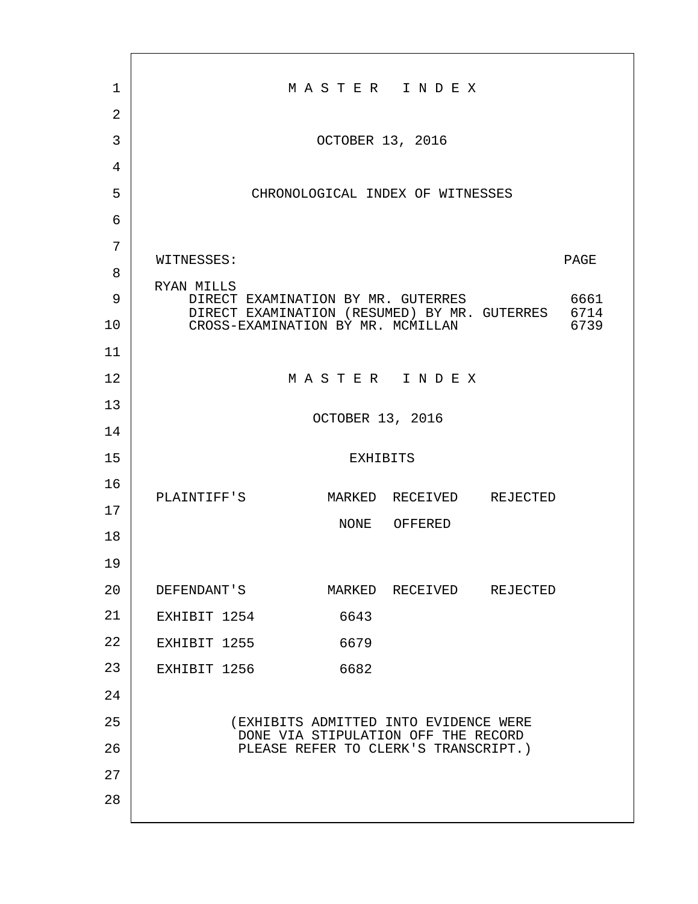| 1              |                                                                                                                                            |                  | MASTER INDEX                                                                 |  |      |
|----------------|--------------------------------------------------------------------------------------------------------------------------------------------|------------------|------------------------------------------------------------------------------|--|------|
| $\overline{2}$ |                                                                                                                                            |                  |                                                                              |  |      |
| 3              |                                                                                                                                            | OCTOBER 13, 2016 |                                                                              |  |      |
| 4              |                                                                                                                                            |                  |                                                                              |  |      |
| 5              |                                                                                                                                            |                  | CHRONOLOGICAL INDEX OF WITNESSES                                             |  |      |
| 6              |                                                                                                                                            |                  |                                                                              |  |      |
| 7              | WITNESSES:                                                                                                                                 |                  |                                                                              |  | PAGE |
| 8              |                                                                                                                                            |                  |                                                                              |  |      |
| 9              | RYAN MILLS<br>DIRECT EXAMINATION BY MR. GUTERRES<br>DIRECT EXAMINATION (RESUMED) BY MR. GUTERRES 6714<br>CROSS-EXAMINATION BY MR. MCMILLAN |                  |                                                                              |  | 6661 |
| 10             |                                                                                                                                            |                  | 6739                                                                         |  |      |
| 11             |                                                                                                                                            |                  |                                                                              |  |      |
| 12             |                                                                                                                                            |                  | MASTER INDEX                                                                 |  |      |
| 13             |                                                                                                                                            | OCTOBER 13, 2016 |                                                                              |  |      |
| 14             |                                                                                                                                            |                  |                                                                              |  |      |
| 15             |                                                                                                                                            | <b>EXHIBITS</b>  |                                                                              |  |      |
| 16             | PLAINTIFF'S                                                                                                                                |                  | MARKED RECEIVED REJECTED                                                     |  |      |
| 17             |                                                                                                                                            |                  |                                                                              |  |      |
| 18             |                                                                                                                                            |                  | NONE OFFERED                                                                 |  |      |
| 19             |                                                                                                                                            |                  |                                                                              |  |      |
| 20             | DEFENDANT'S                                                                                                                                |                  | MARKED RECEIVED REJECTED                                                     |  |      |
| 21             | EXHIBIT 1254                                                                                                                               | 6643             |                                                                              |  |      |
| 22             | EXHIBIT 1255                                                                                                                               | 6679             |                                                                              |  |      |
| 23             | EXHIBIT 1256                                                                                                                               | 6682             |                                                                              |  |      |
| 24             |                                                                                                                                            |                  |                                                                              |  |      |
| 25             |                                                                                                                                            |                  | (EXHIBITS ADMITTED INTO EVIDENCE WERE<br>DONE VIA STIPULATION OFF THE RECORD |  |      |
| 26             |                                                                                                                                            |                  | PLEASE REFER TO CLERK'S TRANSCRIPT.)                                         |  |      |
| 27             |                                                                                                                                            |                  |                                                                              |  |      |
| 28             |                                                                                                                                            |                  |                                                                              |  |      |
|                |                                                                                                                                            |                  |                                                                              |  |      |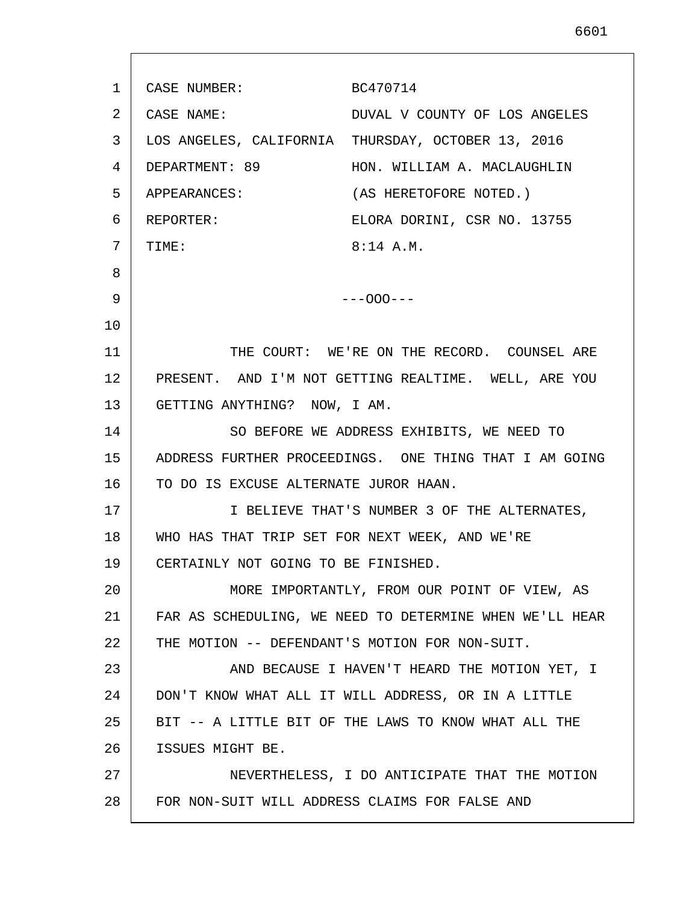1 2 3 4 5 6 7 8 9 10 11 12 13 14 15 16 17 18 19 20 21 22 23 24 25 26 27 28 CASE NUMBER: BC470714 CASE NAME: DUVAL V COUNTY OF LOS ANGELES LOS ANGELES, CALIFORNIA THURSDAY, OCTOBER 13, 2016 DEPARTMENT: 89 HON. WILLIAM A. MACLAUGHLIN APPEARANCES: (AS HERETOFORE NOTED.) REPORTER: ELORA DORINI, CSR NO. 13755 TIME: 8:14 A.M. ---OOO--- THE COURT: WE'RE ON THE RECORD. COUNSEL ARE PRESENT. AND I'M NOT GETTING REALTIME. WELL, ARE YOU GETTING ANYTHING? NOW, I AM. SO BEFORE WE ADDRESS EXHIBITS, WE NEED TO ADDRESS FURTHER PROCEEDINGS. ONE THING THAT I AM GOING TO DO IS EXCUSE ALTERNATE JUROR HAAN. I BELIEVE THAT'S NUMBER 3 OF THE ALTERNATES, WHO HAS THAT TRIP SET FOR NEXT WEEK, AND WE'RE CERTAINLY NOT GOING TO BE FINISHED. MORE IMPORTANTLY, FROM OUR POINT OF VIEW, AS FAR AS SCHEDULING, WE NEED TO DETERMINE WHEN WE'LL HEAR THE MOTION -- DEFENDANT'S MOTION FOR NON-SUIT. AND BECAUSE I HAVEN'T HEARD THE MOTION YET, I DON'T KNOW WHAT ALL IT WILL ADDRESS, OR IN A LITTLE BIT -- A LITTLE BIT OF THE LAWS TO KNOW WHAT ALL THE ISSUES MIGHT BE. NEVERTHELESS, I DO ANTICIPATE THAT THE MOTION FOR NON-SUIT WILL ADDRESS CLAIMS FOR FALSE AND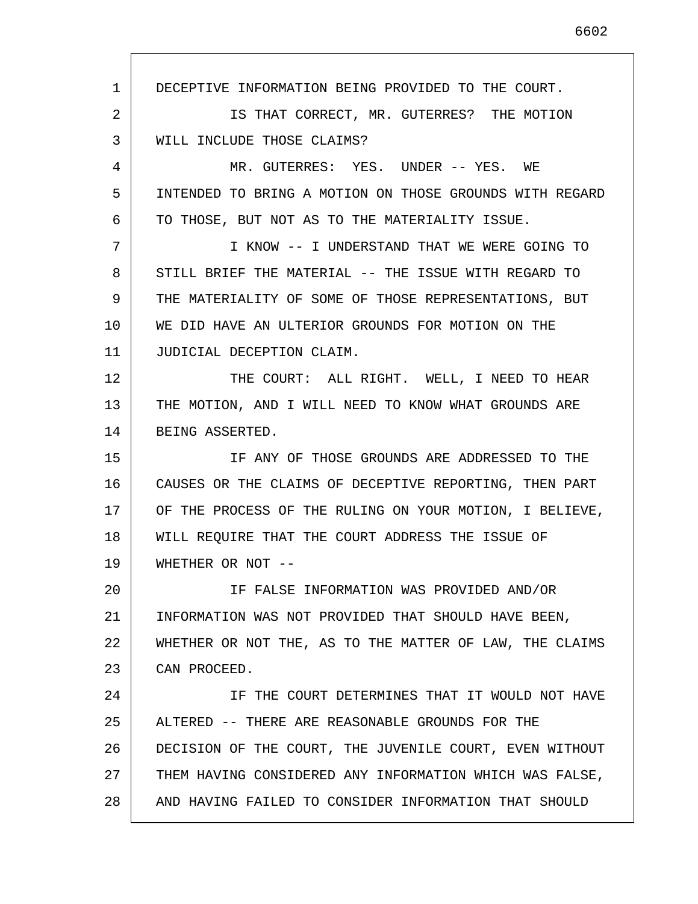1 2 3 4 5 6 7 8 9 10 11 12 13 14 15 16 17 18 19 20 21 22 23 24 25 26 27 28 DECEPTIVE INFORMATION BEING PROVIDED TO THE COURT. IS THAT CORRECT, MR. GUTERRES? THE MOTION WILL INCLUDE THOSE CLAIMS? MR. GUTERRES: YES. UNDER -- YES. WE INTENDED TO BRING A MOTION ON THOSE GROUNDS WITH REGARD TO THOSE, BUT NOT AS TO THE MATERIALITY ISSUE. I KNOW -- I UNDERSTAND THAT WE WERE GOING TO STILL BRIEF THE MATERIAL -- THE ISSUE WITH REGARD TO THE MATERIALITY OF SOME OF THOSE REPRESENTATIONS, BUT WE DID HAVE AN ULTERIOR GROUNDS FOR MOTION ON THE JUDICIAL DECEPTION CLAIM. THE COURT: ALL RIGHT. WELL, I NEED TO HEAR THE MOTION, AND I WILL NEED TO KNOW WHAT GROUNDS ARE BEING ASSERTED. IF ANY OF THOSE GROUNDS ARE ADDRESSED TO THE CAUSES OR THE CLAIMS OF DECEPTIVE REPORTING, THEN PART OF THE PROCESS OF THE RULING ON YOUR MOTION, I BELIEVE, WILL REQUIRE THAT THE COURT ADDRESS THE ISSUE OF WHETHER OR NOT -- IF FALSE INFORMATION WAS PROVIDED AND/OR INFORMATION WAS NOT PROVIDED THAT SHOULD HAVE BEEN, WHETHER OR NOT THE, AS TO THE MATTER OF LAW, THE CLAIMS CAN PROCEED. IF THE COURT DETERMINES THAT IT WOULD NOT HAVE ALTERED -- THERE ARE REASONABLE GROUNDS FOR THE DECISION OF THE COURT, THE JUVENILE COURT, EVEN WITHOUT THEM HAVING CONSIDERED ANY INFORMATION WHICH WAS FALSE, AND HAVING FAILED TO CONSIDER INFORMATION THAT SHOULD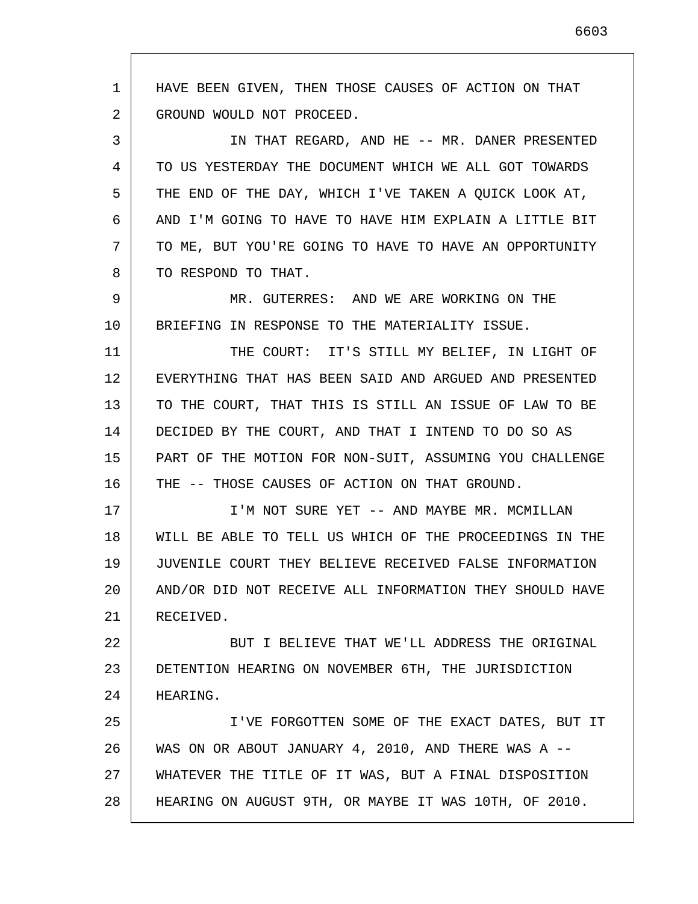1 2 3 4 5 6 7 8 9 10 11 12 13 14 15 16 17 18 19 20 21 22 23 24 25 26 27 28 HAVE BEEN GIVEN, THEN THOSE CAUSES OF ACTION ON THAT GROUND WOULD NOT PROCEED. IN THAT REGARD, AND HE -- MR. DANER PRESENTED TO US YESTERDAY THE DOCUMENT WHICH WE ALL GOT TOWARDS THE END OF THE DAY, WHICH I'VE TAKEN A QUICK LOOK AT, AND I'M GOING TO HAVE TO HAVE HIM EXPLAIN A LITTLE BIT TO ME, BUT YOU'RE GOING TO HAVE TO HAVE AN OPPORTUNITY TO RESPOND TO THAT. MR. GUTERRES: AND WE ARE WORKING ON THE BRIEFING IN RESPONSE TO THE MATERIALITY ISSUE. THE COURT: IT'S STILL MY BELIEF, IN LIGHT OF EVERYTHING THAT HAS BEEN SAID AND ARGUED AND PRESENTED TO THE COURT, THAT THIS IS STILL AN ISSUE OF LAW TO BE DECIDED BY THE COURT, AND THAT I INTEND TO DO SO AS PART OF THE MOTION FOR NON-SUIT, ASSUMING YOU CHALLENGE THE -- THOSE CAUSES OF ACTION ON THAT GROUND. I'M NOT SURE YET -- AND MAYBE MR. MCMILLAN WILL BE ABLE TO TELL US WHICH OF THE PROCEEDINGS IN THE JUVENILE COURT THEY BELIEVE RECEIVED FALSE INFORMATION AND/OR DID NOT RECEIVE ALL INFORMATION THEY SHOULD HAVE RECEIVED. BUT I BELIEVE THAT WE'LL ADDRESS THE ORIGINAL DETENTION HEARING ON NOVEMBER 6TH, THE JURISDICTION HEARING. I'VE FORGOTTEN SOME OF THE EXACT DATES, BUT IT WAS ON OR ABOUT JANUARY 4, 2010, AND THERE WAS A -- WHATEVER THE TITLE OF IT WAS, BUT A FINAL DISPOSITION HEARING ON AUGUST 9TH, OR MAYBE IT WAS 10TH, OF 2010.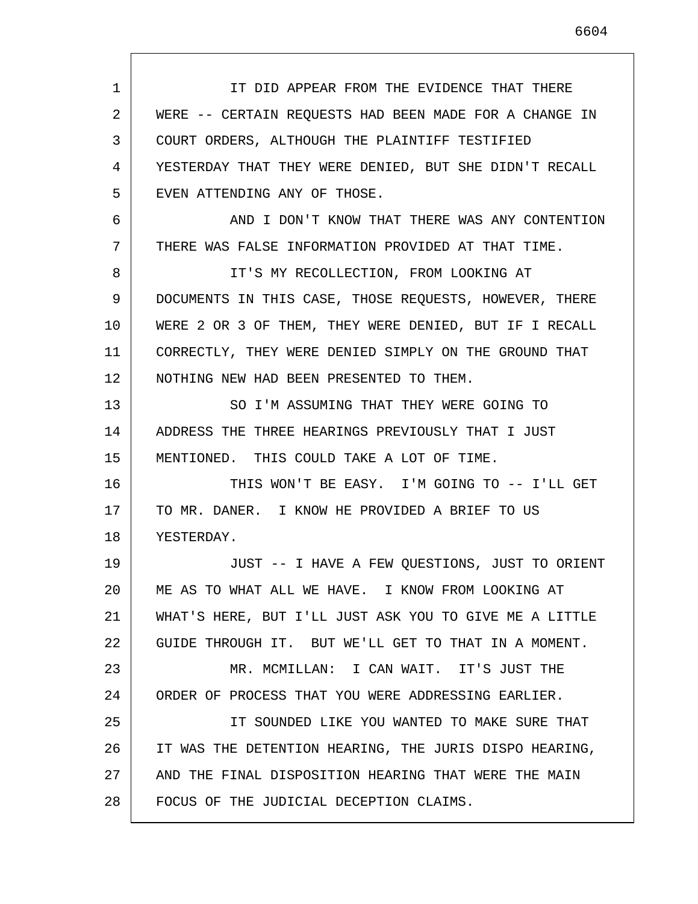1 2 3 4 5 6 7 8 9 10 11 12 13 14 15 16 17 18 19 20 21 22 23 24 25 26 27 28 IT DID APPEAR FROM THE EVIDENCE THAT THERE WERE -- CERTAIN REQUESTS HAD BEEN MADE FOR A CHANGE IN COURT ORDERS, ALTHOUGH THE PLAINTIFF TESTIFIED YESTERDAY THAT THEY WERE DENIED, BUT SHE DIDN'T RECALL EVEN ATTENDING ANY OF THOSE. AND I DON'T KNOW THAT THERE WAS ANY CONTENTION THERE WAS FALSE INFORMATION PROVIDED AT THAT TIME. IT'S MY RECOLLECTION, FROM LOOKING AT DOCUMENTS IN THIS CASE, THOSE REQUESTS, HOWEVER, THERE WERE 2 OR 3 OF THEM, THEY WERE DENIED, BUT IF I RECALL CORRECTLY, THEY WERE DENIED SIMPLY ON THE GROUND THAT NOTHING NEW HAD BEEN PRESENTED TO THEM. SO I'M ASSUMING THAT THEY WERE GOING TO ADDRESS THE THREE HEARINGS PREVIOUSLY THAT I JUST MENTIONED. THIS COULD TAKE A LOT OF TIME. THIS WON'T BE EASY. I'M GOING TO -- I'LL GET TO MR. DANER. I KNOW HE PROVIDED A BRIEF TO US YESTERDAY. JUST -- I HAVE A FEW QUESTIONS, JUST TO ORIENT ME AS TO WHAT ALL WE HAVE. I KNOW FROM LOOKING AT WHAT'S HERE, BUT I'LL JUST ASK YOU TO GIVE ME A LITTLE GUIDE THROUGH IT. BUT WE'LL GET TO THAT IN A MOMENT. MR. MCMILLAN: I CAN WAIT. IT'S JUST THE ORDER OF PROCESS THAT YOU WERE ADDRESSING EARLIER. IT SOUNDED LIKE YOU WANTED TO MAKE SURE THAT IT WAS THE DETENTION HEARING, THE JURIS DISPO HEARING, AND THE FINAL DISPOSITION HEARING THAT WERE THE MAIN FOCUS OF THE JUDICIAL DECEPTION CLAIMS.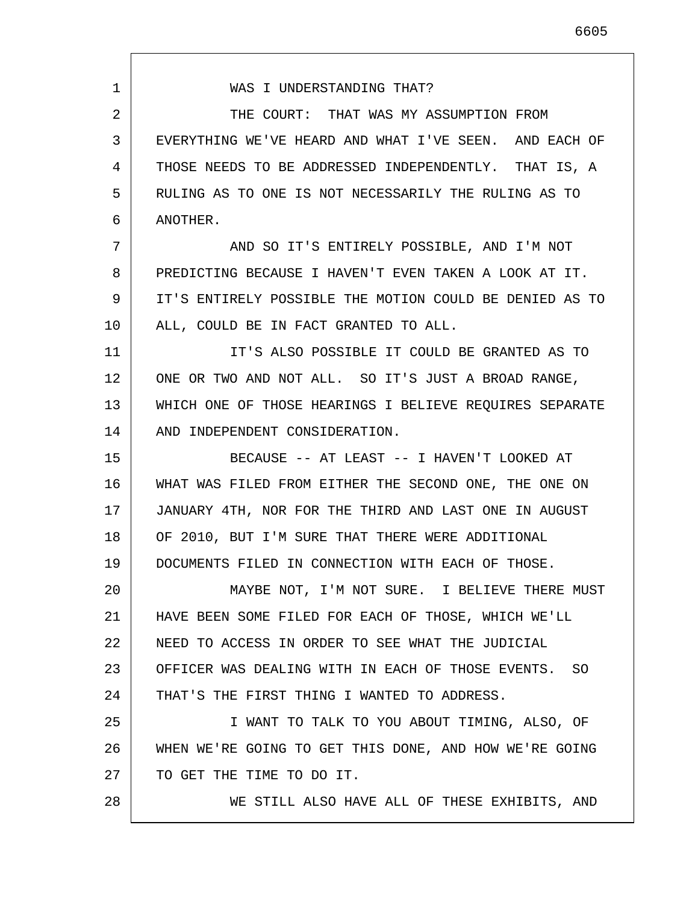1 2 3 4 5 6 7 8 9 10 11 12 13 14 15 16 17 18 19 20 21 22 23 24 25 26 27 28 WAS I UNDERSTANDING THAT? THE COURT: THAT WAS MY ASSUMPTION FROM EVERYTHING WE'VE HEARD AND WHAT I'VE SEEN. AND EACH OF THOSE NEEDS TO BE ADDRESSED INDEPENDENTLY. THAT IS, A RULING AS TO ONE IS NOT NECESSARILY THE RULING AS TO ANOTHER. AND SO IT'S ENTIRELY POSSIBLE, AND I'M NOT PREDICTING BECAUSE I HAVEN'T EVEN TAKEN A LOOK AT IT. IT'S ENTIRELY POSSIBLE THE MOTION COULD BE DENIED AS TO ALL, COULD BE IN FACT GRANTED TO ALL. IT'S ALSO POSSIBLE IT COULD BE GRANTED AS TO ONE OR TWO AND NOT ALL. SO IT'S JUST A BROAD RANGE, WHICH ONE OF THOSE HEARINGS I BELIEVE REQUIRES SEPARATE AND INDEPENDENT CONSIDERATION. BECAUSE -- AT LEAST -- I HAVEN'T LOOKED AT WHAT WAS FILED FROM EITHER THE SECOND ONE, THE ONE ON JANUARY 4TH, NOR FOR THE THIRD AND LAST ONE IN AUGUST OF 2010, BUT I'M SURE THAT THERE WERE ADDITIONAL DOCUMENTS FILED IN CONNECTION WITH EACH OF THOSE. MAYBE NOT, I'M NOT SURE. I BELIEVE THERE MUST HAVE BEEN SOME FILED FOR EACH OF THOSE, WHICH WE'LL NEED TO ACCESS IN ORDER TO SEE WHAT THE JUDICIAL OFFICER WAS DEALING WITH IN EACH OF THOSE EVENTS. SO THAT'S THE FIRST THING I WANTED TO ADDRESS. I WANT TO TALK TO YOU ABOUT TIMING, ALSO, OF WHEN WE'RE GOING TO GET THIS DONE, AND HOW WE'RE GOING TO GET THE TIME TO DO IT. WE STILL ALSO HAVE ALL OF THESE EXHIBITS, AND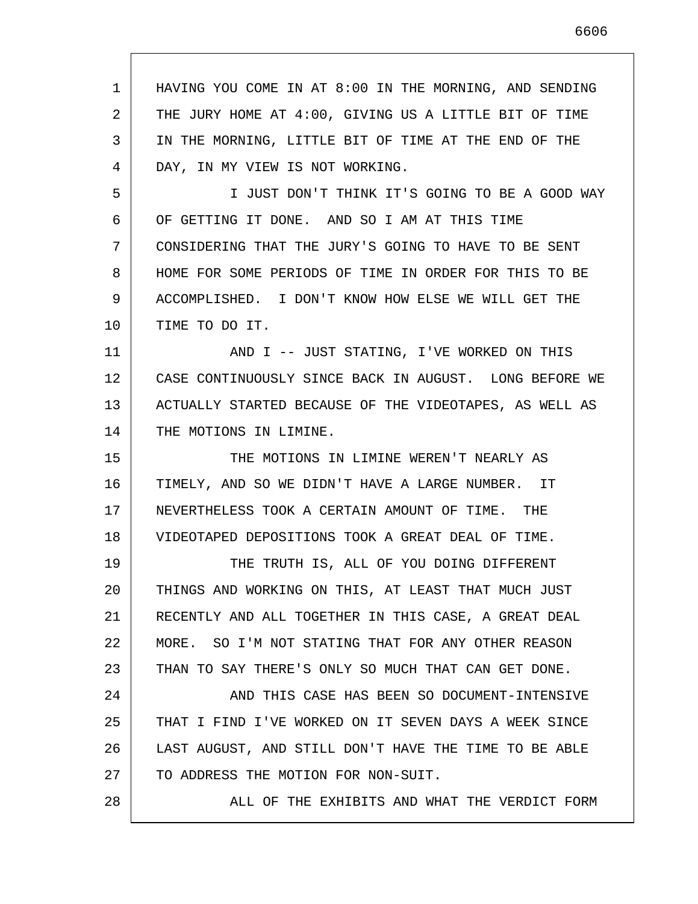1 2 3 4 5 6 7 8 9 10 11 12 13 14 15 16 17 18 19 20 21 22 23 24 25 26 27 28 HAVING YOU COME IN AT 8:00 IN THE MORNING, AND SENDING THE JURY HOME AT 4:00, GIVING US A LITTLE BIT OF TIME IN THE MORNING, LITTLE BIT OF TIME AT THE END OF THE DAY, IN MY VIEW IS NOT WORKING. I JUST DON'T THINK IT'S GOING TO BE A GOOD WAY OF GETTING IT DONE. AND SO I AM AT THIS TIME CONSIDERING THAT THE JURY'S GOING TO HAVE TO BE SENT HOME FOR SOME PERIODS OF TIME IN ORDER FOR THIS TO BE ACCOMPLISHED. I DON'T KNOW HOW ELSE WE WILL GET THE TIME TO DO IT. AND I -- JUST STATING, I'VE WORKED ON THIS CASE CONTINUOUSLY SINCE BACK IN AUGUST. LONG BEFORE WE ACTUALLY STARTED BECAUSE OF THE VIDEOTAPES, AS WELL AS THE MOTIONS IN LIMINE. THE MOTIONS IN LIMINE WEREN'T NEARLY AS TIMELY, AND SO WE DIDN'T HAVE A LARGE NUMBER. IT NEVERTHELESS TOOK A CERTAIN AMOUNT OF TIME. THE VIDEOTAPED DEPOSITIONS TOOK A GREAT DEAL OF TIME. THE TRUTH IS, ALL OF YOU DOING DIFFERENT THINGS AND WORKING ON THIS, AT LEAST THAT MUCH JUST RECENTLY AND ALL TOGETHER IN THIS CASE, A GREAT DEAL MORE. SO I'M NOT STATING THAT FOR ANY OTHER REASON THAN TO SAY THERE'S ONLY SO MUCH THAT CAN GET DONE. AND THIS CASE HAS BEEN SO DOCUMENT-INTENSIVE THAT I FIND I'VE WORKED ON IT SEVEN DAYS A WEEK SINCE LAST AUGUST, AND STILL DON'T HAVE THE TIME TO BE ABLE TO ADDRESS THE MOTION FOR NON-SUIT. ALL OF THE EXHIBITS AND WHAT THE VERDICT FORM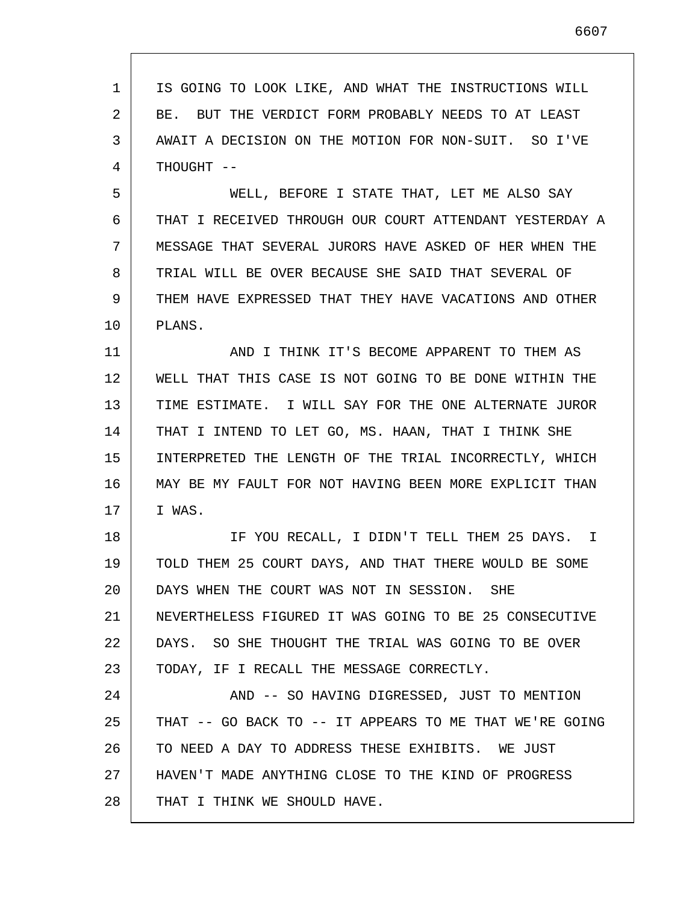1 2 3 4 5 6 7 8 9 10 11 12 13 14 15 16 17 18 19 20 21 22 23 24 25 26 27 28 IS GOING TO LOOK LIKE, AND WHAT THE INSTRUCTIONS WILL BE. BUT THE VERDICT FORM PROBABLY NEEDS TO AT LEAST AWAIT A DECISION ON THE MOTION FOR NON-SUIT. SO I'VE THOUGHT -- WELL, BEFORE I STATE THAT, LET ME ALSO SAY THAT I RECEIVED THROUGH OUR COURT ATTENDANT YESTERDAY A MESSAGE THAT SEVERAL JURORS HAVE ASKED OF HER WHEN THE TRIAL WILL BE OVER BECAUSE SHE SAID THAT SEVERAL OF THEM HAVE EXPRESSED THAT THEY HAVE VACATIONS AND OTHER PLANS. AND I THINK IT'S BECOME APPARENT TO THEM AS WELL THAT THIS CASE IS NOT GOING TO BE DONE WITHIN THE TIME ESTIMATE. I WILL SAY FOR THE ONE ALTERNATE JUROR THAT I INTEND TO LET GO, MS. HAAN, THAT I THINK SHE INTERPRETED THE LENGTH OF THE TRIAL INCORRECTLY, WHICH MAY BE MY FAULT FOR NOT HAVING BEEN MORE EXPLICIT THAN I WAS. IF YOU RECALL, I DIDN'T TELL THEM 25 DAYS. I TOLD THEM 25 COURT DAYS, AND THAT THERE WOULD BE SOME DAYS WHEN THE COURT WAS NOT IN SESSION. SHE NEVERTHELESS FIGURED IT WAS GOING TO BE 25 CONSECUTIVE DAYS. SO SHE THOUGHT THE TRIAL WAS GOING TO BE OVER TODAY, IF I RECALL THE MESSAGE CORRECTLY. AND -- SO HAVING DIGRESSED, JUST TO MENTION THAT -- GO BACK TO -- IT APPEARS TO ME THAT WE'RE GOING TO NEED A DAY TO ADDRESS THESE EXHIBITS. WE JUST HAVEN'T MADE ANYTHING CLOSE TO THE KIND OF PROGRESS THAT I THINK WE SHOULD HAVE.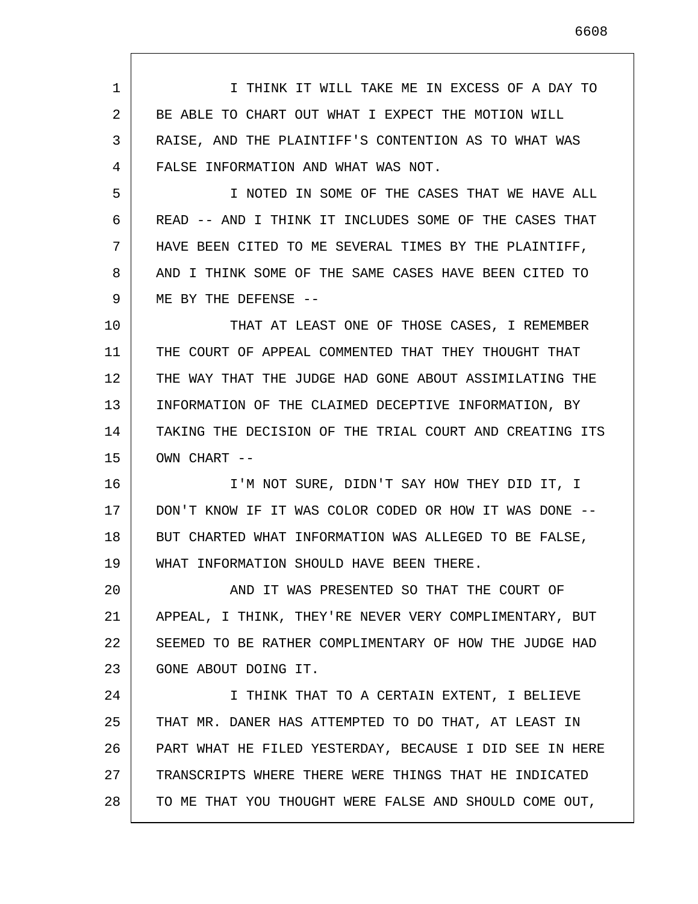1 2 3 4 I THINK IT WILL TAKE ME IN EXCESS OF A DAY TO BE ABLE TO CHART OUT WHAT I EXPECT THE MOTION WILL RAISE, AND THE PLAINTIFF'S CONTENTION AS TO WHAT WAS FALSE INFORMATION AND WHAT WAS NOT.

5 6 7 8 9 I NOTED IN SOME OF THE CASES THAT WE HAVE ALL READ -- AND I THINK IT INCLUDES SOME OF THE CASES THAT HAVE BEEN CITED TO ME SEVERAL TIMES BY THE PLAINTIFF, AND I THINK SOME OF THE SAME CASES HAVE BEEN CITED TO ME BY THE DEFENSE --

10 11 12 13 14 15 THAT AT LEAST ONE OF THOSE CASES, I REMEMBER THE COURT OF APPEAL COMMENTED THAT THEY THOUGHT THAT THE WAY THAT THE JUDGE HAD GONE ABOUT ASSIMILATING THE INFORMATION OF THE CLAIMED DECEPTIVE INFORMATION, BY TAKING THE DECISION OF THE TRIAL COURT AND CREATING ITS OWN CHART --

16 17 18 19 I'M NOT SURE, DIDN'T SAY HOW THEY DID IT, I DON'T KNOW IF IT WAS COLOR CODED OR HOW IT WAS DONE -- BUT CHARTED WHAT INFORMATION WAS ALLEGED TO BE FALSE, WHAT INFORMATION SHOULD HAVE BEEN THERE.

20 21 22 23 AND IT WAS PRESENTED SO THAT THE COURT OF APPEAL, I THINK, THEY'RE NEVER VERY COMPLIMENTARY, BUT SEEMED TO BE RATHER COMPLIMENTARY OF HOW THE JUDGE HAD GONE ABOUT DOING IT.

24 25 26 27 28 I THINK THAT TO A CERTAIN EXTENT, I BELIEVE THAT MR. DANER HAS ATTEMPTED TO DO THAT, AT LEAST IN PART WHAT HE FILED YESTERDAY, BECAUSE I DID SEE IN HERE TRANSCRIPTS WHERE THERE WERE THINGS THAT HE INDICATED TO ME THAT YOU THOUGHT WERE FALSE AND SHOULD COME OUT,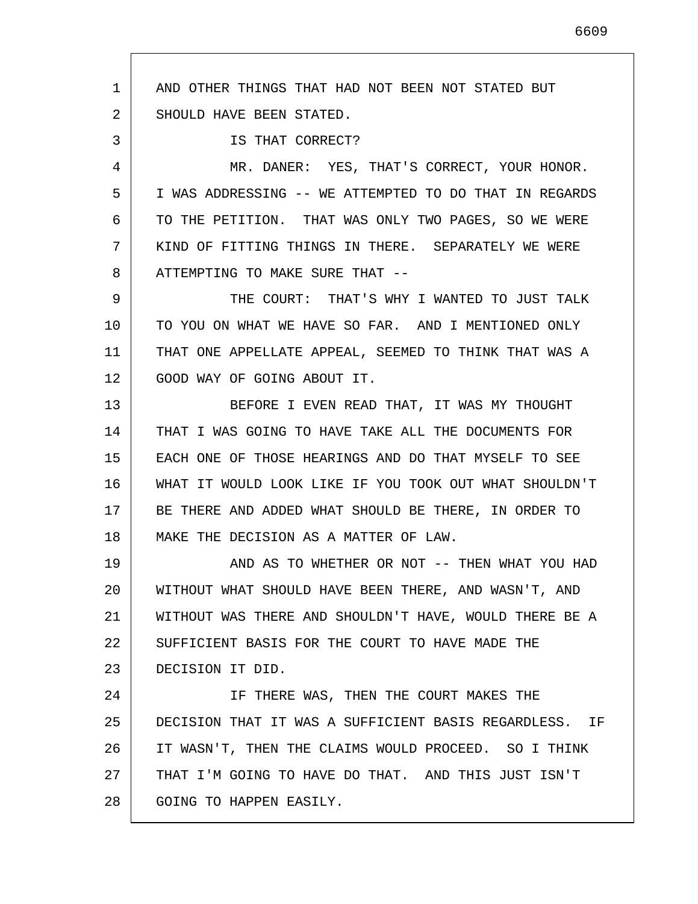1 2 3 4 5 6 7 8 9 10 11 12 13 14 15 16 17 18 19 20 21 22 23 24 25 26 27 28 AND OTHER THINGS THAT HAD NOT BEEN NOT STATED BUT SHOULD HAVE BEEN STATED. IS THAT CORRECT? MR. DANER: YES, THAT'S CORRECT, YOUR HONOR. I WAS ADDRESSING -- WE ATTEMPTED TO DO THAT IN REGARDS TO THE PETITION. THAT WAS ONLY TWO PAGES, SO WE WERE KIND OF FITTING THINGS IN THERE. SEPARATELY WE WERE ATTEMPTING TO MAKE SURE THAT -- THE COURT: THAT'S WHY I WANTED TO JUST TALK TO YOU ON WHAT WE HAVE SO FAR. AND I MENTIONED ONLY THAT ONE APPELLATE APPEAL, SEEMED TO THINK THAT WAS A GOOD WAY OF GOING ABOUT IT. BEFORE I EVEN READ THAT, IT WAS MY THOUGHT THAT I WAS GOING TO HAVE TAKE ALL THE DOCUMENTS FOR EACH ONE OF THOSE HEARINGS AND DO THAT MYSELF TO SEE WHAT IT WOULD LOOK LIKE IF YOU TOOK OUT WHAT SHOULDN'T BE THERE AND ADDED WHAT SHOULD BE THERE, IN ORDER TO MAKE THE DECISION AS A MATTER OF LAW. AND AS TO WHETHER OR NOT -- THEN WHAT YOU HAD WITHOUT WHAT SHOULD HAVE BEEN THERE, AND WASN'T, AND WITHOUT WAS THERE AND SHOULDN'T HAVE, WOULD THERE BE A SUFFICIENT BASIS FOR THE COURT TO HAVE MADE THE DECISION IT DID. IF THERE WAS, THEN THE COURT MAKES THE DECISION THAT IT WAS A SUFFICIENT BASIS REGARDLESS. IF IT WASN'T, THEN THE CLAIMS WOULD PROCEED. SO I THINK THAT I'M GOING TO HAVE DO THAT. AND THIS JUST ISN'T GOING TO HAPPEN EASILY.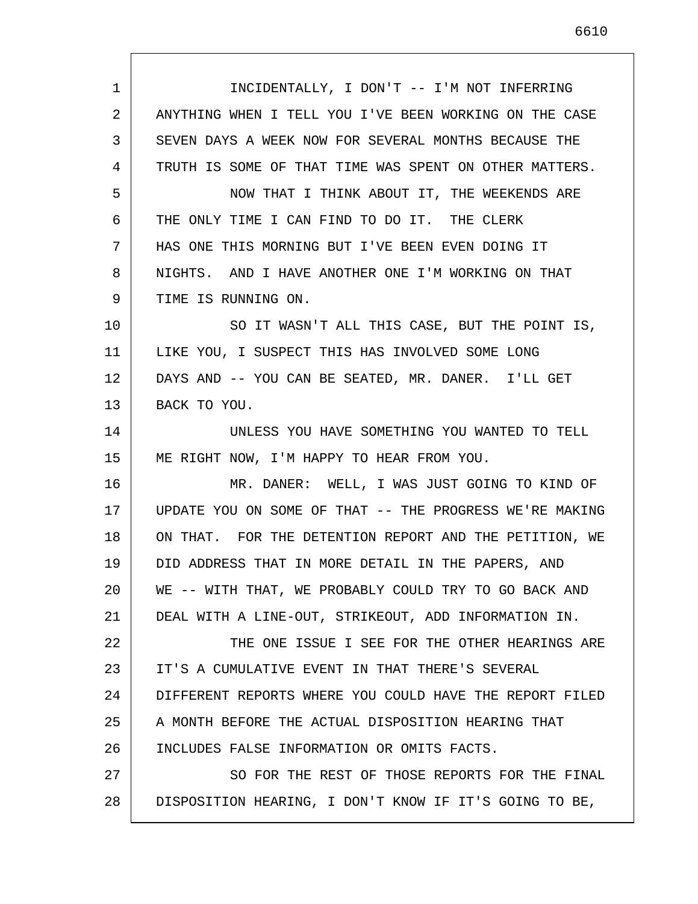| 1  | INCIDENTALLY, I DON'T -- I'M NOT INFERRING              |
|----|---------------------------------------------------------|
| 2  | ANYTHING WHEN I TELL YOU I'VE BEEN WORKING ON THE CASE  |
| 3  | SEVEN DAYS A WEEK NOW FOR SEVERAL MONTHS BECAUSE THE    |
| 4  | TRUTH IS SOME OF THAT TIME WAS SPENT ON OTHER MATTERS.  |
| 5  | NOW THAT I THINK ABOUT IT, THE WEEKENDS ARE             |
| 6  | THE ONLY TIME I CAN FIND TO DO IT. THE CLERK            |
| 7  | HAS ONE THIS MORNING BUT I'VE BEEN EVEN DOING IT        |
| 8  | NIGHTS. AND I HAVE ANOTHER ONE I'M WORKING ON THAT      |
| 9  | TIME IS RUNNING ON.                                     |
| 10 | SO IT WASN'T ALL THIS CASE, BUT THE POINT IS,           |
| 11 | LIKE YOU, I SUSPECT THIS HAS INVOLVED SOME LONG         |
| 12 | DAYS AND -- YOU CAN BE SEATED, MR. DANER. I'LL GET      |
| 13 | BACK TO YOU.                                            |
| 14 | UNLESS YOU HAVE SOMETHING YOU WANTED TO TELL            |
| 15 | ME RIGHT NOW, I'M HAPPY TO HEAR FROM YOU.               |
| 16 | MR. DANER: WELL, I WAS JUST GOING TO KIND OF            |
| 17 | UPDATE YOU ON SOME OF THAT -- THE PROGRESS WE'RE MAKING |
| 18 | ON THAT. FOR THE DETENTION REPORT AND THE PETITION, WE  |
| 19 | DID ADDRESS THAT IN MORE DETAIL IN THE PAPERS, AND      |
| 20 | WE -- WITH THAT, WE PROBABLY COULD TRY TO GO BACK AND   |
| 21 | DEAL WITH A LINE-OUT, STRIKEOUT, ADD INFORMATION IN.    |
| 22 | THE ONE ISSUE I SEE FOR THE OTHER HEARINGS ARE          |
| 23 | IT'S A CUMULATIVE EVENT IN THAT THERE'S SEVERAL         |
| 24 | DIFFERENT REPORTS WHERE YOU COULD HAVE THE REPORT FILED |
| 25 | A MONTH BEFORE THE ACTUAL DISPOSITION HEARING THAT      |
| 26 | INCLUDES FALSE INFORMATION OR OMITS FACTS.              |
| 27 | SO FOR THE REST OF THOSE REPORTS FOR THE FINAL          |
| 28 | DISPOSITION HEARING, I DON'T KNOW IF IT'S GOING TO BE,  |
|    |                                                         |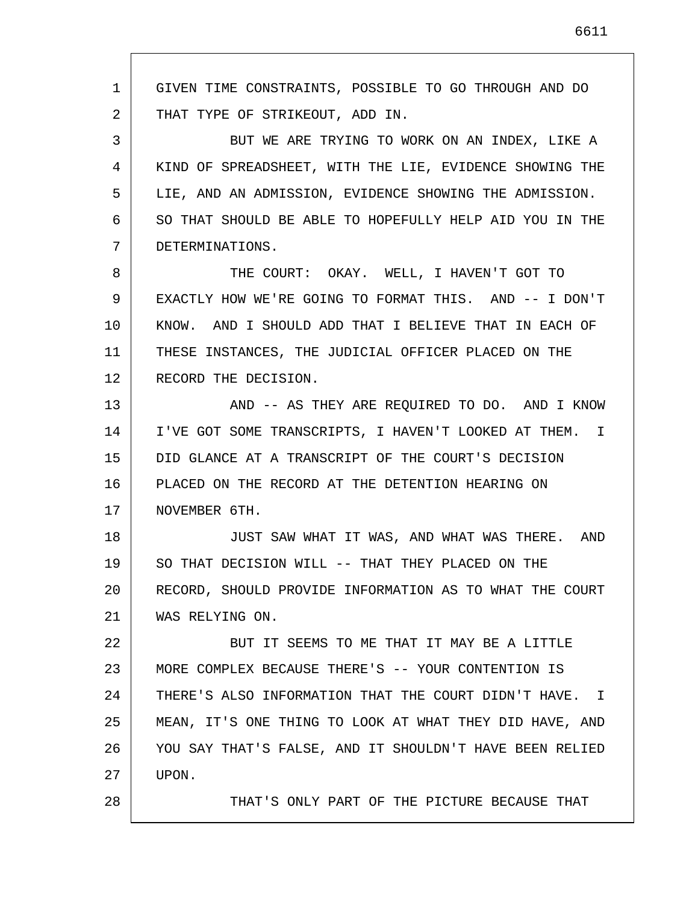1 2 3 4 5 6 7 8 9 10 11 12 13 14 15 16 17 18 19 20 21 22 23 24 25 26 27 28 GIVEN TIME CONSTRAINTS, POSSIBLE TO GO THROUGH AND DO THAT TYPE OF STRIKEOUT, ADD IN. BUT WE ARE TRYING TO WORK ON AN INDEX, LIKE A KIND OF SPREADSHEET, WITH THE LIE, EVIDENCE SHOWING THE LIE, AND AN ADMISSION, EVIDENCE SHOWING THE ADMISSION. SO THAT SHOULD BE ABLE TO HOPEFULLY HELP AID YOU IN THE DETERMINATIONS. THE COURT: OKAY. WELL, I HAVEN'T GOT TO EXACTLY HOW WE'RE GOING TO FORMAT THIS. AND -- I DON'T KNOW. AND I SHOULD ADD THAT I BELIEVE THAT IN EACH OF THESE INSTANCES, THE JUDICIAL OFFICER PLACED ON THE RECORD THE DECISION. AND -- AS THEY ARE REQUIRED TO DO. AND I KNOW I'VE GOT SOME TRANSCRIPTS, I HAVEN'T LOOKED AT THEM. I DID GLANCE AT A TRANSCRIPT OF THE COURT'S DECISION PLACED ON THE RECORD AT THE DETENTION HEARING ON NOVEMBER 6TH. JUST SAW WHAT IT WAS, AND WHAT WAS THERE. AND SO THAT DECISION WILL -- THAT THEY PLACED ON THE RECORD, SHOULD PROVIDE INFORMATION AS TO WHAT THE COURT WAS RELYING ON. BUT IT SEEMS TO ME THAT IT MAY BE A LITTLE MORE COMPLEX BECAUSE THERE'S -- YOUR CONTENTION IS THERE'S ALSO INFORMATION THAT THE COURT DIDN'T HAVE. I MEAN, IT'S ONE THING TO LOOK AT WHAT THEY DID HAVE, AND YOU SAY THAT'S FALSE, AND IT SHOULDN'T HAVE BEEN RELIED UPON. THAT'S ONLY PART OF THE PICTURE BECAUSE THAT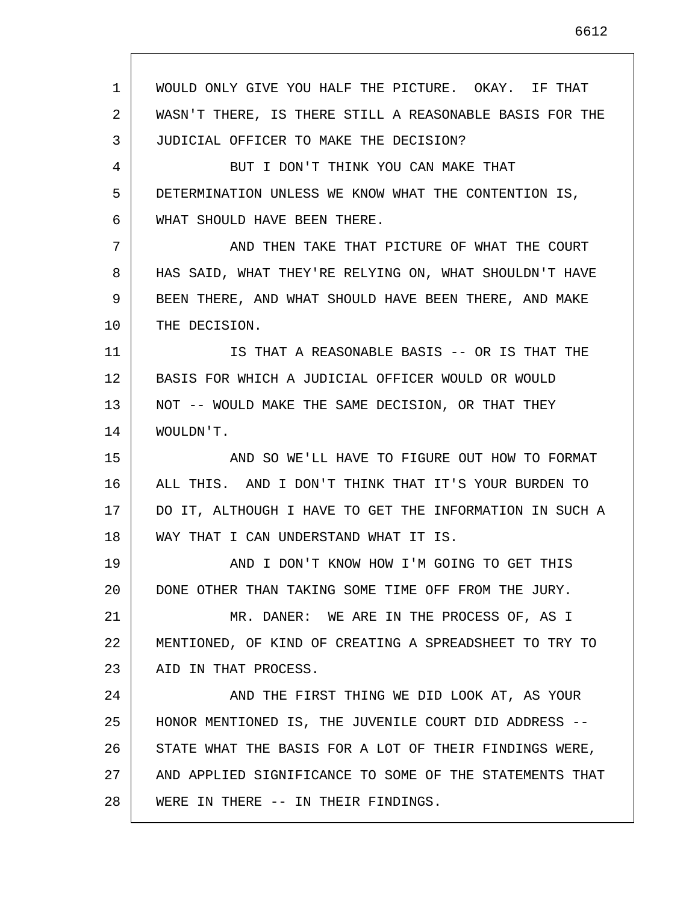1 2 3 4 5 6 7 8 9 10 11 12 13 14 15 16 17 18 19 20 21 22 23 24 25 26 27 28 WOULD ONLY GIVE YOU HALF THE PICTURE. OKAY. IF THAT WASN'T THERE, IS THERE STILL A REASONABLE BASIS FOR THE JUDICIAL OFFICER TO MAKE THE DECISION? BUT I DON'T THINK YOU CAN MAKE THAT DETERMINATION UNLESS WE KNOW WHAT THE CONTENTION IS, WHAT SHOULD HAVE BEEN THERE. AND THEN TAKE THAT PICTURE OF WHAT THE COURT HAS SAID, WHAT THEY'RE RELYING ON, WHAT SHOULDN'T HAVE BEEN THERE, AND WHAT SHOULD HAVE BEEN THERE, AND MAKE THE DECISION. IS THAT A REASONABLE BASIS -- OR IS THAT THE BASIS FOR WHICH A JUDICIAL OFFICER WOULD OR WOULD NOT -- WOULD MAKE THE SAME DECISION, OR THAT THEY WOULDN'T. AND SO WE'LL HAVE TO FIGURE OUT HOW TO FORMAT ALL THIS. AND I DON'T THINK THAT IT'S YOUR BURDEN TO DO IT, ALTHOUGH I HAVE TO GET THE INFORMATION IN SUCH A WAY THAT I CAN UNDERSTAND WHAT IT IS. AND I DON'T KNOW HOW I'M GOING TO GET THIS DONE OTHER THAN TAKING SOME TIME OFF FROM THE JURY. MR. DANER: WE ARE IN THE PROCESS OF, AS I MENTIONED, OF KIND OF CREATING A SPREADSHEET TO TRY TO AID IN THAT PROCESS. AND THE FIRST THING WE DID LOOK AT, AS YOUR HONOR MENTIONED IS, THE JUVENILE COURT DID ADDRESS -- STATE WHAT THE BASIS FOR A LOT OF THEIR FINDINGS WERE, AND APPLIED SIGNIFICANCE TO SOME OF THE STATEMENTS THAT WERE IN THERE -- IN THEIR FINDINGS.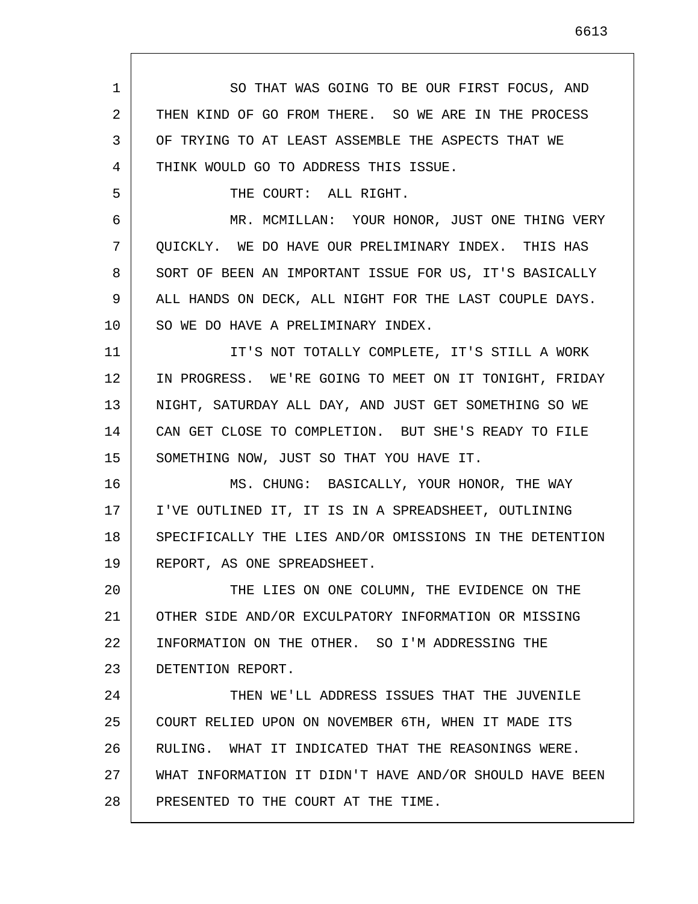1 2 3 4 5 6 7 8 9 10 11 12 13 14 15 16 17 18 19 20 21 22 23 24 25 26 27 28 SO THAT WAS GOING TO BE OUR FIRST FOCUS, AND THEN KIND OF GO FROM THERE. SO WE ARE IN THE PROCESS OF TRYING TO AT LEAST ASSEMBLE THE ASPECTS THAT WE THINK WOULD GO TO ADDRESS THIS ISSUE. THE COURT: ALL RIGHT. MR. MCMILLAN: YOUR HONOR, JUST ONE THING VERY QUICKLY. WE DO HAVE OUR PRELIMINARY INDEX. THIS HAS SORT OF BEEN AN IMPORTANT ISSUE FOR US, IT'S BASICALLY ALL HANDS ON DECK, ALL NIGHT FOR THE LAST COUPLE DAYS. SO WE DO HAVE A PRELIMINARY INDEX. IT'S NOT TOTALLY COMPLETE, IT'S STILL A WORK IN PROGRESS. WE'RE GOING TO MEET ON IT TONIGHT, FRIDAY NIGHT, SATURDAY ALL DAY, AND JUST GET SOMETHING SO WE CAN GET CLOSE TO COMPLETION. BUT SHE'S READY TO FILE SOMETHING NOW, JUST SO THAT YOU HAVE IT. MS. CHUNG: BASICALLY, YOUR HONOR, THE WAY I'VE OUTLINED IT, IT IS IN A SPREADSHEET, OUTLINING SPECIFICALLY THE LIES AND/OR OMISSIONS IN THE DETENTION REPORT, AS ONE SPREADSHEET. THE LIES ON ONE COLUMN, THE EVIDENCE ON THE OTHER SIDE AND/OR EXCULPATORY INFORMATION OR MISSING INFORMATION ON THE OTHER. SO I'M ADDRESSING THE DETENTION REPORT. THEN WE'LL ADDRESS ISSUES THAT THE JUVENILE COURT RELIED UPON ON NOVEMBER 6TH, WHEN IT MADE ITS RULING. WHAT IT INDICATED THAT THE REASONINGS WERE. WHAT INFORMATION IT DIDN'T HAVE AND/OR SHOULD HAVE BEEN PRESENTED TO THE COURT AT THE TIME.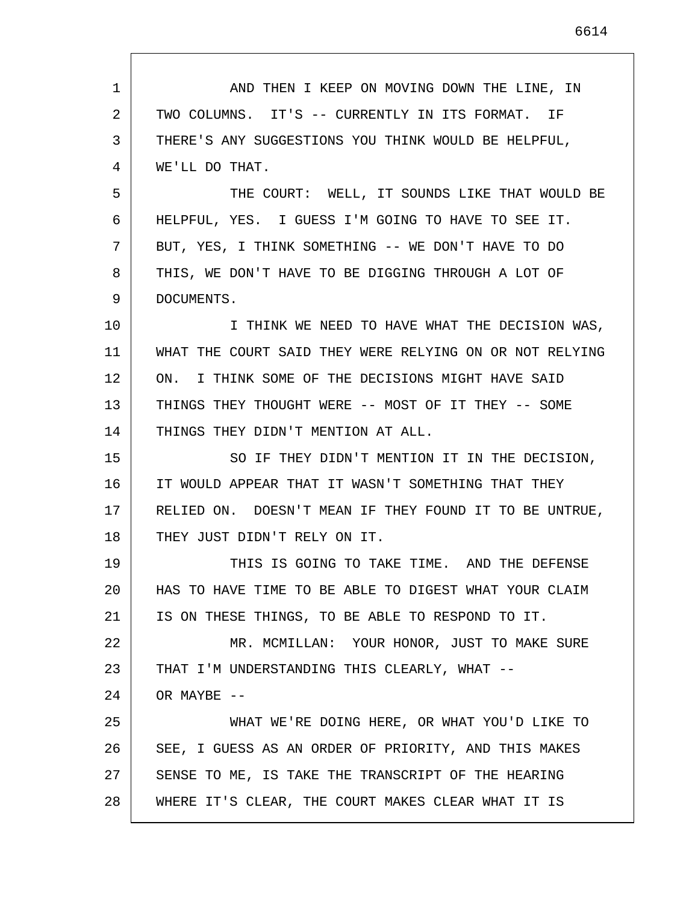1 2 3 4 5 6 7 8 9 10 11 12 13 14 15 16 17 18 19 20 21 22 23 24 25 26 27 28 AND THEN I KEEP ON MOVING DOWN THE LINE, IN TWO COLUMNS. IT'S -- CURRENTLY IN ITS FORMAT. IF THERE'S ANY SUGGESTIONS YOU THINK WOULD BE HELPFUL, WE'LL DO THAT. THE COURT: WELL, IT SOUNDS LIKE THAT WOULD BE HELPFUL, YES. I GUESS I'M GOING TO HAVE TO SEE IT. BUT, YES, I THINK SOMETHING -- WE DON'T HAVE TO DO THIS, WE DON'T HAVE TO BE DIGGING THROUGH A LOT OF DOCUMENTS. I THINK WE NEED TO HAVE WHAT THE DECISION WAS, WHAT THE COURT SAID THEY WERE RELYING ON OR NOT RELYING ON. I THINK SOME OF THE DECISIONS MIGHT HAVE SAID THINGS THEY THOUGHT WERE -- MOST OF IT THEY -- SOME THINGS THEY DIDN'T MENTION AT ALL. SO IF THEY DIDN'T MENTION IT IN THE DECISION, IT WOULD APPEAR THAT IT WASN'T SOMETHING THAT THEY RELIED ON. DOESN'T MEAN IF THEY FOUND IT TO BE UNTRUE, THEY JUST DIDN'T RELY ON IT. THIS IS GOING TO TAKE TIME. AND THE DEFENSE HAS TO HAVE TIME TO BE ABLE TO DIGEST WHAT YOUR CLAIM IS ON THESE THINGS, TO BE ABLE TO RESPOND TO IT. MR. MCMILLAN: YOUR HONOR, JUST TO MAKE SURE THAT I'M UNDERSTANDING THIS CLEARLY, WHAT -- OR MAYBE --WHAT WE'RE DOING HERE, OR WHAT YOU'D LIKE TO SEE, I GUESS AS AN ORDER OF PRIORITY, AND THIS MAKES SENSE TO ME, IS TAKE THE TRANSCRIPT OF THE HEARING WHERE IT'S CLEAR, THE COURT MAKES CLEAR WHAT IT IS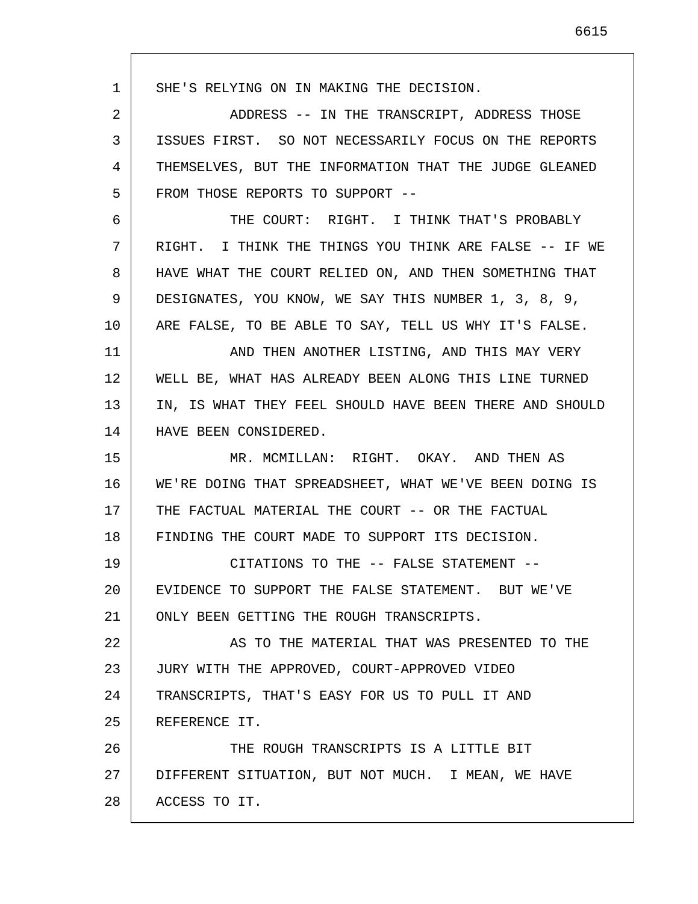1 2 3 4 5 6 7 8 9 10 11 12 13 14 15 16 17 18 19 20 21 22 23 24 25 26 27 28 SHE'S RELYING ON IN MAKING THE DECISION. ADDRESS -- IN THE TRANSCRIPT, ADDRESS THOSE ISSUES FIRST. SO NOT NECESSARILY FOCUS ON THE REPORTS THEMSELVES, BUT THE INFORMATION THAT THE JUDGE GLEANED FROM THOSE REPORTS TO SUPPORT -- THE COURT: RIGHT. I THINK THAT'S PROBABLY RIGHT. I THINK THE THINGS YOU THINK ARE FALSE -- IF WE HAVE WHAT THE COURT RELIED ON, AND THEN SOMETHING THAT DESIGNATES, YOU KNOW, WE SAY THIS NUMBER 1, 3, 8, 9, ARE FALSE, TO BE ABLE TO SAY, TELL US WHY IT'S FALSE. AND THEN ANOTHER LISTING, AND THIS MAY VERY WELL BE, WHAT HAS ALREADY BEEN ALONG THIS LINE TURNED IN, IS WHAT THEY FEEL SHOULD HAVE BEEN THERE AND SHOULD HAVE BEEN CONSIDERED. MR. MCMILLAN: RIGHT. OKAY. AND THEN AS WE'RE DOING THAT SPREADSHEET, WHAT WE'VE BEEN DOING IS THE FACTUAL MATERIAL THE COURT -- OR THE FACTUAL FINDING THE COURT MADE TO SUPPORT ITS DECISION. CITATIONS TO THE -- FALSE STATEMENT -- EVIDENCE TO SUPPORT THE FALSE STATEMENT. BUT WE'VE ONLY BEEN GETTING THE ROUGH TRANSCRIPTS. AS TO THE MATERIAL THAT WAS PRESENTED TO THE JURY WITH THE APPROVED, COURT-APPROVED VIDEO TRANSCRIPTS, THAT'S EASY FOR US TO PULL IT AND REFERENCE IT. THE ROUGH TRANSCRIPTS IS A LITTLE BIT DIFFERENT SITUATION, BUT NOT MUCH. I MEAN, WE HAVE ACCESS TO IT.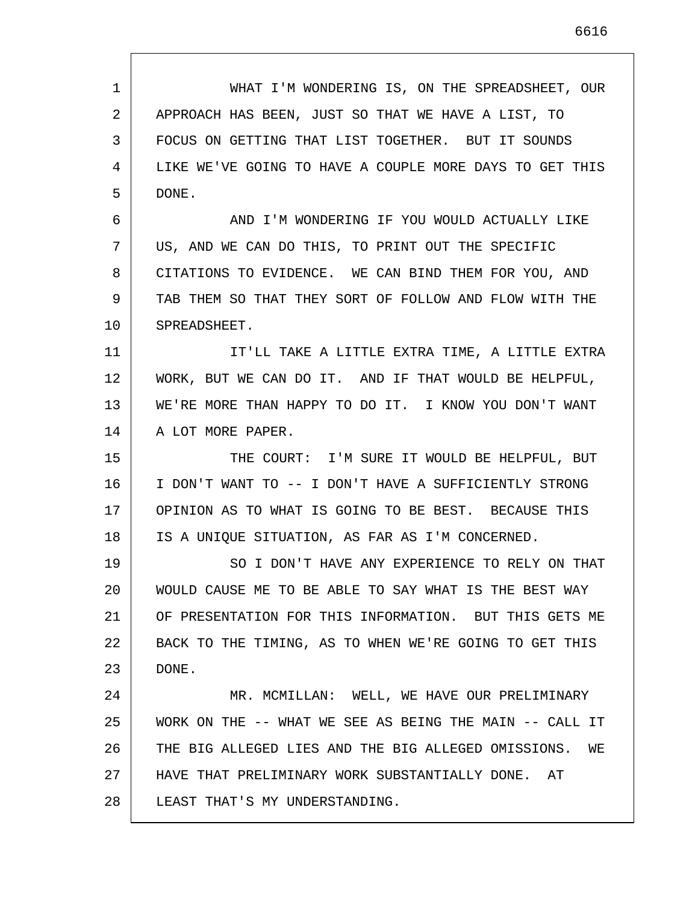| 1  | WHAT I'M WONDERING IS, ON THE SPREADSHEET, OUR          |
|----|---------------------------------------------------------|
| 2  | APPROACH HAS BEEN, JUST SO THAT WE HAVE A LIST, TO      |
| 3  | FOCUS ON GETTING THAT LIST TOGETHER. BUT IT SOUNDS      |
| 4  | LIKE WE'VE GOING TO HAVE A COUPLE MORE DAYS TO GET THIS |
| 5  | DONE.                                                   |
| 6  | AND I'M WONDERING IF YOU WOULD ACTUALLY LIKE            |
| 7  | US, AND WE CAN DO THIS, TO PRINT OUT THE SPECIFIC       |
| 8  | CITATIONS TO EVIDENCE. WE CAN BIND THEM FOR YOU, AND    |
| 9  | TAB THEM SO THAT THEY SORT OF FOLLOW AND FLOW WITH THE  |
| 10 | SPREADSHEET.                                            |
| 11 | IT'LL TAKE A LITTLE EXTRA TIME, A LITTLE EXTRA          |
| 12 | WORK, BUT WE CAN DO IT. AND IF THAT WOULD BE HELPFUL,   |
| 13 | WE'RE MORE THAN HAPPY TO DO IT. I KNOW YOU DON'T WANT   |
| 14 | A LOT MORE PAPER.                                       |
| 15 | THE COURT: I'M SURE IT WOULD BE HELPFUL, BUT            |
| 16 | I DON'T WANT TO -- I DON'T HAVE A SUFFICIENTLY STRONG   |
| 17 | OPINION AS TO WHAT IS GOING TO BE BEST. BECAUSE THIS    |
| 18 | IS A UNIQUE SITUATION, AS FAR AS I'M CONCERNED.         |
| 19 | SO I DON'T HAVE ANY EXPERIENCE TO RELY ON THAT          |
| 20 | WOULD CAUSE ME TO BE ABLE TO SAY WHAT IS THE BEST WAY   |
| 21 | OF PRESENTATION FOR THIS INFORMATION. BUT THIS GETS ME  |
| 22 | BACK TO THE TIMING, AS TO WHEN WE'RE GOING TO GET THIS  |
| 23 | DONE.                                                   |
| 24 | MR. MCMILLAN: WELL, WE HAVE OUR PRELIMINARY             |
| 25 | WORK ON THE -- WHAT WE SEE AS BEING THE MAIN -- CALL IT |
| 26 | THE BIG ALLEGED LIES AND THE BIG ALLEGED OMISSIONS. WE  |
| 27 | HAVE THAT PRELIMINARY WORK SUBSTANTIALLY DONE. AT       |
| 28 | LEAST THAT'S MY UNDERSTANDING.                          |

Г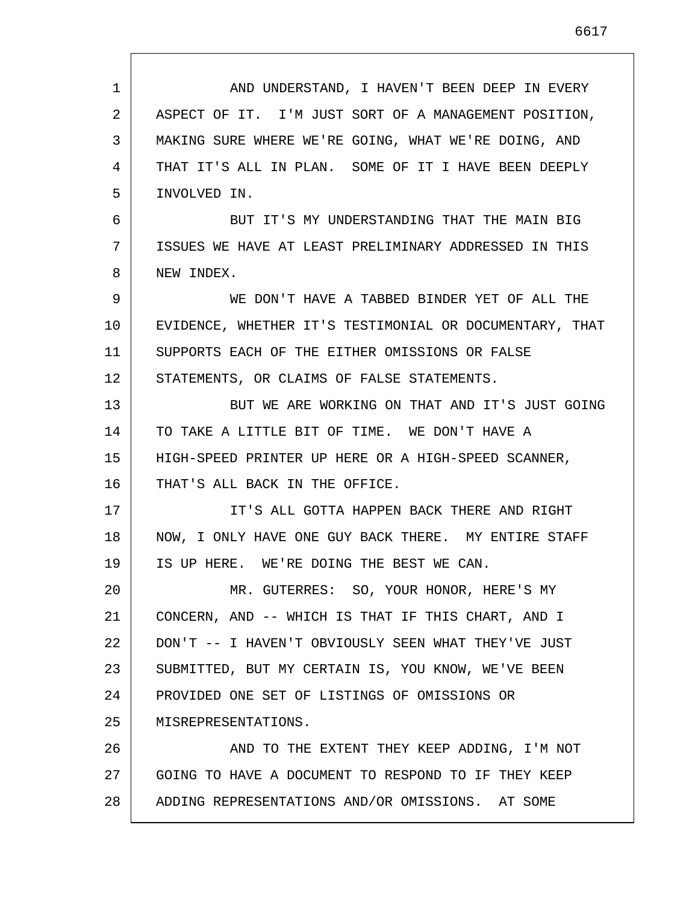| $\mathbf{1}$ | AND UNDERSTAND, I HAVEN'T BEEN DEEP IN EVERY            |
|--------------|---------------------------------------------------------|
| 2            | ASPECT OF IT. I'M JUST SORT OF A MANAGEMENT POSITION,   |
| 3            | MAKING SURE WHERE WE'RE GOING, WHAT WE'RE DOING, AND    |
| 4            | THAT IT'S ALL IN PLAN. SOME OF IT I HAVE BEEN DEEPLY    |
| 5            | INVOLVED IN.                                            |
| 6            | BUT IT'S MY UNDERSTANDING THAT THE MAIN BIG             |
| 7            | ISSUES WE HAVE AT LEAST PRELIMINARY ADDRESSED IN THIS   |
| 8            | NEW INDEX.                                              |
| 9            | WE DON'T HAVE A TABBED BINDER YET OF ALL THE            |
| 10           | EVIDENCE, WHETHER IT'S TESTIMONIAL OR DOCUMENTARY, THAT |
| 11           | SUPPORTS EACH OF THE EITHER OMISSIONS OR FALSE          |
| 12           | STATEMENTS, OR CLAIMS OF FALSE STATEMENTS.              |
| 13           | BUT WE ARE WORKING ON THAT AND IT'S JUST GOING          |
| 14           | TO TAKE A LITTLE BIT OF TIME. WE DON'T HAVE A           |
| 15           | HIGH-SPEED PRINTER UP HERE OR A HIGH-SPEED SCANNER,     |
| 16           | THAT'S ALL BACK IN THE OFFICE.                          |
| 17           | IT'S ALL GOTTA HAPPEN BACK THERE AND RIGHT              |
| 18           | NOW, I ONLY HAVE ONE GUY BACK THERE. MY ENTIRE STAFF    |
| 19           | IS UP HERE. WE'RE DOING THE BEST WE CAN.                |
| 20           | MR. GUTERRES: SO, YOUR HONOR, HERE'S MY                 |
| 21           | CONCERN, AND -- WHICH IS THAT IF THIS CHART, AND I      |
| 22           | DON'T -- I HAVEN'T OBVIOUSLY SEEN WHAT THEY'VE JUST     |
| 23           | SUBMITTED, BUT MY CERTAIN IS, YOU KNOW, WE'VE BEEN      |
| 24           | PROVIDED ONE SET OF LISTINGS OF OMISSIONS OR            |
| 25           | MISREPRESENTATIONS.                                     |
| 26           | AND TO THE EXTENT THEY KEEP ADDING, I'M NOT             |
| 27           | GOING TO HAVE A DOCUMENT TO RESPOND TO IF THEY KEEP     |
| 28           | ADDING REPRESENTATIONS AND/OR OMISSIONS. AT SOME        |
|              |                                                         |

 $\mathsf{I}$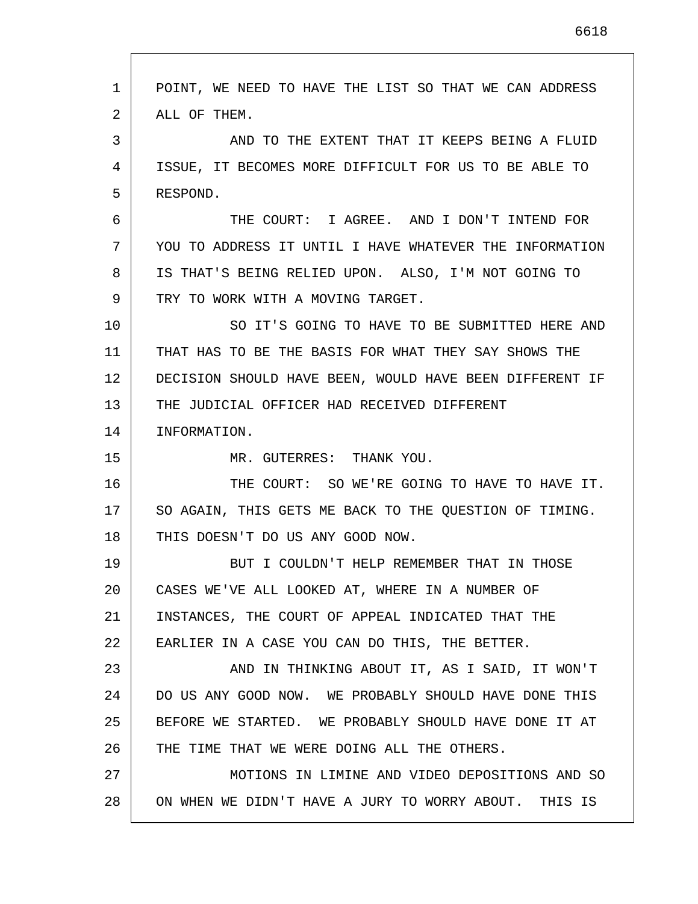| 1  | POINT, WE NEED TO HAVE THE LIST SO THAT WE CAN ADDRESS  |
|----|---------------------------------------------------------|
| 2  | ALL OF THEM.                                            |
| 3  | AND TO THE EXTENT THAT IT KEEPS BEING A FLUID           |
| 4  | ISSUE, IT BECOMES MORE DIFFICULT FOR US TO BE ABLE TO   |
| 5  | RESPOND.                                                |
| 6  | THE COURT: I AGREE. AND I DON'T INTEND FOR              |
| 7  | YOU TO ADDRESS IT UNTIL I HAVE WHATEVER THE INFORMATION |
| 8  | IS THAT'S BEING RELIED UPON. ALSO, I'M NOT GOING TO     |
| 9  | TRY TO WORK WITH A MOVING TARGET.                       |
| 10 | SO IT'S GOING TO HAVE TO BE SUBMITTED HERE AND          |
| 11 | THAT HAS TO BE THE BASIS FOR WHAT THEY SAY SHOWS THE    |
| 12 | DECISION SHOULD HAVE BEEN, WOULD HAVE BEEN DIFFERENT IF |
| 13 | THE JUDICIAL OFFICER HAD RECEIVED DIFFERENT             |
| 14 | INFORMATION.                                            |
| 15 | MR. GUTERRES: THANK YOU.                                |
| 16 | THE COURT: SO WE'RE GOING TO HAVE TO HAVE IT.           |
| 17 | SO AGAIN, THIS GETS ME BACK TO THE QUESTION OF TIMING.  |
| 18 | THIS DOESN'T DO US ANY GOOD NOW.                        |
| 19 | BUT I COULDN'T HELP REMEMBER THAT IN THOSE              |
| 20 | CASES WE'VE ALL LOOKED AT, WHERE IN A NUMBER OF         |
| 21 | INSTANCES, THE COURT OF APPEAL INDICATED THAT THE       |
| 22 | EARLIER IN A CASE YOU CAN DO THIS, THE BETTER.          |
| 23 | AND IN THINKING ABOUT IT, AS I SAID, IT WON'T           |
| 24 | DO US ANY GOOD NOW. WE PROBABLY SHOULD HAVE DONE THIS   |
| 25 | BEFORE WE STARTED. WE PROBABLY SHOULD HAVE DONE IT AT   |
| 26 | THE TIME THAT WE WERE DOING ALL THE OTHERS.             |
| 27 | MOTIONS IN LIMINE AND VIDEO DEPOSITIONS AND SO          |
| 28 | ON WHEN WE DIDN'T HAVE A JURY TO WORRY ABOUT. THIS IS   |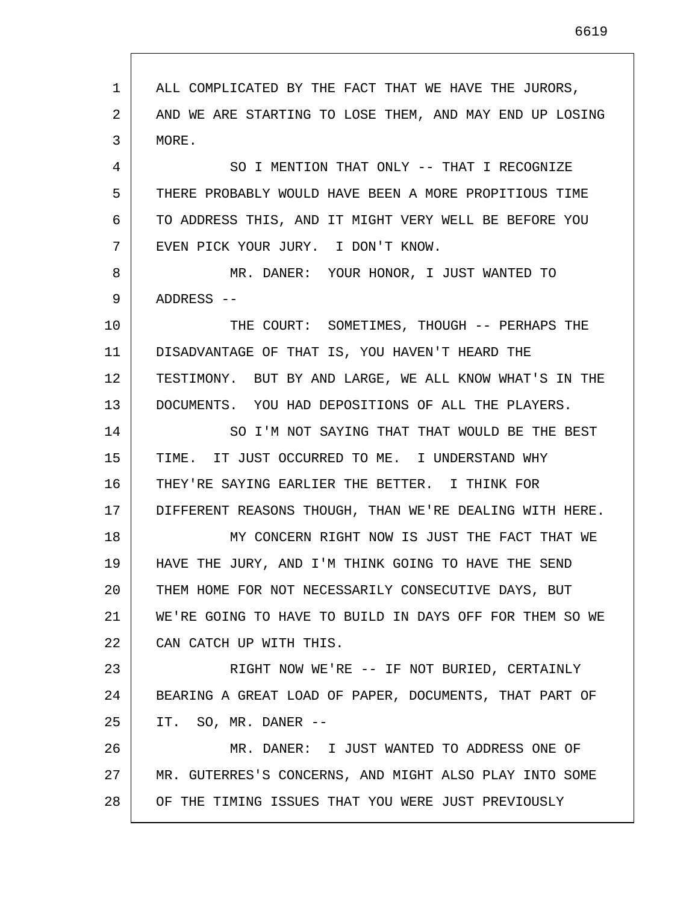1 2 3 4 5 6 7 8 9 10 11 12 13 14 15 16 17 18 19 20 21 22 23 24 25 26 27 28 ALL COMPLICATED BY THE FACT THAT WE HAVE THE JURORS, AND WE ARE STARTING TO LOSE THEM, AND MAY END UP LOSING MORE. SO I MENTION THAT ONLY -- THAT I RECOGNIZE THERE PROBABLY WOULD HAVE BEEN A MORE PROPITIOUS TIME TO ADDRESS THIS, AND IT MIGHT VERY WELL BE BEFORE YOU EVEN PICK YOUR JURY. I DON'T KNOW. MR. DANER: YOUR HONOR, I JUST WANTED TO ADDRESS -- THE COURT: SOMETIMES, THOUGH -- PERHAPS THE DISADVANTAGE OF THAT IS, YOU HAVEN'T HEARD THE TESTIMONY. BUT BY AND LARGE, WE ALL KNOW WHAT'S IN THE DOCUMENTS. YOU HAD DEPOSITIONS OF ALL THE PLAYERS. SO I'M NOT SAYING THAT THAT WOULD BE THE BEST TIME. IT JUST OCCURRED TO ME. I UNDERSTAND WHY THEY'RE SAYING EARLIER THE BETTER. I THINK FOR DIFFERENT REASONS THOUGH, THAN WE'RE DEALING WITH HERE. MY CONCERN RIGHT NOW IS JUST THE FACT THAT WE HAVE THE JURY, AND I'M THINK GOING TO HAVE THE SEND THEM HOME FOR NOT NECESSARILY CONSECUTIVE DAYS, BUT WE'RE GOING TO HAVE TO BUILD IN DAYS OFF FOR THEM SO WE CAN CATCH UP WITH THIS. RIGHT NOW WE'RE -- IF NOT BURIED, CERTAINLY BEARING A GREAT LOAD OF PAPER, DOCUMENTS, THAT PART OF IT. SO, MR. DANER -- MR. DANER: I JUST WANTED TO ADDRESS ONE OF MR. GUTERRES'S CONCERNS, AND MIGHT ALSO PLAY INTO SOME OF THE TIMING ISSUES THAT YOU WERE JUST PREVIOUSLY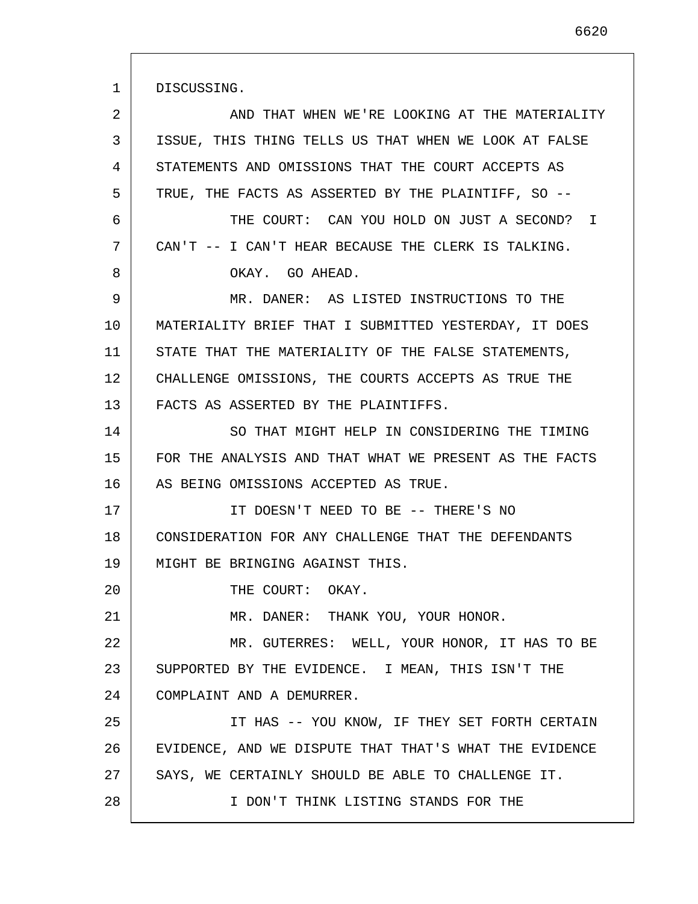DISCUSSING.

| 2  | AND THAT WHEN WE'RE LOOKING AT THE MATERIALITY         |
|----|--------------------------------------------------------|
| 3  | ISSUE, THIS THING TELLS US THAT WHEN WE LOOK AT FALSE  |
| 4  | STATEMENTS AND OMISSIONS THAT THE COURT ACCEPTS AS     |
| 5  | TRUE, THE FACTS AS ASSERTED BY THE PLAINTIFF, SO --    |
| 6  | THE COURT: CAN YOU HOLD ON JUST A SECOND?<br>$\top$    |
| 7  | CAN'T -- I CAN'T HEAR BECAUSE THE CLERK IS TALKING.    |
| 8  | OKAY. GO AHEAD.                                        |
| 9  | MR. DANER: AS LISTED INSTRUCTIONS TO THE               |
| 10 | MATERIALITY BRIEF THAT I SUBMITTED YESTERDAY, IT DOES  |
| 11 | STATE THAT THE MATERIALITY OF THE FALSE STATEMENTS,    |
| 12 | CHALLENGE OMISSIONS, THE COURTS ACCEPTS AS TRUE THE    |
| 13 | FACTS AS ASSERTED BY THE PLAINTIFFS.                   |
| 14 | SO THAT MIGHT HELP IN CONSIDERING THE TIMING           |
| 15 | FOR THE ANALYSIS AND THAT WHAT WE PRESENT AS THE FACTS |
| 16 | AS BEING OMISSIONS ACCEPTED AS TRUE.                   |
| 17 | IT DOESN'T NEED TO BE -- THERE'S NO                    |
| 18 | CONSIDERATION FOR ANY CHALLENGE THAT THE DEFENDANTS    |
| 19 | MIGHT BE BRINGING AGAINST THIS.                        |
| 20 | THE COURT: OKAY.                                       |
| 21 | MR. DANER: THANK YOU, YOUR HONOR.                      |
| 22 | MR. GUTERRES: WELL, YOUR HONOR, IT HAS TO BE           |
| 23 | SUPPORTED BY THE EVIDENCE. I MEAN, THIS ISN'T THE      |
| 24 | COMPLAINT AND A DEMURRER.                              |
| 25 | IT HAS -- YOU KNOW, IF THEY SET FORTH CERTAIN          |
| 26 | EVIDENCE, AND WE DISPUTE THAT THAT'S WHAT THE EVIDENCE |
| 27 | SAYS, WE CERTAINLY SHOULD BE ABLE TO CHALLENGE IT.     |
| 28 | I DON'T THINK LISTING STANDS FOR THE                   |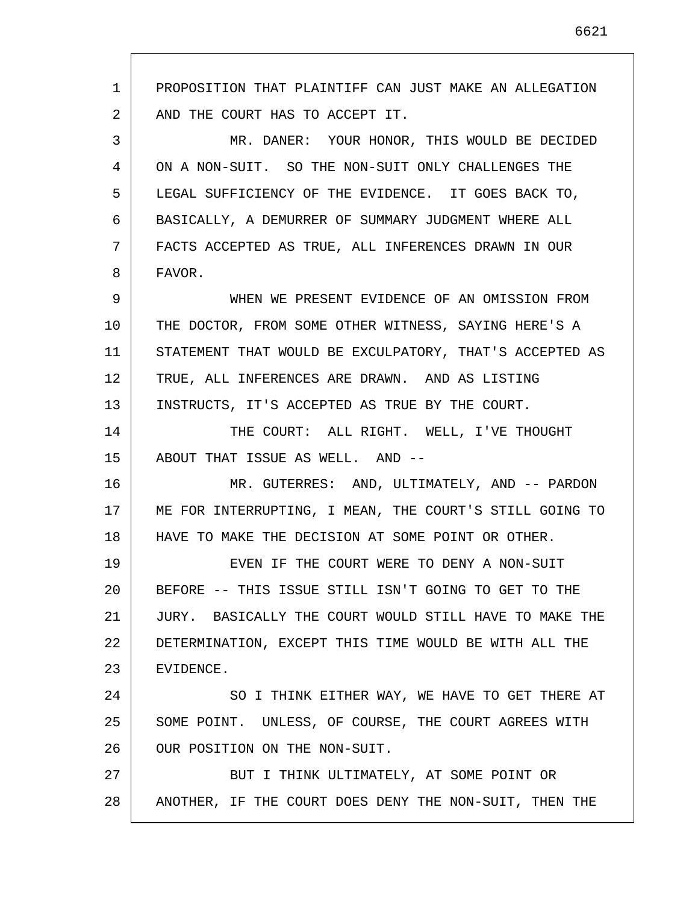1 2 3 4 5 6 7 8 9 10 11 12 13 14 15 16 17 18 19 20 21 22 23 24 25 26 27 28 PROPOSITION THAT PLAINTIFF CAN JUST MAKE AN ALLEGATION AND THE COURT HAS TO ACCEPT IT. MR. DANER: YOUR HONOR, THIS WOULD BE DECIDED ON A NON-SUIT. SO THE NON-SUIT ONLY CHALLENGES THE LEGAL SUFFICIENCY OF THE EVIDENCE. IT GOES BACK TO, BASICALLY, A DEMURRER OF SUMMARY JUDGMENT WHERE ALL FACTS ACCEPTED AS TRUE, ALL INFERENCES DRAWN IN OUR FAVOR. WHEN WE PRESENT EVIDENCE OF AN OMISSION FROM THE DOCTOR, FROM SOME OTHER WITNESS, SAYING HERE'S A STATEMENT THAT WOULD BE EXCULPATORY, THAT'S ACCEPTED AS TRUE, ALL INFERENCES ARE DRAWN. AND AS LISTING INSTRUCTS, IT'S ACCEPTED AS TRUE BY THE COURT. THE COURT: ALL RIGHT. WELL, I'VE THOUGHT ABOUT THAT ISSUE AS WELL. AND -- MR. GUTERRES: AND, ULTIMATELY, AND -- PARDON ME FOR INTERRUPTING, I MEAN, THE COURT'S STILL GOING TO HAVE TO MAKE THE DECISION AT SOME POINT OR OTHER. EVEN IF THE COURT WERE TO DENY A NON-SUIT BEFORE -- THIS ISSUE STILL ISN'T GOING TO GET TO THE JURY. BASICALLY THE COURT WOULD STILL HAVE TO MAKE THE DETERMINATION, EXCEPT THIS TIME WOULD BE WITH ALL THE EVIDENCE. SO I THINK EITHER WAY, WE HAVE TO GET THERE AT SOME POINT. UNLESS, OF COURSE, THE COURT AGREES WITH OUR POSITION ON THE NON-SUIT. BUT I THINK ULTIMATELY, AT SOME POINT OR ANOTHER, IF THE COURT DOES DENY THE NON-SUIT, THEN THE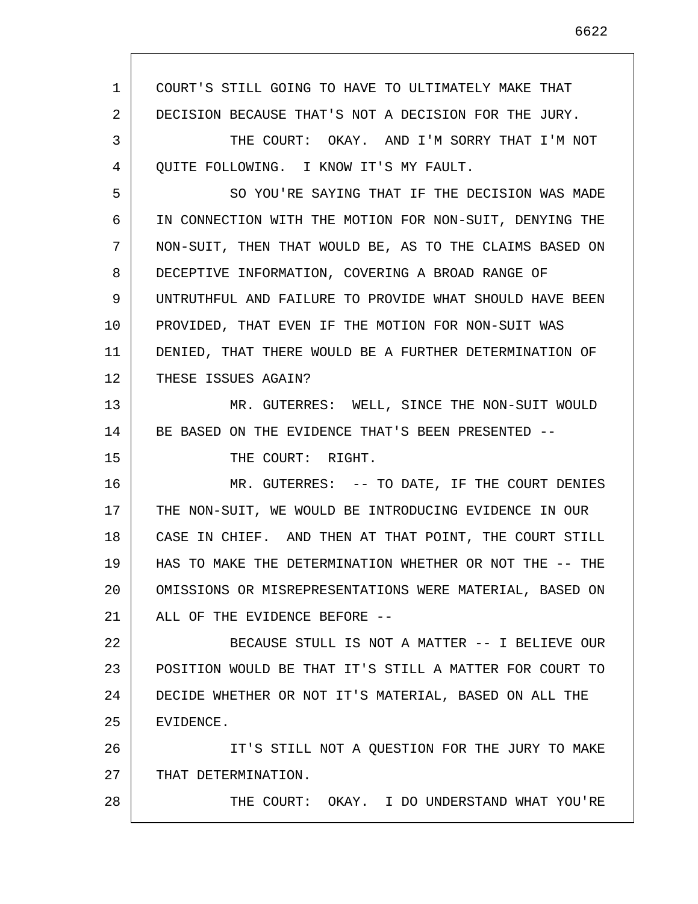| $\mathbf{1}$ | COURT'S STILL GOING TO HAVE TO ULTIMATELY MAKE THAT        |
|--------------|------------------------------------------------------------|
| 2            | DECISION BECAUSE THAT'S NOT A DECISION FOR THE JURY.       |
| 3            | THE COURT: OKAY. AND I'M SORRY THAT I'M NOT                |
| 4            | OUITE FOLLOWING. I KNOW IT'S MY FAULT.                     |
| 5            | SO YOU'RE SAYING THAT IF THE DECISION WAS MADE             |
| 6            | IN CONNECTION WITH THE MOTION FOR NON-SUIT, DENYING THE    |
| 7            | NON-SUIT, THEN THAT WOULD BE, AS TO THE CLAIMS BASED ON    |
| 8            | DECEPTIVE INFORMATION, COVERING A BROAD RANGE OF           |
| 9            | UNTRUTHFUL AND FAILURE TO PROVIDE WHAT SHOULD HAVE BEEN    |
| 10           | PROVIDED, THAT EVEN IF THE MOTION FOR NON-SUIT WAS         |
| 11           | DENIED, THAT THERE WOULD BE A FURTHER DETERMINATION OF     |
| 12           | THESE ISSUES AGAIN?                                        |
| 13           | MR. GUTERRES: WELL, SINCE THE NON-SUIT WOULD               |
| 14           | BE BASED ON THE EVIDENCE THAT'S BEEN PRESENTED --          |
| 15           | THE COURT: RIGHT.                                          |
| 16           | MR. GUTERRES: -- TO DATE, IF THE COURT DENIES              |
| 17           | THE NON-SUIT, WE WOULD BE INTRODUCING EVIDENCE IN OUR      |
| 18           | CASE IN CHIEF. AND THEN AT THAT POINT, THE COURT STILL     |
| 19           | HAS TO MAKE THE DETERMINATION WHETHER OR NOT THE --<br>THE |
| 20           | OMISSIONS OR MISREPRESENTATIONS WERE MATERIAL, BASED ON    |
| 21           | ALL OF THE EVIDENCE BEFORE --                              |
| 22           | BECAUSE STULL IS NOT A MATTER -- I BELIEVE OUR             |
| 23           | POSITION WOULD BE THAT IT'S STILL A MATTER FOR COURT TO    |
| 24           | DECIDE WHETHER OR NOT IT'S MATERIAL, BASED ON ALL THE      |
| 25           | EVIDENCE.                                                  |
| 26           | IT'S STILL NOT A QUESTION FOR THE JURY TO MAKE             |
| 27           | THAT DETERMINATION.                                        |
| 28           | THE COURT: OKAY. I DO UNDERSTAND WHAT YOU'RE               |
|              |                                                            |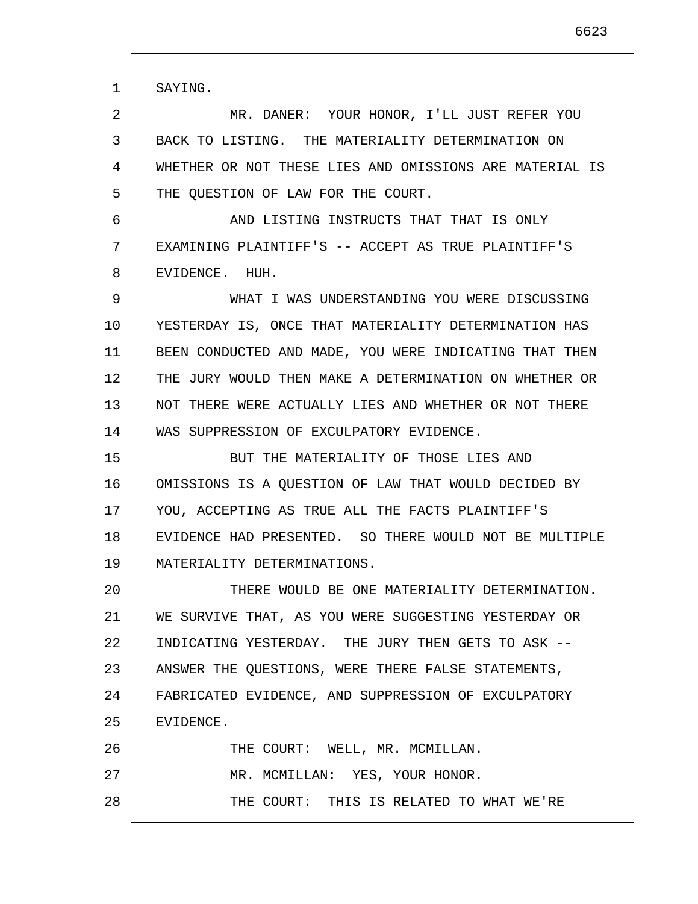1 2 3 4 5 6 7 8 9 10 11 12 13 14 15 16 17 18 19 20 21 22 23 24 25 26 27 28 SAYING. MR. DANER: YOUR HONOR, I'LL JUST REFER YOU BACK TO LISTING. THE MATERIALITY DETERMINATION ON WHETHER OR NOT THESE LIES AND OMISSIONS ARE MATERIAL IS THE QUESTION OF LAW FOR THE COURT. AND LISTING INSTRUCTS THAT THAT IS ONLY EXAMINING PLAINTIFF'S -- ACCEPT AS TRUE PLAINTIFF'S EVIDENCE. HUH. WHAT I WAS UNDERSTANDING YOU WERE DISCUSSING YESTERDAY IS, ONCE THAT MATERIALITY DETERMINATION HAS BEEN CONDUCTED AND MADE, YOU WERE INDICATING THAT THEN THE JURY WOULD THEN MAKE A DETERMINATION ON WHETHER OR NOT THERE WERE ACTUALLY LIES AND WHETHER OR NOT THERE WAS SUPPRESSION OF EXCULPATORY EVIDENCE. BUT THE MATERIALITY OF THOSE LIES AND OMISSIONS IS A QUESTION OF LAW THAT WOULD DECIDED BY YOU, ACCEPTING AS TRUE ALL THE FACTS PLAINTIFF'S EVIDENCE HAD PRESENTED. SO THERE WOULD NOT BE MULTIPLE MATERIALITY DETERMINATIONS. THERE WOULD BE ONE MATERIALITY DETERMINATION. WE SURVIVE THAT, AS YOU WERE SUGGESTING YESTERDAY OR INDICATING YESTERDAY. THE JURY THEN GETS TO ASK -- ANSWER THE QUESTIONS, WERE THERE FALSE STATEMENTS, FABRICATED EVIDENCE, AND SUPPRESSION OF EXCULPATORY EVIDENCE. THE COURT: WELL, MR. MCMILLAN. MR. MCMILLAN: YES, YOUR HONOR. THE COURT: THIS IS RELATED TO WHAT WE'RE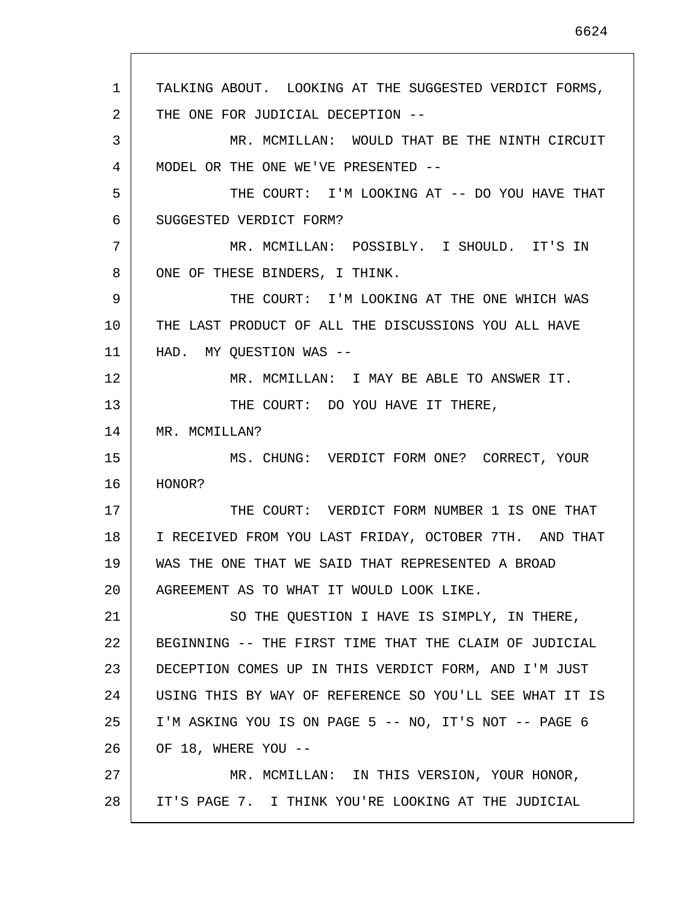1 2 3 4 5 6 7 8 9 10 11 12 13 14 15 16 17 18 19 20 21 22 23 24 25 26 27 28 TALKING ABOUT. LOOKING AT THE SUGGESTED VERDICT FORMS, THE ONE FOR JUDICIAL DECEPTION -- MR. MCMILLAN: WOULD THAT BE THE NINTH CIRCUIT MODEL OR THE ONE WE'VE PRESENTED -- THE COURT: I'M LOOKING AT -- DO YOU HAVE THAT SUGGESTED VERDICT FORM? MR. MCMILLAN: POSSIBLY. I SHOULD. IT'S IN ONE OF THESE BINDERS, I THINK. THE COURT: I'M LOOKING AT THE ONE WHICH WAS THE LAST PRODUCT OF ALL THE DISCUSSIONS YOU ALL HAVE HAD. MY QUESTION WAS --MR. MCMILLAN: I MAY BE ABLE TO ANSWER IT. THE COURT: DO YOU HAVE IT THERE, MR. MCMILLAN? MS. CHUNG: VERDICT FORM ONE? CORRECT, YOUR HONOR? THE COURT: VERDICT FORM NUMBER 1 IS ONE THAT I RECEIVED FROM YOU LAST FRIDAY, OCTOBER 7TH. AND THAT WAS THE ONE THAT WE SAID THAT REPRESENTED A BROAD AGREEMENT AS TO WHAT IT WOULD LOOK LIKE. SO THE QUESTION I HAVE IS SIMPLY, IN THERE, BEGINNING -- THE FIRST TIME THAT THE CLAIM OF JUDICIAL DECEPTION COMES UP IN THIS VERDICT FORM, AND I'M JUST USING THIS BY WAY OF REFERENCE SO YOU'LL SEE WHAT IT IS I'M ASKING YOU IS ON PAGE 5 -- NO, IT'S NOT -- PAGE 6 OF 18, WHERE YOU --MR. MCMILLAN: IN THIS VERSION, YOUR HONOR, IT'S PAGE 7. I THINK YOU'RE LOOKING AT THE JUDICIAL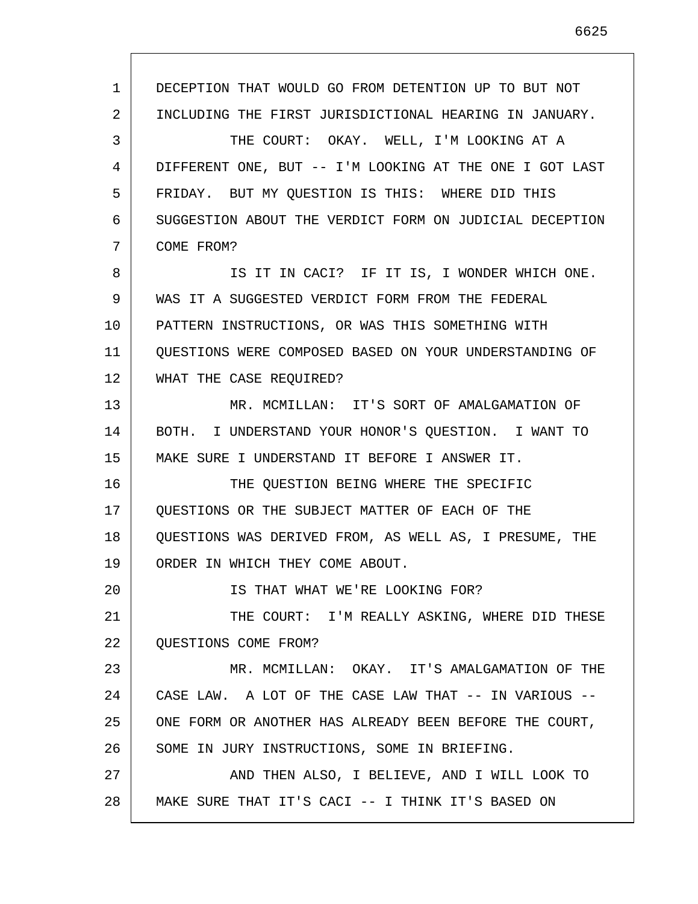1 2 3 4 5 6 7 8 9 10 11 12 13 14 15 16 17 18 19 20 21 22 23 24 25 26 27 28 DECEPTION THAT WOULD GO FROM DETENTION UP TO BUT NOT INCLUDING THE FIRST JURISDICTIONAL HEARING IN JANUARY. THE COURT: OKAY. WELL, I'M LOOKING AT A DIFFERENT ONE, BUT -- I'M LOOKING AT THE ONE I GOT LAST FRIDAY. BUT MY QUESTION IS THIS: WHERE DID THIS SUGGESTION ABOUT THE VERDICT FORM ON JUDICIAL DECEPTION COME FROM? IS IT IN CACI? IF IT IS, I WONDER WHICH ONE. WAS IT A SUGGESTED VERDICT FORM FROM THE FEDERAL PATTERN INSTRUCTIONS, OR WAS THIS SOMETHING WITH QUESTIONS WERE COMPOSED BASED ON YOUR UNDERSTANDING OF WHAT THE CASE REQUIRED? MR. MCMILLAN: IT'S SORT OF AMALGAMATION OF BOTH. I UNDERSTAND YOUR HONOR'S QUESTION. I WANT TO MAKE SURE I UNDERSTAND IT BEFORE I ANSWER IT. THE QUESTION BEING WHERE THE SPECIFIC QUESTIONS OR THE SUBJECT MATTER OF EACH OF THE QUESTIONS WAS DERIVED FROM, AS WELL AS, I PRESUME, THE ORDER IN WHICH THEY COME ABOUT. IS THAT WHAT WE'RE LOOKING FOR? THE COURT: I'M REALLY ASKING, WHERE DID THESE QUESTIONS COME FROM? MR. MCMILLAN: OKAY. IT'S AMALGAMATION OF THE CASE LAW. A LOT OF THE CASE LAW THAT -- IN VARIOUS -- ONE FORM OR ANOTHER HAS ALREADY BEEN BEFORE THE COURT, SOME IN JURY INSTRUCTIONS, SOME IN BRIEFING. AND THEN ALSO, I BELIEVE, AND I WILL LOOK TO MAKE SURE THAT IT'S CACI -- I THINK IT'S BASED ON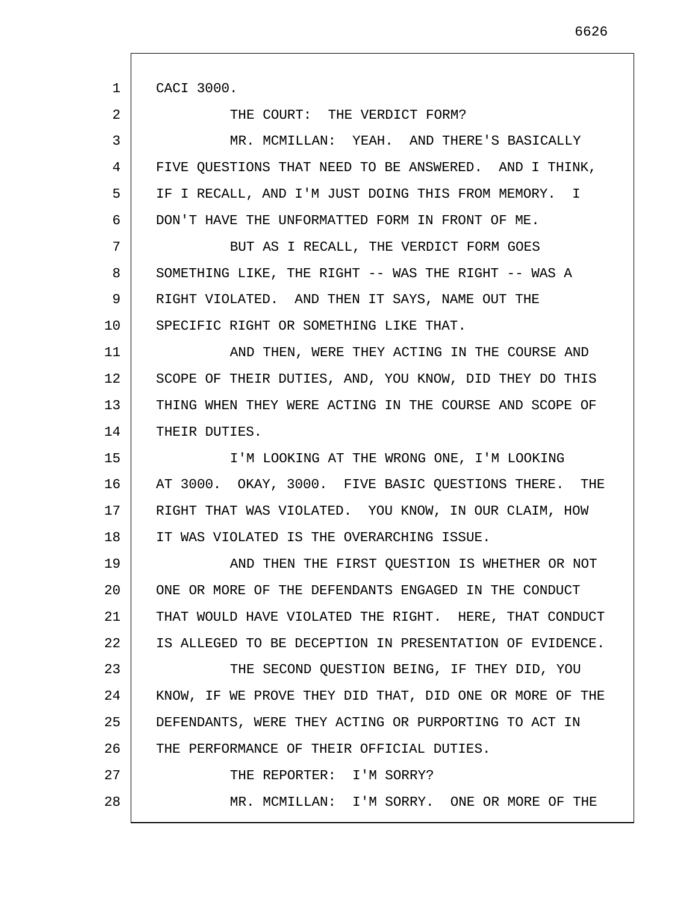1 2 3 4 5 6 7 8 9 10 11 12 13 14 15 16 17 18 19 20 21 22 23 24 25 26 27 28 CACI 3000. THE COURT: THE VERDICT FORM? MR. MCMILLAN: YEAH. AND THERE'S BASICALLY FIVE QUESTIONS THAT NEED TO BE ANSWERED. AND I THINK, IF I RECALL, AND I'M JUST DOING THIS FROM MEMORY. I DON'T HAVE THE UNFORMATTED FORM IN FRONT OF ME. BUT AS I RECALL, THE VERDICT FORM GOES SOMETHING LIKE, THE RIGHT -- WAS THE RIGHT -- WAS A RIGHT VIOLATED. AND THEN IT SAYS, NAME OUT THE SPECIFIC RIGHT OR SOMETHING LIKE THAT. AND THEN, WERE THEY ACTING IN THE COURSE AND SCOPE OF THEIR DUTIES, AND, YOU KNOW, DID THEY DO THIS THING WHEN THEY WERE ACTING IN THE COURSE AND SCOPE OF THEIR DUTIES. I'M LOOKING AT THE WRONG ONE, I'M LOOKING AT 3000. OKAY, 3000. FIVE BASIC QUESTIONS THERE. THE RIGHT THAT WAS VIOLATED. YOU KNOW, IN OUR CLAIM, HOW IT WAS VIOLATED IS THE OVERARCHING ISSUE. AND THEN THE FIRST QUESTION IS WHETHER OR NOT ONE OR MORE OF THE DEFENDANTS ENGAGED IN THE CONDUCT THAT WOULD HAVE VIOLATED THE RIGHT. HERE, THAT CONDUCT IS ALLEGED TO BE DECEPTION IN PRESENTATION OF EVIDENCE. THE SECOND QUESTION BEING, IF THEY DID, YOU KNOW, IF WE PROVE THEY DID THAT, DID ONE OR MORE OF THE DEFENDANTS, WERE THEY ACTING OR PURPORTING TO ACT IN THE PERFORMANCE OF THEIR OFFICIAL DUTIES. THE REPORTER: I'M SORRY? MR. MCMILLAN: I'M SORRY. ONE OR MORE OF THE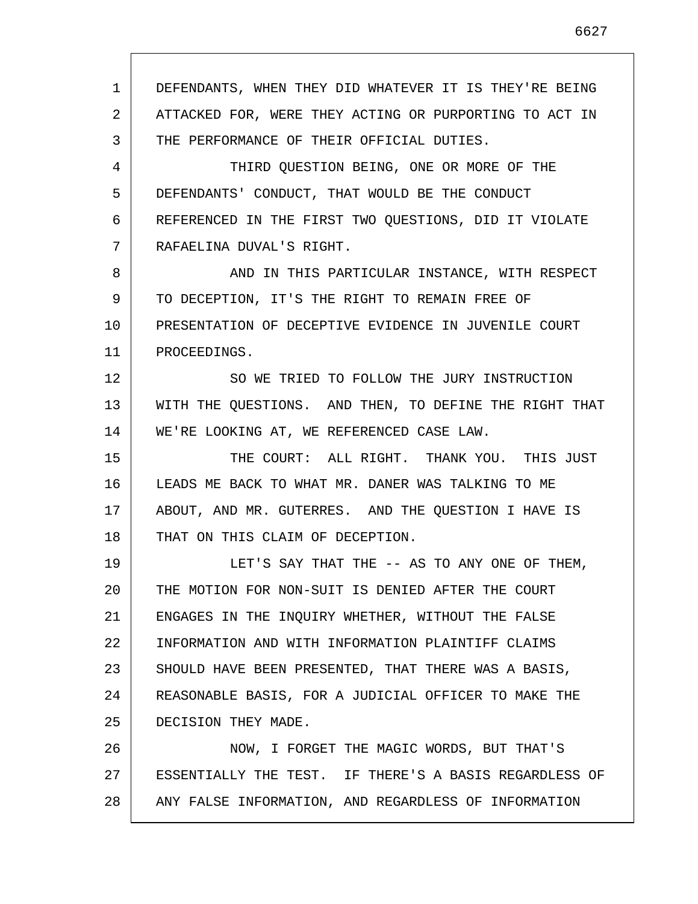1 2 3 4 5 6 7 8 9 10 11 12 13 14 15 16 17 18 19 20 21 22 23 24 25 26 27 28 DEFENDANTS, WHEN THEY DID WHATEVER IT IS THEY'RE BEING ATTACKED FOR, WERE THEY ACTING OR PURPORTING TO ACT IN THE PERFORMANCE OF THEIR OFFICIAL DUTIES. THIRD QUESTION BEING, ONE OR MORE OF THE DEFENDANTS' CONDUCT, THAT WOULD BE THE CONDUCT REFERENCED IN THE FIRST TWO QUESTIONS, DID IT VIOLATE RAFAELINA DUVAL'S RIGHT. AND IN THIS PARTICULAR INSTANCE, WITH RESPECT TO DECEPTION, IT'S THE RIGHT TO REMAIN FREE OF PRESENTATION OF DECEPTIVE EVIDENCE IN JUVENILE COURT PROCEEDINGS. SO WE TRIED TO FOLLOW THE JURY INSTRUCTION WITH THE QUESTIONS. AND THEN, TO DEFINE THE RIGHT THAT WE'RE LOOKING AT, WE REFERENCED CASE LAW. THE COURT: ALL RIGHT. THANK YOU. THIS JUST LEADS ME BACK TO WHAT MR. DANER WAS TALKING TO ME ABOUT, AND MR. GUTERRES. AND THE QUESTION I HAVE IS THAT ON THIS CLAIM OF DECEPTION. LET'S SAY THAT THE -- AS TO ANY ONE OF THEM, THE MOTION FOR NON-SUIT IS DENIED AFTER THE COURT ENGAGES IN THE INQUIRY WHETHER, WITHOUT THE FALSE INFORMATION AND WITH INFORMATION PLAINTIFF CLAIMS SHOULD HAVE BEEN PRESENTED, THAT THERE WAS A BASIS, REASONABLE BASIS, FOR A JUDICIAL OFFICER TO MAKE THE DECISION THEY MADE. NOW, I FORGET THE MAGIC WORDS, BUT THAT'S ESSENTIALLY THE TEST. IF THERE'S A BASIS REGARDLESS OF ANY FALSE INFORMATION, AND REGARDLESS OF INFORMATION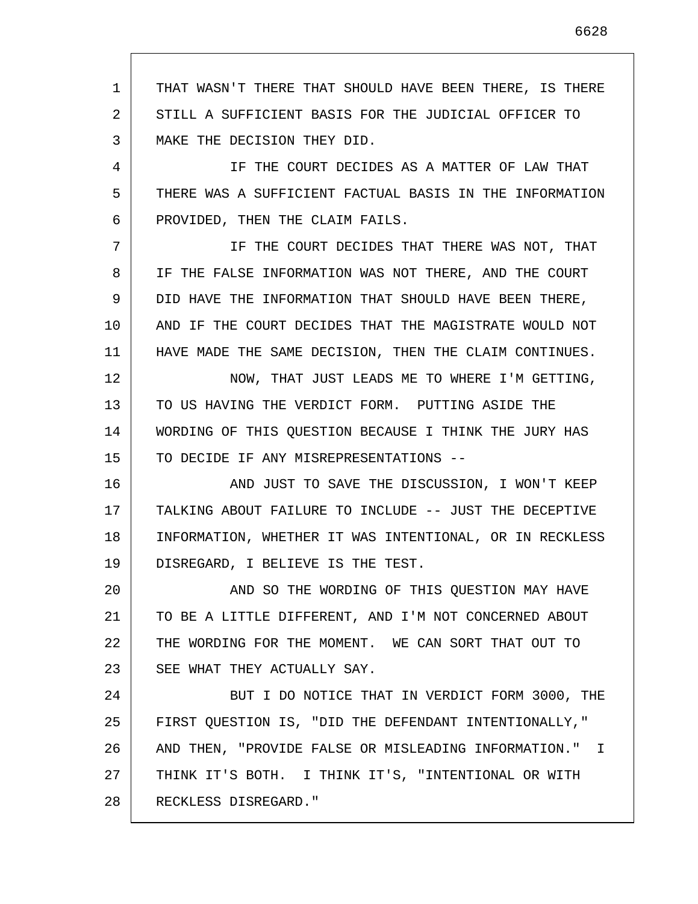1 2 3 THAT WASN'T THERE THAT SHOULD HAVE BEEN THERE, IS THERE STILL A SUFFICIENT BASIS FOR THE JUDICIAL OFFICER TO MAKE THE DECISION THEY DID.

4 5 6 IF THE COURT DECIDES AS A MATTER OF LAW THAT THERE WAS A SUFFICIENT FACTUAL BASIS IN THE INFORMATION PROVIDED, THEN THE CLAIM FAILS.

7 8 9 10 11 IF THE COURT DECIDES THAT THERE WAS NOT, THAT IF THE FALSE INFORMATION WAS NOT THERE, AND THE COURT DID HAVE THE INFORMATION THAT SHOULD HAVE BEEN THERE, AND IF THE COURT DECIDES THAT THE MAGISTRATE WOULD NOT HAVE MADE THE SAME DECISION, THEN THE CLAIM CONTINUES.

12 13 14 15 NOW, THAT JUST LEADS ME TO WHERE I'M GETTING, TO US HAVING THE VERDICT FORM. PUTTING ASIDE THE WORDING OF THIS QUESTION BECAUSE I THINK THE JURY HAS TO DECIDE IF ANY MISREPRESENTATIONS --

16 17 18 19 AND JUST TO SAVE THE DISCUSSION, I WON'T KEEP TALKING ABOUT FAILURE TO INCLUDE -- JUST THE DECEPTIVE INFORMATION, WHETHER IT WAS INTENTIONAL, OR IN RECKLESS DISREGARD, I BELIEVE IS THE TEST.

20 21 22 23 AND SO THE WORDING OF THIS QUESTION MAY HAVE TO BE A LITTLE DIFFERENT, AND I'M NOT CONCERNED ABOUT THE WORDING FOR THE MOMENT. WE CAN SORT THAT OUT TO SEE WHAT THEY ACTUALLY SAY.

24 25 26 27 28 BUT I DO NOTICE THAT IN VERDICT FORM 3000, THE FIRST QUESTION IS, "DID THE DEFENDANT INTENTIONALLY," AND THEN, "PROVIDE FALSE OR MISLEADING INFORMATION." I THINK IT'S BOTH. I THINK IT'S, "INTENTIONAL OR WITH RECKLESS DISREGARD."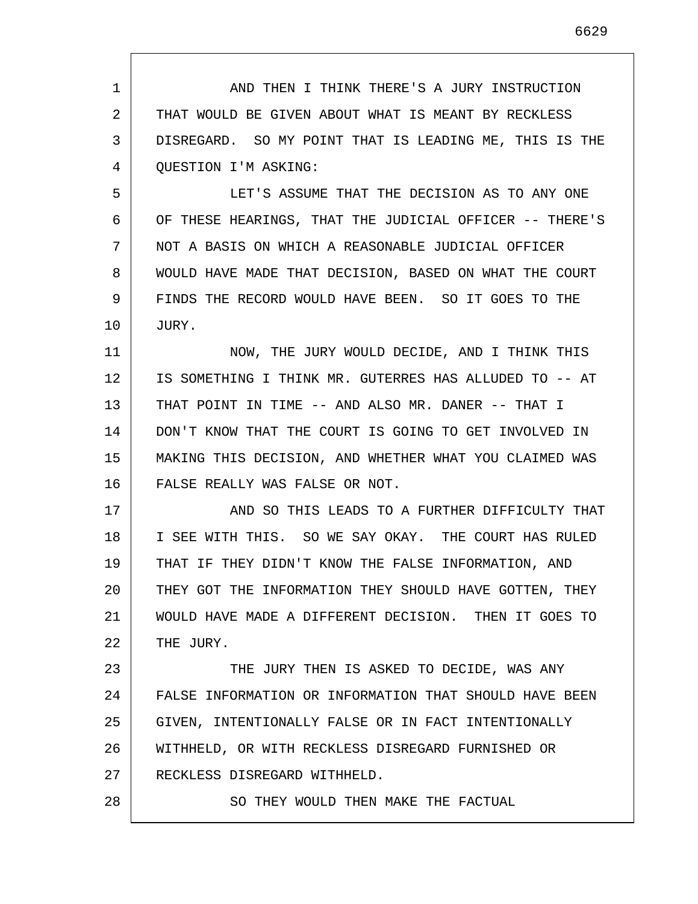| $\mathbf{1}$ | AND THEN I THINK THERE'S A JURY INSTRUCTION             |
|--------------|---------------------------------------------------------|
| 2            | THAT WOULD BE GIVEN ABOUT WHAT IS MEANT BY RECKLESS     |
| 3            | DISREGARD. SO MY POINT THAT IS LEADING ME, THIS IS THE  |
| 4            | <b>QUESTION I'M ASKING:</b>                             |
| 5            | LET'S ASSUME THAT THE DECISION AS TO ANY ONE            |
| 6            | OF THESE HEARINGS, THAT THE JUDICIAL OFFICER -- THERE'S |
| 7            | NOT A BASIS ON WHICH A REASONABLE JUDICIAL OFFICER      |
| 8            | WOULD HAVE MADE THAT DECISION, BASED ON WHAT THE COURT  |
| 9            | FINDS THE RECORD WOULD HAVE BEEN. SO IT GOES TO THE     |
| 10           | JURY.                                                   |
| 11           | NOW, THE JURY WOULD DECIDE, AND I THINK THIS            |
| 12           | IS SOMETHING I THINK MR. GUTERRES HAS ALLUDED TO -- AT  |
| 13           | THAT POINT IN TIME -- AND ALSO MR. DANER -- THAT I      |
| 14           | DON'T KNOW THAT THE COURT IS GOING TO GET INVOLVED IN   |
| 15           | MAKING THIS DECISION, AND WHETHER WHAT YOU CLAIMED WAS  |
| 16           | FALSE REALLY WAS FALSE OR NOT.                          |
| 17           | AND SO THIS LEADS TO A FURTHER DIFFICULTY THAT          |
| 18           | I SEE WITH THIS. SO WE SAY OKAY. THE COURT HAS RULED    |
| 19           | THAT IF THEY DIDN'T KNOW THE FALSE INFORMATION, AND     |
| 20           | THEY GOT THE INFORMATION THEY SHOULD HAVE GOTTEN, THEY  |
| 21           | WOULD HAVE MADE A DIFFERENT DECISION. THEN IT GOES TO   |
| 22           | THE JURY.                                               |
| 23           | THE JURY THEN IS ASKED TO DECIDE, WAS ANY               |
| 24           | FALSE INFORMATION OR INFORMATION THAT SHOULD HAVE BEEN  |
| 25           | GIVEN, INTENTIONALLY FALSE OR IN FACT INTENTIONALLY     |
| 26           | WITHHELD, OR WITH RECKLESS DISREGARD FURNISHED OR       |
| 27           | RECKLESS DISREGARD WITHHELD.                            |
| 28           | SO THEY WOULD THEN MAKE THE FACTUAL                     |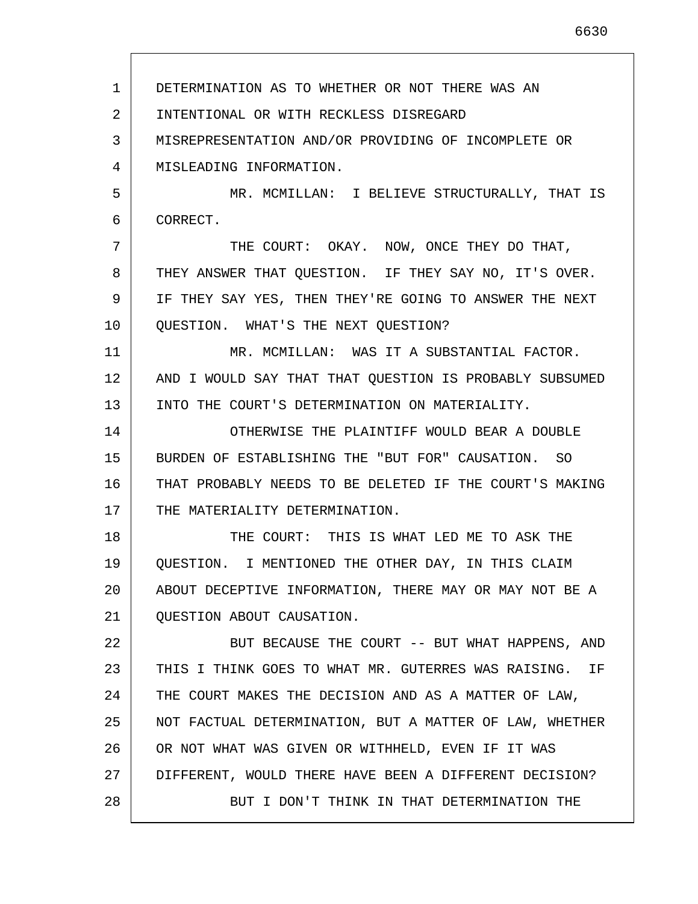1 2 3 4 5 6 7 8 9 10 11 12 13 14 15 16 17 18 19 20 21 22 23 24 25 26 27 28 DETERMINATION AS TO WHETHER OR NOT THERE WAS AN INTENTIONAL OR WITH RECKLESS DISREGARD MISREPRESENTATION AND/OR PROVIDING OF INCOMPLETE OR MISLEADING INFORMATION. MR. MCMILLAN: I BELIEVE STRUCTURALLY, THAT IS CORRECT. THE COURT: OKAY. NOW, ONCE THEY DO THAT, THEY ANSWER THAT QUESTION. IF THEY SAY NO, IT'S OVER. IF THEY SAY YES, THEN THEY'RE GOING TO ANSWER THE NEXT QUESTION. WHAT'S THE NEXT QUESTION? MR. MCMILLAN: WAS IT A SUBSTANTIAL FACTOR. AND I WOULD SAY THAT THAT QUESTION IS PROBABLY SUBSUMED INTO THE COURT'S DETERMINATION ON MATERIALITY. OTHERWISE THE PLAINTIFF WOULD BEAR A DOUBLE BURDEN OF ESTABLISHING THE "BUT FOR" CAUSATION. SO THAT PROBABLY NEEDS TO BE DELETED IF THE COURT'S MAKING THE MATERIALITY DETERMINATION. THE COURT: THIS IS WHAT LED ME TO ASK THE QUESTION. I MENTIONED THE OTHER DAY, IN THIS CLAIM ABOUT DECEPTIVE INFORMATION, THERE MAY OR MAY NOT BE A QUESTION ABOUT CAUSATION. BUT BECAUSE THE COURT -- BUT WHAT HAPPENS, AND THIS I THINK GOES TO WHAT MR. GUTERRES WAS RAISING. IF THE COURT MAKES THE DECISION AND AS A MATTER OF LAW, NOT FACTUAL DETERMINATION, BUT A MATTER OF LAW, WHETHER OR NOT WHAT WAS GIVEN OR WITHHELD, EVEN IF IT WAS DIFFERENT, WOULD THERE HAVE BEEN A DIFFERENT DECISION? BUT I DON'T THINK IN THAT DETERMINATION THE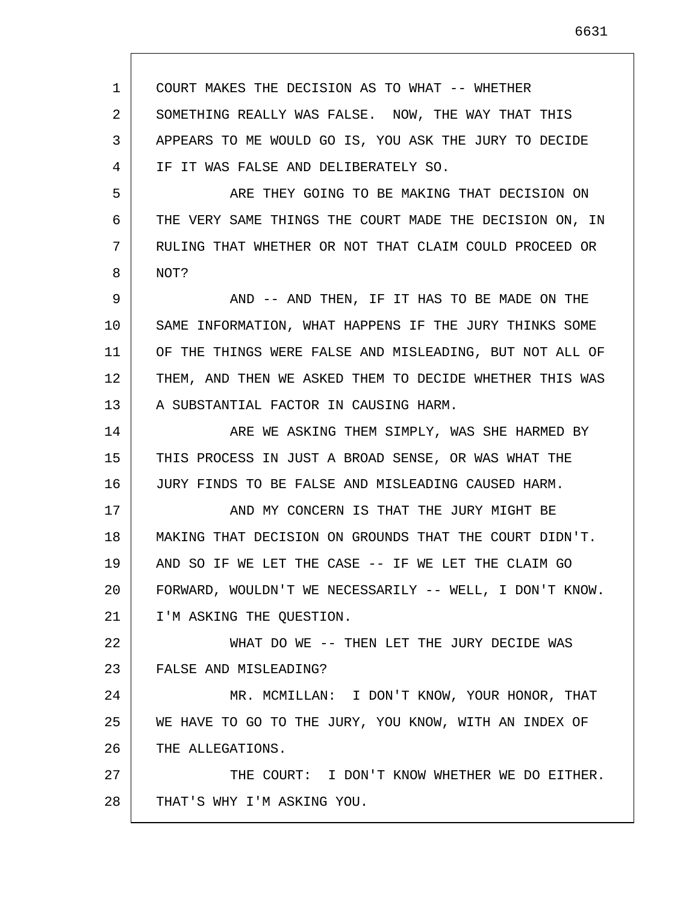1 2 3 4 5 6 7 8 9 10 11 12 13 14 15 16 17 18 19 20 21 22 23 24 25 26 27 28 COURT MAKES THE DECISION AS TO WHAT -- WHETHER SOMETHING REALLY WAS FALSE. NOW, THE WAY THAT THIS APPEARS TO ME WOULD GO IS, YOU ASK THE JURY TO DECIDE IF IT WAS FALSE AND DELIBERATELY SO. ARE THEY GOING TO BE MAKING THAT DECISION ON THE VERY SAME THINGS THE COURT MADE THE DECISION ON, IN RULING THAT WHETHER OR NOT THAT CLAIM COULD PROCEED OR NOT? AND -- AND THEN, IF IT HAS TO BE MADE ON THE SAME INFORMATION, WHAT HAPPENS IF THE JURY THINKS SOME OF THE THINGS WERE FALSE AND MISLEADING, BUT NOT ALL OF THEM, AND THEN WE ASKED THEM TO DECIDE WHETHER THIS WAS A SUBSTANTIAL FACTOR IN CAUSING HARM. ARE WE ASKING THEM SIMPLY, WAS SHE HARMED BY THIS PROCESS IN JUST A BROAD SENSE, OR WAS WHAT THE JURY FINDS TO BE FALSE AND MISLEADING CAUSED HARM. AND MY CONCERN IS THAT THE JURY MIGHT BE MAKING THAT DECISION ON GROUNDS THAT THE COURT DIDN'T. AND SO IF WE LET THE CASE -- IF WE LET THE CLAIM GO FORWARD, WOULDN'T WE NECESSARILY -- WELL, I DON'T KNOW. I'M ASKING THE QUESTION. WHAT DO WE -- THEN LET THE JURY DECIDE WAS FALSE AND MISLEADING? MR. MCMILLAN: I DON'T KNOW, YOUR HONOR, THAT WE HAVE TO GO TO THE JURY, YOU KNOW, WITH AN INDEX OF THE ALLEGATIONS. THE COURT: I DON'T KNOW WHETHER WE DO EITHER. THAT'S WHY I'M ASKING YOU.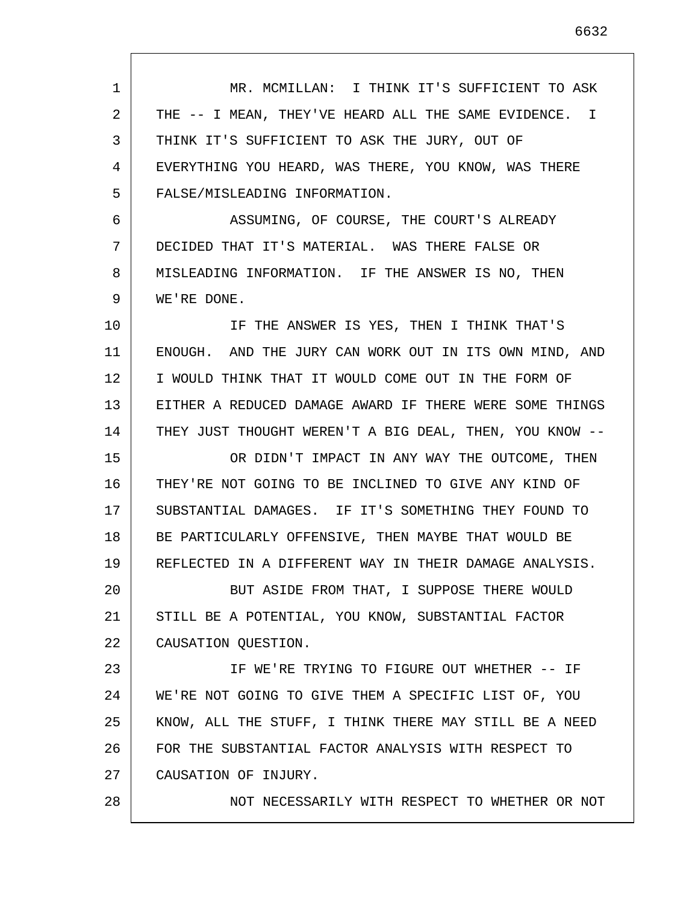1 2 3 4 5 6 7 8 9 10 11 12 13 14 15 16 17 18 19 20 21 22 23 24 25 26 27 28 MR. MCMILLAN: I THINK IT'S SUFFICIENT TO ASK THE -- I MEAN, THEY'VE HEARD ALL THE SAME EVIDENCE. I THINK IT'S SUFFICIENT TO ASK THE JURY, OUT OF EVERYTHING YOU HEARD, WAS THERE, YOU KNOW, WAS THERE FALSE/MISLEADING INFORMATION. ASSUMING, OF COURSE, THE COURT'S ALREADY DECIDED THAT IT'S MATERIAL. WAS THERE FALSE OR MISLEADING INFORMATION. IF THE ANSWER IS NO, THEN WE'RE DONE. IF THE ANSWER IS YES, THEN I THINK THAT'S ENOUGH. AND THE JURY CAN WORK OUT IN ITS OWN MIND, AND I WOULD THINK THAT IT WOULD COME OUT IN THE FORM OF EITHER A REDUCED DAMAGE AWARD IF THERE WERE SOME THINGS THEY JUST THOUGHT WEREN'T A BIG DEAL, THEN, YOU KNOW -- OR DIDN'T IMPACT IN ANY WAY THE OUTCOME, THEN THEY'RE NOT GOING TO BE INCLINED TO GIVE ANY KIND OF SUBSTANTIAL DAMAGES. IF IT'S SOMETHING THEY FOUND TO BE PARTICULARLY OFFENSIVE, THEN MAYBE THAT WOULD BE REFLECTED IN A DIFFERENT WAY IN THEIR DAMAGE ANALYSIS. BUT ASIDE FROM THAT, I SUPPOSE THERE WOULD STILL BE A POTENTIAL, YOU KNOW, SUBSTANTIAL FACTOR CAUSATION QUESTION. IF WE'RE TRYING TO FIGURE OUT WHETHER -- IF WE'RE NOT GOING TO GIVE THEM A SPECIFIC LIST OF, YOU KNOW, ALL THE STUFF, I THINK THERE MAY STILL BE A NEED FOR THE SUBSTANTIAL FACTOR ANALYSIS WITH RESPECT TO CAUSATION OF INJURY. NOT NECESSARILY WITH RESPECT TO WHETHER OR NOT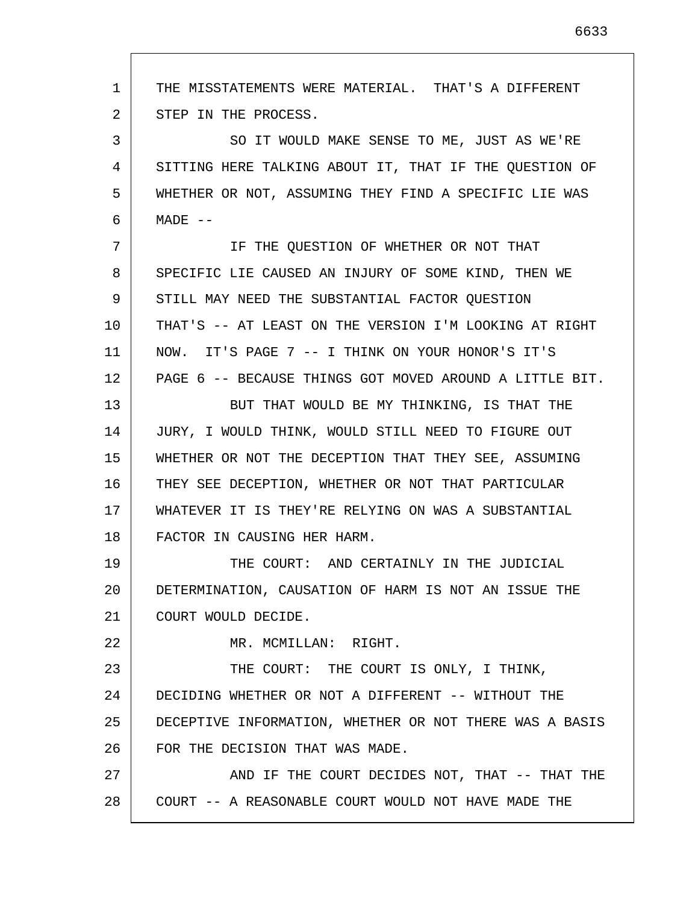1 2 3 4 5 6 7 8 9 10 11 12 13 14 15 16 17 18 19 20 21 22 23 24 25 26 27 28 THE MISSTATEMENTS WERE MATERIAL. THAT'S A DIFFERENT STEP IN THE PROCESS. SO IT WOULD MAKE SENSE TO ME, JUST AS WE'RE SITTING HERE TALKING ABOUT IT, THAT IF THE QUESTION OF WHETHER OR NOT, ASSUMING THEY FIND A SPECIFIC LIE WAS  $MADE$   $--$ IF THE QUESTION OF WHETHER OR NOT THAT SPECIFIC LIE CAUSED AN INJURY OF SOME KIND, THEN WE STILL MAY NEED THE SUBSTANTIAL FACTOR QUESTION THAT'S -- AT LEAST ON THE VERSION I'M LOOKING AT RIGHT NOW. IT'S PAGE 7 -- I THINK ON YOUR HONOR'S IT'S PAGE 6 -- BECAUSE THINGS GOT MOVED AROUND A LITTLE BIT. BUT THAT WOULD BE MY THINKING, IS THAT THE JURY, I WOULD THINK, WOULD STILL NEED TO FIGURE OUT WHETHER OR NOT THE DECEPTION THAT THEY SEE, ASSUMING THEY SEE DECEPTION, WHETHER OR NOT THAT PARTICULAR WHATEVER IT IS THEY'RE RELYING ON WAS A SUBSTANTIAL FACTOR IN CAUSING HER HARM. THE COURT: AND CERTAINLY IN THE JUDICIAL DETERMINATION, CAUSATION OF HARM IS NOT AN ISSUE THE COURT WOULD DECIDE. MR. MCMILLAN: RIGHT. THE COURT: THE COURT IS ONLY, I THINK, DECIDING WHETHER OR NOT A DIFFERENT -- WITHOUT THE DECEPTIVE INFORMATION, WHETHER OR NOT THERE WAS A BASIS FOR THE DECISION THAT WAS MADE. AND IF THE COURT DECIDES NOT, THAT -- THAT THE COURT -- A REASONABLE COURT WOULD NOT HAVE MADE THE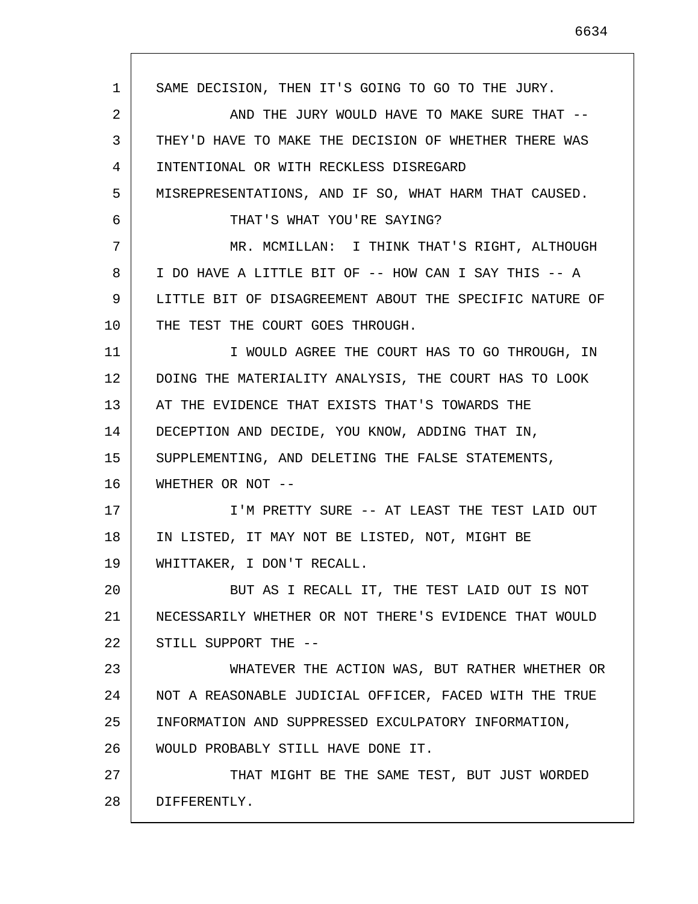1 2 3 4 5 6 7 8 9 10 11 12 13 14 15 16 17 18 19 20 21 22 23 24 25 26 27 28 SAME DECISION, THEN IT'S GOING TO GO TO THE JURY. AND THE JURY WOULD HAVE TO MAKE SURE THAT -- THEY'D HAVE TO MAKE THE DECISION OF WHETHER THERE WAS INTENTIONAL OR WITH RECKLESS DISREGARD MISREPRESENTATIONS, AND IF SO, WHAT HARM THAT CAUSED. THAT'S WHAT YOU'RE SAYING? MR. MCMILLAN: I THINK THAT'S RIGHT, ALTHOUGH I DO HAVE A LITTLE BIT OF -- HOW CAN I SAY THIS -- A LITTLE BIT OF DISAGREEMENT ABOUT THE SPECIFIC NATURE OF THE TEST THE COURT GOES THROUGH. I WOULD AGREE THE COURT HAS TO GO THROUGH, IN DOING THE MATERIALITY ANALYSIS, THE COURT HAS TO LOOK AT THE EVIDENCE THAT EXISTS THAT'S TOWARDS THE DECEPTION AND DECIDE, YOU KNOW, ADDING THAT IN, SUPPLEMENTING, AND DELETING THE FALSE STATEMENTS, WHETHER OR NOT -- I'M PRETTY SURE -- AT LEAST THE TEST LAID OUT IN LISTED, IT MAY NOT BE LISTED, NOT, MIGHT BE WHITTAKER, I DON'T RECALL. BUT AS I RECALL IT, THE TEST LAID OUT IS NOT NECESSARILY WHETHER OR NOT THERE'S EVIDENCE THAT WOULD STILL SUPPORT THE -- WHATEVER THE ACTION WAS, BUT RATHER WHETHER OR NOT A REASONABLE JUDICIAL OFFICER, FACED WITH THE TRUE INFORMATION AND SUPPRESSED EXCULPATORY INFORMATION, WOULD PROBABLY STILL HAVE DONE IT. THAT MIGHT BE THE SAME TEST, BUT JUST WORDED DIFFERENTLY.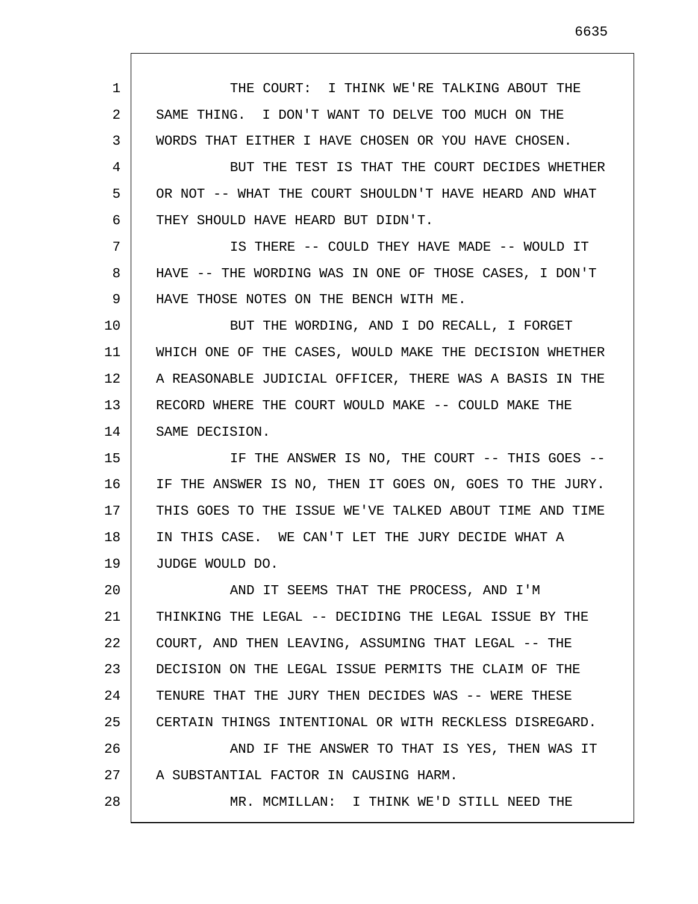1 2 3 4 5 6 7 8 9 10 11 12 13 14 15 16 17 18 19 20 21 22 23 24 25 26 27 28 THE COURT: I THINK WE'RE TALKING ABOUT THE SAME THING. I DON'T WANT TO DELVE TOO MUCH ON THE WORDS THAT EITHER I HAVE CHOSEN OR YOU HAVE CHOSEN. BUT THE TEST IS THAT THE COURT DECIDES WHETHER OR NOT -- WHAT THE COURT SHOULDN'T HAVE HEARD AND WHAT THEY SHOULD HAVE HEARD BUT DIDN'T. IS THERE -- COULD THEY HAVE MADE -- WOULD IT HAVE -- THE WORDING WAS IN ONE OF THOSE CASES, I DON'T HAVE THOSE NOTES ON THE BENCH WITH ME. BUT THE WORDING, AND I DO RECALL, I FORGET WHICH ONE OF THE CASES, WOULD MAKE THE DECISION WHETHER A REASONABLE JUDICIAL OFFICER, THERE WAS A BASIS IN THE RECORD WHERE THE COURT WOULD MAKE -- COULD MAKE THE SAME DECISION. IF THE ANSWER IS NO, THE COURT -- THIS GOES -- IF THE ANSWER IS NO, THEN IT GOES ON, GOES TO THE JURY. THIS GOES TO THE ISSUE WE'VE TALKED ABOUT TIME AND TIME IN THIS CASE. WE CAN'T LET THE JURY DECIDE WHAT A JUDGE WOULD DO. AND IT SEEMS THAT THE PROCESS, AND I'M THINKING THE LEGAL -- DECIDING THE LEGAL ISSUE BY THE COURT, AND THEN LEAVING, ASSUMING THAT LEGAL -- THE DECISION ON THE LEGAL ISSUE PERMITS THE CLAIM OF THE TENURE THAT THE JURY THEN DECIDES WAS -- WERE THESE CERTAIN THINGS INTENTIONAL OR WITH RECKLESS DISREGARD. AND IF THE ANSWER TO THAT IS YES, THEN WAS IT A SUBSTANTIAL FACTOR IN CAUSING HARM. MR. MCMILLAN: I THINK WE'D STILL NEED THE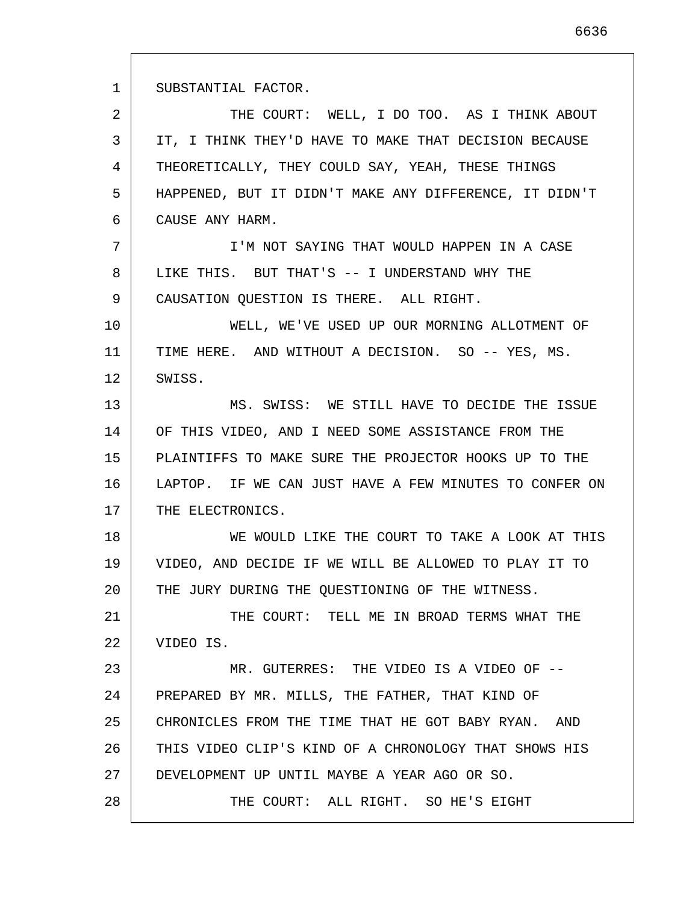1 2 3 4 5 6 7 8 9 10 11 12 13 14 15 16 17 18 19 20 21 22 23 24 25 26 27 28 SUBSTANTIAL FACTOR. THE COURT: WELL, I DO TOO. AS I THINK ABOUT IT, I THINK THEY'D HAVE TO MAKE THAT DECISION BECAUSE THEORETICALLY, THEY COULD SAY, YEAH, THESE THINGS HAPPENED, BUT IT DIDN'T MAKE ANY DIFFERENCE, IT DIDN'T CAUSE ANY HARM. I'M NOT SAYING THAT WOULD HAPPEN IN A CASE LIKE THIS. BUT THAT'S -- I UNDERSTAND WHY THE CAUSATION QUESTION IS THERE. ALL RIGHT. WELL, WE'VE USED UP OUR MORNING ALLOTMENT OF TIME HERE. AND WITHOUT A DECISION. SO -- YES, MS. SWISS. MS. SWISS: WE STILL HAVE TO DECIDE THE ISSUE OF THIS VIDEO, AND I NEED SOME ASSISTANCE FROM THE PLAINTIFFS TO MAKE SURE THE PROJECTOR HOOKS UP TO THE LAPTOP. IF WE CAN JUST HAVE A FEW MINUTES TO CONFER ON THE ELECTRONICS. WE WOULD LIKE THE COURT TO TAKE A LOOK AT THIS VIDEO, AND DECIDE IF WE WILL BE ALLOWED TO PLAY IT TO THE JURY DURING THE QUESTIONING OF THE WITNESS. THE COURT: TELL ME IN BROAD TERMS WHAT THE VIDEO IS. MR. GUTERRES: THE VIDEO IS A VIDEO OF --PREPARED BY MR. MILLS, THE FATHER, THAT KIND OF CHRONICLES FROM THE TIME THAT HE GOT BABY RYAN. AND THIS VIDEO CLIP'S KIND OF A CHRONOLOGY THAT SHOWS HIS DEVELOPMENT UP UNTIL MAYBE A YEAR AGO OR SO. THE COURT: ALL RIGHT. SO HE'S EIGHT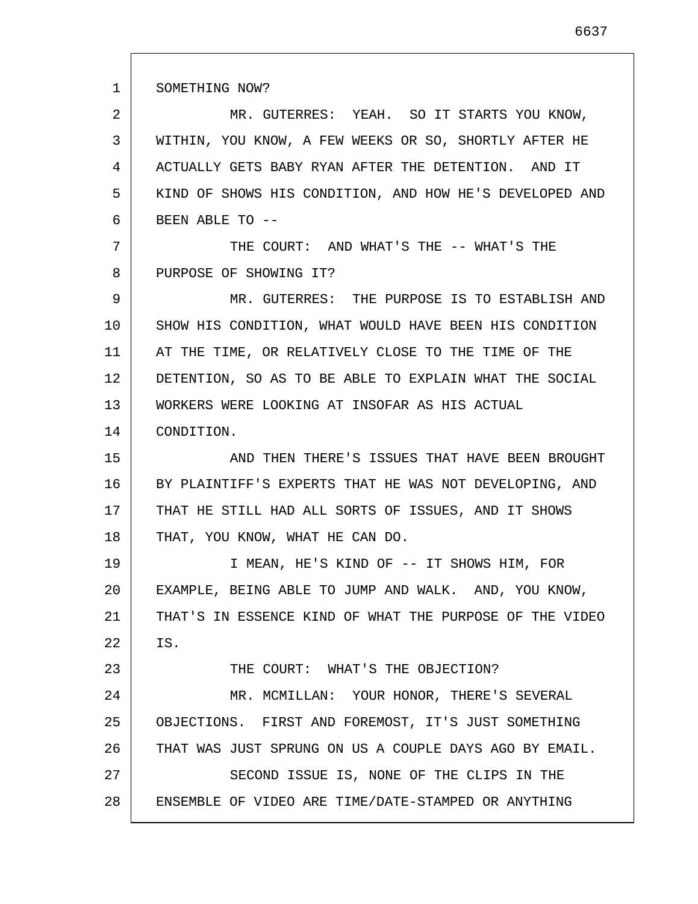1 2 3 4 5 6 7 8 9 10 11 12 13 14 15 16 17 18 19 20 21 22 23 24 25 26 27 28 SOMETHING NOW? MR. GUTERRES: YEAH. SO IT STARTS YOU KNOW, WITHIN, YOU KNOW, A FEW WEEKS OR SO, SHORTLY AFTER HE ACTUALLY GETS BABY RYAN AFTER THE DETENTION. AND IT KIND OF SHOWS HIS CONDITION, AND HOW HE'S DEVELOPED AND BEEN ABLE TO -- THE COURT: AND WHAT'S THE -- WHAT'S THE PURPOSE OF SHOWING IT? MR. GUTERRES: THE PURPOSE IS TO ESTABLISH AND SHOW HIS CONDITION, WHAT WOULD HAVE BEEN HIS CONDITION AT THE TIME, OR RELATIVELY CLOSE TO THE TIME OF THE DETENTION, SO AS TO BE ABLE TO EXPLAIN WHAT THE SOCIAL WORKERS WERE LOOKING AT INSOFAR AS HIS ACTUAL CONDITION. AND THEN THERE'S ISSUES THAT HAVE BEEN BROUGHT BY PLAINTIFF'S EXPERTS THAT HE WAS NOT DEVELOPING, AND THAT HE STILL HAD ALL SORTS OF ISSUES, AND IT SHOWS THAT, YOU KNOW, WHAT HE CAN DO. I MEAN, HE'S KIND OF -- IT SHOWS HIM, FOR EXAMPLE, BEING ABLE TO JUMP AND WALK. AND, YOU KNOW, THAT'S IN ESSENCE KIND OF WHAT THE PURPOSE OF THE VIDEO IS. THE COURT: WHAT'S THE OBJECTION? MR. MCMILLAN: YOUR HONOR, THERE'S SEVERAL OBJECTIONS. FIRST AND FOREMOST, IT'S JUST SOMETHING THAT WAS JUST SPRUNG ON US A COUPLE DAYS AGO BY EMAIL. SECOND ISSUE IS, NONE OF THE CLIPS IN THE ENSEMBLE OF VIDEO ARE TIME/DATE-STAMPED OR ANYTHING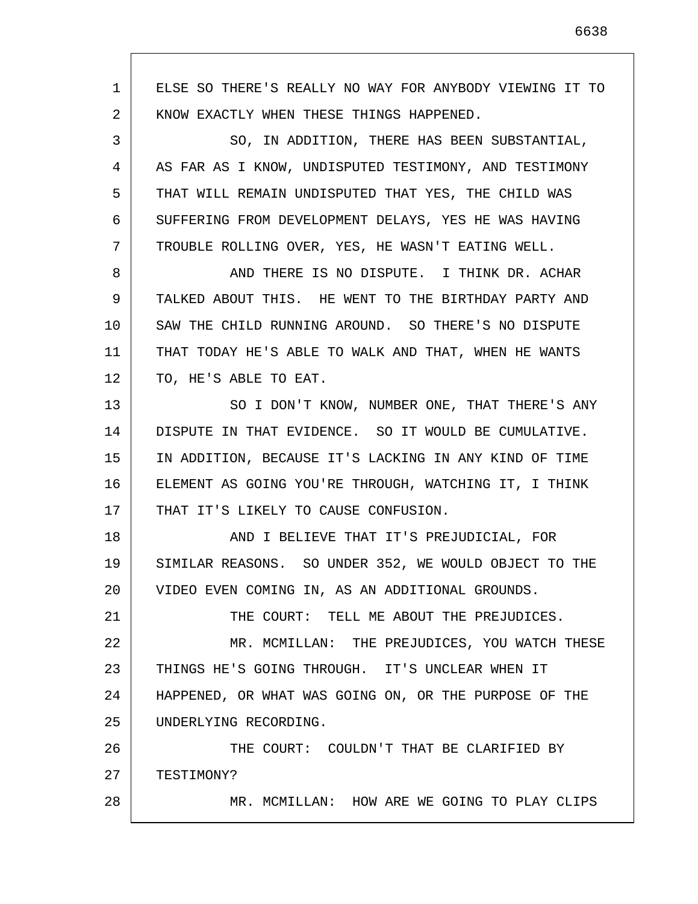1 2 3 4 5 6 7 8 9 10 11 12 13 14 15 16 17 18 19 20 21 22 23 24 25 26 27 28 ELSE SO THERE'S REALLY NO WAY FOR ANYBODY VIEWING IT TO KNOW EXACTLY WHEN THESE THINGS HAPPENED. SO, IN ADDITION, THERE HAS BEEN SUBSTANTIAL, AS FAR AS I KNOW, UNDISPUTED TESTIMONY, AND TESTIMONY THAT WILL REMAIN UNDISPUTED THAT YES, THE CHILD WAS SUFFERING FROM DEVELOPMENT DELAYS, YES HE WAS HAVING TROUBLE ROLLING OVER, YES, HE WASN'T EATING WELL. AND THERE IS NO DISPUTE. I THINK DR. ACHAR TALKED ABOUT THIS. HE WENT TO THE BIRTHDAY PARTY AND SAW THE CHILD RUNNING AROUND. SO THERE'S NO DISPUTE THAT TODAY HE'S ABLE TO WALK AND THAT, WHEN HE WANTS TO, HE'S ABLE TO EAT. SO I DON'T KNOW, NUMBER ONE, THAT THERE'S ANY DISPUTE IN THAT EVIDENCE. SO IT WOULD BE CUMULATIVE. IN ADDITION, BECAUSE IT'S LACKING IN ANY KIND OF TIME ELEMENT AS GOING YOU'RE THROUGH, WATCHING IT, I THINK THAT IT'S LIKELY TO CAUSE CONFUSION. AND I BELIEVE THAT IT'S PREJUDICIAL, FOR SIMILAR REASONS. SO UNDER 352, WE WOULD OBJECT TO THE VIDEO EVEN COMING IN, AS AN ADDITIONAL GROUNDS. THE COURT: TELL ME ABOUT THE PREJUDICES. MR. MCMILLAN: THE PREJUDICES, YOU WATCH THESE THINGS HE'S GOING THROUGH. IT'S UNCLEAR WHEN IT HAPPENED, OR WHAT WAS GOING ON, OR THE PURPOSE OF THE UNDERLYING RECORDING. THE COURT: COULDN'T THAT BE CLARIFIED BY TESTIMONY? MR. MCMILLAN: HOW ARE WE GOING TO PLAY CLIPS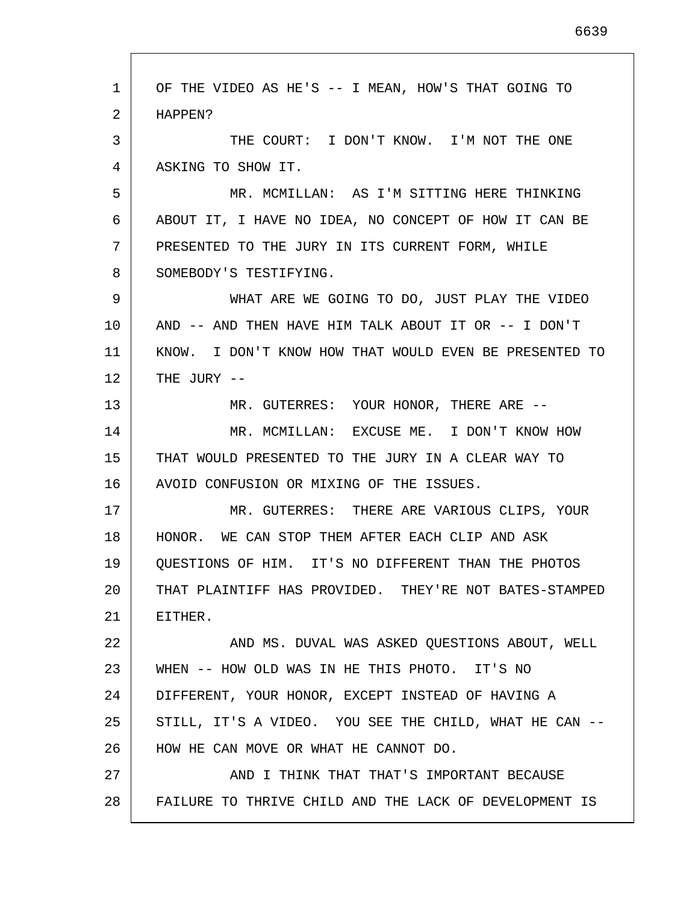| 1  | OF THE VIDEO AS HE'S -- I MEAN, HOW'S THAT GOING TO    |
|----|--------------------------------------------------------|
| 2  | HAPPEN?                                                |
| 3  | THE COURT: I DON'T KNOW. I'M NOT THE ONE               |
| 4  | ASKING TO SHOW IT.                                     |
| 5  | MR. MCMILLAN: AS I'M SITTING HERE THINKING             |
| 6  | ABOUT IT, I HAVE NO IDEA, NO CONCEPT OF HOW IT CAN BE  |
| 7  | PRESENTED TO THE JURY IN ITS CURRENT FORM, WHILE       |
| 8  | SOMEBODY'S TESTIFYING.                                 |
| 9  | WHAT ARE WE GOING TO DO, JUST PLAY THE VIDEO           |
| 10 | AND -- AND THEN HAVE HIM TALK ABOUT IT OR -- I DON'T   |
| 11 | KNOW. I DON'T KNOW HOW THAT WOULD EVEN BE PRESENTED TO |
| 12 | THE JURY --                                            |
| 13 | MR. GUTERRES: YOUR HONOR, THERE ARE --                 |
| 14 | MR. MCMILLAN: EXCUSE ME. I DON'T KNOW HOW              |
| 15 | THAT WOULD PRESENTED TO THE JURY IN A CLEAR WAY TO     |
| 16 | AVOID CONFUSION OR MIXING OF THE ISSUES.               |
| 17 | MR. GUTERRES: THERE ARE VARIOUS CLIPS, YOUR            |
| 18 | HONOR. WE CAN STOP THEM AFTER EACH CLIP AND ASK        |
| 19 | QUESTIONS OF HIM. IT'S NO DIFFERENT THAN THE PHOTOS    |
| 20 | THAT PLAINTIFF HAS PROVIDED. THEY'RE NOT BATES-STAMPED |
| 21 | EITHER.                                                |
| 22 | AND MS. DUVAL WAS ASKED QUESTIONS ABOUT, WELL          |
| 23 | WHEN -- HOW OLD WAS IN HE THIS PHOTO. IT'S NO          |
| 24 | DIFFERENT, YOUR HONOR, EXCEPT INSTEAD OF HAVING A      |
| 25 | STILL, IT'S A VIDEO. YOU SEE THE CHILD, WHAT HE CAN -- |
| 26 | HOW HE CAN MOVE OR WHAT HE CANNOT DO.                  |
| 27 | AND I THINK THAT THAT'S IMPORTANT BECAUSE              |
| 28 | FAILURE TO THRIVE CHILD AND THE LACK OF DEVELOPMENT IS |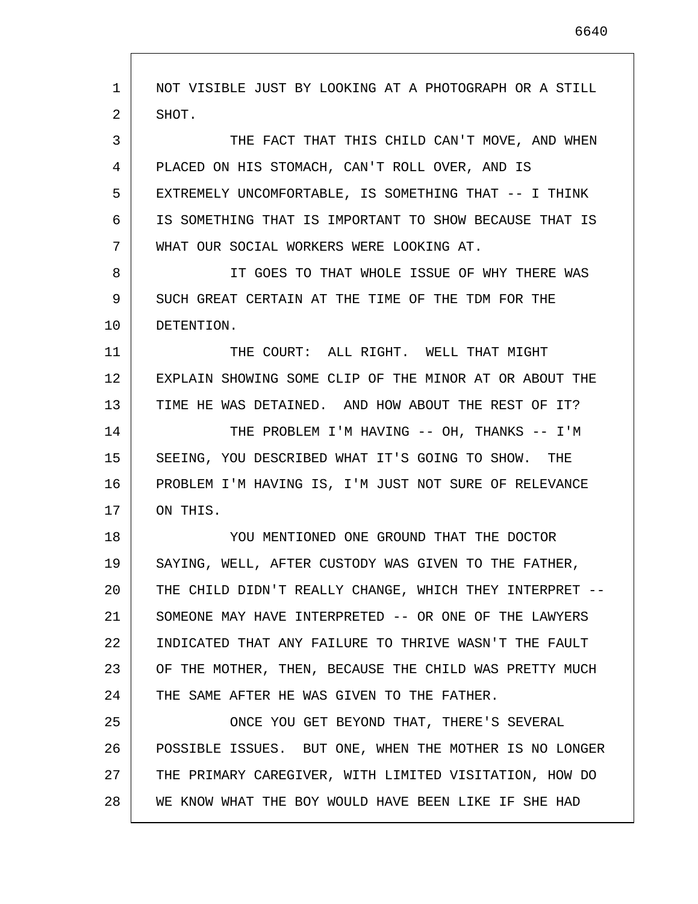1 2 3 4 5 6 7 8 9 10 11 12 13 14 15 16 17 18 19 20 21 22 23 24 25 26 27 28 NOT VISIBLE JUST BY LOOKING AT A PHOTOGRAPH OR A STILL SHOT. THE FACT THAT THIS CHILD CAN'T MOVE, AND WHEN PLACED ON HIS STOMACH, CAN'T ROLL OVER, AND IS EXTREMELY UNCOMFORTABLE, IS SOMETHING THAT -- I THINK IS SOMETHING THAT IS IMPORTANT TO SHOW BECAUSE THAT IS WHAT OUR SOCIAL WORKERS WERE LOOKING AT. IT GOES TO THAT WHOLE ISSUE OF WHY THERE WAS SUCH GREAT CERTAIN AT THE TIME OF THE TDM FOR THE DETENTION. THE COURT: ALL RIGHT. WELL THAT MIGHT EXPLAIN SHOWING SOME CLIP OF THE MINOR AT OR ABOUT THE TIME HE WAS DETAINED. AND HOW ABOUT THE REST OF IT? THE PROBLEM I'M HAVING -- OH, THANKS -- I'M SEEING, YOU DESCRIBED WHAT IT'S GOING TO SHOW. THE PROBLEM I'M HAVING IS, I'M JUST NOT SURE OF RELEVANCE ON THIS. YOU MENTIONED ONE GROUND THAT THE DOCTOR SAYING, WELL, AFTER CUSTODY WAS GIVEN TO THE FATHER, THE CHILD DIDN'T REALLY CHANGE, WHICH THEY INTERPRET -- SOMEONE MAY HAVE INTERPRETED -- OR ONE OF THE LAWYERS INDICATED THAT ANY FAILURE TO THRIVE WASN'T THE FAULT OF THE MOTHER, THEN, BECAUSE THE CHILD WAS PRETTY MUCH THE SAME AFTER HE WAS GIVEN TO THE FATHER. ONCE YOU GET BEYOND THAT, THERE'S SEVERAL POSSIBLE ISSUES. BUT ONE, WHEN THE MOTHER IS NO LONGER THE PRIMARY CAREGIVER, WITH LIMITED VISITATION, HOW DO WE KNOW WHAT THE BOY WOULD HAVE BEEN LIKE IF SHE HAD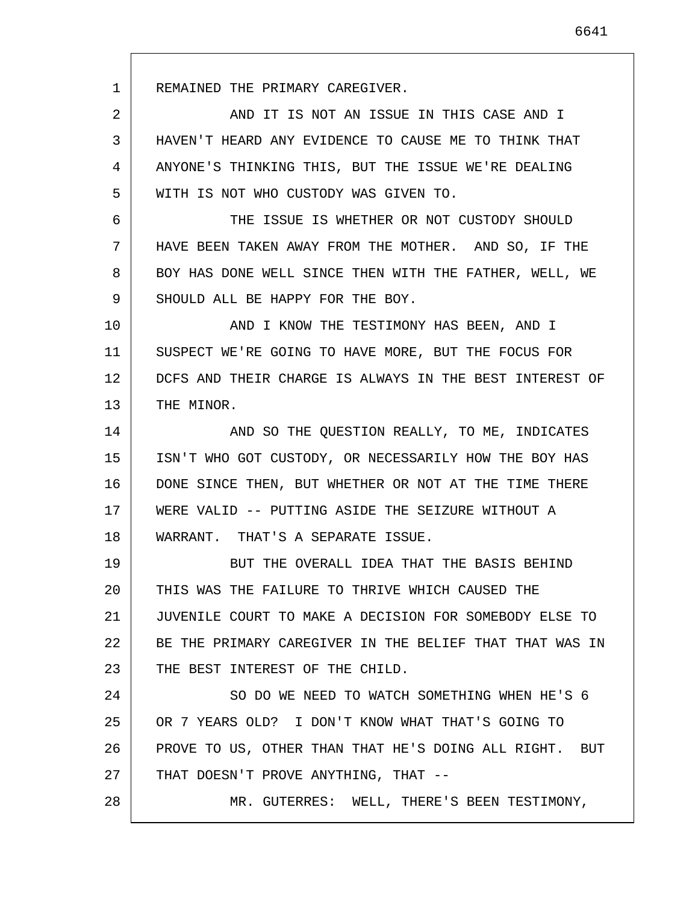REMAINED THE PRIMARY CAREGIVER.

1

28

2 3 4 5 AND IT IS NOT AN ISSUE IN THIS CASE AND I HAVEN'T HEARD ANY EVIDENCE TO CAUSE ME TO THINK THAT ANYONE'S THINKING THIS, BUT THE ISSUE WE'RE DEALING WITH IS NOT WHO CUSTODY WAS GIVEN TO.

6 7 8 9 THE ISSUE IS WHETHER OR NOT CUSTODY SHOULD HAVE BEEN TAKEN AWAY FROM THE MOTHER. AND SO, IF THE BOY HAS DONE WELL SINCE THEN WITH THE FATHER, WELL, WE SHOULD ALL BE HAPPY FOR THE BOY.

10 11 12 13 AND I KNOW THE TESTIMONY HAS BEEN, AND I SUSPECT WE'RE GOING TO HAVE MORE, BUT THE FOCUS FOR DCFS AND THEIR CHARGE IS ALWAYS IN THE BEST INTEREST OF THE MINOR.

14 15 16 17 18 AND SO THE QUESTION REALLY, TO ME, INDICATES ISN'T WHO GOT CUSTODY, OR NECESSARILY HOW THE BOY HAS DONE SINCE THEN, BUT WHETHER OR NOT AT THE TIME THERE WERE VALID -- PUTTING ASIDE THE SEIZURE WITHOUT A WARRANT. THAT'S A SEPARATE ISSUE.

19 20 21 22 23 BUT THE OVERALL IDEA THAT THE BASIS BEHIND THIS WAS THE FAILURE TO THRIVE WHICH CAUSED THE JUVENILE COURT TO MAKE A DECISION FOR SOMEBODY ELSE TO BE THE PRIMARY CAREGIVER IN THE BELIEF THAT THAT WAS IN THE BEST INTEREST OF THE CHILD.

24 25 26 27 SO DO WE NEED TO WATCH SOMETHING WHEN HE'S 6 OR 7 YEARS OLD? I DON'T KNOW WHAT THAT'S GOING TO PROVE TO US, OTHER THAN THAT HE'S DOING ALL RIGHT. BUT THAT DOESN'T PROVE ANYTHING, THAT --

MR. GUTERRES: WELL, THERE'S BEEN TESTIMONY,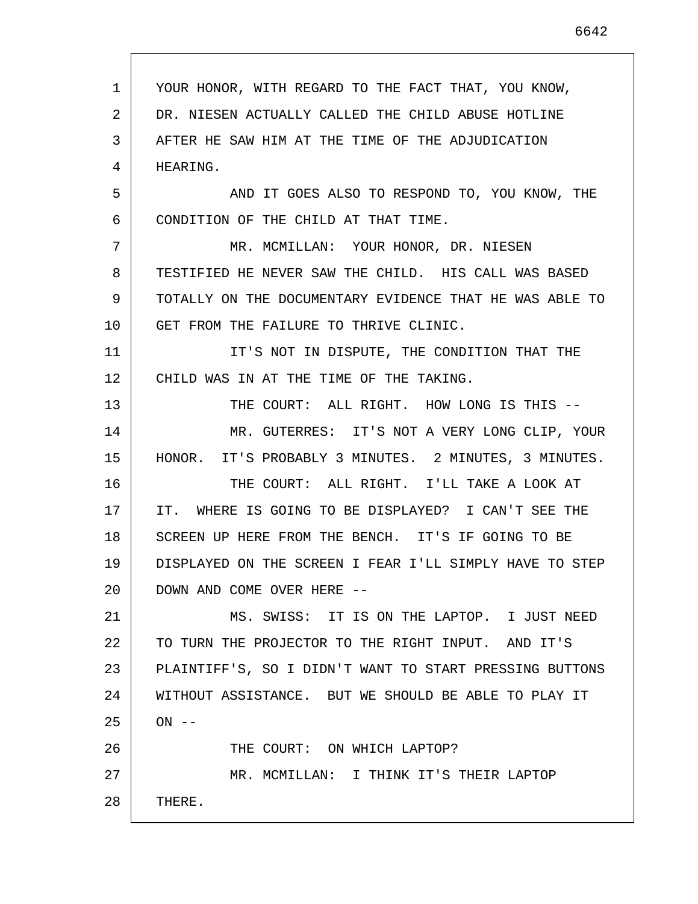YOUR HONOR, WITH REGARD TO THE FACT THAT, YOU KNOW, DR. NIESEN ACTUALLY CALLED THE CHILD ABUSE HOTLINE AFTER HE SAW HIM AT THE TIME OF THE ADJUDICATION AND IT GOES ALSO TO RESPOND TO, YOU KNOW, THE CONDITION OF THE CHILD AT THAT TIME. MR. MCMILLAN: YOUR HONOR, DR. NIESEN TESTIFIED HE NEVER SAW THE CHILD. HIS CALL WAS BASED TOTALLY ON THE DOCUMENTARY EVIDENCE THAT HE WAS ABLE TO GET FROM THE FAILURE TO THRIVE CLINIC. IT'S NOT IN DISPUTE, THE CONDITION THAT THE

12 CHILD WAS IN AT THE TIME OF THE TAKING.

13 14 15 THE COURT: ALL RIGHT. HOW LONG IS THIS -- MR. GUTERRES: IT'S NOT A VERY LONG CLIP, YOUR HONOR. IT'S PROBABLY 3 MINUTES. 2 MINUTES, 3 MINUTES.

16 17 18 19 20 THE COURT: ALL RIGHT. I'LL TAKE A LOOK AT IT. WHERE IS GOING TO BE DISPLAYED? I CAN'T SEE THE SCREEN UP HERE FROM THE BENCH. IT'S IF GOING TO BE DISPLAYED ON THE SCREEN I FEAR I'LL SIMPLY HAVE TO STEP DOWN AND COME OVER HERE --

21 22 23 24 25 26 27 MS. SWISS: IT IS ON THE LAPTOP. I JUST NEED TO TURN THE PROJECTOR TO THE RIGHT INPUT. AND IT'S PLAINTIFF'S, SO I DIDN'T WANT TO START PRESSING BUTTONS WITHOUT ASSISTANCE. BUT WE SHOULD BE ABLE TO PLAY IT  $ON$   $--$ THE COURT: ON WHICH LAPTOP? MR. MCMILLAN: I THINK IT'S THEIR LAPTOP

28 THERE.

1

2

3

4

HEARING.

5

6

7

8

9

10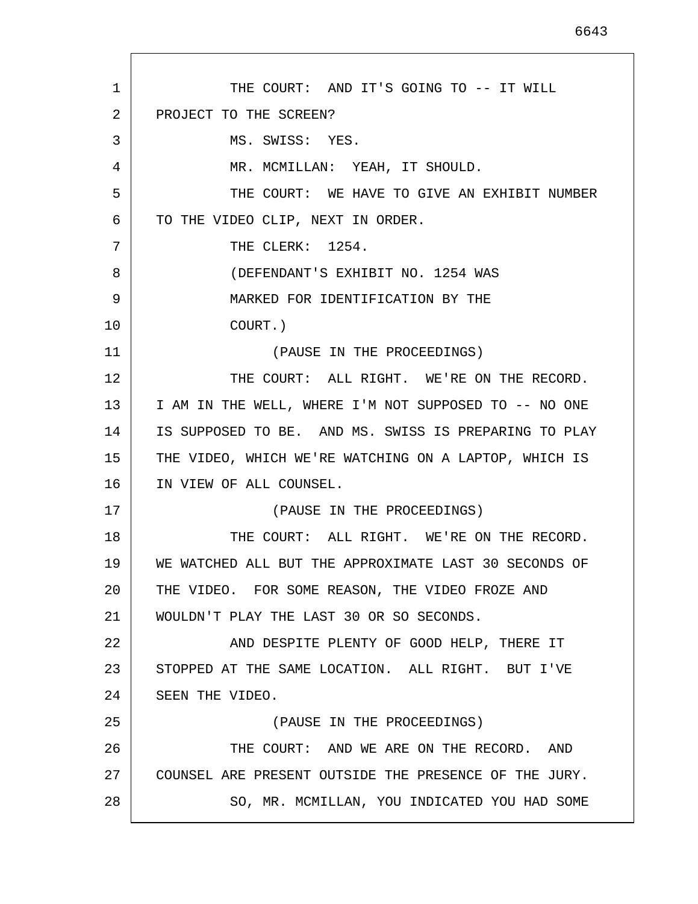1 2 3 4 5 6 7 8 9 10 11 12 13 14 15 16 17 18 19 20 21 22 23 24 25 26 27 28 THE COURT: AND IT'S GOING TO -- IT WILL PROJECT TO THE SCREEN? MS. SWISS: YES. MR. MCMILLAN: YEAH, IT SHOULD. THE COURT: WE HAVE TO GIVE AN EXHIBIT NUMBER TO THE VIDEO CLIP, NEXT IN ORDER. THE CLERK: 1254. (DEFENDANT'S EXHIBIT NO. 1254 WAS MARKED FOR IDENTIFICATION BY THE COURT.) (PAUSE IN THE PROCEEDINGS) THE COURT: ALL RIGHT. WE'RE ON THE RECORD. I AM IN THE WELL, WHERE I'M NOT SUPPOSED TO -- NO ONE IS SUPPOSED TO BE. AND MS. SWISS IS PREPARING TO PLAY THE VIDEO, WHICH WE'RE WATCHING ON A LAPTOP, WHICH IS IN VIEW OF ALL COUNSEL. (PAUSE IN THE PROCEEDINGS) THE COURT: ALL RIGHT. WE'RE ON THE RECORD. WE WATCHED ALL BUT THE APPROXIMATE LAST 30 SECONDS OF THE VIDEO. FOR SOME REASON, THE VIDEO FROZE AND WOULDN'T PLAY THE LAST 30 OR SO SECONDS. AND DESPITE PLENTY OF GOOD HELP, THERE IT STOPPED AT THE SAME LOCATION. ALL RIGHT. BUT I'VE SEEN THE VIDEO. (PAUSE IN THE PROCEEDINGS) THE COURT: AND WE ARE ON THE RECORD. AND COUNSEL ARE PRESENT OUTSIDE THE PRESENCE OF THE JURY. SO, MR. MCMILLAN, YOU INDICATED YOU HAD SOME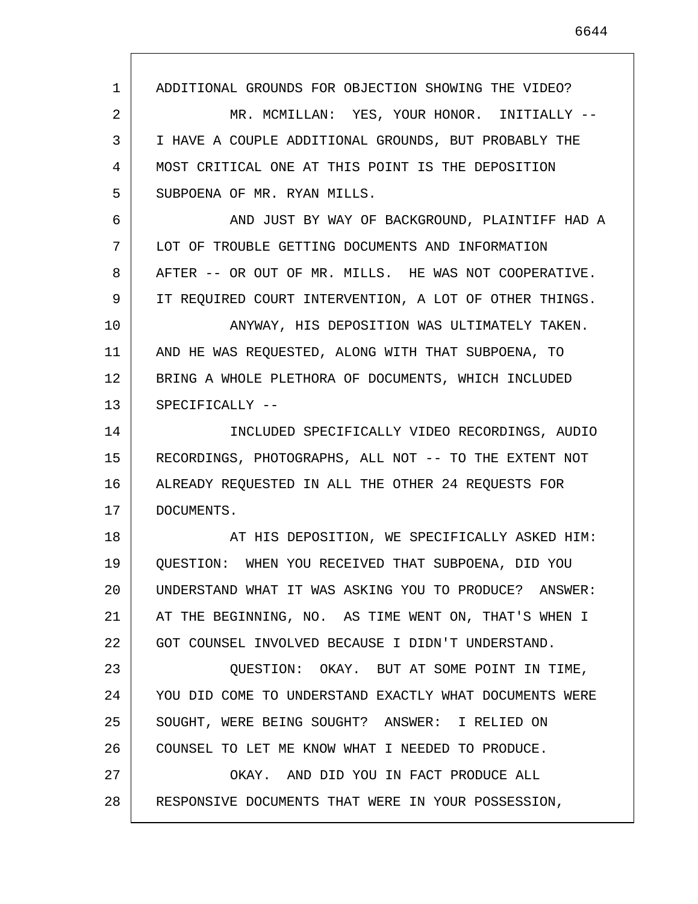1 2 3 4 5 6 7 8 9 10 11 12 13 14 15 16 17 18 19 20 21 22 23 24 25 26 27 28 ADDITIONAL GROUNDS FOR OBJECTION SHOWING THE VIDEO? MR. MCMILLAN: YES, YOUR HONOR. INITIALLY -- I HAVE A COUPLE ADDITIONAL GROUNDS, BUT PROBABLY THE MOST CRITICAL ONE AT THIS POINT IS THE DEPOSITION SUBPOENA OF MR. RYAN MILLS. AND JUST BY WAY OF BACKGROUND, PLAINTIFF HAD A LOT OF TROUBLE GETTING DOCUMENTS AND INFORMATION AFTER -- OR OUT OF MR. MILLS. HE WAS NOT COOPERATIVE. IT REQUIRED COURT INTERVENTION, A LOT OF OTHER THINGS. ANYWAY, HIS DEPOSITION WAS ULTIMATELY TAKEN. AND HE WAS REQUESTED, ALONG WITH THAT SUBPOENA, TO BRING A WHOLE PLETHORA OF DOCUMENTS, WHICH INCLUDED SPECIFICALLY -- INCLUDED SPECIFICALLY VIDEO RECORDINGS, AUDIO RECORDINGS, PHOTOGRAPHS, ALL NOT -- TO THE EXTENT NOT ALREADY REQUESTED IN ALL THE OTHER 24 REQUESTS FOR DOCUMENTS. AT HIS DEPOSITION, WE SPECIFICALLY ASKED HIM: QUESTION: WHEN YOU RECEIVED THAT SUBPOENA, DID YOU UNDERSTAND WHAT IT WAS ASKING YOU TO PRODUCE? ANSWER: AT THE BEGINNING, NO. AS TIME WENT ON, THAT'S WHEN I GOT COUNSEL INVOLVED BECAUSE I DIDN'T UNDERSTAND. QUESTION: OKAY. BUT AT SOME POINT IN TIME, YOU DID COME TO UNDERSTAND EXACTLY WHAT DOCUMENTS WERE SOUGHT, WERE BEING SOUGHT? ANSWER: I RELIED ON COUNSEL TO LET ME KNOW WHAT I NEEDED TO PRODUCE. OKAY. AND DID YOU IN FACT PRODUCE ALL RESPONSIVE DOCUMENTS THAT WERE IN YOUR POSSESSION,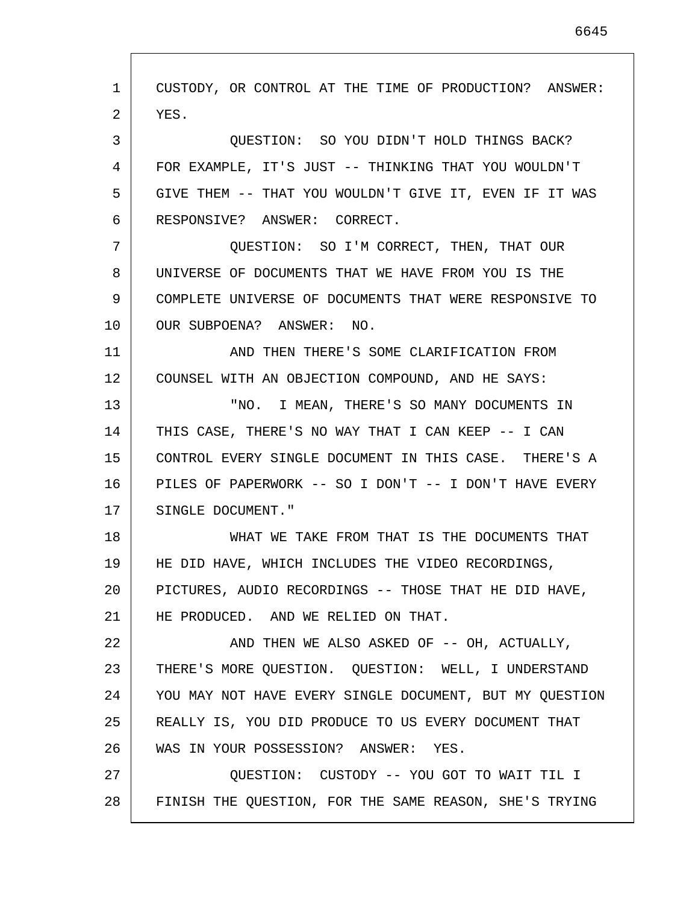1 2 3 4 5 6 7 8 9 10 11 12 13 14 15 16 17 18 19 20 21 22 23 24 25 26 27 28 CUSTODY, OR CONTROL AT THE TIME OF PRODUCTION? ANSWER: YES. QUESTION: SO YOU DIDN'T HOLD THINGS BACK? FOR EXAMPLE, IT'S JUST -- THINKING THAT YOU WOULDN'T GIVE THEM -- THAT YOU WOULDN'T GIVE IT, EVEN IF IT WAS RESPONSIVE? ANSWER: CORRECT. QUESTION: SO I'M CORRECT, THEN, THAT OUR UNIVERSE OF DOCUMENTS THAT WE HAVE FROM YOU IS THE COMPLETE UNIVERSE OF DOCUMENTS THAT WERE RESPONSIVE TO OUR SUBPOENA? ANSWER: NO. AND THEN THERE'S SOME CLARIFICATION FROM COUNSEL WITH AN OBJECTION COMPOUND, AND HE SAYS: "NO. I MEAN, THERE'S SO MANY DOCUMENTS IN THIS CASE, THERE'S NO WAY THAT I CAN KEEP -- I CAN CONTROL EVERY SINGLE DOCUMENT IN THIS CASE. THERE'S A PILES OF PAPERWORK -- SO I DON'T -- I DON'T HAVE EVERY SINGLE DOCUMENT." WHAT WE TAKE FROM THAT IS THE DOCUMENTS THAT HE DID HAVE, WHICH INCLUDES THE VIDEO RECORDINGS, PICTURES, AUDIO RECORDINGS -- THOSE THAT HE DID HAVE, HE PRODUCED. AND WE RELIED ON THAT. AND THEN WE ALSO ASKED OF -- OH, ACTUALLY, THERE'S MORE QUESTION. QUESTION: WELL, I UNDERSTAND YOU MAY NOT HAVE EVERY SINGLE DOCUMENT, BUT MY QUESTION REALLY IS, YOU DID PRODUCE TO US EVERY DOCUMENT THAT WAS IN YOUR POSSESSION? ANSWER: YES. QUESTION: CUSTODY -- YOU GOT TO WAIT TIL I FINISH THE QUESTION, FOR THE SAME REASON, SHE'S TRYING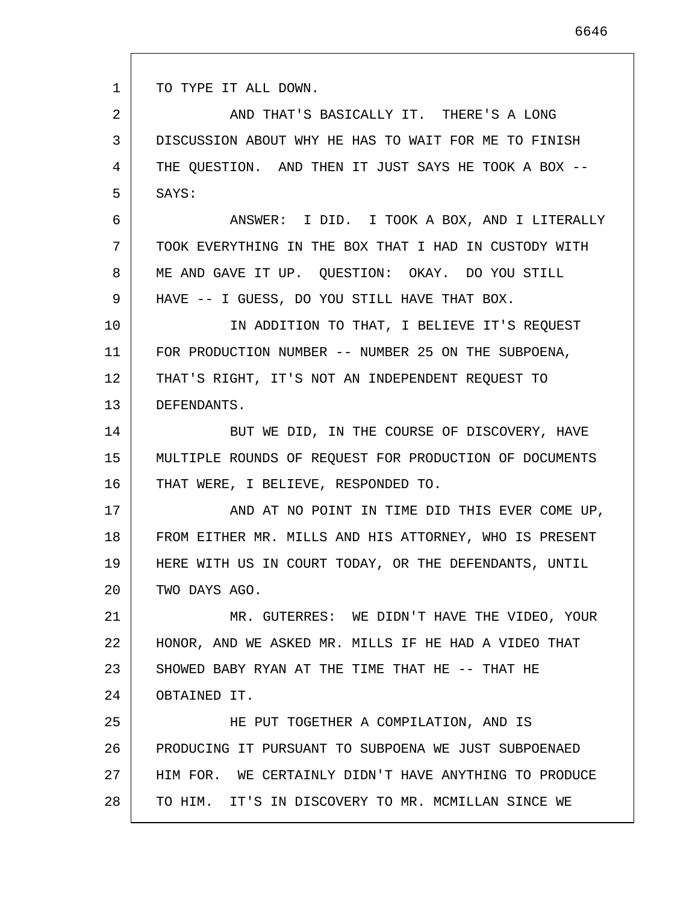1 TO TYPE IT ALL DOWN.

2 3 4 5 AND THAT'S BASICALLY IT. THERE'S A LONG DISCUSSION ABOUT WHY HE HAS TO WAIT FOR ME TO FINISH THE QUESTION. AND THEN IT JUST SAYS HE TOOK A BOX -- SAYS:

6 7 8 9 ANSWER: I DID. I TOOK A BOX, AND I LITERALLY TOOK EVERYTHING IN THE BOX THAT I HAD IN CUSTODY WITH ME AND GAVE IT UP. QUESTION: OKAY. DO YOU STILL HAVE -- I GUESS, DO YOU STILL HAVE THAT BOX.

10 11 12 13 IN ADDITION TO THAT, I BELIEVE IT'S REQUEST FOR PRODUCTION NUMBER -- NUMBER 25 ON THE SUBPOENA, THAT'S RIGHT, IT'S NOT AN INDEPENDENT REQUEST TO DEFENDANTS.

14 15 16 BUT WE DID, IN THE COURSE OF DISCOVERY, HAVE MULTIPLE ROUNDS OF REQUEST FOR PRODUCTION OF DOCUMENTS THAT WERE, I BELIEVE, RESPONDED TO.

17 18 19 20 AND AT NO POINT IN TIME DID THIS EVER COME UP, FROM EITHER MR. MILLS AND HIS ATTORNEY, WHO IS PRESENT HERE WITH US IN COURT TODAY, OR THE DEFENDANTS, UNTIL TWO DAYS AGO.

21 22 23 24 MR. GUTERRES: WE DIDN'T HAVE THE VIDEO, YOUR HONOR, AND WE ASKED MR. MILLS IF HE HAD A VIDEO THAT SHOWED BABY RYAN AT THE TIME THAT HE -- THAT HE OBTAINED IT.

25 26 27 28 HE PUT TOGETHER A COMPILATION, AND IS PRODUCING IT PURSUANT TO SUBPOENA WE JUST SUBPOENAED HIM FOR. WE CERTAINLY DIDN'T HAVE ANYTHING TO PRODUCE TO HIM. IT'S IN DISCOVERY TO MR. MCMILLAN SINCE WE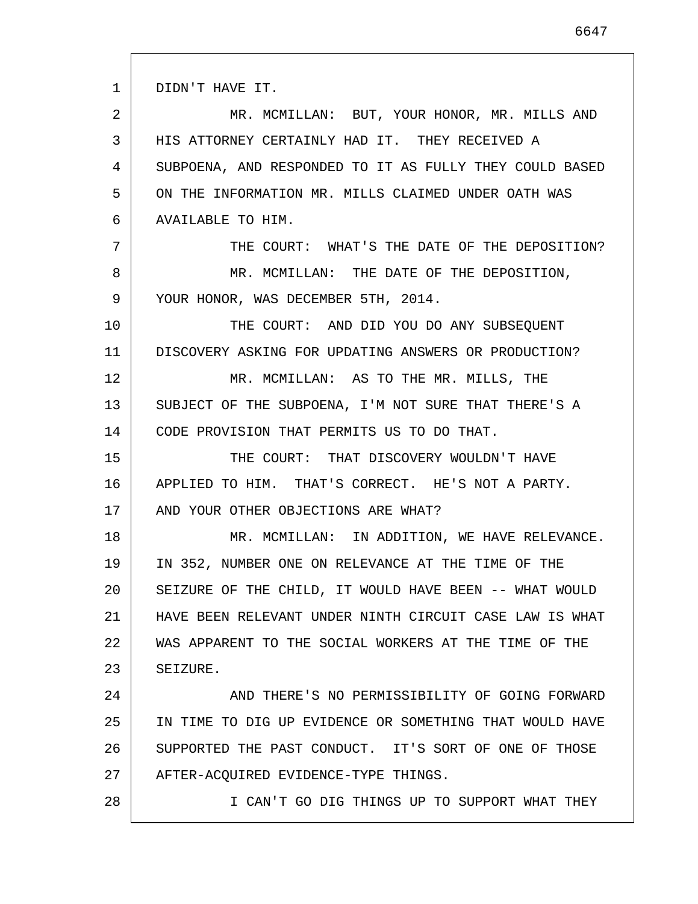1 2 3 4 5 6 7 8 9 10 11 12 13 14 15 16 17 18 19 20 21 22 23 24 25 26 27 28 DIDN'T HAVE IT. MR. MCMILLAN: BUT, YOUR HONOR, MR. MILLS AND HIS ATTORNEY CERTAINLY HAD IT. THEY RECEIVED A SUBPOENA, AND RESPONDED TO IT AS FULLY THEY COULD BASED ON THE INFORMATION MR. MILLS CLAIMED UNDER OATH WAS AVAILABLE TO HIM. THE COURT: WHAT'S THE DATE OF THE DEPOSITION? MR. MCMILLAN: THE DATE OF THE DEPOSITION, YOUR HONOR, WAS DECEMBER 5TH, 2014. THE COURT: AND DID YOU DO ANY SUBSEQUENT DISCOVERY ASKING FOR UPDATING ANSWERS OR PRODUCTION? MR. MCMILLAN: AS TO THE MR. MILLS, THE SUBJECT OF THE SUBPOENA, I'M NOT SURE THAT THERE'S A CODE PROVISION THAT PERMITS US TO DO THAT. THE COURT: THAT DISCOVERY WOULDN'T HAVE APPLIED TO HIM. THAT'S CORRECT. HE'S NOT A PARTY. AND YOUR OTHER OBJECTIONS ARE WHAT? MR. MCMILLAN: IN ADDITION, WE HAVE RELEVANCE. IN 352, NUMBER ONE ON RELEVANCE AT THE TIME OF THE SEIZURE OF THE CHILD, IT WOULD HAVE BEEN -- WHAT WOULD HAVE BEEN RELEVANT UNDER NINTH CIRCUIT CASE LAW IS WHAT WAS APPARENT TO THE SOCIAL WORKERS AT THE TIME OF THE SEIZURE. AND THERE'S NO PERMISSIBILITY OF GOING FORWARD IN TIME TO DIG UP EVIDENCE OR SOMETHING THAT WOULD HAVE SUPPORTED THE PAST CONDUCT. IT'S SORT OF ONE OF THOSE AFTER-ACQUIRED EVIDENCE-TYPE THINGS. I CAN'T GO DIG THINGS UP TO SUPPORT WHAT THEY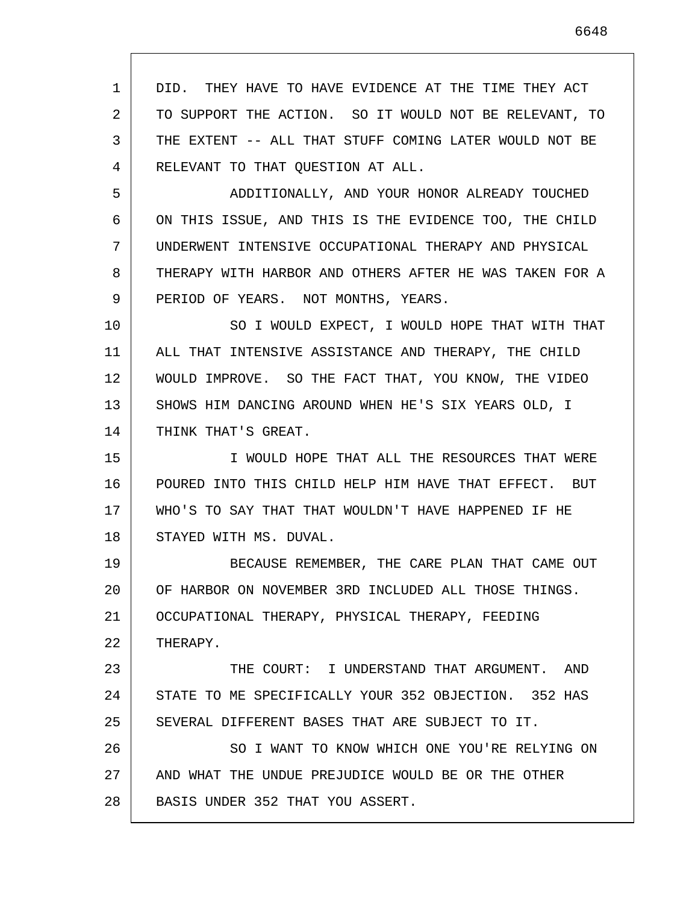1 2 3 4 5 6 7 8 9 10 11 12 13 14 15 16 17 18 19 20 21 22 23 24 25 26 27 28 DID. THEY HAVE TO HAVE EVIDENCE AT THE TIME THEY ACT TO SUPPORT THE ACTION. SO IT WOULD NOT BE RELEVANT, TO THE EXTENT -- ALL THAT STUFF COMING LATER WOULD NOT BE RELEVANT TO THAT QUESTION AT ALL. ADDITIONALLY, AND YOUR HONOR ALREADY TOUCHED ON THIS ISSUE, AND THIS IS THE EVIDENCE TOO, THE CHILD UNDERWENT INTENSIVE OCCUPATIONAL THERAPY AND PHYSICAL THERAPY WITH HARBOR AND OTHERS AFTER HE WAS TAKEN FOR A PERIOD OF YEARS. NOT MONTHS, YEARS. SO I WOULD EXPECT, I WOULD HOPE THAT WITH THAT ALL THAT INTENSIVE ASSISTANCE AND THERAPY, THE CHILD WOULD IMPROVE. SO THE FACT THAT, YOU KNOW, THE VIDEO SHOWS HIM DANCING AROUND WHEN HE'S SIX YEARS OLD, I THINK THAT'S GREAT. I WOULD HOPE THAT ALL THE RESOURCES THAT WERE POURED INTO THIS CHILD HELP HIM HAVE THAT EFFECT. BUT WHO'S TO SAY THAT THAT WOULDN'T HAVE HAPPENED IF HE STAYED WITH MS. DUVAL. BECAUSE REMEMBER, THE CARE PLAN THAT CAME OUT OF HARBOR ON NOVEMBER 3RD INCLUDED ALL THOSE THINGS. OCCUPATIONAL THERAPY, PHYSICAL THERAPY, FEEDING THERAPY. THE COURT: I UNDERSTAND THAT ARGUMENT. AND STATE TO ME SPECIFICALLY YOUR 352 OBJECTION. 352 HAS SEVERAL DIFFERENT BASES THAT ARE SUBJECT TO IT. SO I WANT TO KNOW WHICH ONE YOU'RE RELYING ON AND WHAT THE UNDUE PREJUDICE WOULD BE OR THE OTHER BASIS UNDER 352 THAT YOU ASSERT.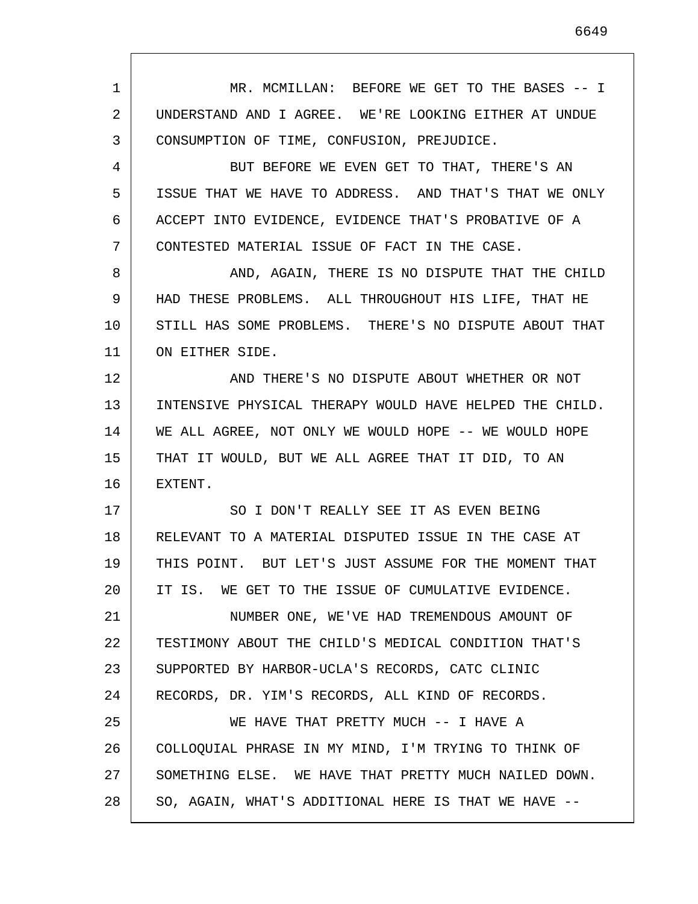1 2 3 4 5 6 7 8 9 10 11 12 13 14 15 16 17 18 19 20 21 22 23 24 25 26 27 28 MR. MCMILLAN: BEFORE WE GET TO THE BASES -- I UNDERSTAND AND I AGREE. WE'RE LOOKING EITHER AT UNDUE CONSUMPTION OF TIME, CONFUSION, PREJUDICE. BUT BEFORE WE EVEN GET TO THAT, THERE'S AN ISSUE THAT WE HAVE TO ADDRESS. AND THAT'S THAT WE ONLY ACCEPT INTO EVIDENCE, EVIDENCE THAT'S PROBATIVE OF A CONTESTED MATERIAL ISSUE OF FACT IN THE CASE. AND, AGAIN, THERE IS NO DISPUTE THAT THE CHILD HAD THESE PROBLEMS. ALL THROUGHOUT HIS LIFE, THAT HE STILL HAS SOME PROBLEMS. THERE'S NO DISPUTE ABOUT THAT ON EITHER SIDE. AND THERE'S NO DISPUTE ABOUT WHETHER OR NOT INTENSIVE PHYSICAL THERAPY WOULD HAVE HELPED THE CHILD. WE ALL AGREE, NOT ONLY WE WOULD HOPE -- WE WOULD HOPE THAT IT WOULD, BUT WE ALL AGREE THAT IT DID, TO AN EXTENT. SO I DON'T REALLY SEE IT AS EVEN BEING RELEVANT TO A MATERIAL DISPUTED ISSUE IN THE CASE AT THIS POINT. BUT LET'S JUST ASSUME FOR THE MOMENT THAT IT IS. WE GET TO THE ISSUE OF CUMULATIVE EVIDENCE. NUMBER ONE, WE'VE HAD TREMENDOUS AMOUNT OF TESTIMONY ABOUT THE CHILD'S MEDICAL CONDITION THAT'S SUPPORTED BY HARBOR-UCLA'S RECORDS, CATC CLINIC RECORDS, DR. YIM'S RECORDS, ALL KIND OF RECORDS. WE HAVE THAT PRETTY MUCH -- I HAVE A COLLOQUIAL PHRASE IN MY MIND, I'M TRYING TO THINK OF SOMETHING ELSE. WE HAVE THAT PRETTY MUCH NAILED DOWN. SO, AGAIN, WHAT'S ADDITIONAL HERE IS THAT WE HAVE --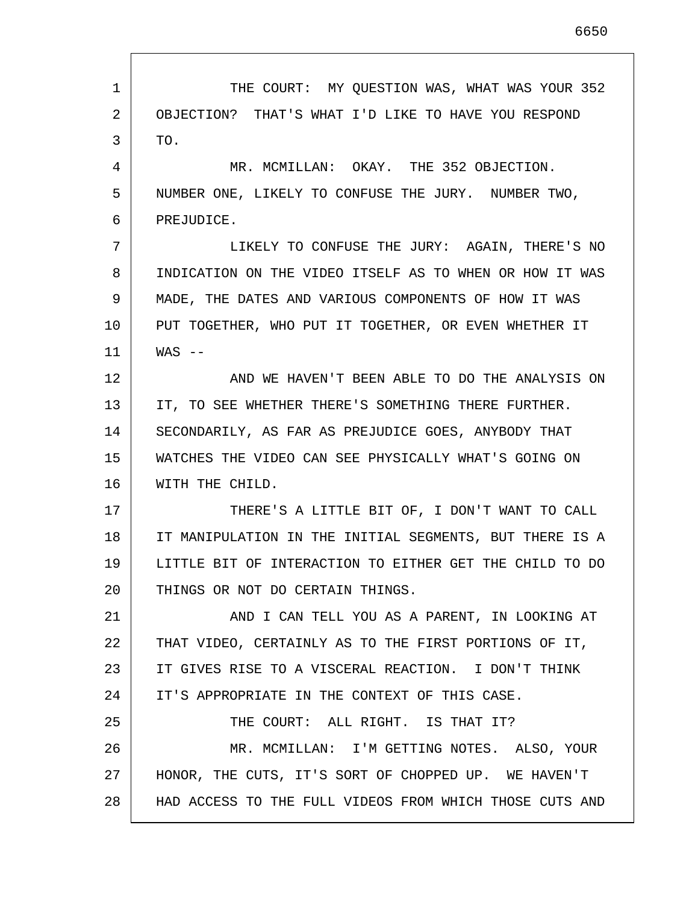1 2 3 4 5 6 7 8 9 10 11 12 13 14 15 16 17 18 19 20 21 22 23 24 25 26 27 28 THE COURT: MY QUESTION WAS, WHAT WAS YOUR 352 OBJECTION? THAT'S WHAT I'D LIKE TO HAVE YOU RESPOND TO. MR. MCMILLAN: OKAY. THE 352 OBJECTION. NUMBER ONE, LIKELY TO CONFUSE THE JURY. NUMBER TWO, PREJUDICE. LIKELY TO CONFUSE THE JURY: AGAIN, THERE'S NO INDICATION ON THE VIDEO ITSELF AS TO WHEN OR HOW IT WAS MADE, THE DATES AND VARIOUS COMPONENTS OF HOW IT WAS PUT TOGETHER, WHO PUT IT TOGETHER, OR EVEN WHETHER IT  $WAS$   $--$ AND WE HAVEN'T BEEN ABLE TO DO THE ANALYSIS ON IT, TO SEE WHETHER THERE'S SOMETHING THERE FURTHER. SECONDARILY, AS FAR AS PREJUDICE GOES, ANYBODY THAT WATCHES THE VIDEO CAN SEE PHYSICALLY WHAT'S GOING ON WITH THE CHILD. THERE'S A LITTLE BIT OF, I DON'T WANT TO CALL IT MANIPULATION IN THE INITIAL SEGMENTS, BUT THERE IS A LITTLE BIT OF INTERACTION TO EITHER GET THE CHILD TO DO THINGS OR NOT DO CERTAIN THINGS. AND I CAN TELL YOU AS A PARENT, IN LOOKING AT THAT VIDEO, CERTAINLY AS TO THE FIRST PORTIONS OF IT, IT GIVES RISE TO A VISCERAL REACTION. I DON'T THINK IT'S APPROPRIATE IN THE CONTEXT OF THIS CASE. THE COURT: ALL RIGHT. IS THAT IT? MR. MCMILLAN: I'M GETTING NOTES. ALSO, YOUR HONOR, THE CUTS, IT'S SORT OF CHOPPED UP. WE HAVEN'T HAD ACCESS TO THE FULL VIDEOS FROM WHICH THOSE CUTS AND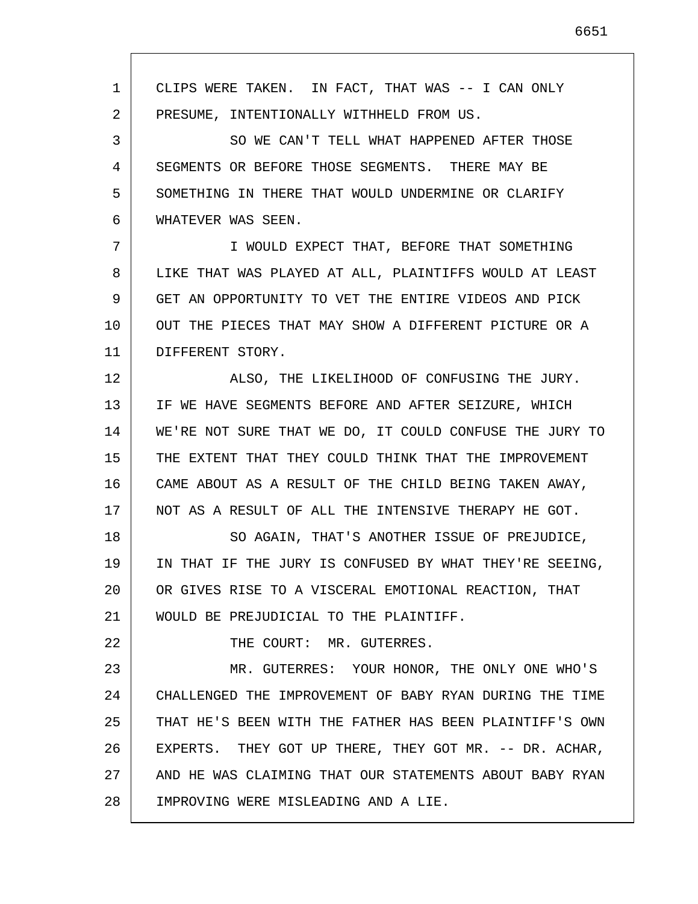1 2 3 4 5 6 7 8 9 10 11 12 13 14 15 16 17 18 19 20 21 22 23 24 25 26 27 28 CLIPS WERE TAKEN. IN FACT, THAT WAS -- I CAN ONLY PRESUME, INTENTIONALLY WITHHELD FROM US. SO WE CAN'T TELL WHAT HAPPENED AFTER THOSE SEGMENTS OR BEFORE THOSE SEGMENTS. THERE MAY BE SOMETHING IN THERE THAT WOULD UNDERMINE OR CLARIFY WHATEVER WAS SEEN. I WOULD EXPECT THAT, BEFORE THAT SOMETHING LIKE THAT WAS PLAYED AT ALL, PLAINTIFFS WOULD AT LEAST GET AN OPPORTUNITY TO VET THE ENTIRE VIDEOS AND PICK OUT THE PIECES THAT MAY SHOW A DIFFERENT PICTURE OR A DIFFERENT STORY. ALSO, THE LIKELIHOOD OF CONFUSING THE JURY. IF WE HAVE SEGMENTS BEFORE AND AFTER SEIZURE, WHICH WE'RE NOT SURE THAT WE DO, IT COULD CONFUSE THE JURY TO THE EXTENT THAT THEY COULD THINK THAT THE IMPROVEMENT CAME ABOUT AS A RESULT OF THE CHILD BEING TAKEN AWAY, NOT AS A RESULT OF ALL THE INTENSIVE THERAPY HE GOT. SO AGAIN, THAT'S ANOTHER ISSUE OF PREJUDICE, IN THAT IF THE JURY IS CONFUSED BY WHAT THEY'RE SEEING, OR GIVES RISE TO A VISCERAL EMOTIONAL REACTION, THAT WOULD BE PREJUDICIAL TO THE PLAINTIFF. THE COURT: MR. GUTERRES. MR. GUTERRES: YOUR HONOR, THE ONLY ONE WHO'S CHALLENGED THE IMPROVEMENT OF BABY RYAN DURING THE TIME THAT HE'S BEEN WITH THE FATHER HAS BEEN PLAINTIFF'S OWN EXPERTS. THEY GOT UP THERE, THEY GOT MR. -- DR. ACHAR, AND HE WAS CLAIMING THAT OUR STATEMENTS ABOUT BABY RYAN IMPROVING WERE MISLEADING AND A LIE.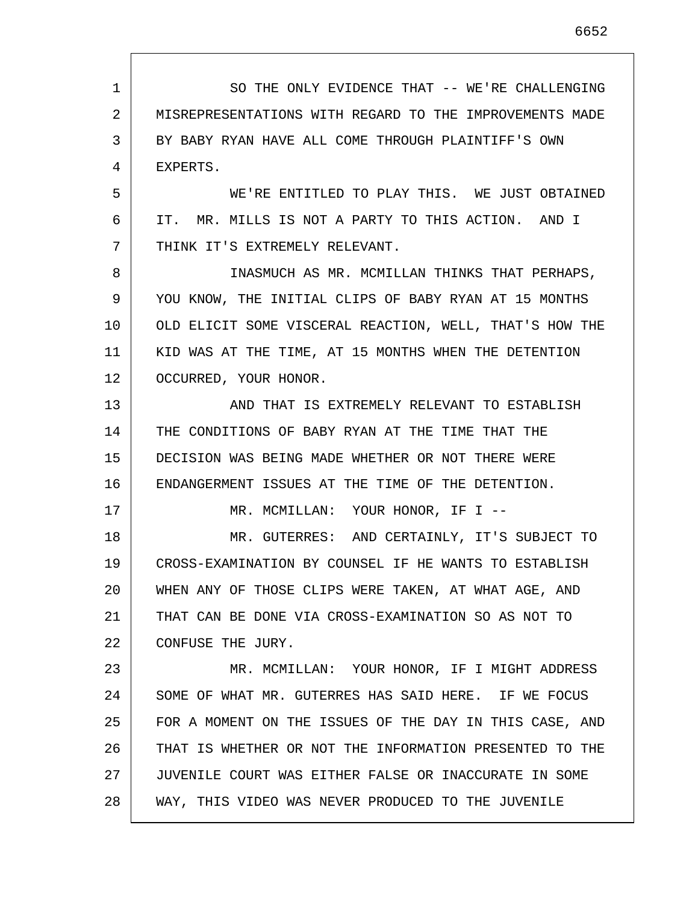1 2 3 4 5 6 7 8 9 10 11 12 13 14 15 16 17 18 19 20 21 22 23 24 25 26 27 28 SO THE ONLY EVIDENCE THAT -- WE'RE CHALLENGING MISREPRESENTATIONS WITH REGARD TO THE IMPROVEMENTS MADE BY BABY RYAN HAVE ALL COME THROUGH PLAINTIFF'S OWN EXPERTS. WE'RE ENTITLED TO PLAY THIS. WE JUST OBTAINED IT. MR. MILLS IS NOT A PARTY TO THIS ACTION. AND I THINK IT'S EXTREMELY RELEVANT. INASMUCH AS MR. MCMILLAN THINKS THAT PERHAPS, YOU KNOW, THE INITIAL CLIPS OF BABY RYAN AT 15 MONTHS OLD ELICIT SOME VISCERAL REACTION, WELL, THAT'S HOW THE KID WAS AT THE TIME, AT 15 MONTHS WHEN THE DETENTION OCCURRED, YOUR HONOR. AND THAT IS EXTREMELY RELEVANT TO ESTABLISH THE CONDITIONS OF BABY RYAN AT THE TIME THAT THE DECISION WAS BEING MADE WHETHER OR NOT THERE WERE ENDANGERMENT ISSUES AT THE TIME OF THE DETENTION. MR. MCMILLAN: YOUR HONOR, IF I -- MR. GUTERRES: AND CERTAINLY, IT'S SUBJECT TO CROSS-EXAMINATION BY COUNSEL IF HE WANTS TO ESTABLISH WHEN ANY OF THOSE CLIPS WERE TAKEN, AT WHAT AGE, AND THAT CAN BE DONE VIA CROSS-EXAMINATION SO AS NOT TO CONFUSE THE JURY. MR. MCMILLAN: YOUR HONOR, IF I MIGHT ADDRESS SOME OF WHAT MR. GUTERRES HAS SAID HERE. IF WE FOCUS FOR A MOMENT ON THE ISSUES OF THE DAY IN THIS CASE, AND THAT IS WHETHER OR NOT THE INFORMATION PRESENTED TO THE JUVENILE COURT WAS EITHER FALSE OR INACCURATE IN SOME WAY, THIS VIDEO WAS NEVER PRODUCED TO THE JUVENILE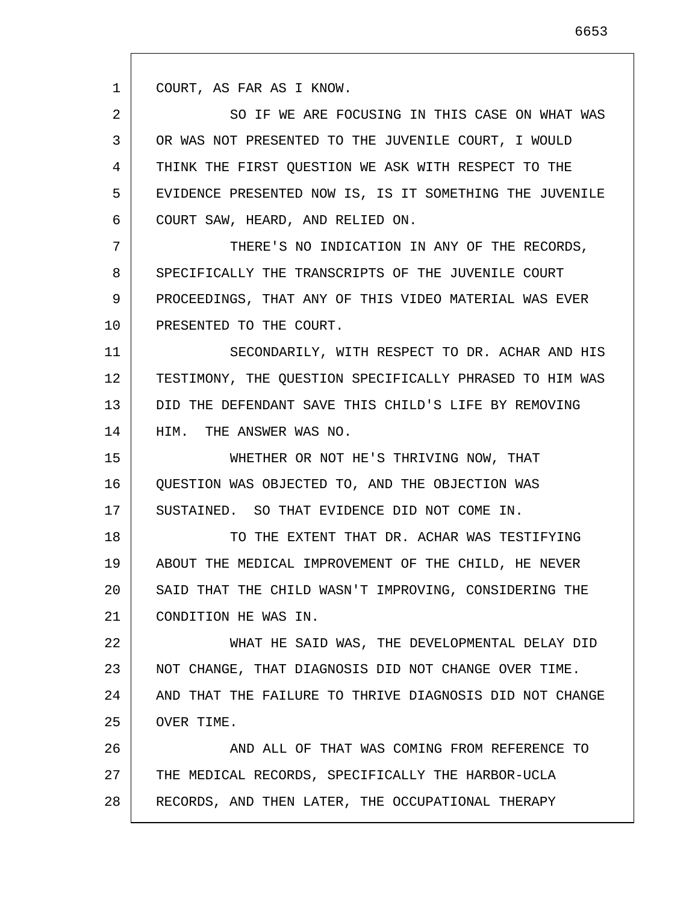1 COURT, AS FAR AS I KNOW.

2 3 4 5 6 SO IF WE ARE FOCUSING IN THIS CASE ON WHAT WAS OR WAS NOT PRESENTED TO THE JUVENILE COURT, I WOULD THINK THE FIRST QUESTION WE ASK WITH RESPECT TO THE EVIDENCE PRESENTED NOW IS, IS IT SOMETHING THE JUVENILE COURT SAW, HEARD, AND RELIED ON.

7 8 9 10 THERE'S NO INDICATION IN ANY OF THE RECORDS, SPECIFICALLY THE TRANSCRIPTS OF THE JUVENILE COURT PROCEEDINGS, THAT ANY OF THIS VIDEO MATERIAL WAS EVER PRESENTED TO THE COURT.

11 12 13 14 SECONDARILY, WITH RESPECT TO DR. ACHAR AND HIS TESTIMONY, THE QUESTION SPECIFICALLY PHRASED TO HIM WAS DID THE DEFENDANT SAVE THIS CHILD'S LIFE BY REMOVING HIM. THE ANSWER WAS NO.

15 16 17 WHETHER OR NOT HE'S THRIVING NOW, THAT QUESTION WAS OBJECTED TO, AND THE OBJECTION WAS SUSTAINED. SO THAT EVIDENCE DID NOT COME IN.

18 19 20 21 TO THE EXTENT THAT DR. ACHAR WAS TESTIFYING ABOUT THE MEDICAL IMPROVEMENT OF THE CHILD, HE NEVER SAID THAT THE CHILD WASN'T IMPROVING, CONSIDERING THE CONDITION HE WAS IN.

22 23 24 25 WHAT HE SAID WAS, THE DEVELOPMENTAL DELAY DID NOT CHANGE, THAT DIAGNOSIS DID NOT CHANGE OVER TIME. AND THAT THE FAILURE TO THRIVE DIAGNOSIS DID NOT CHANGE OVER TIME.

26 27 28 AND ALL OF THAT WAS COMING FROM REFERENCE TO THE MEDICAL RECORDS, SPECIFICALLY THE HARBOR-UCLA RECORDS, AND THEN LATER, THE OCCUPATIONAL THERAPY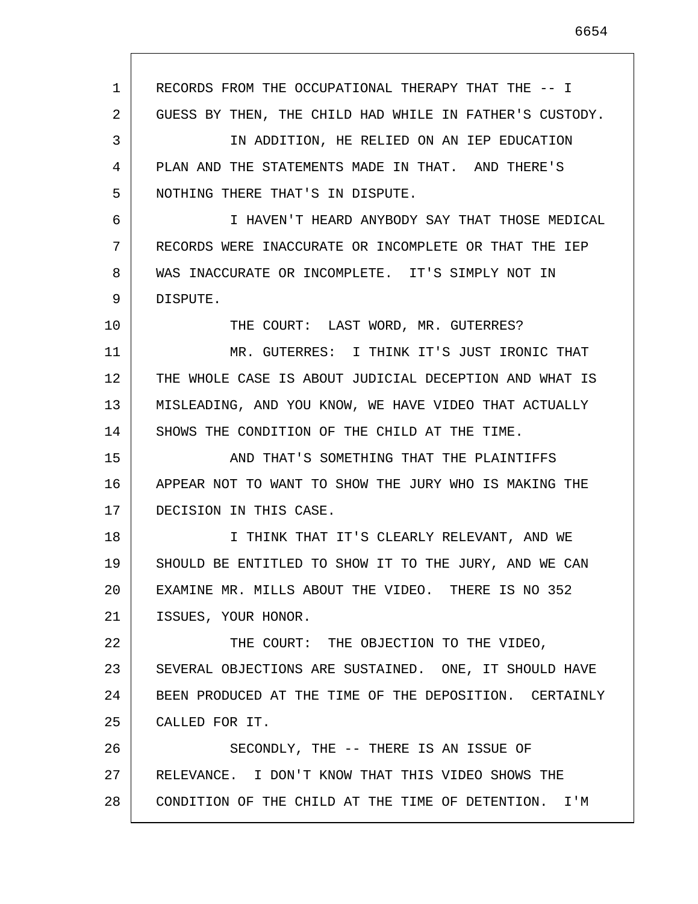1 2 3 4 5 6 7 8 9 10 11 12 13 14 15 16 17 18 19 20 21 22 23 24 25 26 27 28 RECORDS FROM THE OCCUPATIONAL THERAPY THAT THE -- I GUESS BY THEN, THE CHILD HAD WHILE IN FATHER'S CUSTODY. IN ADDITION, HE RELIED ON AN IEP EDUCATION PLAN AND THE STATEMENTS MADE IN THAT. AND THERE'S NOTHING THERE THAT'S IN DISPUTE. I HAVEN'T HEARD ANYBODY SAY THAT THOSE MEDICAL RECORDS WERE INACCURATE OR INCOMPLETE OR THAT THE IEP WAS INACCURATE OR INCOMPLETE. IT'S SIMPLY NOT IN DISPUTE. THE COURT: LAST WORD, MR. GUTERRES? MR. GUTERRES: I THINK IT'S JUST IRONIC THAT THE WHOLE CASE IS ABOUT JUDICIAL DECEPTION AND WHAT IS MISLEADING, AND YOU KNOW, WE HAVE VIDEO THAT ACTUALLY SHOWS THE CONDITION OF THE CHILD AT THE TIME. AND THAT'S SOMETHING THAT THE PLAINTIFFS APPEAR NOT TO WANT TO SHOW THE JURY WHO IS MAKING THE DECISION IN THIS CASE. I THINK THAT IT'S CLEARLY RELEVANT, AND WE SHOULD BE ENTITLED TO SHOW IT TO THE JURY, AND WE CAN EXAMINE MR. MILLS ABOUT THE VIDEO. THERE IS NO 352 ISSUES, YOUR HONOR. THE COURT: THE OBJECTION TO THE VIDEO, SEVERAL OBJECTIONS ARE SUSTAINED. ONE, IT SHOULD HAVE BEEN PRODUCED AT THE TIME OF THE DEPOSITION. CERTAINLY CALLED FOR IT. SECONDLY, THE -- THERE IS AN ISSUE OF RELEVANCE. I DON'T KNOW THAT THIS VIDEO SHOWS THE CONDITION OF THE CHILD AT THE TIME OF DETENTION. I'M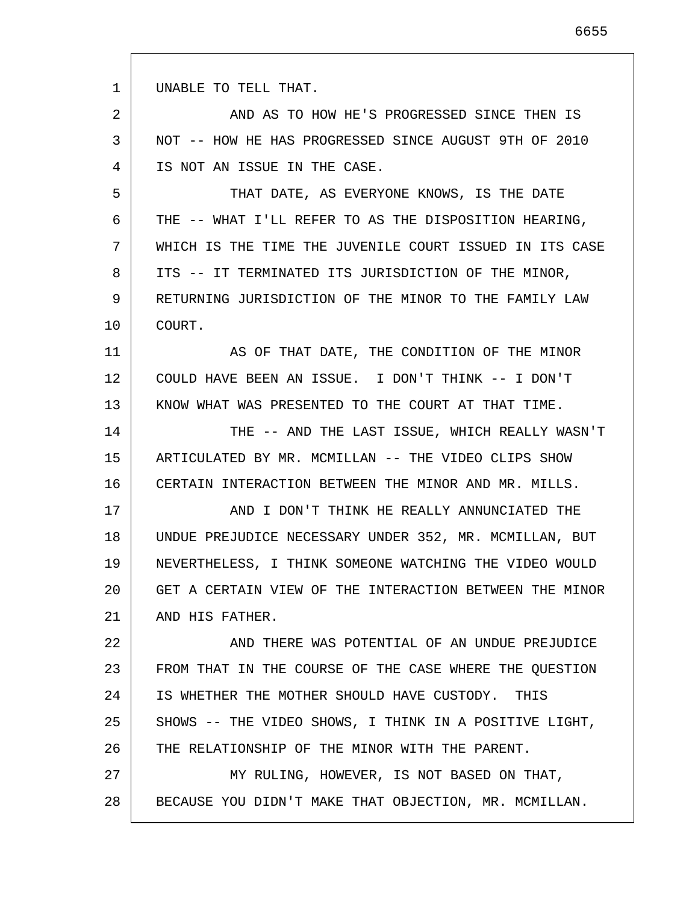| 1  | UNABLE TO TELL THAT.                                    |
|----|---------------------------------------------------------|
| 2  | AND AS TO HOW HE'S PROGRESSED SINCE THEN IS             |
| 3  | NOT -- HOW HE HAS PROGRESSED SINCE AUGUST 9TH OF 2010   |
| 4  | IS NOT AN ISSUE IN THE CASE.                            |
| 5  | THAT DATE, AS EVERYONE KNOWS, IS THE DATE               |
| 6  | THE -- WHAT I'LL REFER TO AS THE DISPOSITION HEARING,   |
| 7  | WHICH IS THE TIME THE JUVENILE COURT ISSUED IN ITS CASE |
| 8  | ITS -- IT TERMINATED ITS JURISDICTION OF THE MINOR,     |
| 9  | RETURNING JURISDICTION OF THE MINOR TO THE FAMILY LAW   |
| 10 | COURT.                                                  |
| 11 | AS OF THAT DATE, THE CONDITION OF THE MINOR             |
| 12 | COULD HAVE BEEN AN ISSUE. I DON'T THINK -- I DON'T      |
| 13 | KNOW WHAT WAS PRESENTED TO THE COURT AT THAT TIME.      |
| 14 | THE -- AND THE LAST ISSUE, WHICH REALLY WASN'T          |
| 15 | ARTICULATED BY MR. MCMILLAN -- THE VIDEO CLIPS SHOW     |
| 16 | CERTAIN INTERACTION BETWEEN THE MINOR AND MR. MILLS.    |
| 17 | AND I DON'T THINK HE REALLY ANNUNCIATED THE             |
| 18 | UNDUE PREJUDICE NECESSARY UNDER 352, MR. MCMILLAN, BUT  |
| 19 | NEVERTHELESS, I THINK SOMEONE WATCHING THE VIDEO WOULD  |
| 20 | GET A CERTAIN VIEW OF THE INTERACTION BETWEEN THE MINOR |
| 21 | AND HIS FATHER.                                         |
| 22 | AND THERE WAS POTENTIAL OF AN UNDUE PREJUDICE           |
| 23 | FROM THAT IN THE COURSE OF THE CASE WHERE THE QUESTION  |
| 24 | IS WHETHER THE MOTHER SHOULD HAVE CUSTODY. THIS         |
| 25 | SHOWS -- THE VIDEO SHOWS, I THINK IN A POSITIVE LIGHT,  |
| 26 | THE RELATIONSHIP OF THE MINOR WITH THE PARENT.          |
| 27 | MY RULING, HOWEVER, IS NOT BASED ON THAT,               |

28 BECAUSE YOU DIDN'T MAKE THAT OBJECTION, MR. MCMILLAN.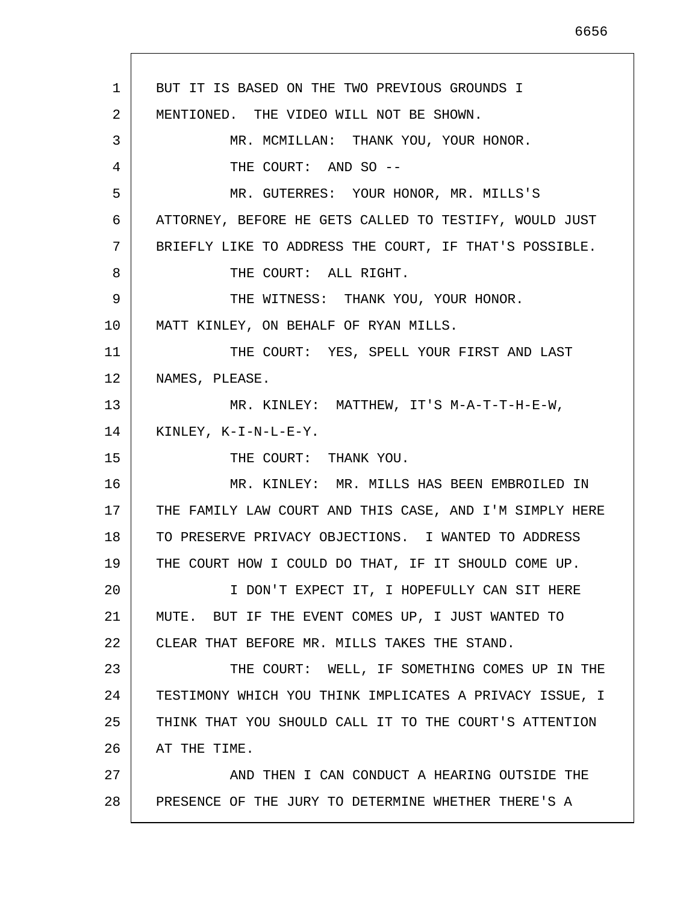1 2 3 4 5 6 7 8 9 10 11 12 13 14 15 16 17 18 19 20 21 22 23 24 25 26 27 28 BUT IT IS BASED ON THE TWO PREVIOUS GROUNDS I MENTIONED. THE VIDEO WILL NOT BE SHOWN. MR. MCMILLAN: THANK YOU, YOUR HONOR. THE COURT: AND SO --MR. GUTERRES: YOUR HONOR, MR. MILLS'S ATTORNEY, BEFORE HE GETS CALLED TO TESTIFY, WOULD JUST BRIEFLY LIKE TO ADDRESS THE COURT, IF THAT'S POSSIBLE. THE COURT: ALL RIGHT. THE WITNESS: THANK YOU, YOUR HONOR. MATT KINLEY, ON BEHALF OF RYAN MILLS. THE COURT: YES, SPELL YOUR FIRST AND LAST NAMES, PLEASE. MR. KINLEY: MATTHEW, IT'S M-A-T-T-H-E-W, KINLEY, K-I-N-L-E-Y. THE COURT: THANK YOU. MR. KINLEY: MR. MILLS HAS BEEN EMBROILED IN THE FAMILY LAW COURT AND THIS CASE, AND I'M SIMPLY HERE TO PRESERVE PRIVACY OBJECTIONS. I WANTED TO ADDRESS THE COURT HOW I COULD DO THAT, IF IT SHOULD COME UP. I DON'T EXPECT IT, I HOPEFULLY CAN SIT HERE MUTE. BUT IF THE EVENT COMES UP, I JUST WANTED TO CLEAR THAT BEFORE MR. MILLS TAKES THE STAND. THE COURT: WELL, IF SOMETHING COMES UP IN THE TESTIMONY WHICH YOU THINK IMPLICATES A PRIVACY ISSUE, I THINK THAT YOU SHOULD CALL IT TO THE COURT'S ATTENTION AT THE TIME. AND THEN I CAN CONDUCT A HEARING OUTSIDE THE PRESENCE OF THE JURY TO DETERMINE WHETHER THERE'S A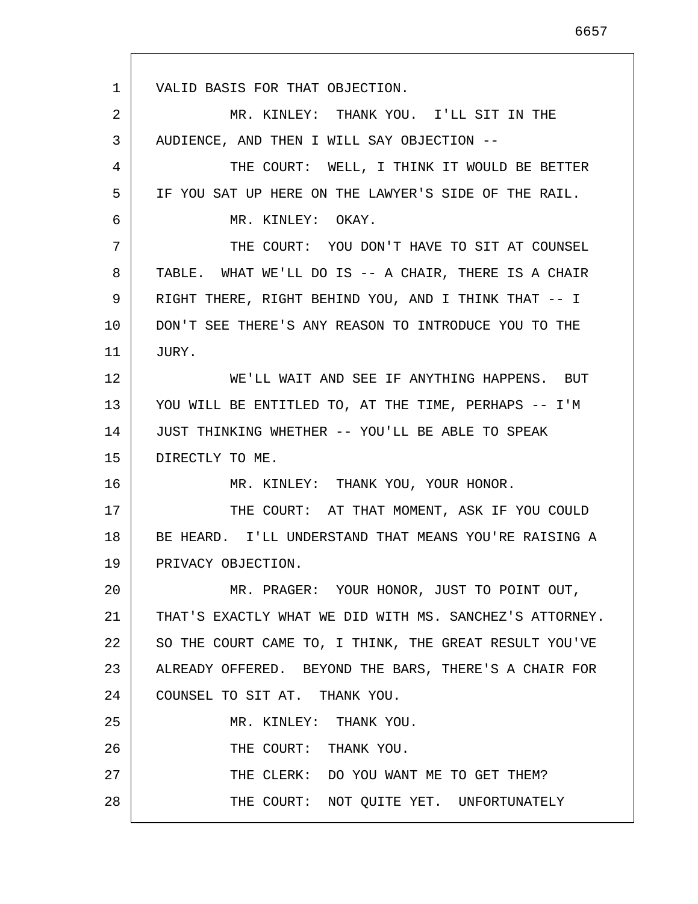1 2 3 4 5 6 7 8 9 10 11 12 13 14 15 16 17 18 19 20 21 22 23 24 25 26 27 28 VALID BASIS FOR THAT OBJECTION. MR. KINLEY: THANK YOU. I'LL SIT IN THE AUDIENCE, AND THEN I WILL SAY OBJECTION -- THE COURT: WELL, I THINK IT WOULD BE BETTER IF YOU SAT UP HERE ON THE LAWYER'S SIDE OF THE RAIL. MR. KINLEY: OKAY. THE COURT: YOU DON'T HAVE TO SIT AT COUNSEL TABLE. WHAT WE'LL DO IS -- A CHAIR, THERE IS A CHAIR RIGHT THERE, RIGHT BEHIND YOU, AND I THINK THAT -- I DON'T SEE THERE'S ANY REASON TO INTRODUCE YOU TO THE JURY. WE'LL WAIT AND SEE IF ANYTHING HAPPENS. BUT YOU WILL BE ENTITLED TO, AT THE TIME, PERHAPS -- I'M JUST THINKING WHETHER -- YOU'LL BE ABLE TO SPEAK DIRECTLY TO ME. MR. KINLEY: THANK YOU, YOUR HONOR. THE COURT: AT THAT MOMENT, ASK IF YOU COULD BE HEARD. I'LL UNDERSTAND THAT MEANS YOU'RE RAISING A PRIVACY OBJECTION. MR. PRAGER: YOUR HONOR, JUST TO POINT OUT, THAT'S EXACTLY WHAT WE DID WITH MS. SANCHEZ'S ATTORNEY. SO THE COURT CAME TO, I THINK, THE GREAT RESULT YOU'VE ALREADY OFFERED. BEYOND THE BARS, THERE'S A CHAIR FOR COUNSEL TO SIT AT. THANK YOU. MR. KINLEY: THANK YOU. THE COURT: THANK YOU. THE CLERK: DO YOU WANT ME TO GET THEM? THE COURT: NOT QUITE YET. UNFORTUNATELY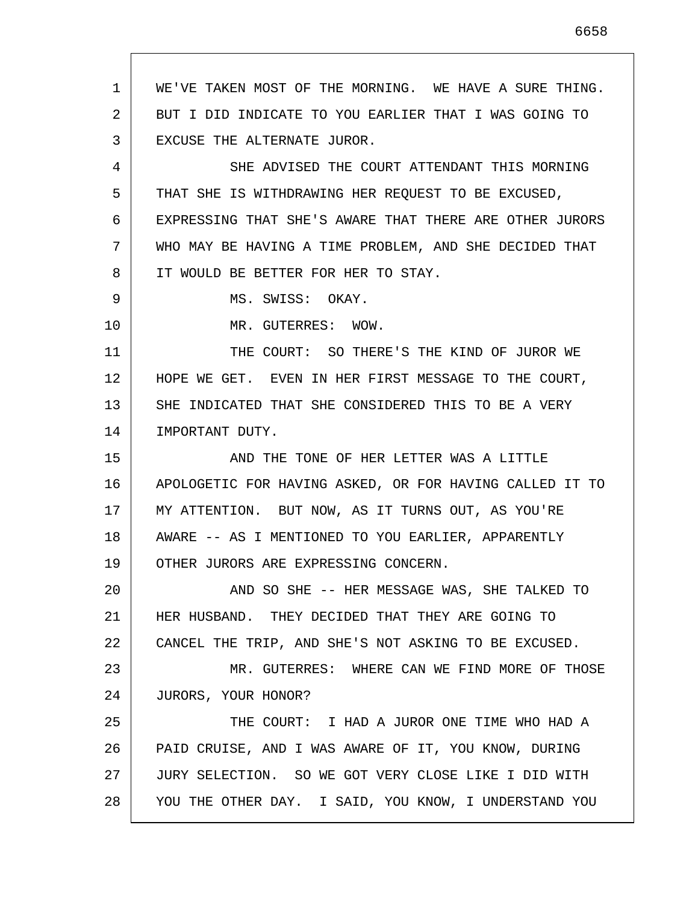1 2 3 4 5 6 7 8 9 10 11 12 13 14 15 16 17 18 19 20 21 22 23 24 25 26 27 WE'VE TAKEN MOST OF THE MORNING. WE HAVE A SURE THING. BUT I DID INDICATE TO YOU EARLIER THAT I WAS GOING TO EXCUSE THE ALTERNATE JUROR. SHE ADVISED THE COURT ATTENDANT THIS MORNING THAT SHE IS WITHDRAWING HER REQUEST TO BE EXCUSED, EXPRESSING THAT SHE'S AWARE THAT THERE ARE OTHER JURORS WHO MAY BE HAVING A TIME PROBLEM, AND SHE DECIDED THAT IT WOULD BE BETTER FOR HER TO STAY. MS. SWISS: OKAY. MR. GUTERRES: WOW. THE COURT: SO THERE'S THE KIND OF JUROR WE HOPE WE GET. EVEN IN HER FIRST MESSAGE TO THE COURT, SHE INDICATED THAT SHE CONSIDERED THIS TO BE A VERY IMPORTANT DUTY. AND THE TONE OF HER LETTER WAS A LITTLE APOLOGETIC FOR HAVING ASKED, OR FOR HAVING CALLED IT TO MY ATTENTION. BUT NOW, AS IT TURNS OUT, AS YOU'RE AWARE -- AS I MENTIONED TO YOU EARLIER, APPARENTLY OTHER JURORS ARE EXPRESSING CONCERN. AND SO SHE -- HER MESSAGE WAS, SHE TALKED TO HER HUSBAND. THEY DECIDED THAT THEY ARE GOING TO CANCEL THE TRIP, AND SHE'S NOT ASKING TO BE EXCUSED. MR. GUTERRES: WHERE CAN WE FIND MORE OF THOSE JURORS, YOUR HONOR? THE COURT: I HAD A JUROR ONE TIME WHO HAD A PAID CRUISE, AND I WAS AWARE OF IT, YOU KNOW, DURING JURY SELECTION. SO WE GOT VERY CLOSE LIKE I DID WITH

YOU THE OTHER DAY. I SAID, YOU KNOW, I UNDERSTAND YOU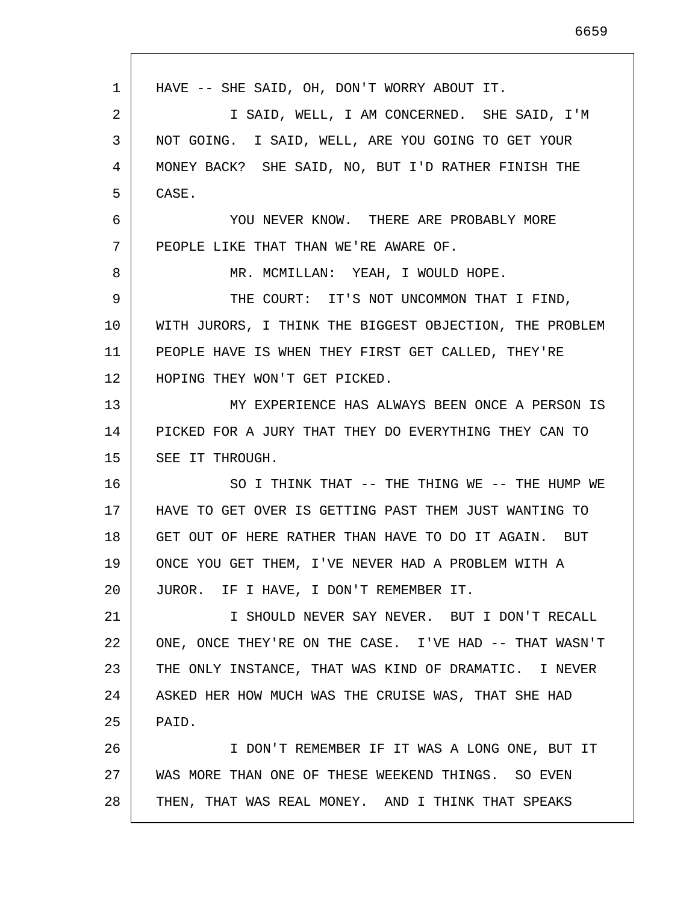| 1  | HAVE -- SHE SAID, OH, DON'T WORRY ABOUT IT.             |
|----|---------------------------------------------------------|
| 2  | I SAID, WELL, I AM CONCERNED. SHE SAID, I'M             |
| 3  | NOT GOING. I SAID, WELL, ARE YOU GOING TO GET YOUR      |
| 4  | MONEY BACK? SHE SAID, NO, BUT I'D RATHER FINISH THE     |
| 5  | CASE.                                                   |
| 6  | YOU NEVER KNOW. THERE ARE PROBABLY MORE                 |
| 7  | PEOPLE LIKE THAT THAN WE'RE AWARE OF.                   |
| 8  | MR. MCMILLAN: YEAH, I WOULD HOPE.                       |
| 9  | THE COURT: IT'S NOT UNCOMMON THAT I FIND,               |
| 10 | WITH JURORS, I THINK THE BIGGEST OBJECTION, THE PROBLEM |
| 11 | PEOPLE HAVE IS WHEN THEY FIRST GET CALLED, THEY'RE      |
| 12 | HOPING THEY WON'T GET PICKED.                           |
| 13 | MY EXPERIENCE HAS ALWAYS BEEN ONCE A PERSON IS          |
| 14 | PICKED FOR A JURY THAT THEY DO EVERYTHING THEY CAN TO   |
| 15 | SEE IT THROUGH.                                         |
| 16 | SO I THINK THAT -- THE THING WE -- THE HUMP WE          |
| 17 | HAVE TO GET OVER IS GETTING PAST THEM JUST WANTING TO   |
| 18 | GET OUT OF HERE RATHER THAN HAVE TO DO IT AGAIN. BUT    |
| 19 | ONCE YOU GET THEM, I'VE NEVER HAD A PROBLEM WITH A      |
| 20 | JUROR. IF I HAVE, I DON'T REMEMBER IT.                  |
| 21 | I SHOULD NEVER SAY NEVER. BUT I DON'T RECALL            |
| 22 | ONE, ONCE THEY'RE ON THE CASE. I'VE HAD -- THAT WASN'T  |
| 23 | THE ONLY INSTANCE, THAT WAS KIND OF DRAMATIC. I NEVER   |
| 24 | ASKED HER HOW MUCH WAS THE CRUISE WAS, THAT SHE HAD     |
| 25 | PAID.                                                   |
| 26 | I DON'T REMEMBER IF IT WAS A LONG ONE, BUT IT           |
| 27 | WAS MORE THAN ONE OF THESE WEEKEND THINGS. SO EVEN      |
| 28 | THEN, THAT WAS REAL MONEY. AND I THINK THAT SPEAKS      |
|    |                                                         |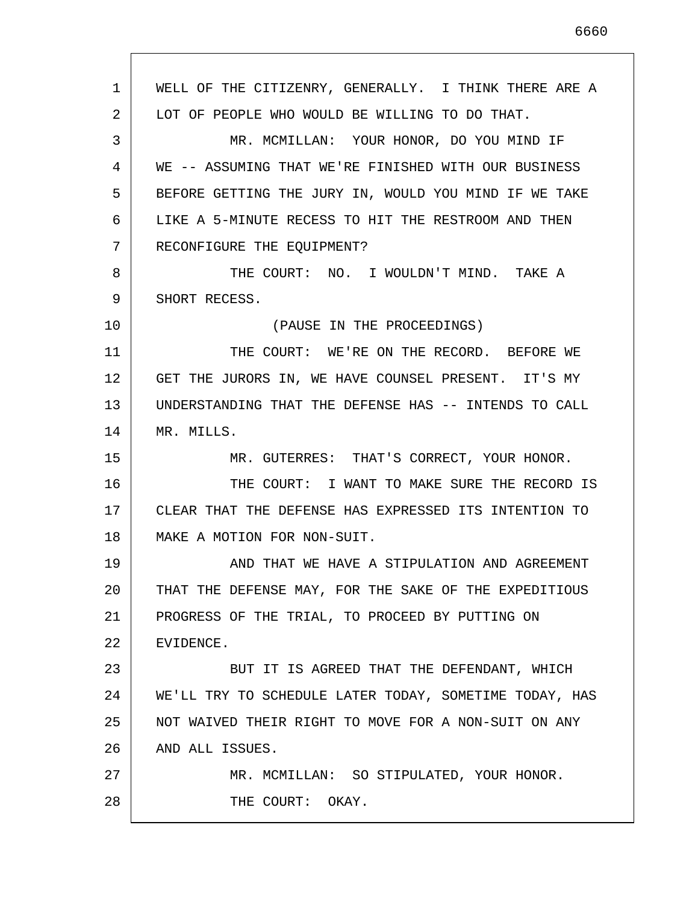1 2 3 4 5 6 7 8 9 10 11 12 13 14 15 16 17 18 19 20 21 22 23 24 25 26 27 28 WELL OF THE CITIZENRY, GENERALLY. I THINK THERE ARE A LOT OF PEOPLE WHO WOULD BE WILLING TO DO THAT. MR. MCMILLAN: YOUR HONOR, DO YOU MIND IF WE -- ASSUMING THAT WE'RE FINISHED WITH OUR BUSINESS BEFORE GETTING THE JURY IN, WOULD YOU MIND IF WE TAKE LIKE A 5-MINUTE RECESS TO HIT THE RESTROOM AND THEN RECONFIGURE THE EQUIPMENT? THE COURT: NO. I WOULDN'T MIND. TAKE A SHORT RECESS. (PAUSE IN THE PROCEEDINGS) THE COURT: WE'RE ON THE RECORD. BEFORE WE GET THE JURORS IN, WE HAVE COUNSEL PRESENT. IT'S MY UNDERSTANDING THAT THE DEFENSE HAS -- INTENDS TO CALL MR. MILLS. MR. GUTERRES: THAT'S CORRECT, YOUR HONOR. THE COURT: I WANT TO MAKE SURE THE RECORD IS CLEAR THAT THE DEFENSE HAS EXPRESSED ITS INTENTION TO MAKE A MOTION FOR NON-SUIT. AND THAT WE HAVE A STIPULATION AND AGREEMENT THAT THE DEFENSE MAY, FOR THE SAKE OF THE EXPEDITIOUS PROGRESS OF THE TRIAL, TO PROCEED BY PUTTING ON EVIDENCE. BUT IT IS AGREED THAT THE DEFENDANT, WHICH WE'LL TRY TO SCHEDULE LATER TODAY, SOMETIME TODAY, HAS NOT WAIVED THEIR RIGHT TO MOVE FOR A NON-SUIT ON ANY AND ALL ISSUES. MR. MCMILLAN: SO STIPULATED, YOUR HONOR. THE COURT: OKAY.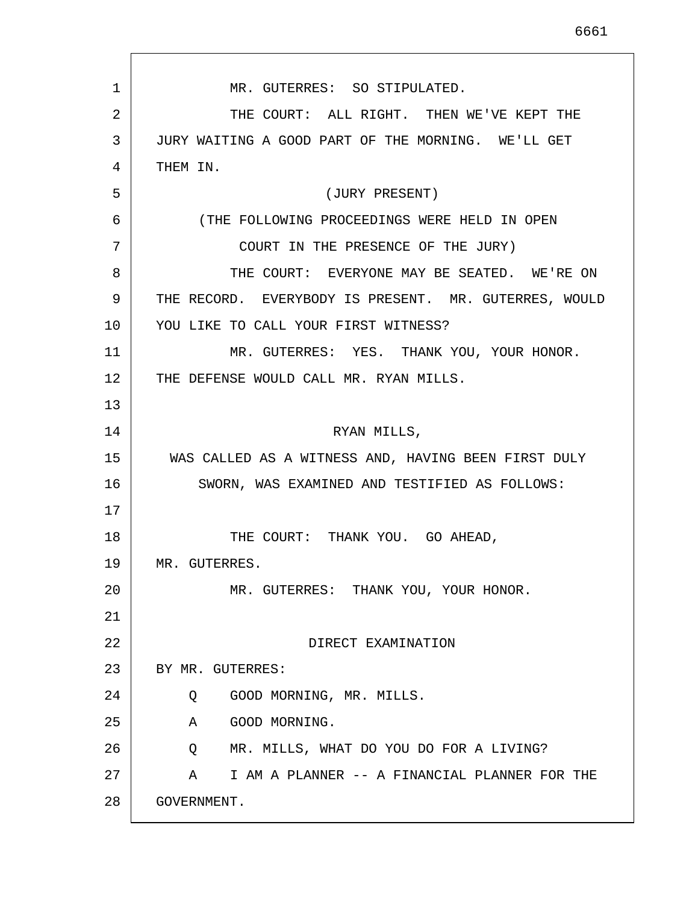1 2 3 4 5 6 7 8 9 10 11 12 13 14 15 16 17 18 19 20 21 22 23 24 25 26 27 28 MR. GUTERRES: SO STIPULATED. THE COURT: ALL RIGHT. THEN WE'VE KEPT THE JURY WAITING A GOOD PART OF THE MORNING. WE'LL GET THEM IN. (JURY PRESENT) (THE FOLLOWING PROCEEDINGS WERE HELD IN OPEN COURT IN THE PRESENCE OF THE JURY) THE COURT: EVERYONE MAY BE SEATED. WE'RE ON THE RECORD. EVERYBODY IS PRESENT. MR. GUTERRES, WOULD YOU LIKE TO CALL YOUR FIRST WITNESS? MR. GUTERRES: YES. THANK YOU, YOUR HONOR. THE DEFENSE WOULD CALL MR. RYAN MILLS. RYAN MILLS, WAS CALLED AS A WITNESS AND, HAVING BEEN FIRST DULY SWORN, WAS EXAMINED AND TESTIFIED AS FOLLOWS: THE COURT: THANK YOU. GO AHEAD, MR. GUTERRES. MR. GUTERRES: THANK YOU, YOUR HONOR. DIRECT EXAMINATION BY MR. GUTERRES: Q GOOD MORNING, MR. MILLS. A GOOD MORNING. Q MR. MILLS, WHAT DO YOU DO FOR A LIVING? A I AM A PLANNER -- A FINANCIAL PLANNER FOR THE GOVERNMENT.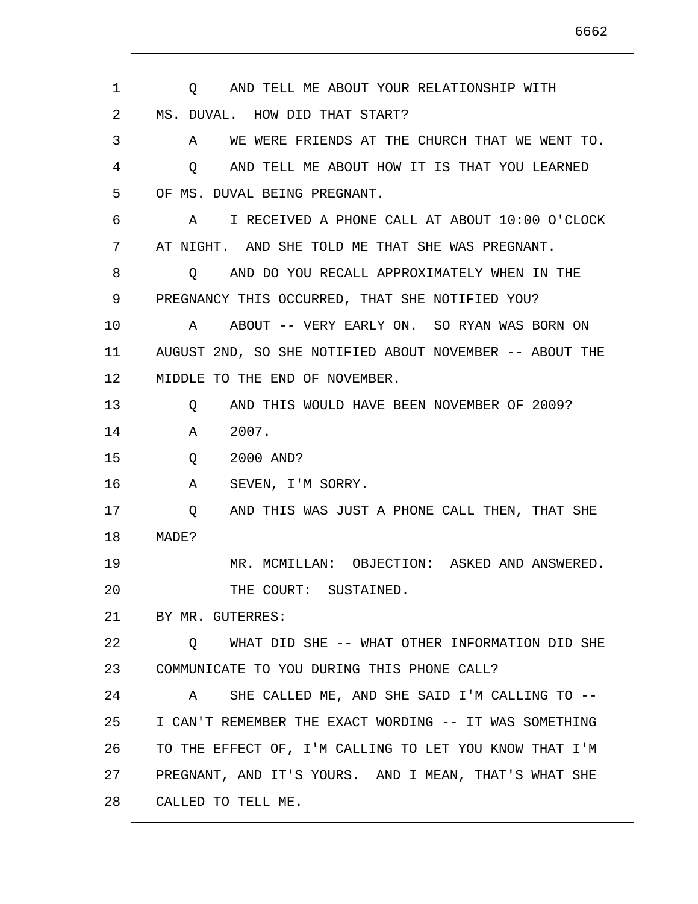1 2 3 4 5 6 7 8 9 10 11 12 13 14 15 16 17 18 19 20 21 22 23 24 25 26 27 28 Q AND TELL ME ABOUT YOUR RELATIONSHIP WITH MS. DUVAL. HOW DID THAT START? A WE WERE FRIENDS AT THE CHURCH THAT WE WENT TO. Q AND TELL ME ABOUT HOW IT IS THAT YOU LEARNED OF MS. DUVAL BEING PREGNANT. A I RECEIVED A PHONE CALL AT ABOUT 10:00 O'CLOCK AT NIGHT. AND SHE TOLD ME THAT SHE WAS PREGNANT. Q AND DO YOU RECALL APPROXIMATELY WHEN IN THE PREGNANCY THIS OCCURRED, THAT SHE NOTIFIED YOU? A ABOUT -- VERY EARLY ON. SO RYAN WAS BORN ON AUGUST 2ND, SO SHE NOTIFIED ABOUT NOVEMBER -- ABOUT THE MIDDLE TO THE END OF NOVEMBER. Q AND THIS WOULD HAVE BEEN NOVEMBER OF 2009? A 2007. Q 2000 AND? A SEVEN, I'M SORRY. Q AND THIS WAS JUST A PHONE CALL THEN, THAT SHE MADE? MR. MCMILLAN: OBJECTION: ASKED AND ANSWERED. THE COURT: SUSTAINED. BY MR. GUTERRES: Q WHAT DID SHE -- WHAT OTHER INFORMATION DID SHE COMMUNICATE TO YOU DURING THIS PHONE CALL? A SHE CALLED ME, AND SHE SAID I'M CALLING TO -- I CAN'T REMEMBER THE EXACT WORDING -- IT WAS SOMETHING TO THE EFFECT OF, I'M CALLING TO LET YOU KNOW THAT I'M PREGNANT, AND IT'S YOURS. AND I MEAN, THAT'S WHAT SHE CALLED TO TELL ME.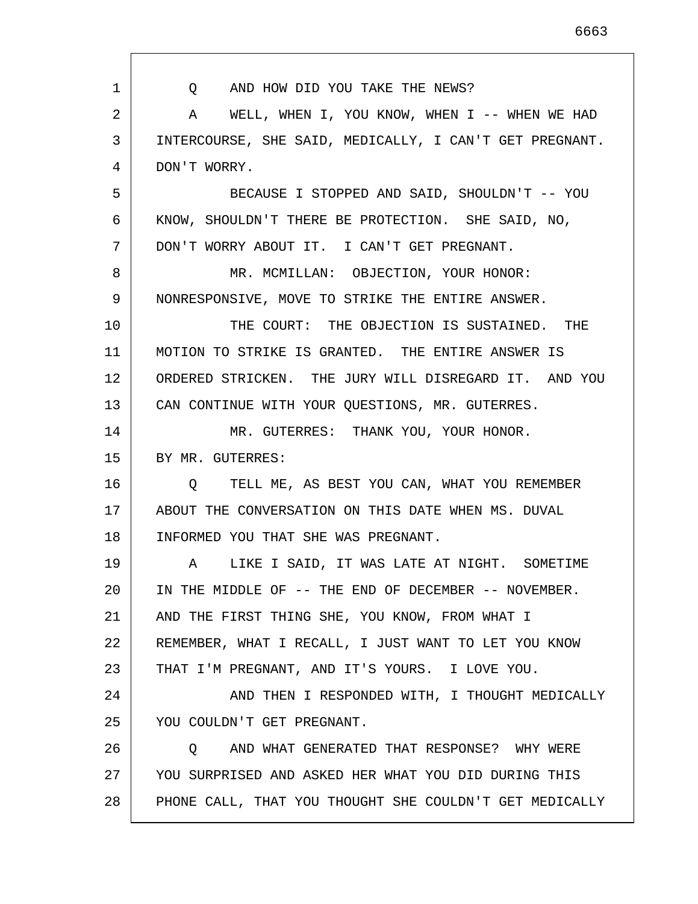1 2 3 4 5 6 7 8 9 10 11 12 13 14 15 16 17 18 19 20 21 22 23 24 25 26 27 28 Q AND HOW DID YOU TAKE THE NEWS? A WELL, WHEN I, YOU KNOW, WHEN I -- WHEN WE HAD INTERCOURSE, SHE SAID, MEDICALLY, I CAN'T GET PREGNANT. DON'T WORRY. BECAUSE I STOPPED AND SAID, SHOULDN'T -- YOU KNOW, SHOULDN'T THERE BE PROTECTION. SHE SAID, NO, DON'T WORRY ABOUT IT. I CAN'T GET PREGNANT. MR. MCMILLAN: OBJECTION, YOUR HONOR: NONRESPONSIVE, MOVE TO STRIKE THE ENTIRE ANSWER. THE COURT: THE OBJECTION IS SUSTAINED. THE MOTION TO STRIKE IS GRANTED. THE ENTIRE ANSWER IS ORDERED STRICKEN. THE JURY WILL DISREGARD IT. AND YOU CAN CONTINUE WITH YOUR QUESTIONS, MR. GUTERRES. MR. GUTERRES: THANK YOU, YOUR HONOR. BY MR. GUTERRES: Q TELL ME, AS BEST YOU CAN, WHAT YOU REMEMBER ABOUT THE CONVERSATION ON THIS DATE WHEN MS. DUVAL INFORMED YOU THAT SHE WAS PREGNANT. A LIKE I SAID, IT WAS LATE AT NIGHT. SOMETIME IN THE MIDDLE OF -- THE END OF DECEMBER -- NOVEMBER. AND THE FIRST THING SHE, YOU KNOW, FROM WHAT I REMEMBER, WHAT I RECALL, I JUST WANT TO LET YOU KNOW THAT I'M PREGNANT, AND IT'S YOURS. I LOVE YOU. AND THEN I RESPONDED WITH, I THOUGHT MEDICALLY YOU COULDN'T GET PREGNANT. Q AND WHAT GENERATED THAT RESPONSE? WHY WERE YOU SURPRISED AND ASKED HER WHAT YOU DID DURING THIS PHONE CALL, THAT YOU THOUGHT SHE COULDN'T GET MEDICALLY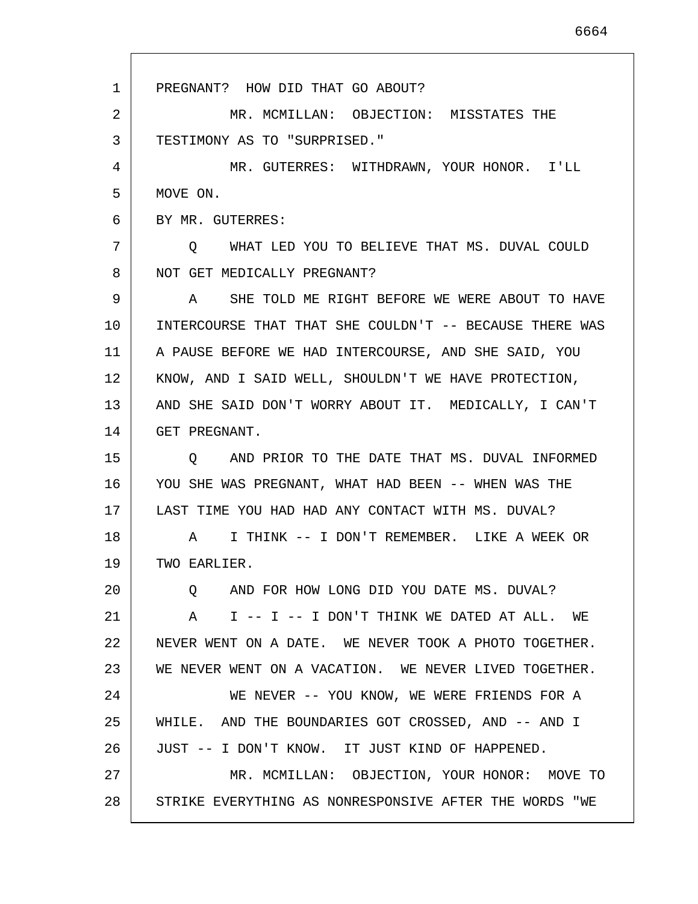1 2 3 4 5 6 7 8 9 10 11 12 13 14 15 16 17 18 19 20 21 22 23 24 25 26 27 28 PREGNANT? HOW DID THAT GO ABOUT? MR. MCMILLAN: OBJECTION: MISSTATES THE TESTIMONY AS TO "SURPRISED." MR. GUTERRES: WITHDRAWN, YOUR HONOR. I'LL MOVE ON. BY MR. GUTERRES: Q WHAT LED YOU TO BELIEVE THAT MS. DUVAL COULD NOT GET MEDICALLY PREGNANT? A SHE TOLD ME RIGHT BEFORE WE WERE ABOUT TO HAVE INTERCOURSE THAT THAT SHE COULDN'T -- BECAUSE THERE WAS A PAUSE BEFORE WE HAD INTERCOURSE, AND SHE SAID, YOU KNOW, AND I SAID WELL, SHOULDN'T WE HAVE PROTECTION, AND SHE SAID DON'T WORRY ABOUT IT. MEDICALLY, I CAN'T GET PREGNANT. Q AND PRIOR TO THE DATE THAT MS. DUVAL INFORMED YOU SHE WAS PREGNANT, WHAT HAD BEEN -- WHEN WAS THE LAST TIME YOU HAD HAD ANY CONTACT WITH MS. DUVAL? A I THINK -- I DON'T REMEMBER. LIKE A WEEK OR TWO EARLIER. Q AND FOR HOW LONG DID YOU DATE MS. DUVAL? A I -- I -- I DON'T THINK WE DATED AT ALL. WE NEVER WENT ON A DATE. WE NEVER TOOK A PHOTO TOGETHER. WE NEVER WENT ON A VACATION. WE NEVER LIVED TOGETHER. WE NEVER -- YOU KNOW, WE WERE FRIENDS FOR A WHILE. AND THE BOUNDARIES GOT CROSSED, AND -- AND I JUST -- I DON'T KNOW. IT JUST KIND OF HAPPENED. MR. MCMILLAN: OBJECTION, YOUR HONOR: MOVE TO STRIKE EVERYTHING AS NONRESPONSIVE AFTER THE WORDS "WE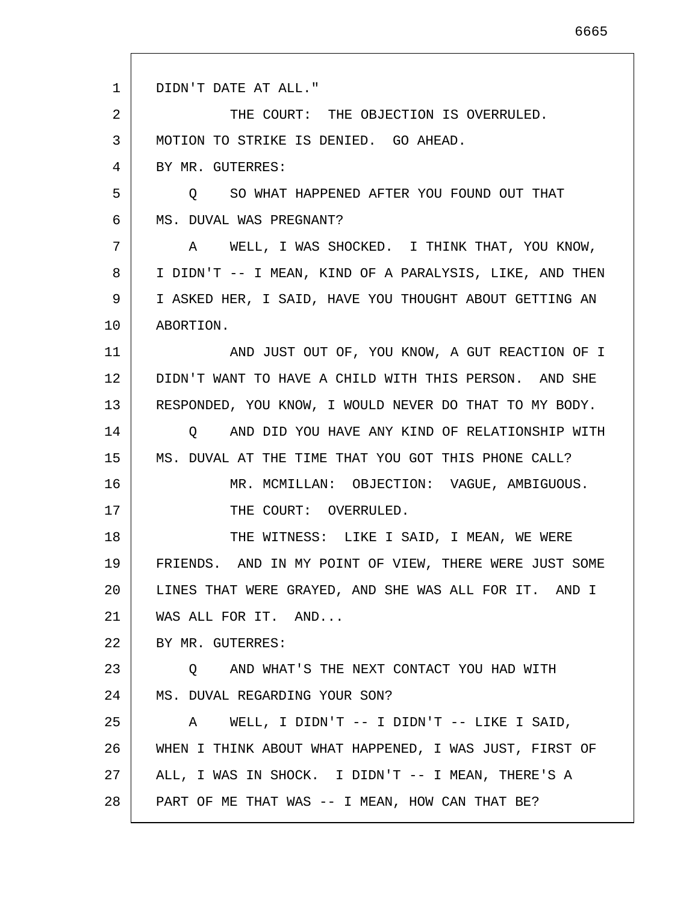1 2 3 4 5 6 7 8 9 10 11 12 13 14 15 16 17 18 19 20 21 22 23 24 25 26 27 28 DIDN'T DATE AT ALL." THE COURT: THE OBJECTION IS OVERRULED. MOTION TO STRIKE IS DENIED. GO AHEAD. BY MR. GUTERRES: Q SO WHAT HAPPENED AFTER YOU FOUND OUT THAT MS. DUVAL WAS PREGNANT? A WELL, I WAS SHOCKED. I THINK THAT, YOU KNOW, I DIDN'T -- I MEAN, KIND OF A PARALYSIS, LIKE, AND THEN I ASKED HER, I SAID, HAVE YOU THOUGHT ABOUT GETTING AN ABORTION. AND JUST OUT OF, YOU KNOW, A GUT REACTION OF I DIDN'T WANT TO HAVE A CHILD WITH THIS PERSON. AND SHE RESPONDED, YOU KNOW, I WOULD NEVER DO THAT TO MY BODY. Q AND DID YOU HAVE ANY KIND OF RELATIONSHIP WITH MS. DUVAL AT THE TIME THAT YOU GOT THIS PHONE CALL? MR. MCMILLAN: OBJECTION: VAGUE, AMBIGUOUS. THE COURT: OVERRULED. THE WITNESS: LIKE I SAID, I MEAN, WE WERE FRIENDS. AND IN MY POINT OF VIEW, THERE WERE JUST SOME LINES THAT WERE GRAYED, AND SHE WAS ALL FOR IT. AND I WAS ALL FOR IT. AND... BY MR. GUTERRES: Q AND WHAT'S THE NEXT CONTACT YOU HAD WITH MS. DUVAL REGARDING YOUR SON? A WELL, I DIDN'T -- I DIDN'T -- LIKE I SAID, WHEN I THINK ABOUT WHAT HAPPENED, I WAS JUST, FIRST OF ALL, I WAS IN SHOCK. I DIDN'T -- I MEAN, THERE'S A PART OF ME THAT WAS -- I MEAN, HOW CAN THAT BE?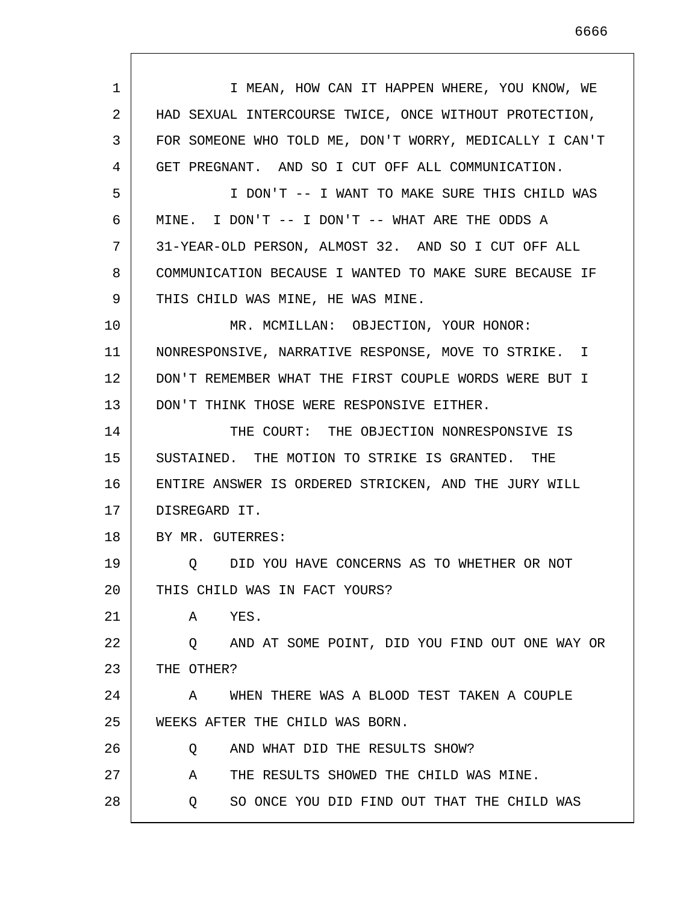| $\mathbf{1}$ | I MEAN, HOW CAN IT HAPPEN WHERE, YOU KNOW, WE           |
|--------------|---------------------------------------------------------|
| 2            | HAD SEXUAL INTERCOURSE TWICE, ONCE WITHOUT PROTECTION,  |
| 3            | FOR SOMEONE WHO TOLD ME, DON'T WORRY, MEDICALLY I CAN'T |
| 4            | GET PREGNANT. AND SO I CUT OFF ALL COMMUNICATION.       |
| 5            | I DON'T -- I WANT TO MAKE SURE THIS CHILD WAS           |
| 6            | MINE. I DON'T $--$ I DON'T $--$ WHAT ARE THE ODDS A     |
| 7            | 31-YEAR-OLD PERSON, ALMOST 32. AND SO I CUT OFF ALL     |
| 8            | COMMUNICATION BECAUSE I WANTED TO MAKE SURE BECAUSE IF  |
| 9            | THIS CHILD WAS MINE, HE WAS MINE.                       |
| 10           | MR. MCMILLAN: OBJECTION, YOUR HONOR:                    |
| 11           | NONRESPONSIVE, NARRATIVE RESPONSE, MOVE TO STRIKE. I    |
| 12           | DON'T REMEMBER WHAT THE FIRST COUPLE WORDS WERE BUT I   |
| 13           | DON'T THINK THOSE WERE RESPONSIVE EITHER.               |
| 14           | THE COURT: THE OBJECTION NONRESPONSIVE IS               |
| 15           | SUSTAINED. THE MOTION TO STRIKE IS GRANTED. THE         |
| 16           | ENTIRE ANSWER IS ORDERED STRICKEN, AND THE JURY WILL    |
| 17           | DISREGARD IT.                                           |
| 18           | BY MR. GUTERRES:                                        |
| 19           | DID YOU HAVE CONCERNS AS TO WHETHER OR NOT<br>O         |
| 20           | THIS CHILD WAS IN FACT YOURS?                           |
| 21           | YES.<br>A                                               |
| 22           | Q AND AT SOME POINT, DID YOU FIND OUT ONE WAY OR        |
| 23           | THE OTHER?                                              |
| 24           | WHEN THERE WAS A BLOOD TEST TAKEN A COUPLE<br>A         |
| 25           | WEEKS AFTER THE CHILD WAS BORN.                         |
| 26           | AND WHAT DID THE RESULTS SHOW?<br>Q                     |
| 27           | THE RESULTS SHOWED THE CHILD WAS MINE.<br>A             |
| 28           | SO ONCE YOU DID FIND OUT THAT THE CHILD WAS<br>Q        |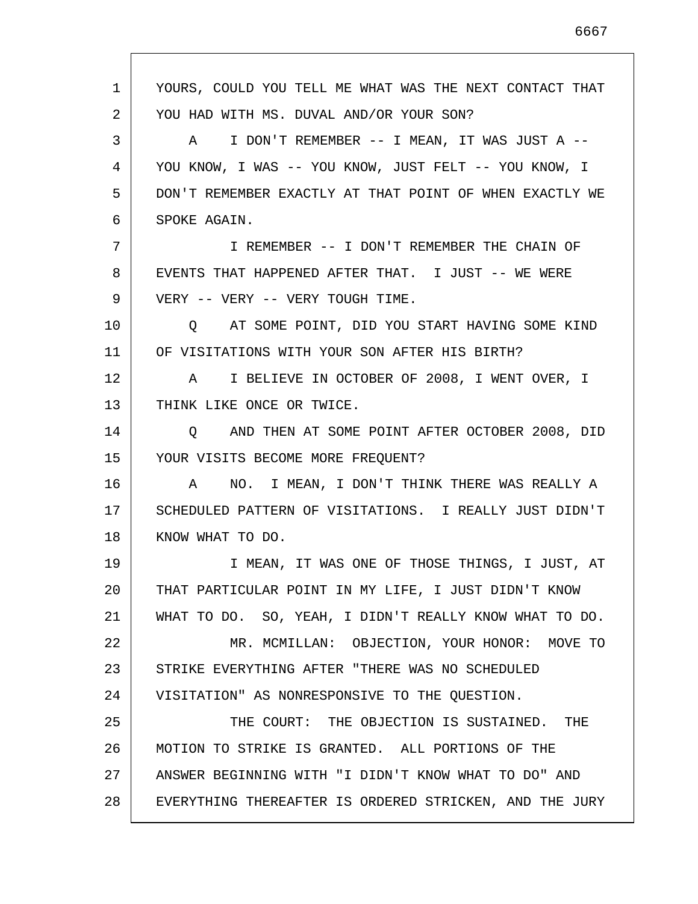| 1  | YOURS, COULD YOU TELL ME WHAT WAS THE NEXT CONTACT THAT |
|----|---------------------------------------------------------|
| 2  | YOU HAD WITH MS. DUVAL AND/OR YOUR SON?                 |
| 3  | A I DON'T REMEMBER -- I MEAN, IT WAS JUST A --          |
| 4  | YOU KNOW, I WAS -- YOU KNOW, JUST FELT -- YOU KNOW, I   |
| 5  | DON'T REMEMBER EXACTLY AT THAT POINT OF WHEN EXACTLY WE |
| 6  | SPOKE AGAIN.                                            |
| 7  | I REMEMBER -- I DON'T REMEMBER THE CHAIN OF             |
| 8  | EVENTS THAT HAPPENED AFTER THAT. I JUST -- WE WERE      |
| 9  | VERY -- VERY -- VERY TOUGH TIME.                        |
| 10 | O AT SOME POINT, DID YOU START HAVING SOME KIND         |
| 11 | OF VISITATIONS WITH YOUR SON AFTER HIS BIRTH?           |
| 12 | I BELIEVE IN OCTOBER OF 2008, I WENT OVER, I<br>A       |
| 13 | THINK LIKE ONCE OR TWICE.                               |
| 14 | AND THEN AT SOME POINT AFTER OCTOBER 2008, DID<br>O     |
| 15 | YOUR VISITS BECOME MORE FREQUENT?                       |
| 16 | NO. I MEAN, I DON'T THINK THERE WAS REALLY A<br>A       |
| 17 | SCHEDULED PATTERN OF VISITATIONS. I REALLY JUST DIDN'T  |
| 18 | KNOW WHAT TO DO.                                        |
| 19 | I MEAN, IT WAS ONE OF THOSE THINGS, I JUST, AT          |
| 20 | THAT PARTICULAR POINT IN MY LIFE, I JUST DIDN'T KNOW    |
| 21 | WHAT TO DO. SO, YEAH, I DIDN'T REALLY KNOW WHAT TO DO.  |
| 22 | MR. MCMILLAN: OBJECTION, YOUR HONOR: MOVE TO            |
| 23 | STRIKE EVERYTHING AFTER "THERE WAS NO SCHEDULED         |
| 24 | VISITATION" AS NONRESPONSIVE TO THE QUESTION.           |
| 25 | THE COURT: THE OBJECTION IS SUSTAINED. THE              |
| 26 | MOTION TO STRIKE IS GRANTED. ALL PORTIONS OF THE        |
| 27 | ANSWER BEGINNING WITH "I DIDN'T KNOW WHAT TO DO" AND    |
| 28 | EVERYTHING THEREAFTER IS ORDERED STRICKEN, AND THE JURY |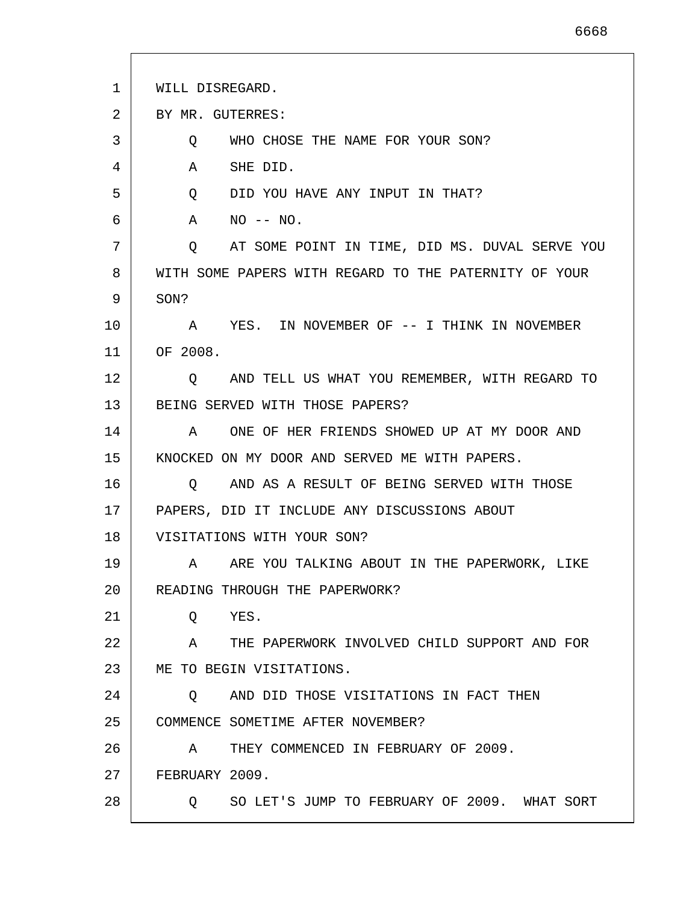| 1  | WILL DISREGARD.                                           |
|----|-----------------------------------------------------------|
| 2  | BY MR. GUTERRES:                                          |
| 3  | WHO CHOSE THE NAME FOR YOUR SON?<br>Q                     |
| 4  | SHE DID.<br>A                                             |
| 5  | DID YOU HAVE ANY INPUT IN THAT?<br>$Q \qquad \qquad$      |
| 6  | $NO$ -- $NO$ .<br>A                                       |
| 7  | AT SOME POINT IN TIME, DID MS. DUVAL SERVE YOU<br>$\circ$ |
| 8  | WITH SOME PAPERS WITH REGARD TO THE PATERNITY OF YOUR     |
| 9  | SON?                                                      |
| 10 | YES. IN NOVEMBER OF -- I THINK IN NOVEMBER<br>A           |
| 11 | OF 2008.                                                  |
| 12 | AND TELL US WHAT YOU REMEMBER, WITH REGARD TO<br>O.       |
| 13 | BEING SERVED WITH THOSE PAPERS?                           |
| 14 | ONE OF HER FRIENDS SHOWED UP AT MY DOOR AND<br>A          |
| 15 | KNOCKED ON MY DOOR AND SERVED ME WITH PAPERS.             |
| 16 | AND AS A RESULT OF BEING SERVED WITH THOSE<br>O           |
| 17 | PAPERS, DID IT INCLUDE ANY DISCUSSIONS ABOUT              |
| 18 | VISITATIONS WITH YOUR SON?                                |
| 19 | A ARE YOU TALKING ABOUT IN THE PAPERWORK, LIKE            |
| 20 | READING THROUGH THE PAPERWORK?                            |
| 21 | YES.<br>Q                                                 |
| 22 | A THE PAPERWORK INVOLVED CHILD SUPPORT AND FOR            |
| 23 | ME TO BEGIN VISITATIONS.                                  |
| 24 | AND DID THOSE VISITATIONS IN FACT THEN<br>Q               |
| 25 | COMMENCE SOMETIME AFTER NOVEMBER?                         |
| 26 | THEY COMMENCED IN FEBRUARY OF 2009.<br>A                  |
| 27 | FEBRUARY 2009.                                            |
| 28 | SO LET'S JUMP TO FEBRUARY OF 2009. WHAT SORT<br>Q         |

L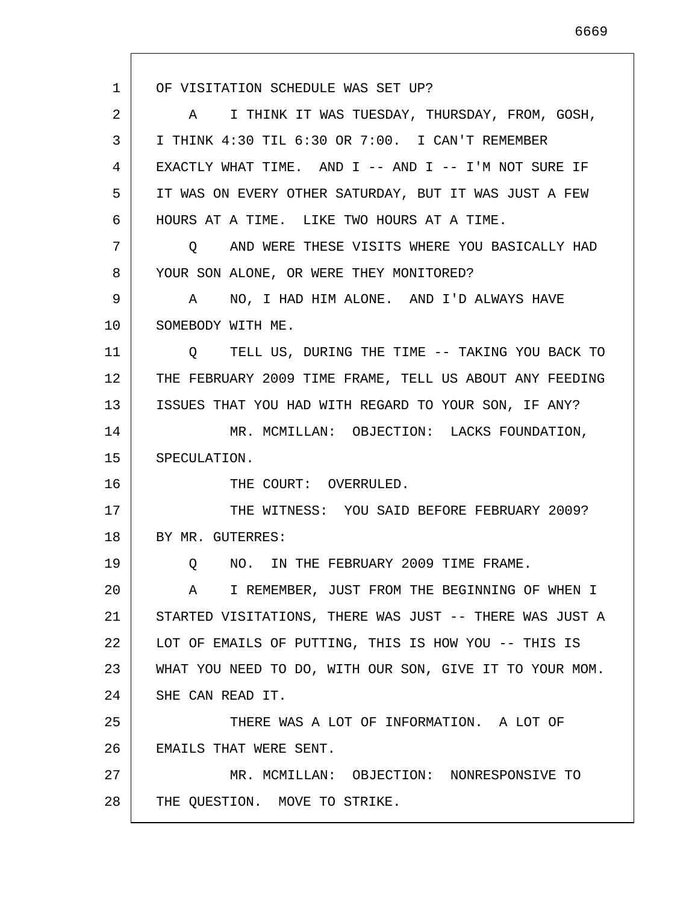1 2 3 4 5 6 7 8 9 10 11 12 13 14 15 16 17 18 19 20 21 22 23 24 25 26 27 28 OF VISITATION SCHEDULE WAS SET UP? A I THINK IT WAS TUESDAY, THURSDAY, FROM, GOSH, I THINK 4:30 TIL 6:30 OR 7:00. I CAN'T REMEMBER EXACTLY WHAT TIME. AND I -- AND I -- I'M NOT SURE IF IT WAS ON EVERY OTHER SATURDAY, BUT IT WAS JUST A FEW HOURS AT A TIME. LIKE TWO HOURS AT A TIME. Q AND WERE THESE VISITS WHERE YOU BASICALLY HAD YOUR SON ALONE, OR WERE THEY MONITORED? A NO, I HAD HIM ALONE. AND I'D ALWAYS HAVE SOMEBODY WITH ME. Q TELL US, DURING THE TIME -- TAKING YOU BACK TO THE FEBRUARY 2009 TIME FRAME, TELL US ABOUT ANY FEEDING ISSUES THAT YOU HAD WITH REGARD TO YOUR SON, IF ANY? MR. MCMILLAN: OBJECTION: LACKS FOUNDATION, SPECULATION. THE COURT: OVERRULED. THE WITNESS: YOU SAID BEFORE FEBRUARY 2009? BY MR. GUTERRES: Q NO. IN THE FEBRUARY 2009 TIME FRAME. A I REMEMBER, JUST FROM THE BEGINNING OF WHEN I STARTED VISITATIONS, THERE WAS JUST -- THERE WAS JUST A LOT OF EMAILS OF PUTTING, THIS IS HOW YOU -- THIS IS WHAT YOU NEED TO DO, WITH OUR SON, GIVE IT TO YOUR MOM. SHE CAN READ IT. THERE WAS A LOT OF INFORMATION. A LOT OF EMAILS THAT WERE SENT. MR. MCMILLAN: OBJECTION: NONRESPONSIVE TO THE QUESTION. MOVE TO STRIKE.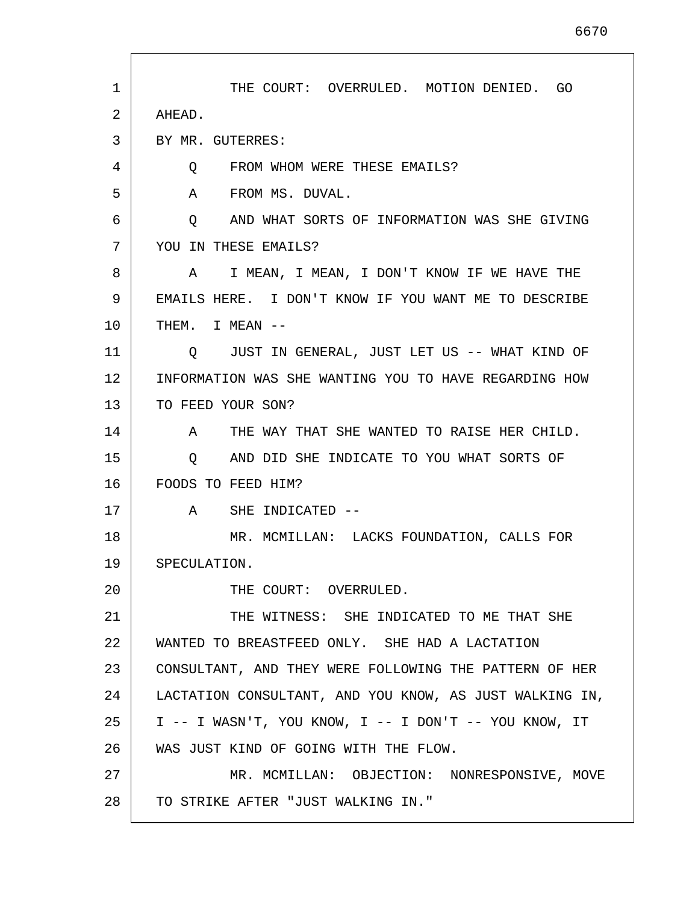| 1  | THE COURT: OVERRULED. MOTION DENIED. GO                 |
|----|---------------------------------------------------------|
| 2  | AHEAD.                                                  |
| 3  | BY MR. GUTERRES:                                        |
| 4  | Q FROM WHOM WERE THESE EMAILS?                          |
| 5  | A FROM MS. DUVAL.                                       |
| 6  | AND WHAT SORTS OF INFORMATION WAS SHE GIVING<br>Q       |
| 7  | YOU IN THESE EMAILS?                                    |
| 8  | A I MEAN, I MEAN, I DON'T KNOW IF WE HAVE THE           |
| 9  | EMAILS HERE. I DON'T KNOW IF YOU WANT ME TO DESCRIBE    |
| 10 | THEM. I MEAN --                                         |
| 11 | O JUST IN GENERAL, JUST LET US -- WHAT KIND OF          |
| 12 | INFORMATION WAS SHE WANTING YOU TO HAVE REGARDING HOW   |
| 13 | TO FEED YOUR SON?                                       |
| 14 | A THE WAY THAT SHE WANTED TO RAISE HER CHILD.           |
| 15 | AND DID SHE INDICATE TO YOU WHAT SORTS OF<br>$\circ$    |
| 16 | FOODS TO FEED HIM?                                      |
| 17 | A SHE INDICATED --                                      |
| 18 | MR. MCMILLAN: LACKS FOUNDATION, CALLS FOR               |
| 19 | SPECULATION.                                            |
| 20 | THE COURT: OVERRULED.                                   |
| 21 | THE WITNESS: SHE INDICATED TO ME THAT SHE               |
| 22 | WANTED TO BREASTFEED ONLY. SHE HAD A LACTATION          |
| 23 | CONSULTANT, AND THEY WERE FOLLOWING THE PATTERN OF HER  |
| 24 | LACTATION CONSULTANT, AND YOU KNOW, AS JUST WALKING IN, |
| 25 | I -- I WASN'T, YOU KNOW, I -- I DON'T -- YOU KNOW, IT   |
| 26 | WAS JUST KIND OF GOING WITH THE FLOW.                   |
| 27 | MR. MCMILLAN: OBJECTION: NONRESPONSIVE, MOVE            |
| 28 | TO STRIKE AFTER "JUST WALKING IN."                      |

 $\mathsf{I}$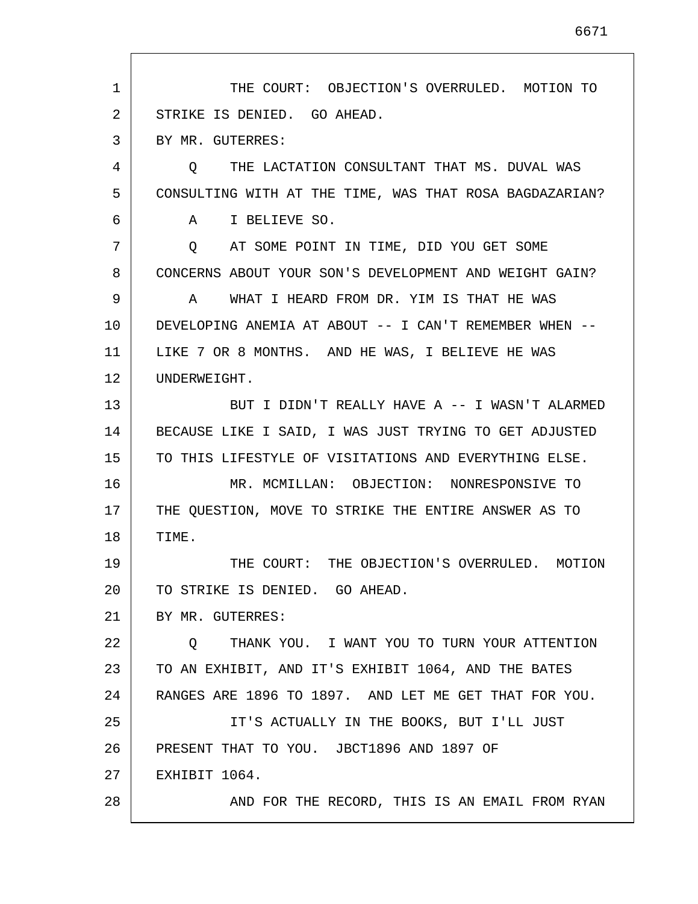1 2 3 4 5 6 7 8 9 10 11 12 13 14 15 16 17 18 19 20 21 22 23 24 25 26 27 28 THE COURT: OBJECTION'S OVERRULED. MOTION TO STRIKE IS DENIED. GO AHEAD. BY MR. GUTERRES: Q THE LACTATION CONSULTANT THAT MS. DUVAL WAS CONSULTING WITH AT THE TIME, WAS THAT ROSA BAGDAZARIAN? A I BELIEVE SO. Q AT SOME POINT IN TIME, DID YOU GET SOME CONCERNS ABOUT YOUR SON'S DEVELOPMENT AND WEIGHT GAIN? A WHAT I HEARD FROM DR. YIM IS THAT HE WAS DEVELOPING ANEMIA AT ABOUT -- I CAN'T REMEMBER WHEN -- LIKE 7 OR 8 MONTHS. AND HE WAS, I BELIEVE HE WAS UNDERWEIGHT. BUT I DIDN'T REALLY HAVE A -- I WASN'T ALARMED BECAUSE LIKE I SAID, I WAS JUST TRYING TO GET ADJUSTED TO THIS LIFESTYLE OF VISITATIONS AND EVERYTHING ELSE. MR. MCMILLAN: OBJECTION: NONRESPONSIVE TO THE QUESTION, MOVE TO STRIKE THE ENTIRE ANSWER AS TO TIME. THE COURT: THE OBJECTION'S OVERRULED. MOTION TO STRIKE IS DENIED. GO AHEAD. BY MR. GUTERRES: Q THANK YOU. I WANT YOU TO TURN YOUR ATTENTION TO AN EXHIBIT, AND IT'S EXHIBIT 1064, AND THE BATES RANGES ARE 1896 TO 1897. AND LET ME GET THAT FOR YOU. IT'S ACTUALLY IN THE BOOKS, BUT I'LL JUST PRESENT THAT TO YOU. JBCT1896 AND 1897 OF EXHIBIT 1064. AND FOR THE RECORD, THIS IS AN EMAIL FROM RYAN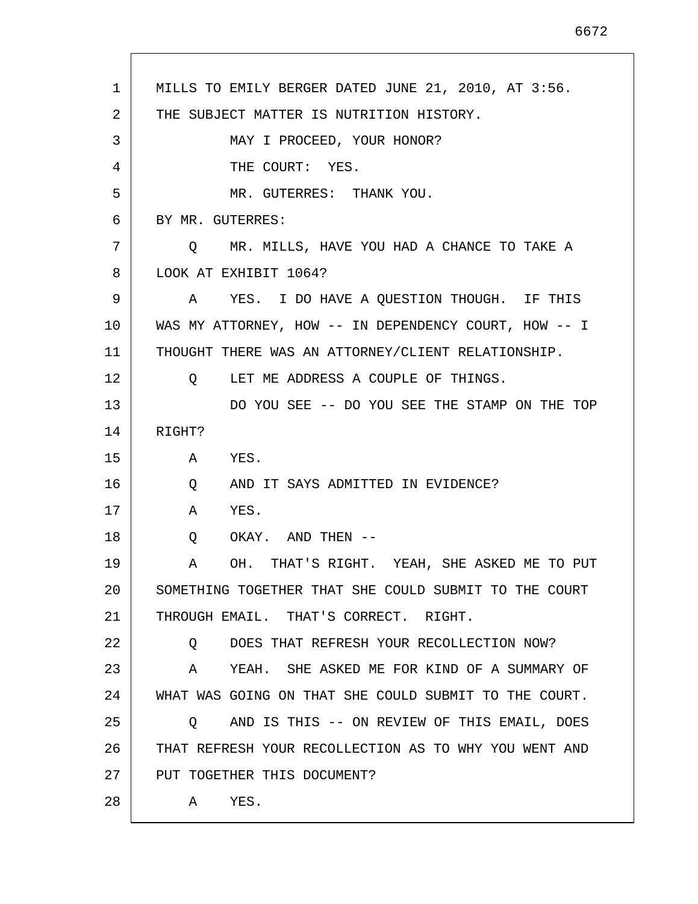| $\mathbf{1}$ | MILLS TO EMILY BERGER DATED JUNE 21, 2010, AT 3:56.     |
|--------------|---------------------------------------------------------|
| 2            | THE SUBJECT MATTER IS NUTRITION HISTORY.                |
| 3            | MAY I PROCEED, YOUR HONOR?                              |
| 4            | THE COURT: YES.                                         |
| 5            | MR. GUTERRES: THANK YOU.                                |
| 6            | BY MR. GUTERRES:                                        |
| 7            | Q MR. MILLS, HAVE YOU HAD A CHANCE TO TAKE A            |
| 8            | LOOK AT EXHIBIT 1064?                                   |
| 9            | A YES. I DO HAVE A QUESTION THOUGH. IF THIS             |
| 10           | WAS MY ATTORNEY, HOW -- IN DEPENDENCY COURT, HOW -- I   |
| 11           | THOUGHT THERE WAS AN ATTORNEY/CLIENT RELATIONSHIP.      |
| 12           | Q LET ME ADDRESS A COUPLE OF THINGS.                    |
| 13           | DO YOU SEE -- DO YOU SEE THE STAMP ON THE TOP           |
| 14           | RIGHT?                                                  |
| 15           | YES.<br>A                                               |
| 16           | AND IT SAYS ADMITTED IN EVIDENCE?<br>Q                  |
| 17           | YES.<br>A                                               |
| 18           | OKAY. AND THEN --<br>Q                                  |
| 19           | OH. THAT'S RIGHT. YEAH, SHE ASKED ME TO PUT<br>Α        |
| 20           | SOMETHING TOGETHER THAT SHE COULD SUBMIT TO THE COURT   |
| 21           | THROUGH EMAIL. THAT'S CORRECT. RIGHT.                   |
| 22           | DOES THAT REFRESH YOUR RECOLLECTION NOW?<br>Q           |
| 23           | YEAH. SHE ASKED ME FOR KIND OF A SUMMARY OF<br>Α        |
| 24           | WHAT WAS GOING ON THAT SHE COULD SUBMIT TO THE COURT.   |
| 25           | AND IS THIS -- ON REVIEW OF THIS EMAIL, DOES<br>$\circ$ |
| 26           | THAT REFRESH YOUR RECOLLECTION AS TO WHY YOU WENT AND   |
| 27           | PUT TOGETHER THIS DOCUMENT?                             |
| 28           | YES.<br>A                                               |
|              |                                                         |

 $\mathsf{I}$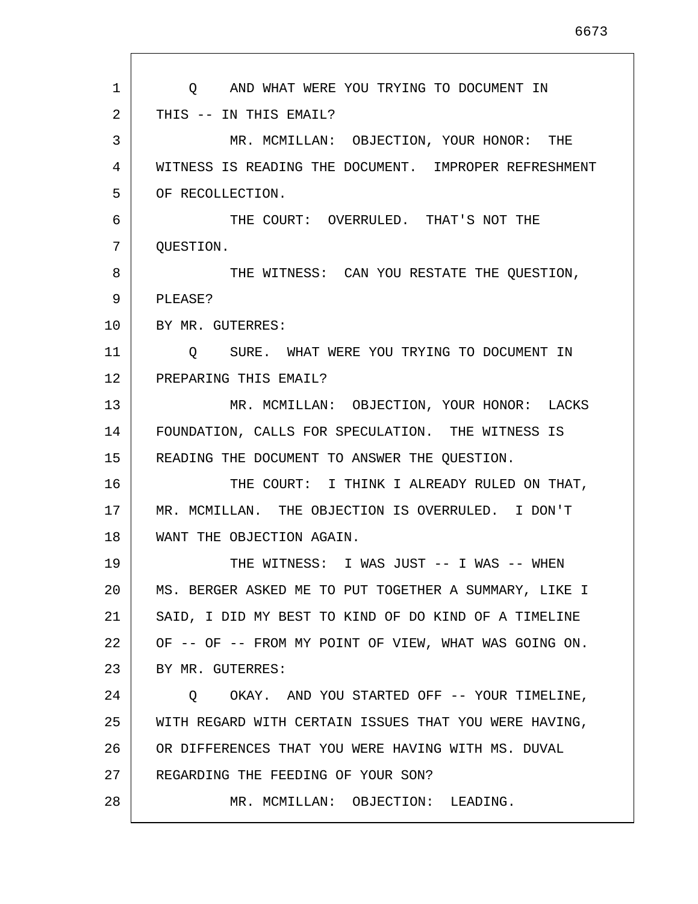| $\mathbf{1}$ | O AND WHAT WERE YOU TRYING TO DOCUMENT IN             |
|--------------|-------------------------------------------------------|
| 2            | THIS -- IN THIS EMAIL?                                |
| 3            | MR. MCMILLAN: OBJECTION, YOUR HONOR: THE              |
| 4            | WITNESS IS READING THE DOCUMENT. IMPROPER REFRESHMENT |
| 5            | OF RECOLLECTION.                                      |
| 6            | THE COURT: OVERRULED. THAT'S NOT THE                  |
| 7            | QUESTION.                                             |
| 8            | THE WITNESS: CAN YOU RESTATE THE QUESTION,            |
| 9            | PLEASE?                                               |
| 10           | BY MR. GUTERRES:                                      |
| 11           | Q SURE. WHAT WERE YOU TRYING TO DOCUMENT IN           |
| 12           | PREPARING THIS EMAIL?                                 |
| 13           | MR. MCMILLAN: OBJECTION, YOUR HONOR: LACKS            |
| 14           | FOUNDATION, CALLS FOR SPECULATION. THE WITNESS IS     |
| 15           | READING THE DOCUMENT TO ANSWER THE QUESTION.          |
| 16           | THE COURT: I THINK I ALREADY RULED ON THAT,           |
| 17           | MR. MCMILLAN. THE OBJECTION IS OVERRULED. I DON'T     |
| 18           | WANT THE OBJECTION AGAIN.                             |
| 19           | THE WITNESS: I WAS JUST -- I WAS -- WHEN              |
| 20           | MS. BERGER ASKED ME TO PUT TOGETHER A SUMMARY, LIKE I |
| 21           | SAID, I DID MY BEST TO KIND OF DO KIND OF A TIMELINE  |
| 22           | OF -- OF -- FROM MY POINT OF VIEW, WHAT WAS GOING ON. |
| 23           | BY MR. GUTERRES:                                      |
| 24           | Q OKAY. AND YOU STARTED OFF -- YOUR TIMELINE,         |
| 25           | WITH REGARD WITH CERTAIN ISSUES THAT YOU WERE HAVING, |
| 26           | OR DIFFERENCES THAT YOU WERE HAVING WITH MS. DUVAL    |
| 27           | REGARDING THE FEEDING OF YOUR SON?                    |
| 28           | MR. MCMILLAN: OBJECTION: LEADING.                     |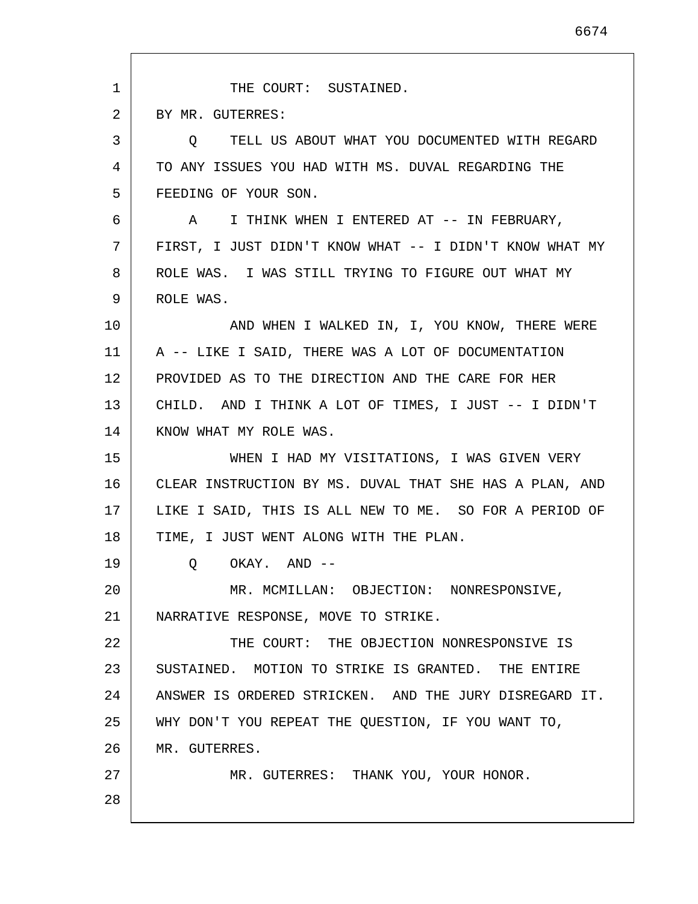1 2 3 4 5 6 7 8 9 10 11 12 13 14 15 16 17 18 19 20 21 22 23 24 25 26 27 28 THE COURT: SUSTAINED. BY MR. GUTERRES: Q TELL US ABOUT WHAT YOU DOCUMENTED WITH REGARD TO ANY ISSUES YOU HAD WITH MS. DUVAL REGARDING THE FEEDING OF YOUR SON. A I THINK WHEN I ENTERED AT -- IN FEBRUARY, FIRST, I JUST DIDN'T KNOW WHAT -- I DIDN'T KNOW WHAT MY ROLE WAS. I WAS STILL TRYING TO FIGURE OUT WHAT MY ROLE WAS. AND WHEN I WALKED IN, I, YOU KNOW, THERE WERE A -- LIKE I SAID, THERE WAS A LOT OF DOCUMENTATION PROVIDED AS TO THE DIRECTION AND THE CARE FOR HER CHILD. AND I THINK A LOT OF TIMES, I JUST -- I DIDN'T KNOW WHAT MY ROLE WAS. WHEN I HAD MY VISITATIONS, I WAS GIVEN VERY CLEAR INSTRUCTION BY MS. DUVAL THAT SHE HAS A PLAN, AND LIKE I SAID, THIS IS ALL NEW TO ME. SO FOR A PERIOD OF TIME, I JUST WENT ALONG WITH THE PLAN. Q OKAY. AND -- MR. MCMILLAN: OBJECTION: NONRESPONSIVE, NARRATIVE RESPONSE, MOVE TO STRIKE. THE COURT: THE OBJECTION NONRESPONSIVE IS SUSTAINED. MOTION TO STRIKE IS GRANTED. THE ENTIRE ANSWER IS ORDERED STRICKEN. AND THE JURY DISREGARD IT. WHY DON'T YOU REPEAT THE QUESTION, IF YOU WANT TO, MR. GUTERRES. MR. GUTERRES: THANK YOU, YOUR HONOR.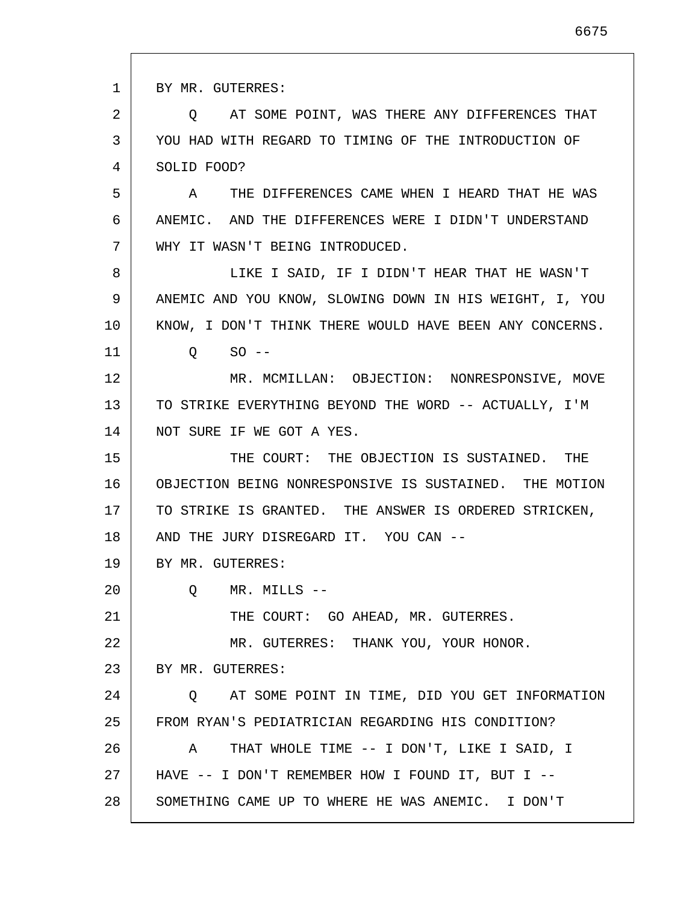1 2 3 4 5 6 7 8 9 10 11 12 13 14 15 16 17 18 19 20 21 22 23 24 25 26 27 28 BY MR. GUTERRES: Q AT SOME POINT, WAS THERE ANY DIFFERENCES THAT YOU HAD WITH REGARD TO TIMING OF THE INTRODUCTION OF SOLID FOOD? A THE DIFFERENCES CAME WHEN I HEARD THAT HE WAS ANEMIC. AND THE DIFFERENCES WERE I DIDN'T UNDERSTAND WHY IT WASN'T BEING INTRODUCED. LIKE I SAID, IF I DIDN'T HEAR THAT HE WASN'T ANEMIC AND YOU KNOW, SLOWING DOWN IN HIS WEIGHT, I, YOU KNOW, I DON'T THINK THERE WOULD HAVE BEEN ANY CONCERNS.  $Q$  SO  $-$ MR. MCMILLAN: OBJECTION: NONRESPONSIVE, MOVE TO STRIKE EVERYTHING BEYOND THE WORD -- ACTUALLY, I'M NOT SURE IF WE GOT A YES. THE COURT: THE OBJECTION IS SUSTAINED. THE OBJECTION BEING NONRESPONSIVE IS SUSTAINED. THE MOTION TO STRIKE IS GRANTED. THE ANSWER IS ORDERED STRICKEN, AND THE JURY DISREGARD IT. YOU CAN -- BY MR. GUTERRES: Q MR. MILLS -- THE COURT: GO AHEAD, MR. GUTERRES. MR. GUTERRES: THANK YOU, YOUR HONOR. BY MR. GUTERRES: Q AT SOME POINT IN TIME, DID YOU GET INFORMATION FROM RYAN'S PEDIATRICIAN REGARDING HIS CONDITION? A THAT WHOLE TIME -- I DON'T, LIKE I SAID, I HAVE -- I DON'T REMEMBER HOW I FOUND IT, BUT I -- SOMETHING CAME UP TO WHERE HE WAS ANEMIC. I DON'T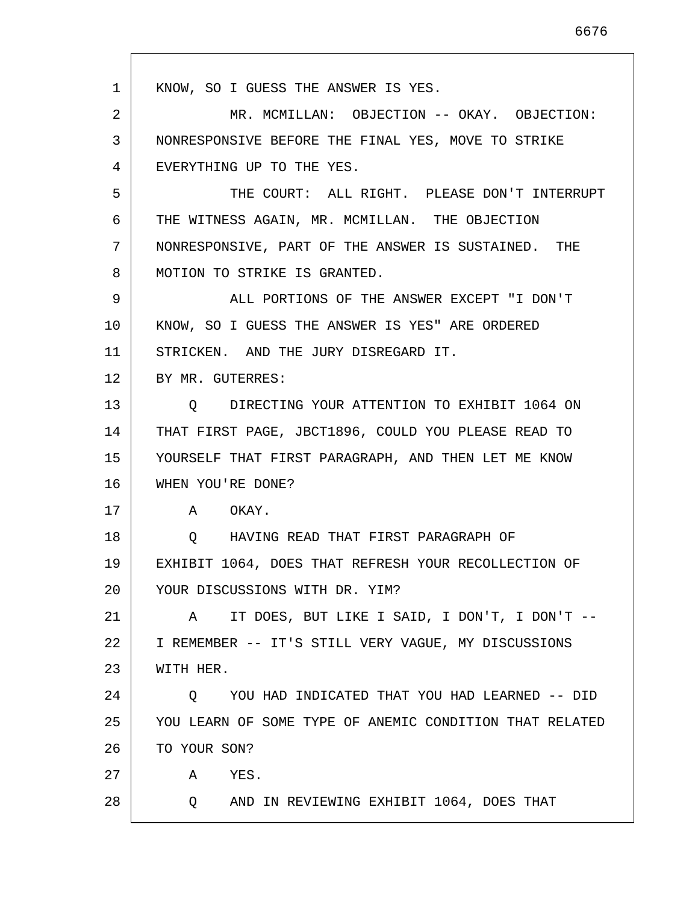| $\mathbf{1}$ | KNOW, SO I GUESS THE ANSWER IS YES.                     |
|--------------|---------------------------------------------------------|
| 2            | MR. MCMILLAN: OBJECTION -- OKAY. OBJECTION:             |
| 3            | NONRESPONSIVE BEFORE THE FINAL YES, MOVE TO STRIKE      |
| 4            | EVERYTHING UP TO THE YES.                               |
| 5            | THE COURT: ALL RIGHT. PLEASE DON'T INTERRUPT            |
| 6            | THE WITNESS AGAIN, MR. MCMILLAN. THE OBJECTION          |
| 7            | NONRESPONSIVE, PART OF THE ANSWER IS SUSTAINED. THE     |
| 8            | MOTION TO STRIKE IS GRANTED.                            |
| 9            | ALL PORTIONS OF THE ANSWER EXCEPT "I DON'T              |
| 10           | KNOW, SO I GUESS THE ANSWER IS YES" ARE ORDERED         |
| 11           | STRICKEN. AND THE JURY DISREGARD IT.                    |
| 12           | BY MR. GUTERRES:                                        |
| 13           | O DIRECTING YOUR ATTENTION TO EXHIBIT 1064 ON           |
| 14           | THAT FIRST PAGE, JBCT1896, COULD YOU PLEASE READ TO     |
| 15           | YOURSELF THAT FIRST PARAGRAPH, AND THEN LET ME KNOW     |
| 16           | WHEN YOU'RE DONE?                                       |
| 17           | A OKAY.                                                 |
| 18           | HAVING READ THAT FIRST PARAGRAPH OF<br>$\circ$          |
| 19           | EXHIBIT 1064, DOES THAT REFRESH YOUR RECOLLECTION OF    |
| 20           | YOUR DISCUSSIONS WITH DR. YIM?                          |
| 21           | IT DOES, BUT LIKE I SAID, I DON'T, I DON'T --<br>A      |
| 22           | I REMEMBER -- IT'S STILL VERY VAGUE, MY DISCUSSIONS     |
| 23           | WITH HER.                                               |
| 24           | YOU HAD INDICATED THAT YOU HAD LEARNED -- DID<br>Q      |
| 25           | YOU LEARN OF SOME TYPE OF ANEMIC CONDITION THAT RELATED |
| 26           | TO YOUR SON?                                            |
| 27           | YES.<br>A                                               |
| 28           | AND IN REVIEWING EXHIBIT 1064, DOES THAT<br>Q.          |
|              |                                                         |

 $\mathsf{I}$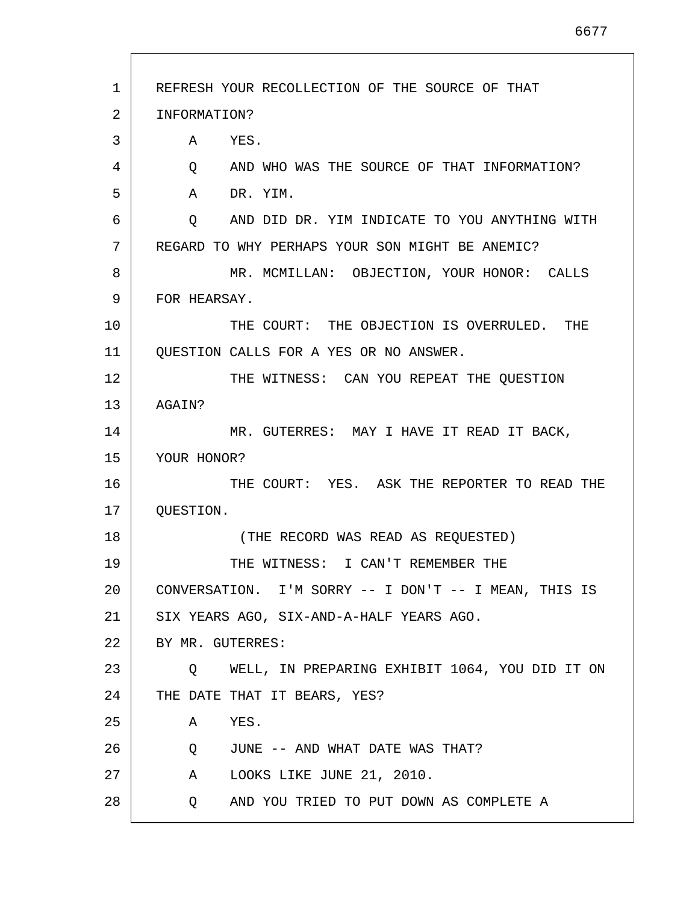| $\mathbf{1}$ | REFRESH YOUR RECOLLECTION OF THE SOURCE OF THAT                    |
|--------------|--------------------------------------------------------------------|
| 2            | INFORMATION?                                                       |
| 3            | A<br>YES.                                                          |
| 4            | Q AND WHO WAS THE SOURCE OF THAT INFORMATION?                      |
| 5            | A<br>DR. YIM.                                                      |
| 6            | AND DID DR. YIM INDICATE TO YOU ANYTHING WITH<br>$Q \qquad \qquad$ |
| 7            | REGARD TO WHY PERHAPS YOUR SON MIGHT BE ANEMIC?                    |
| 8            | MR. MCMILLAN: OBJECTION, YOUR HONOR: CALLS                         |
| 9            | FOR HEARSAY.                                                       |
| 10           | THE COURT: THE OBJECTION IS OVERRULED. THE                         |
| 11           | QUESTION CALLS FOR A YES OR NO ANSWER.                             |
| 12           | THE WITNESS: CAN YOU REPEAT THE QUESTION                           |
| 13           | AGAIN?                                                             |
| 14           | MR. GUTERRES: MAY I HAVE IT READ IT BACK,                          |
| 15           | YOUR HONOR?                                                        |
| 16           | THE COURT: YES. ASK THE REPORTER TO READ THE                       |
| 17           | QUESTION.                                                          |
| 18           | (THE RECORD WAS READ AS REQUESTED)                                 |
| 19           | THE WITNESS: I CAN'T REMEMBER THE                                  |
| 20           | CONVERSATION. I'M SORRY -- I DON'T -- I MEAN, THIS IS              |
| 21           | SIX YEARS AGO, SIX-AND-A-HALF YEARS AGO.                           |
| 22           | BY MR. GUTERRES:                                                   |
| 23           | WELL, IN PREPARING EXHIBIT 1064, YOU DID IT ON<br>$\circ$          |
| 24           | THE DATE THAT IT BEARS, YES?                                       |
| 25           | YES.<br>A                                                          |
| 26           | JUNE -- AND WHAT DATE WAS THAT?<br>Q                               |
| 27           | LOOKS LIKE JUNE 21, 2010.<br>A                                     |
| 28           | AND YOU TRIED TO PUT DOWN AS COMPLETE A<br>Q                       |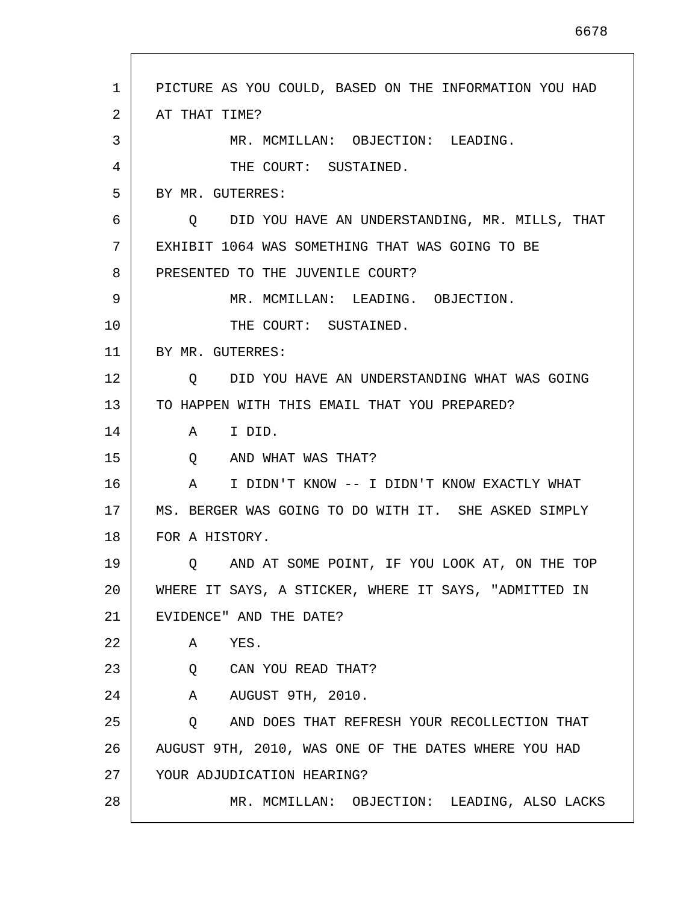| PICTURE AS YOU COULD, BASED ON THE INFORMATION YOU HAD<br>1<br>2<br>AT THAT TIME?<br>3<br>MR. MCMILLAN: OBJECTION: LEADING.<br>4<br>THE COURT: SUSTAINED.<br>5<br>BY MR. GUTERRES:<br>DID YOU HAVE AN UNDERSTANDING, MR. MILLS, THAT<br>6<br>$\circ$<br>7<br>EXHIBIT 1064 WAS SOMETHING THAT WAS GOING TO BE<br>8<br>PRESENTED TO THE JUVENILE COURT?<br>9<br>MR. MCMILLAN: LEADING. OBJECTION.<br>10<br>THE COURT: SUSTAINED.<br>11<br>BY MR. GUTERRES:<br>12<br>DID YOU HAVE AN UNDERSTANDING WHAT WAS GOING<br>$\circ$<br>13<br>TO HAPPEN WITH THIS EMAIL THAT YOU PREPARED?<br>14<br>I DID.<br>A<br>15<br>AND WHAT WAS THAT?<br>Q<br>16<br>I DIDN'T KNOW -- I DIDN'T KNOW EXACTLY WHAT<br>A<br>17<br>MS. BERGER WAS GOING TO DO WITH IT. SHE ASKED SIMPLY<br>18<br>FOR A HISTORY.<br>19<br>AND AT SOME POINT, IF YOU LOOK AT, ON THE TOP<br>O.<br>20<br>WHERE IT SAYS, A STICKER, WHERE IT SAYS, "ADMITTED IN<br>21<br>EVIDENCE" AND THE DATE?<br>22<br>YES.<br>A<br>23<br>Q<br>CAN YOU READ THAT?<br>24<br>AUGUST 9TH, 2010.<br>A<br>25<br>AND DOES THAT REFRESH YOUR RECOLLECTION THAT<br>Q<br>26<br>AUGUST 9TH, 2010, WAS ONE OF THE DATES WHERE YOU HAD<br>27<br>YOUR ADJUDICATION HEARING?<br>28<br>MR. MCMILLAN: OBJECTION: LEADING, ALSO LACKS |  |
|-----------------------------------------------------------------------------------------------------------------------------------------------------------------------------------------------------------------------------------------------------------------------------------------------------------------------------------------------------------------------------------------------------------------------------------------------------------------------------------------------------------------------------------------------------------------------------------------------------------------------------------------------------------------------------------------------------------------------------------------------------------------------------------------------------------------------------------------------------------------------------------------------------------------------------------------------------------------------------------------------------------------------------------------------------------------------------------------------------------------------------------------------------------------------------------------------------------------------------------------------------------|--|
|                                                                                                                                                                                                                                                                                                                                                                                                                                                                                                                                                                                                                                                                                                                                                                                                                                                                                                                                                                                                                                                                                                                                                                                                                                                           |  |
|                                                                                                                                                                                                                                                                                                                                                                                                                                                                                                                                                                                                                                                                                                                                                                                                                                                                                                                                                                                                                                                                                                                                                                                                                                                           |  |
|                                                                                                                                                                                                                                                                                                                                                                                                                                                                                                                                                                                                                                                                                                                                                                                                                                                                                                                                                                                                                                                                                                                                                                                                                                                           |  |
|                                                                                                                                                                                                                                                                                                                                                                                                                                                                                                                                                                                                                                                                                                                                                                                                                                                                                                                                                                                                                                                                                                                                                                                                                                                           |  |
|                                                                                                                                                                                                                                                                                                                                                                                                                                                                                                                                                                                                                                                                                                                                                                                                                                                                                                                                                                                                                                                                                                                                                                                                                                                           |  |
|                                                                                                                                                                                                                                                                                                                                                                                                                                                                                                                                                                                                                                                                                                                                                                                                                                                                                                                                                                                                                                                                                                                                                                                                                                                           |  |
|                                                                                                                                                                                                                                                                                                                                                                                                                                                                                                                                                                                                                                                                                                                                                                                                                                                                                                                                                                                                                                                                                                                                                                                                                                                           |  |
|                                                                                                                                                                                                                                                                                                                                                                                                                                                                                                                                                                                                                                                                                                                                                                                                                                                                                                                                                                                                                                                                                                                                                                                                                                                           |  |
|                                                                                                                                                                                                                                                                                                                                                                                                                                                                                                                                                                                                                                                                                                                                                                                                                                                                                                                                                                                                                                                                                                                                                                                                                                                           |  |
|                                                                                                                                                                                                                                                                                                                                                                                                                                                                                                                                                                                                                                                                                                                                                                                                                                                                                                                                                                                                                                                                                                                                                                                                                                                           |  |
|                                                                                                                                                                                                                                                                                                                                                                                                                                                                                                                                                                                                                                                                                                                                                                                                                                                                                                                                                                                                                                                                                                                                                                                                                                                           |  |
|                                                                                                                                                                                                                                                                                                                                                                                                                                                                                                                                                                                                                                                                                                                                                                                                                                                                                                                                                                                                                                                                                                                                                                                                                                                           |  |
|                                                                                                                                                                                                                                                                                                                                                                                                                                                                                                                                                                                                                                                                                                                                                                                                                                                                                                                                                                                                                                                                                                                                                                                                                                                           |  |
|                                                                                                                                                                                                                                                                                                                                                                                                                                                                                                                                                                                                                                                                                                                                                                                                                                                                                                                                                                                                                                                                                                                                                                                                                                                           |  |
|                                                                                                                                                                                                                                                                                                                                                                                                                                                                                                                                                                                                                                                                                                                                                                                                                                                                                                                                                                                                                                                                                                                                                                                                                                                           |  |
|                                                                                                                                                                                                                                                                                                                                                                                                                                                                                                                                                                                                                                                                                                                                                                                                                                                                                                                                                                                                                                                                                                                                                                                                                                                           |  |
|                                                                                                                                                                                                                                                                                                                                                                                                                                                                                                                                                                                                                                                                                                                                                                                                                                                                                                                                                                                                                                                                                                                                                                                                                                                           |  |
|                                                                                                                                                                                                                                                                                                                                                                                                                                                                                                                                                                                                                                                                                                                                                                                                                                                                                                                                                                                                                                                                                                                                                                                                                                                           |  |
|                                                                                                                                                                                                                                                                                                                                                                                                                                                                                                                                                                                                                                                                                                                                                                                                                                                                                                                                                                                                                                                                                                                                                                                                                                                           |  |
|                                                                                                                                                                                                                                                                                                                                                                                                                                                                                                                                                                                                                                                                                                                                                                                                                                                                                                                                                                                                                                                                                                                                                                                                                                                           |  |
|                                                                                                                                                                                                                                                                                                                                                                                                                                                                                                                                                                                                                                                                                                                                                                                                                                                                                                                                                                                                                                                                                                                                                                                                                                                           |  |
|                                                                                                                                                                                                                                                                                                                                                                                                                                                                                                                                                                                                                                                                                                                                                                                                                                                                                                                                                                                                                                                                                                                                                                                                                                                           |  |
|                                                                                                                                                                                                                                                                                                                                                                                                                                                                                                                                                                                                                                                                                                                                                                                                                                                                                                                                                                                                                                                                                                                                                                                                                                                           |  |
|                                                                                                                                                                                                                                                                                                                                                                                                                                                                                                                                                                                                                                                                                                                                                                                                                                                                                                                                                                                                                                                                                                                                                                                                                                                           |  |
|                                                                                                                                                                                                                                                                                                                                                                                                                                                                                                                                                                                                                                                                                                                                                                                                                                                                                                                                                                                                                                                                                                                                                                                                                                                           |  |
|                                                                                                                                                                                                                                                                                                                                                                                                                                                                                                                                                                                                                                                                                                                                                                                                                                                                                                                                                                                                                                                                                                                                                                                                                                                           |  |
|                                                                                                                                                                                                                                                                                                                                                                                                                                                                                                                                                                                                                                                                                                                                                                                                                                                                                                                                                                                                                                                                                                                                                                                                                                                           |  |
|                                                                                                                                                                                                                                                                                                                                                                                                                                                                                                                                                                                                                                                                                                                                                                                                                                                                                                                                                                                                                                                                                                                                                                                                                                                           |  |

Г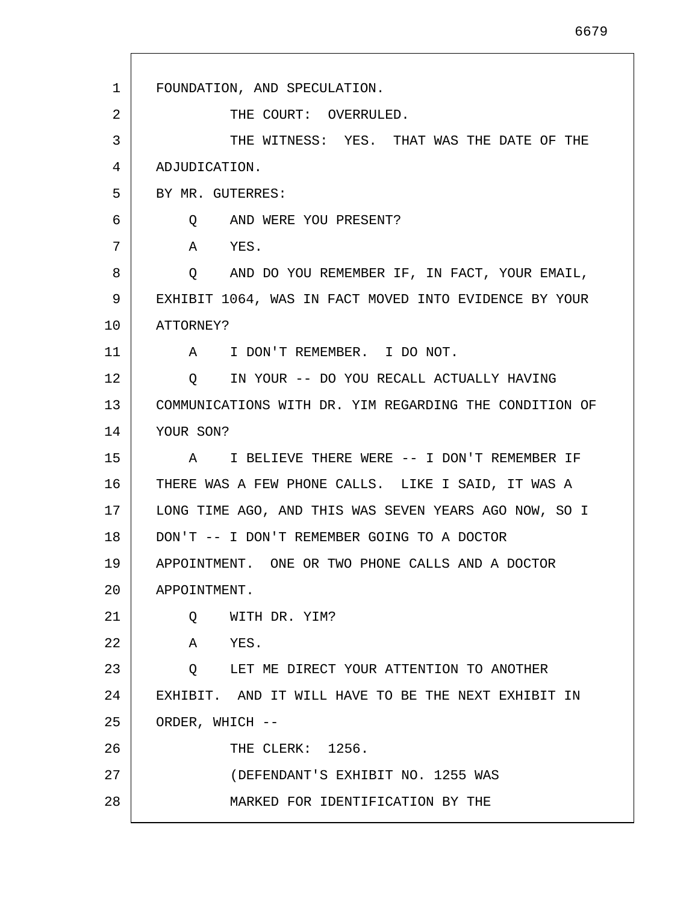| 1  | FOUNDATION, AND SPECULATION.                           |
|----|--------------------------------------------------------|
| 2  | THE COURT: OVERRULED.                                  |
| 3  | THE WITNESS: YES. THAT WAS THE DATE OF THE             |
| 4  | ADJUDICATION.                                          |
| 5  | BY MR. GUTERRES:                                       |
| 6  | Q AND WERE YOU PRESENT?                                |
| 7  | A<br>YES.                                              |
| 8  | Q AND DO YOU REMEMBER IF, IN FACT, YOUR EMAIL,         |
| 9  | EXHIBIT 1064, WAS IN FACT MOVED INTO EVIDENCE BY YOUR  |
| 10 | ATTORNEY?                                              |
| 11 | A I DON'T REMEMBER. I DO NOT.                          |
| 12 | O IN YOUR -- DO YOU RECALL ACTUALLY HAVING             |
| 13 | COMMUNICATIONS WITH DR. YIM REGARDING THE CONDITION OF |
| 14 | YOUR SON?                                              |
| 15 | I BELIEVE THERE WERE -- I DON'T REMEMBER IF<br>A       |
| 16 | THERE WAS A FEW PHONE CALLS. LIKE I SAID, IT WAS A     |
| 17 | LONG TIME AGO, AND THIS WAS SEVEN YEARS AGO NOW, SO I  |
| 18 | DON'T -- I DON'T REMEMBER GOING TO A DOCTOR            |
| 19 | APPOINTMENT. ONE OR TWO PHONE CALLS AND A DOCTOR       |
| 20 | APPOINTMENT.                                           |
| 21 | WITH DR. YIM?<br>Q                                     |
| 22 | Α<br>YES.                                              |
| 23 | LET ME DIRECT YOUR ATTENTION TO ANOTHER<br>$\circ$     |
| 24 | EXHIBIT. AND IT WILL HAVE TO BE THE NEXT EXHIBIT IN    |
| 25 | ORDER, WHICH --                                        |
| 26 | THE CLERK: 1256.                                       |
| 27 | (DEFENDANT'S EXHIBIT NO. 1255 WAS                      |
| 28 | MARKED FOR IDENTIFICATION BY THE                       |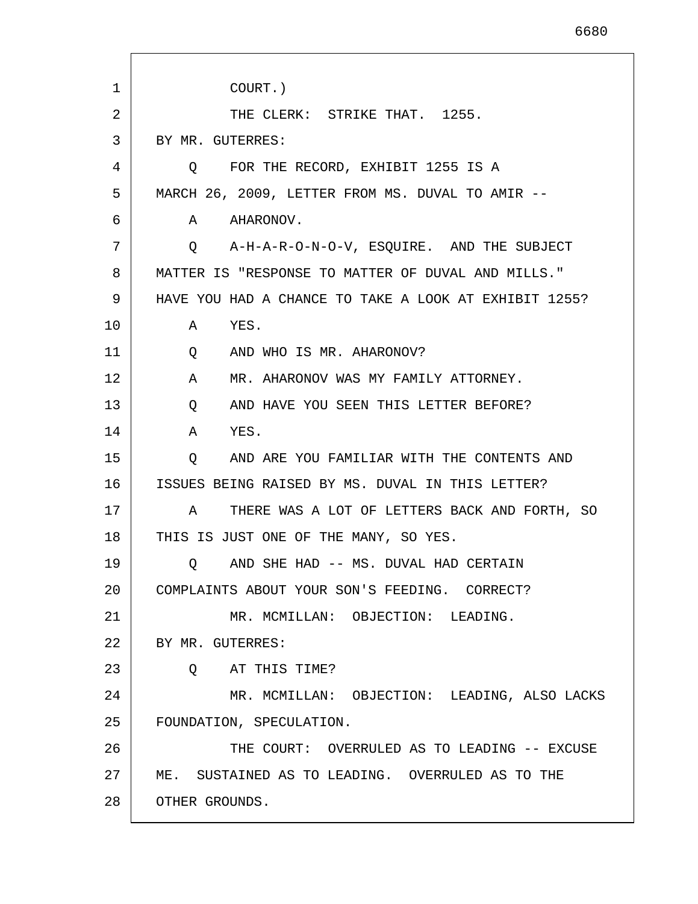1 2 3 4 5 6 7 8 9 10 11 12 13 14 15 16 17 18 19 20 21 22 23 24 25 26 27 28 COURT.) THE CLERK: STRIKE THAT. 1255. BY MR. GUTERRES: Q FOR THE RECORD, EXHIBIT 1255 IS A MARCH 26, 2009, LETTER FROM MS. DUVAL TO AMIR -- A AHARONOV. Q A-H-A-R-O-N-O-V, ESQUIRE. AND THE SUBJECT MATTER IS "RESPONSE TO MATTER OF DUVAL AND MILLS." HAVE YOU HAD A CHANCE TO TAKE A LOOK AT EXHIBIT 1255? A YES. Q AND WHO IS MR. AHARONOV? A MR. AHARONOV WAS MY FAMILY ATTORNEY. Q AND HAVE YOU SEEN THIS LETTER BEFORE? A YES. Q AND ARE YOU FAMILIAR WITH THE CONTENTS AND ISSUES BEING RAISED BY MS. DUVAL IN THIS LETTER? A THERE WAS A LOT OF LETTERS BACK AND FORTH, SO THIS IS JUST ONE OF THE MANY, SO YES. Q AND SHE HAD -- MS. DUVAL HAD CERTAIN COMPLAINTS ABOUT YOUR SON'S FEEDING. CORRECT? MR. MCMILLAN: OBJECTION: LEADING. BY MR. GUTERRES: Q AT THIS TIME? MR. MCMILLAN: OBJECTION: LEADING, ALSO LACKS FOUNDATION, SPECULATION. THE COURT: OVERRULED AS TO LEADING -- EXCUSE ME. SUSTAINED AS TO LEADING. OVERRULED AS TO THE OTHER GROUNDS.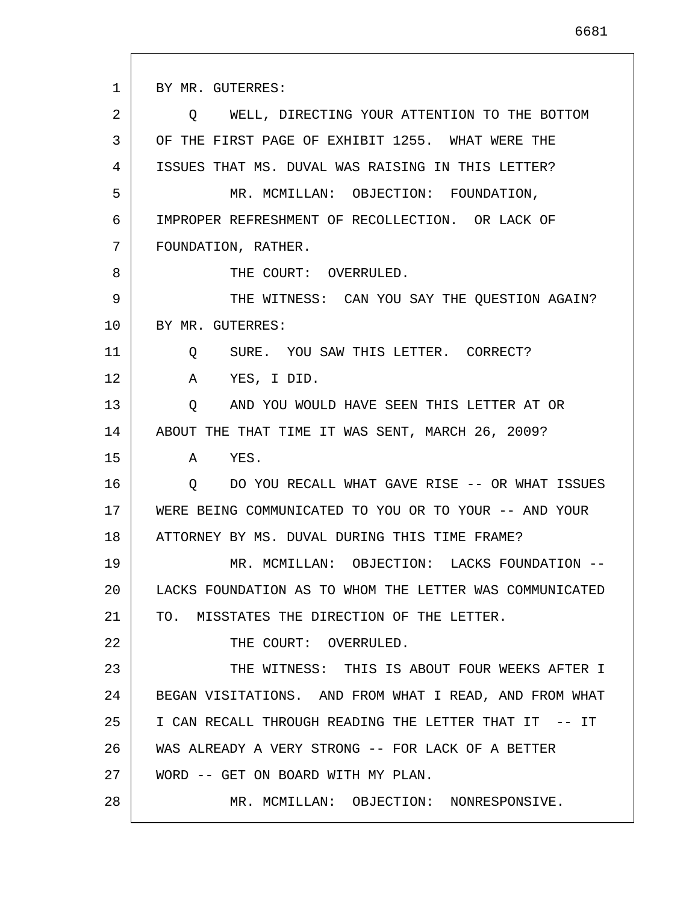1 2 3 4 5 6 7 8 9 10 11 12 13 14 15 16 17 18 19 20 21 22 23 24 25 26 27 28 BY MR. GUTERRES: Q WELL, DIRECTING YOUR ATTENTION TO THE BOTTOM OF THE FIRST PAGE OF EXHIBIT 1255. WHAT WERE THE ISSUES THAT MS. DUVAL WAS RAISING IN THIS LETTER? MR. MCMILLAN: OBJECTION: FOUNDATION, IMPROPER REFRESHMENT OF RECOLLECTION. OR LACK OF FOUNDATION, RATHER. THE COURT: OVERRULED. THE WITNESS: CAN YOU SAY THE QUESTION AGAIN? BY MR. GUTERRES: Q SURE. YOU SAW THIS LETTER. CORRECT? A YES, I DID. Q AND YOU WOULD HAVE SEEN THIS LETTER AT OR ABOUT THE THAT TIME IT WAS SENT, MARCH 26, 2009? A YES. Q DO YOU RECALL WHAT GAVE RISE -- OR WHAT ISSUES WERE BEING COMMUNICATED TO YOU OR TO YOUR -- AND YOUR ATTORNEY BY MS. DUVAL DURING THIS TIME FRAME? MR. MCMILLAN: OBJECTION: LACKS FOUNDATION -- LACKS FOUNDATION AS TO WHOM THE LETTER WAS COMMUNICATED TO. MISSTATES THE DIRECTION OF THE LETTER. THE COURT: OVERRULED. THE WITNESS: THIS IS ABOUT FOUR WEEKS AFTER I BEGAN VISITATIONS. AND FROM WHAT I READ, AND FROM WHAT I CAN RECALL THROUGH READING THE LETTER THAT IT -- IT WAS ALREADY A VERY STRONG -- FOR LACK OF A BETTER WORD -- GET ON BOARD WITH MY PLAN. MR. MCMILLAN: OBJECTION: NONRESPONSIVE.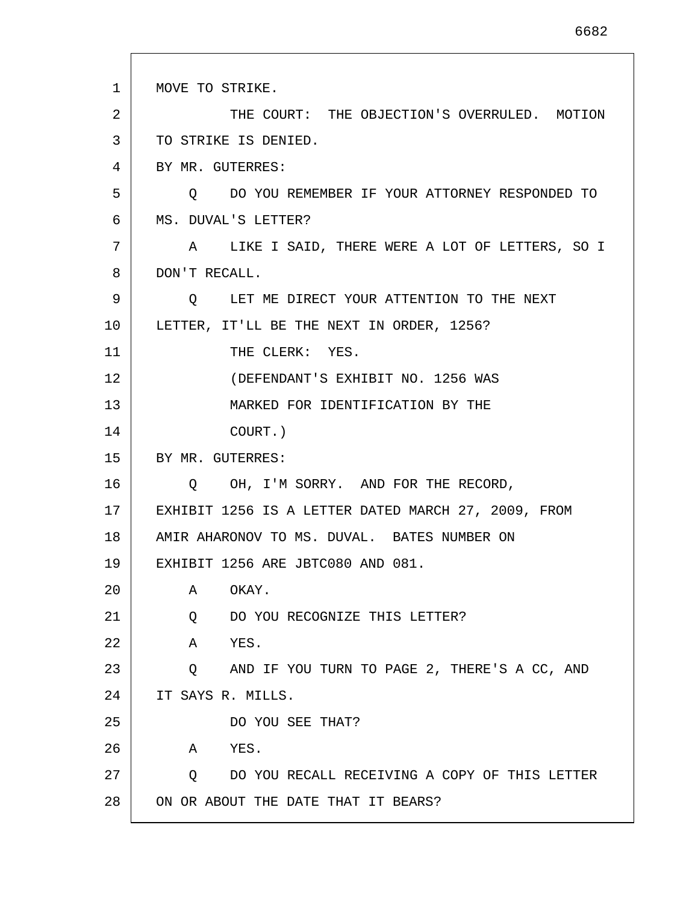1 2 3 4 5 6 7 8 9 10 11 12 13 14 15 16 17 18 19 20 21 22 23 24 25 26 27 28 MOVE TO STRIKE. THE COURT: THE OBJECTION'S OVERRULED. MOTION TO STRIKE IS DENIED. BY MR. GUTERRES: Q DO YOU REMEMBER IF YOUR ATTORNEY RESPONDED TO MS. DUVAL'S LETTER? A LIKE I SAID, THERE WERE A LOT OF LETTERS, SO I DON'T RECALL. Q LET ME DIRECT YOUR ATTENTION TO THE NEXT LETTER, IT'LL BE THE NEXT IN ORDER, 1256? THE CLERK: YES. (DEFENDANT'S EXHIBIT NO. 1256 WAS MARKED FOR IDENTIFICATION BY THE COURT.) BY MR. GUTERRES: Q OH, I'M SORRY. AND FOR THE RECORD, EXHIBIT 1256 IS A LETTER DATED MARCH 27, 2009, FROM AMIR AHARONOV TO MS. DUVAL. BATES NUMBER ON EXHIBIT 1256 ARE JBTC080 AND 081. A OKAY. Q DO YOU RECOGNIZE THIS LETTER? A YES. Q AND IF YOU TURN TO PAGE 2, THERE'S A CC, AND IT SAYS R. MILLS. DO YOU SEE THAT? A YES. Q DO YOU RECALL RECEIVING A COPY OF THIS LETTER ON OR ABOUT THE DATE THAT IT BEARS?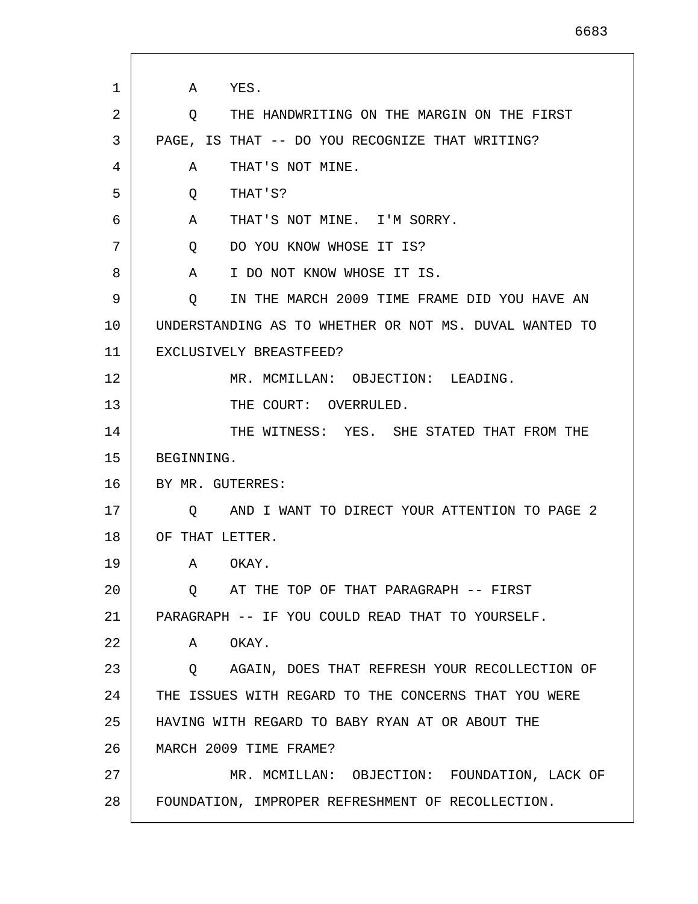| 1  | YES.<br>A                                               |
|----|---------------------------------------------------------|
| 2  | THE HANDWRITING ON THE MARGIN ON THE FIRST<br>Q         |
| 3  | PAGE, IS THAT -- DO YOU RECOGNIZE THAT WRITING?         |
| 4  | THAT'S NOT MINE.<br>A                                   |
| 5  | THAT'S?<br>Q                                            |
| 6  | THAT'S NOT MINE. I'M SORRY.<br>A                        |
| 7  | DO YOU KNOW WHOSE IT IS?<br>Q                           |
| 8  | I DO NOT KNOW WHOSE IT IS.<br>A                         |
| 9  | IN THE MARCH 2009 TIME FRAME DID YOU HAVE AN<br>$\circ$ |
| 10 | UNDERSTANDING AS TO WHETHER OR NOT MS. DUVAL WANTED TO  |
| 11 | EXCLUSIVELY BREASTFEED?                                 |
| 12 | MR. MCMILLAN: OBJECTION: LEADING.                       |
| 13 | THE COURT: OVERRULED.                                   |
| 14 | THE WITNESS: YES. SHE STATED THAT FROM THE              |
| 15 | BEGINNING.                                              |
| 16 | BY MR. GUTERRES:                                        |
| 17 | AND I WANT TO DIRECT YOUR ATTENTION TO PAGE 2<br>Q      |
| 18 | OF THAT LETTER.                                         |
| 19 | OKAY.<br>A                                              |
| 20 | AT THE TOP OF THAT PARAGRAPH -- FIRST<br>O              |
| 21 | PARAGRAPH -- IF YOU COULD READ THAT TO YOURSELF.        |
| 22 | OKAY.<br>A                                              |
| 23 | Q AGAIN, DOES THAT REFRESH YOUR RECOLLECTION OF         |
| 24 | THE ISSUES WITH REGARD TO THE CONCERNS THAT YOU WERE    |
| 25 | HAVING WITH REGARD TO BABY RYAN AT OR ABOUT THE         |
| 26 | MARCH 2009 TIME FRAME?                                  |
| 27 | MR. MCMILLAN: OBJECTION: FOUNDATION, LACK OF            |
| 28 | FOUNDATION, IMPROPER REFRESHMENT OF RECOLLECTION.       |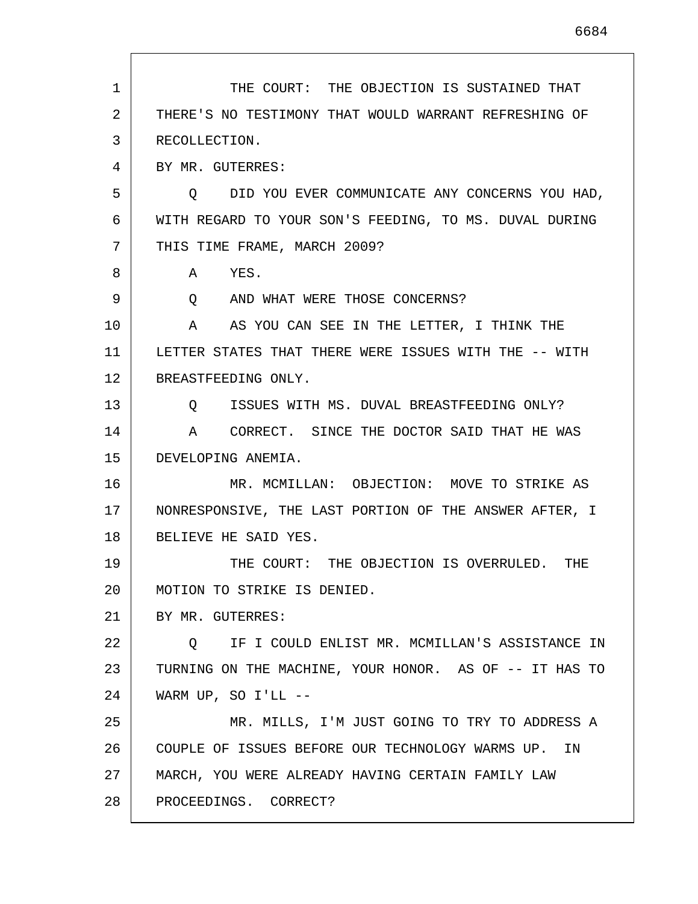1 2 3 4 5 6 7 8 9 10 11 12 13 14 15 16 17 18 19 20 21 22 23 24 25 26 27 28 THE COURT: THE OBJECTION IS SUSTAINED THAT THERE'S NO TESTIMONY THAT WOULD WARRANT REFRESHING OF RECOLLECTION. BY MR. GUTERRES: Q DID YOU EVER COMMUNICATE ANY CONCERNS YOU HAD, WITH REGARD TO YOUR SON'S FEEDING, TO MS. DUVAL DURING THIS TIME FRAME, MARCH 2009? A YES. Q AND WHAT WERE THOSE CONCERNS? A AS YOU CAN SEE IN THE LETTER, I THINK THE LETTER STATES THAT THERE WERE ISSUES WITH THE -- WITH BREASTFEEDING ONLY. Q ISSUES WITH MS. DUVAL BREASTFEEDING ONLY? A CORRECT. SINCE THE DOCTOR SAID THAT HE WAS DEVELOPING ANEMIA. MR. MCMILLAN: OBJECTION: MOVE TO STRIKE AS NONRESPONSIVE, THE LAST PORTION OF THE ANSWER AFTER, I BELIEVE HE SAID YES. THE COURT: THE OBJECTION IS OVERRULED. THE MOTION TO STRIKE IS DENIED. BY MR. GUTERRES: Q IF I COULD ENLIST MR. MCMILLAN'S ASSISTANCE IN TURNING ON THE MACHINE, YOUR HONOR. AS OF -- IT HAS TO WARM UP, SO I'LL --MR. MILLS, I'M JUST GOING TO TRY TO ADDRESS A COUPLE OF ISSUES BEFORE OUR TECHNOLOGY WARMS UP. IN MARCH, YOU WERE ALREADY HAVING CERTAIN FAMILY LAW PROCEEDINGS. CORRECT?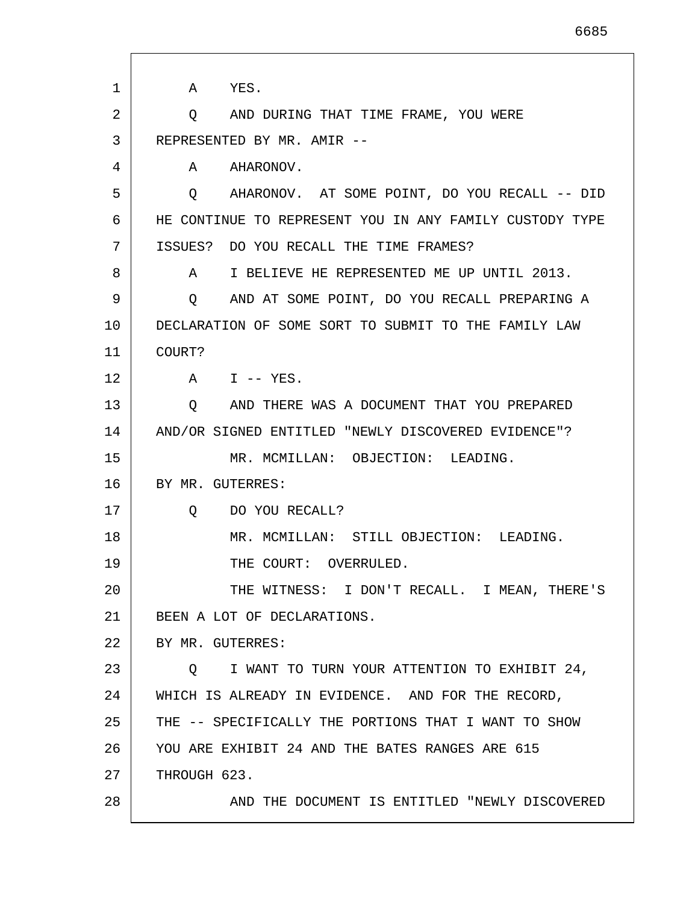| 1  | A YES.                                                    |
|----|-----------------------------------------------------------|
| 2  | AND DURING THAT TIME FRAME, YOU WERE<br>Q                 |
| 3  | REPRESENTED BY MR. AMIR --                                |
| 4  | A AHARONOV.                                               |
| 5  | AHARONOV. AT SOME POINT, DO YOU RECALL -- DID<br>$\circ$  |
| 6  | HE CONTINUE TO REPRESENT YOU IN ANY FAMILY CUSTODY TYPE   |
| 7  | DO YOU RECALL THE TIME FRAMES?<br>ISSUES?                 |
| 8  | I BELIEVE HE REPRESENTED ME UP UNTIL 2013.<br>A           |
| 9  | AND AT SOME POINT, DO YOU RECALL PREPARING A<br>Q         |
| 10 | DECLARATION OF SOME SORT TO SUBMIT TO THE FAMILY LAW      |
| 11 | COURT?                                                    |
| 12 | A I -- YES.                                               |
| 13 | AND THERE WAS A DOCUMENT THAT YOU PREPARED<br>Q           |
| 14 | AND/OR SIGNED ENTITLED "NEWLY DISCOVERED EVIDENCE"?       |
| 15 | MR. MCMILLAN: OBJECTION: LEADING.                         |
| 16 | BY MR. GUTERRES:                                          |
| 17 | DO YOU RECALL?<br>Q                                       |
| 18 | MR. MCMILLAN: STILL OBJECTION: LEADING.                   |
| 19 | THE COURT: OVERRULED.                                     |
| 20 | THE WITNESS: I DON'T RECALL. I MEAN, THERE'S              |
| 21 | BEEN A LOT OF DECLARATIONS.                               |
| 22 | BY MR. GUTERRES:                                          |
| 23 | I WANT TO TURN YOUR ATTENTION TO EXHIBIT 24,<br>$\circ$ 0 |
| 24 | WHICH IS ALREADY IN EVIDENCE. AND FOR THE RECORD,         |
| 25 | THE -- SPECIFICALLY THE PORTIONS THAT I WANT TO SHOW      |
| 26 | YOU ARE EXHIBIT 24 AND THE BATES RANGES ARE 615           |
| 27 | THROUGH 623.                                              |
| 28 | AND THE DOCUMENT IS ENTITLED "NEWLY DISCOVERED            |

I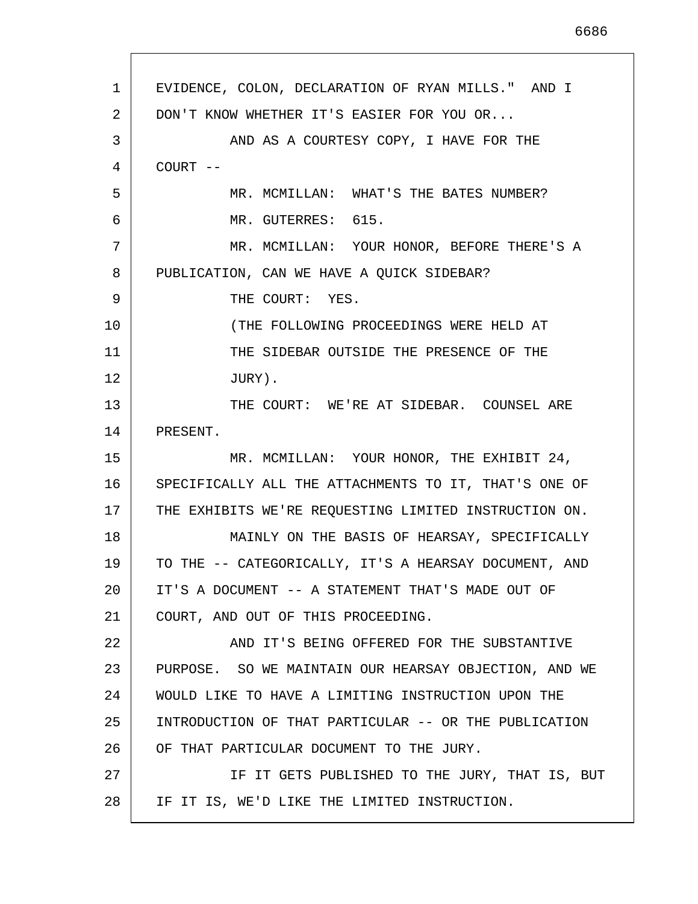1 2 3 4 5 6 7 8 9 10 11 12 13 14 15 16 17 18 19 20 21 22 23 24 25 26 27 28 EVIDENCE, COLON, DECLARATION OF RYAN MILLS." AND I DON'T KNOW WHETHER IT'S EASIER FOR YOU OR... AND AS A COURTESY COPY, I HAVE FOR THE COURT -- MR. MCMILLAN: WHAT'S THE BATES NUMBER? MR. GUTERRES: 615. MR. MCMILLAN: YOUR HONOR, BEFORE THERE'S A PUBLICATION, CAN WE HAVE A QUICK SIDEBAR? THE COURT: YES. (THE FOLLOWING PROCEEDINGS WERE HELD AT THE SIDEBAR OUTSIDE THE PRESENCE OF THE JURY). THE COURT: WE'RE AT SIDEBAR. COUNSEL ARE PRESENT. MR. MCMILLAN: YOUR HONOR, THE EXHIBIT 24, SPECIFICALLY ALL THE ATTACHMENTS TO IT, THAT'S ONE OF THE EXHIBITS WE'RE REQUESTING LIMITED INSTRUCTION ON. MAINLY ON THE BASIS OF HEARSAY, SPECIFICALLY TO THE -- CATEGORICALLY, IT'S A HEARSAY DOCUMENT, AND IT'S A DOCUMENT -- A STATEMENT THAT'S MADE OUT OF COURT, AND OUT OF THIS PROCEEDING. AND IT'S BEING OFFERED FOR THE SUBSTANTIVE PURPOSE. SO WE MAINTAIN OUR HEARSAY OBJECTION, AND WE WOULD LIKE TO HAVE A LIMITING INSTRUCTION UPON THE INTRODUCTION OF THAT PARTICULAR -- OR THE PUBLICATION OF THAT PARTICULAR DOCUMENT TO THE JURY. IF IT GETS PUBLISHED TO THE JURY, THAT IS, BUT IF IT IS, WE'D LIKE THE LIMITED INSTRUCTION.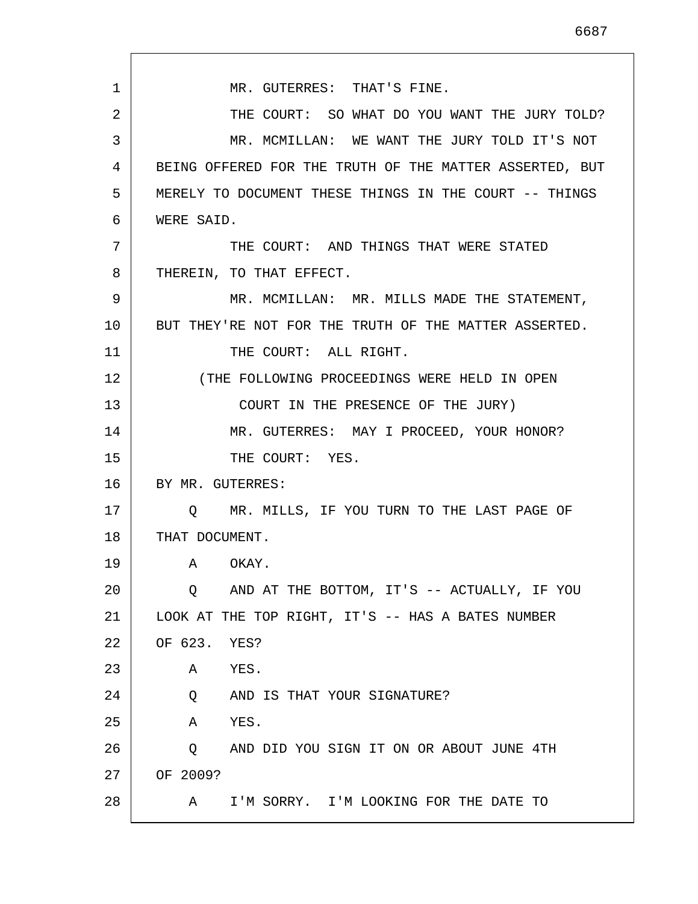1 2 3 4 5 6 7 8 9 10 11 12 13 14 15 16 17 18 19 20 21 22 23 24 25 26 27 28 MR. GUTERRES: THAT'S FINE. THE COURT: SO WHAT DO YOU WANT THE JURY TOLD? MR. MCMILLAN: WE WANT THE JURY TOLD IT'S NOT BEING OFFERED FOR THE TRUTH OF THE MATTER ASSERTED, BUT MERELY TO DOCUMENT THESE THINGS IN THE COURT -- THINGS WERE SAID. THE COURT: AND THINGS THAT WERE STATED THEREIN, TO THAT EFFECT. MR. MCMILLAN: MR. MILLS MADE THE STATEMENT, BUT THEY'RE NOT FOR THE TRUTH OF THE MATTER ASSERTED. THE COURT: ALL RIGHT. (THE FOLLOWING PROCEEDINGS WERE HELD IN OPEN COURT IN THE PRESENCE OF THE JURY) MR. GUTERRES: MAY I PROCEED, YOUR HONOR? THE COURT: YES. BY MR. GUTERRES: Q MR. MILLS, IF YOU TURN TO THE LAST PAGE OF THAT DOCUMENT. A OKAY. Q AND AT THE BOTTOM, IT'S -- ACTUALLY, IF YOU LOOK AT THE TOP RIGHT, IT'S -- HAS A BATES NUMBER OF 623. YES? A YES. Q AND IS THAT YOUR SIGNATURE? A YES. Q AND DID YOU SIGN IT ON OR ABOUT JUNE 4TH OF 2009? A I'M SORRY. I'M LOOKING FOR THE DATE TO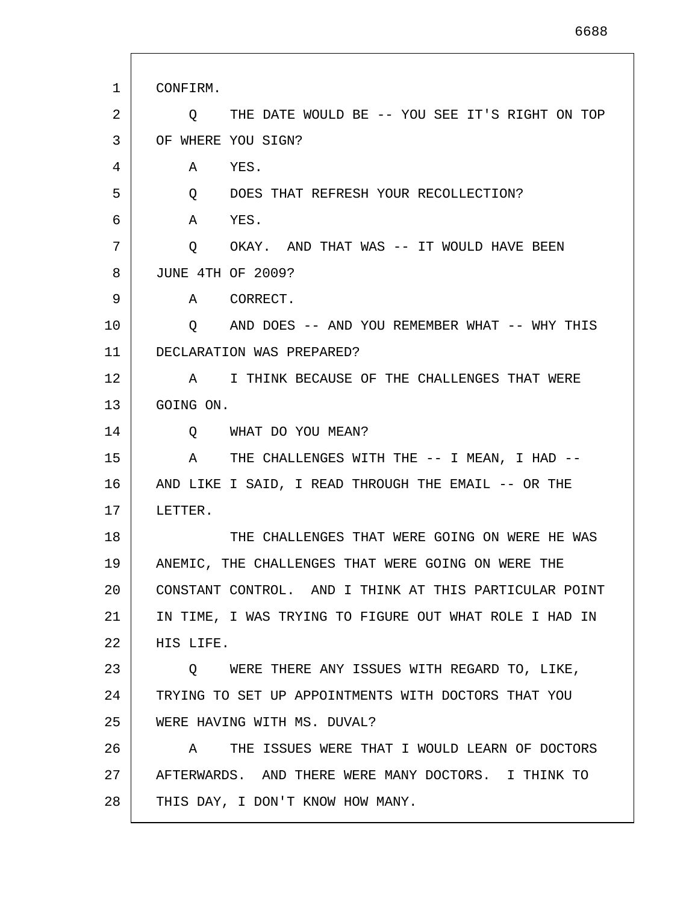| 1  | CONFIRM.                                                  |
|----|-----------------------------------------------------------|
| 2  | THE DATE WOULD BE -- YOU SEE IT'S RIGHT ON TOP<br>O.      |
| 3  | OF WHERE YOU SIGN?                                        |
| 4  | Α<br>YES.                                                 |
| 5  | DOES THAT REFRESH YOUR RECOLLECTION?<br>$Q \qquad \qquad$ |
| 6  | YES.<br>A                                                 |
| 7  | OKAY. AND THAT WAS -- IT WOULD HAVE BEEN<br>$\circ$       |
| 8  | <b>JUNE 4TH OF 2009?</b>                                  |
| 9  | A CORRECT.                                                |
| 10 | O AND DOES -- AND YOU REMEMBER WHAT -- WHY THIS           |
| 11 | DECLARATION WAS PREPARED?                                 |
| 12 | I THINK BECAUSE OF THE CHALLENGES THAT WERE<br>A          |
| 13 | GOING ON.                                                 |
| 14 | WHAT DO YOU MEAN?<br>O                                    |
| 15 | THE CHALLENGES WITH THE -- I MEAN, I HAD --<br>A          |
| 16 | AND LIKE I SAID, I READ THROUGH THE EMAIL -- OR THE       |
| 17 | LETTER.                                                   |
| 18 | THE CHALLENGES THAT WERE GOING ON WERE HE WAS             |
| 19 | ANEMIC, THE CHALLENGES THAT WERE GOING ON WERE THE        |
| 20 | CONSTANT CONTROL. AND I THINK AT THIS PARTICULAR POINT    |
| 21 | IN TIME, I WAS TRYING TO FIGURE OUT WHAT ROLE I HAD IN    |
| 22 | HIS LIFE.                                                 |
| 23 | Q WERE THERE ANY ISSUES WITH REGARD TO, LIKE,             |
| 24 | TRYING TO SET UP APPOINTMENTS WITH DOCTORS THAT YOU       |
| 25 | WERE HAVING WITH MS. DUVAL?                               |
| 26 | A THE ISSUES WERE THAT I WOULD LEARN OF DOCTORS           |
| 27 | AFTERWARDS. AND THERE WERE MANY DOCTORS. I THINK TO       |
| 28 | THIS DAY, I DON'T KNOW HOW MANY.                          |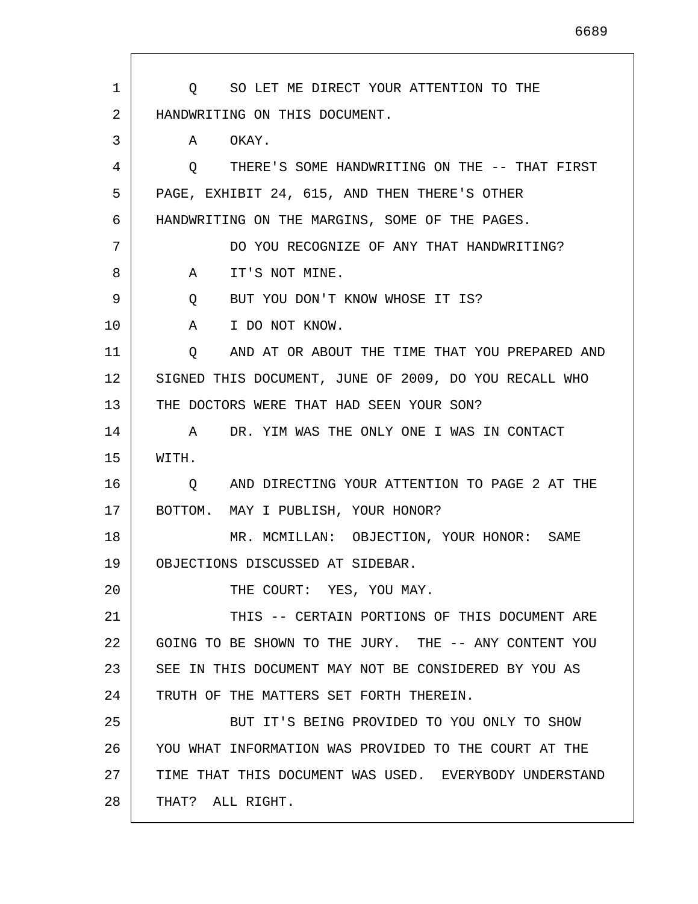1 2 3 4 5 6 7 8 9 10 11 12 13 14 15 16 17 18 19 20 21 22 23 24 25 26 27 28 Q SO LET ME DIRECT YOUR ATTENTION TO THE HANDWRITING ON THIS DOCUMENT. A OKAY. Q THERE'S SOME HANDWRITING ON THE -- THAT FIRST PAGE, EXHIBIT 24, 615, AND THEN THERE'S OTHER HANDWRITING ON THE MARGINS, SOME OF THE PAGES. DO YOU RECOGNIZE OF ANY THAT HANDWRITING? A IT'S NOT MINE. Q BUT YOU DON'T KNOW WHOSE IT IS? A I DO NOT KNOW. Q AND AT OR ABOUT THE TIME THAT YOU PREPARED AND SIGNED THIS DOCUMENT, JUNE OF 2009, DO YOU RECALL WHO THE DOCTORS WERE THAT HAD SEEN YOUR SON? A DR. YIM WAS THE ONLY ONE I WAS IN CONTACT WITH. Q AND DIRECTING YOUR ATTENTION TO PAGE 2 AT THE BOTTOM. MAY I PUBLISH, YOUR HONOR? MR. MCMILLAN: OBJECTION, YOUR HONOR: SAME OBJECTIONS DISCUSSED AT SIDEBAR. THE COURT: YES, YOU MAY. THIS -- CERTAIN PORTIONS OF THIS DOCUMENT ARE GOING TO BE SHOWN TO THE JURY. THE -- ANY CONTENT YOU SEE IN THIS DOCUMENT MAY NOT BE CONSIDERED BY YOU AS TRUTH OF THE MATTERS SET FORTH THEREIN. BUT IT'S BEING PROVIDED TO YOU ONLY TO SHOW YOU WHAT INFORMATION WAS PROVIDED TO THE COURT AT THE TIME THAT THIS DOCUMENT WAS USED. EVERYBODY UNDERSTAND THAT? ALL RIGHT.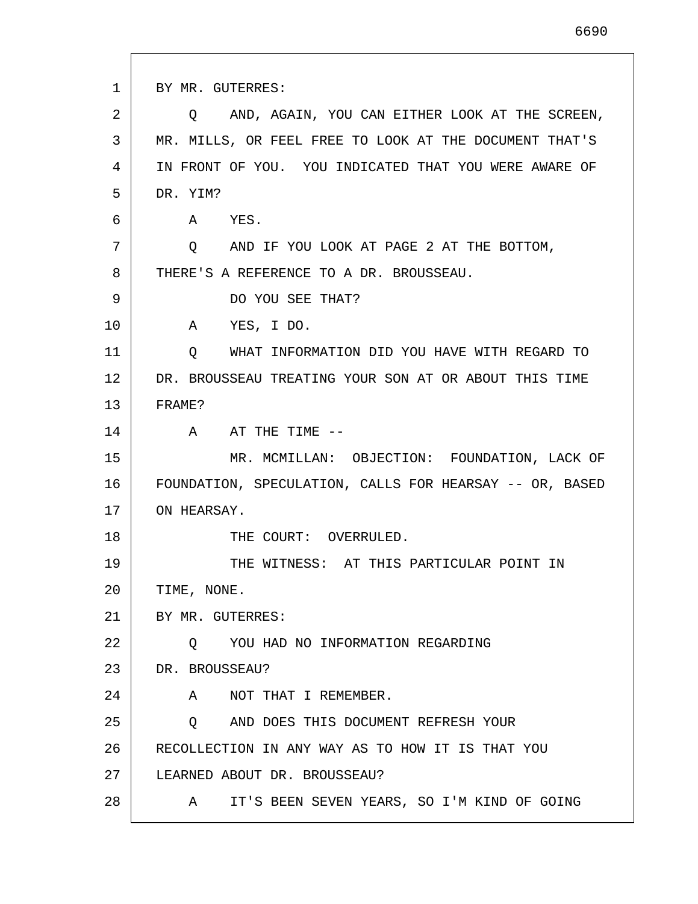1 2 3 4 5 6 7 8 9 10 11 12 13 14 15 16 17 18 19 20 21 22 23 24 25 26 27 28 BY MR. GUTERRES: Q AND, AGAIN, YOU CAN EITHER LOOK AT THE SCREEN, MR. MILLS, OR FEEL FREE TO LOOK AT THE DOCUMENT THAT'S IN FRONT OF YOU. YOU INDICATED THAT YOU WERE AWARE OF DR. YIM? A YES. Q AND IF YOU LOOK AT PAGE 2 AT THE BOTTOM, THERE'S A REFERENCE TO A DR. BROUSSEAU. DO YOU SEE THAT? A YES, I DO. Q WHAT INFORMATION DID YOU HAVE WITH REGARD TO DR. BROUSSEAU TREATING YOUR SON AT OR ABOUT THIS TIME FRAME? A AT THE TIME -- MR. MCMILLAN: OBJECTION: FOUNDATION, LACK OF FOUNDATION, SPECULATION, CALLS FOR HEARSAY -- OR, BASED ON HEARSAY. THE COURT: OVERRULED. THE WITNESS: AT THIS PARTICULAR POINT IN TIME, NONE. BY MR. GUTERRES: Q YOU HAD NO INFORMATION REGARDING DR. BROUSSEAU? A NOT THAT I REMEMBER. Q AND DOES THIS DOCUMENT REFRESH YOUR RECOLLECTION IN ANY WAY AS TO HOW IT IS THAT YOU LEARNED ABOUT DR. BROUSSEAU? A IT'S BEEN SEVEN YEARS, SO I'M KIND OF GOING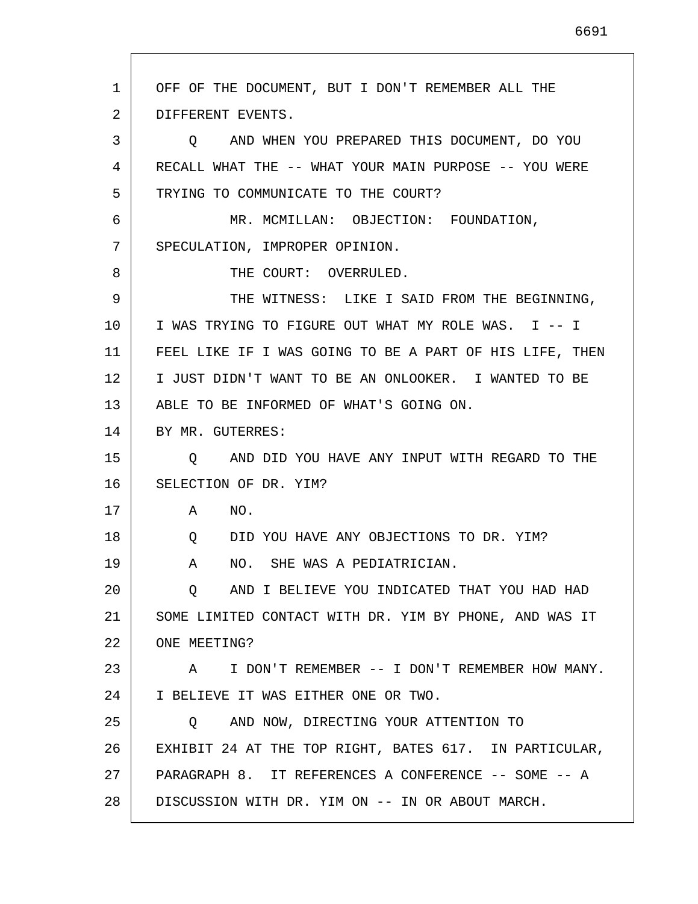1 2 3 4 5 6 7 8 9 10 11 12 13 14 15 16 17 18 19 20 21 22 23 24 25 26 27 28 OFF OF THE DOCUMENT, BUT I DON'T REMEMBER ALL THE DIFFERENT EVENTS. Q AND WHEN YOU PREPARED THIS DOCUMENT, DO YOU RECALL WHAT THE -- WHAT YOUR MAIN PURPOSE -- YOU WERE TRYING TO COMMUNICATE TO THE COURT? MR. MCMILLAN: OBJECTION: FOUNDATION, SPECULATION, IMPROPER OPINION. THE COURT: OVERRULED. THE WITNESS: LIKE I SAID FROM THE BEGINNING, I WAS TRYING TO FIGURE OUT WHAT MY ROLE WAS. I -- I FEEL LIKE IF I WAS GOING TO BE A PART OF HIS LIFE, THEN I JUST DIDN'T WANT TO BE AN ONLOOKER. I WANTED TO BE ABLE TO BE INFORMED OF WHAT'S GOING ON. BY MR. GUTERRES: Q AND DID YOU HAVE ANY INPUT WITH REGARD TO THE SELECTION OF DR. YIM? A NO. Q DID YOU HAVE ANY OBJECTIONS TO DR. YIM? A NO. SHE WAS A PEDIATRICIAN. Q AND I BELIEVE YOU INDICATED THAT YOU HAD HAD SOME LIMITED CONTACT WITH DR. YIM BY PHONE, AND WAS IT ONE MEETING? A I DON'T REMEMBER -- I DON'T REMEMBER HOW MANY. I BELIEVE IT WAS EITHER ONE OR TWO. Q AND NOW, DIRECTING YOUR ATTENTION TO EXHIBIT 24 AT THE TOP RIGHT, BATES 617. IN PARTICULAR, PARAGRAPH 8. IT REFERENCES A CONFERENCE -- SOME -- A DISCUSSION WITH DR. YIM ON -- IN OR ABOUT MARCH.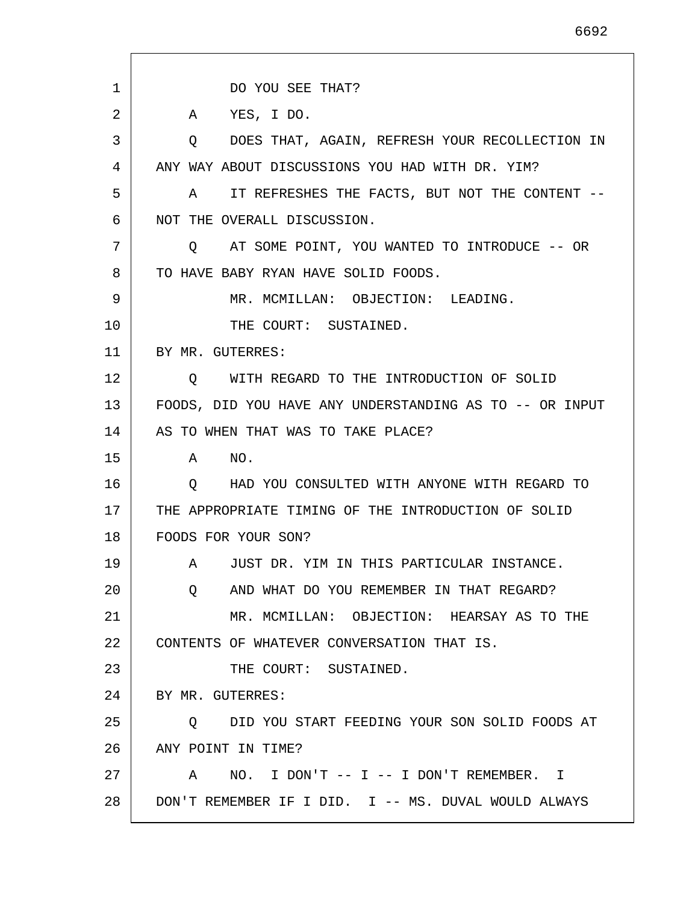1 2 3 4 5 6 7 8 9 10 11 12 13 14 15 16 17 18 19 20 21  $2.2<sub>2</sub>$ 23 24 25 26 27 28 DO YOU SEE THAT? A YES, I DO. Q DOES THAT, AGAIN, REFRESH YOUR RECOLLECTION IN ANY WAY ABOUT DISCUSSIONS YOU HAD WITH DR. YIM? A IT REFRESHES THE FACTS, BUT NOT THE CONTENT -- NOT THE OVERALL DISCUSSION. Q AT SOME POINT, YOU WANTED TO INTRODUCE -- OR TO HAVE BABY RYAN HAVE SOLID FOODS. MR. MCMILLAN: OBJECTION: LEADING. THE COURT: SUSTAINED. BY MR. GUTERRES: Q WITH REGARD TO THE INTRODUCTION OF SOLID FOODS, DID YOU HAVE ANY UNDERSTANDING AS TO -- OR INPUT AS TO WHEN THAT WAS TO TAKE PLACE? A NO. Q HAD YOU CONSULTED WITH ANYONE WITH REGARD TO THE APPROPRIATE TIMING OF THE INTRODUCTION OF SOLID FOODS FOR YOUR SON? A JUST DR. YIM IN THIS PARTICULAR INSTANCE. Q AND WHAT DO YOU REMEMBER IN THAT REGARD? MR. MCMILLAN: OBJECTION: HEARSAY AS TO THE CONTENTS OF WHATEVER CONVERSATION THAT IS. THE COURT: SUSTAINED. BY MR. GUTERRES: Q DID YOU START FEEDING YOUR SON SOLID FOODS AT ANY POINT IN TIME? A NO. I DON'T -- I -- I DON'T REMEMBER. I DON'T REMEMBER IF I DID. I -- MS. DUVAL WOULD ALWAYS

6692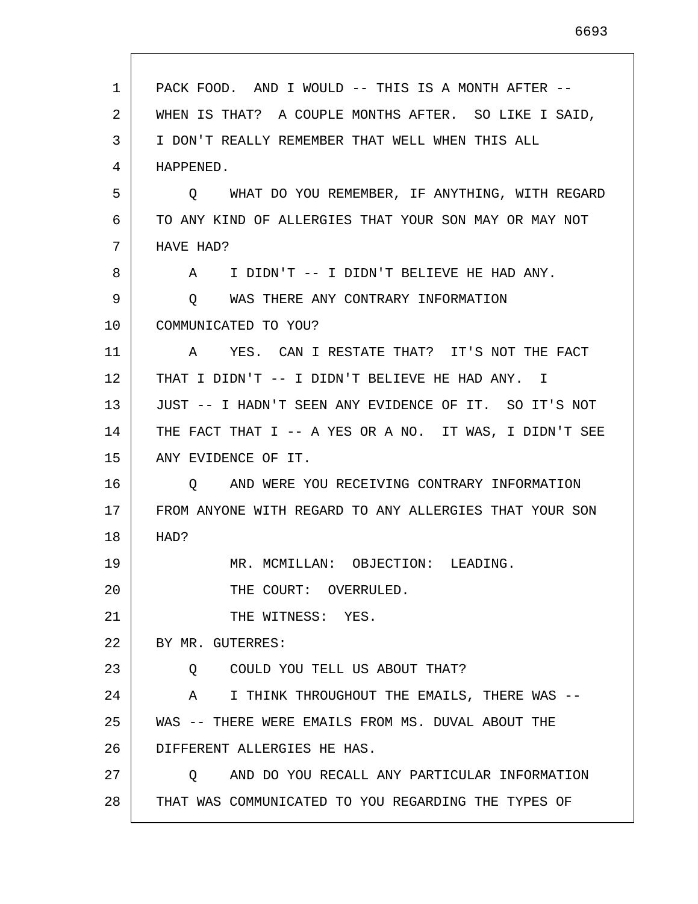| 1  | PACK FOOD. AND I WOULD -- THIS IS A MONTH AFTER --     |
|----|--------------------------------------------------------|
| 2  | WHEN IS THAT? A COUPLE MONTHS AFTER. SO LIKE I SAID,   |
| 3  | I DON'T REALLY REMEMBER THAT WELL WHEN THIS ALL        |
| 4  | HAPPENED.                                              |
| 5  | Q WHAT DO YOU REMEMBER, IF ANYTHING, WITH REGARD       |
| 6  | TO ANY KIND OF ALLERGIES THAT YOUR SON MAY OR MAY NOT  |
| 7  | HAVE HAD?                                              |
| 8  | I DIDN'T -- I DIDN'T BELIEVE HE HAD ANY.<br>A          |
| 9  | WAS THERE ANY CONTRARY INFORMATION<br>Q.               |
| 10 | COMMUNICATED TO YOU?                                   |
| 11 | YES. CAN I RESTATE THAT? IT'S NOT THE FACT<br>A        |
| 12 | THAT I DIDN'T -- I DIDN'T BELIEVE HE HAD ANY.<br>Ι.    |
| 13 | JUST -- I HADN'T SEEN ANY EVIDENCE OF IT. SO IT'S NOT  |
| 14 | THE FACT THAT I -- A YES OR A NO. IT WAS, I DIDN'T SEE |
| 15 | ANY EVIDENCE OF IT.                                    |
| 16 | AND WERE YOU RECEIVING CONTRARY INFORMATION<br>O       |
| 17 | FROM ANYONE WITH REGARD TO ANY ALLERGIES THAT YOUR SON |
| 18 | HAD?                                                   |
| 19 | MR. MCMILLAN: OBJECTION: LEADING.                      |
| 20 | THE COURT: OVERRULED.                                  |
| 21 | THE WITNESS: YES.                                      |
| 22 | BY MR. GUTERRES:                                       |
| 23 | COULD YOU TELL US ABOUT THAT?<br>Q                     |
| 24 | I THINK THROUGHOUT THE EMAILS, THERE WAS --<br>A       |
| 25 | WAS -- THERE WERE EMAILS FROM MS. DUVAL ABOUT THE      |
| 26 | DIFFERENT ALLERGIES HE HAS.                            |
| 27 | AND DO YOU RECALL ANY PARTICULAR INFORMATION<br>O      |
| 28 | THAT WAS COMMUNICATED TO YOU REGARDING THE TYPES OF    |
|    |                                                        |

 $\mathsf{l}$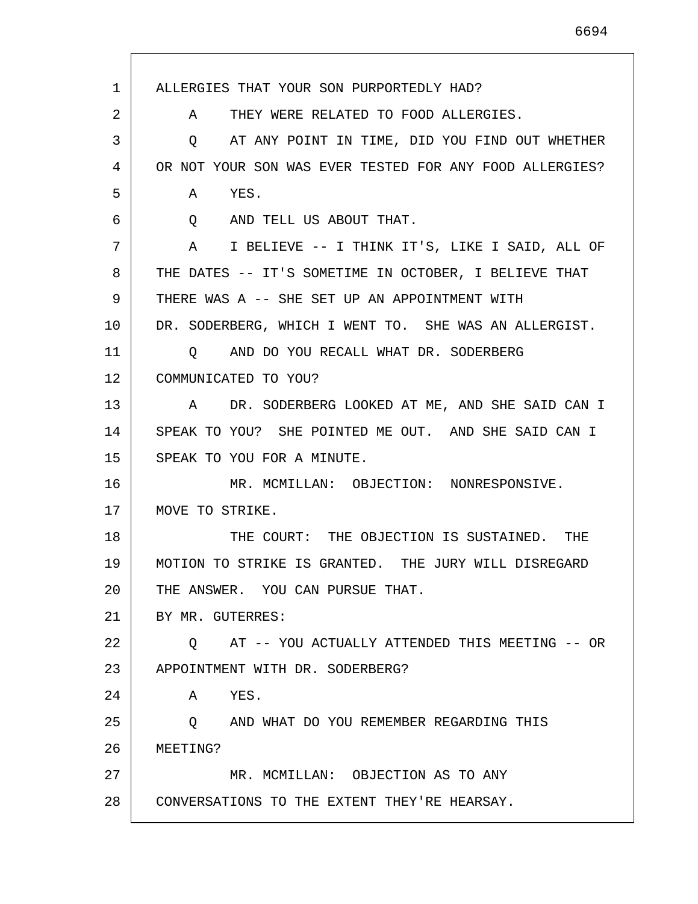1 2 3 4 5 6 7 8 9 10 11 12 13 14 15 16 17 18 19 20 21 22 23 24 25 26 27 28 ALLERGIES THAT YOUR SON PURPORTEDLY HAD? A THEY WERE RELATED TO FOOD ALLERGIES. Q AT ANY POINT IN TIME, DID YOU FIND OUT WHETHER OR NOT YOUR SON WAS EVER TESTED FOR ANY FOOD ALLERGIES? A YES. Q AND TELL US ABOUT THAT. A I BELIEVE -- I THINK IT'S, LIKE I SAID, ALL OF THE DATES -- IT'S SOMETIME IN OCTOBER, I BELIEVE THAT THERE WAS A -- SHE SET UP AN APPOINTMENT WITH DR. SODERBERG, WHICH I WENT TO. SHE WAS AN ALLERGIST. Q AND DO YOU RECALL WHAT DR. SODERBERG COMMUNICATED TO YOU? A DR. SODERBERG LOOKED AT ME, AND SHE SAID CAN I SPEAK TO YOU? SHE POINTED ME OUT. AND SHE SAID CAN I SPEAK TO YOU FOR A MINUTE. MR. MCMILLAN: OBJECTION: NONRESPONSIVE. MOVE TO STRIKE. THE COURT: THE OBJECTION IS SUSTAINED. THE MOTION TO STRIKE IS GRANTED. THE JURY WILL DISREGARD THE ANSWER. YOU CAN PURSUE THAT. BY MR. GUTERRES: Q AT -- YOU ACTUALLY ATTENDED THIS MEETING -- OR APPOINTMENT WITH DR. SODERBERG? A YES. Q AND WHAT DO YOU REMEMBER REGARDING THIS MEETING? MR. MCMILLAN: OBJECTION AS TO ANY CONVERSATIONS TO THE EXTENT THEY'RE HEARSAY.

6694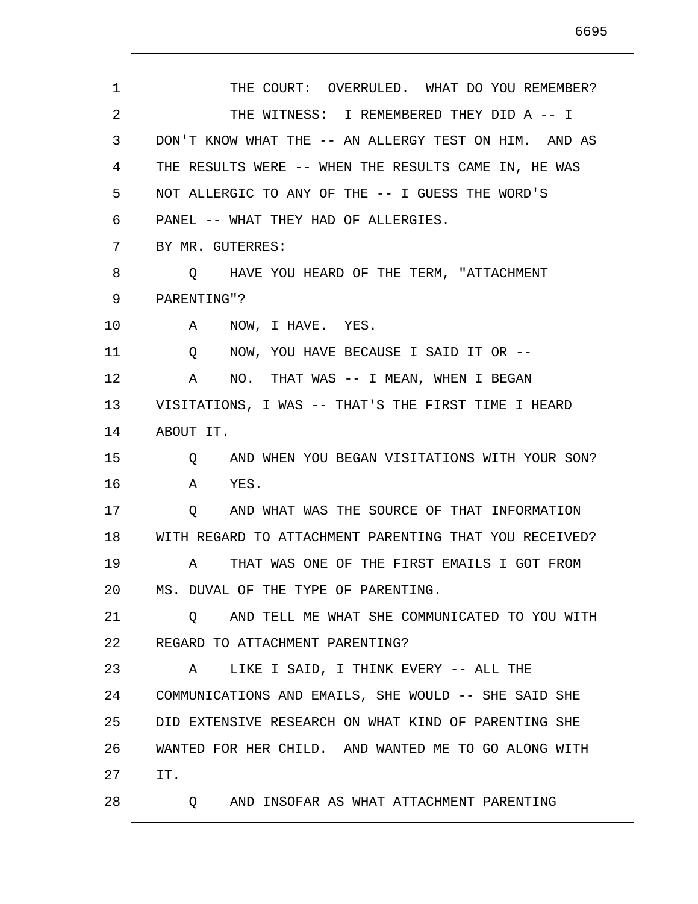1 2 3 4 5 6 7 8 9 10 11 12 13 14 15 16 17 18 19 20 21 22 23 24 25 26 27 28 THE COURT: OVERRULED. WHAT DO YOU REMEMBER? THE WITNESS: I REMEMBERED THEY DID A -- I DON'T KNOW WHAT THE -- AN ALLERGY TEST ON HIM. AND AS THE RESULTS WERE -- WHEN THE RESULTS CAME IN, HE WAS NOT ALLERGIC TO ANY OF THE -- I GUESS THE WORD'S PANEL -- WHAT THEY HAD OF ALLERGIES. BY MR. GUTERRES: Q HAVE YOU HEARD OF THE TERM, "ATTACHMENT PARENTING"? A NOW, I HAVE. YES. Q NOW, YOU HAVE BECAUSE I SAID IT OR -- A NO. THAT WAS -- I MEAN, WHEN I BEGAN VISITATIONS, I WAS -- THAT'S THE FIRST TIME I HEARD ABOUT IT. Q AND WHEN YOU BEGAN VISITATIONS WITH YOUR SON? A YES. Q AND WHAT WAS THE SOURCE OF THAT INFORMATION WITH REGARD TO ATTACHMENT PARENTING THAT YOU RECEIVED? A THAT WAS ONE OF THE FIRST EMAILS I GOT FROM MS. DUVAL OF THE TYPE OF PARENTING. Q AND TELL ME WHAT SHE COMMUNICATED TO YOU WITH REGARD TO ATTACHMENT PARENTING? A LIKE I SAID, I THINK EVERY -- ALL THE COMMUNICATIONS AND EMAILS, SHE WOULD -- SHE SAID SHE DID EXTENSIVE RESEARCH ON WHAT KIND OF PARENTING SHE WANTED FOR HER CHILD. AND WANTED ME TO GO ALONG WITH IT. Q AND INSOFAR AS WHAT ATTACHMENT PARENTING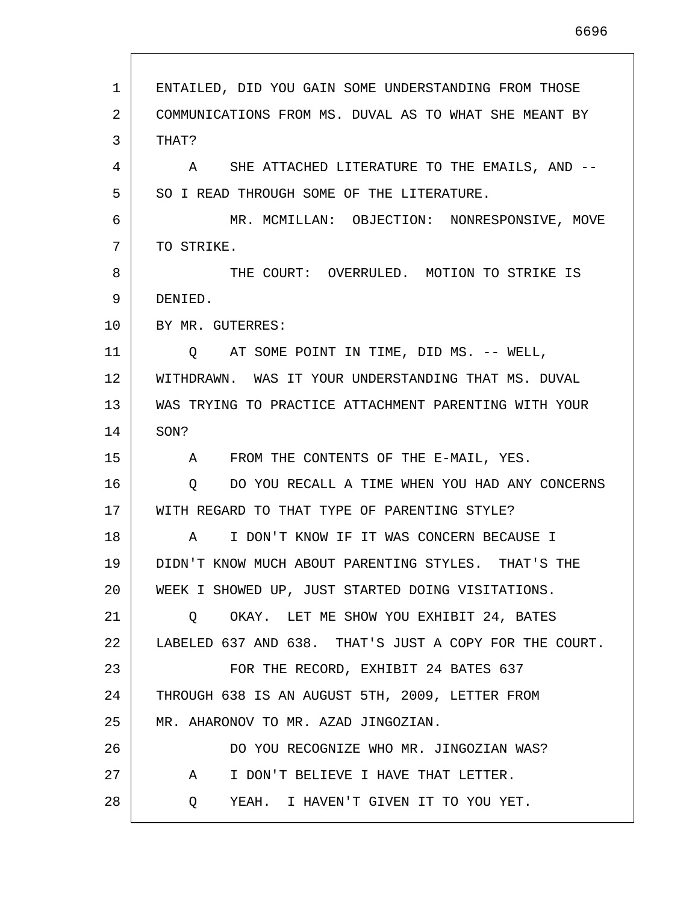| 1  | ENTAILED, DID YOU GAIN SOME UNDERSTANDING FROM THOSE      |
|----|-----------------------------------------------------------|
| 2  | COMMUNICATIONS FROM MS. DUVAL AS TO WHAT SHE MEANT BY     |
| 3  | THAT?                                                     |
| 4  | A SHE ATTACHED LITERATURE TO THE EMAILS, AND --           |
| 5  | SO I READ THROUGH SOME OF THE LITERATURE.                 |
| 6  | MR. MCMILLAN: OBJECTION: NONRESPONSIVE, MOVE              |
| 7  | TO STRIKE.                                                |
| 8  | THE COURT: OVERRULED. MOTION TO STRIKE IS                 |
| 9  | DENIED.                                                   |
| 10 | BY MR. GUTERRES:                                          |
| 11 | Q AT SOME POINT IN TIME, DID MS. -- WELL,                 |
| 12 | WITHDRAWN. WAS IT YOUR UNDERSTANDING THAT MS. DUVAL       |
| 13 | WAS TRYING TO PRACTICE ATTACHMENT PARENTING WITH YOUR     |
| 14 | SON?                                                      |
| 15 | A FROM THE CONTENTS OF THE E-MAIL, YES.                   |
| 16 | DO YOU RECALL A TIME WHEN YOU HAD ANY CONCERNS<br>$\circ$ |
| 17 | WITH REGARD TO THAT TYPE OF PARENTING STYLE?              |
| 18 | I DON'T KNOW IF IT WAS CONCERN BECAUSE I<br>$\mathbf{A}$  |
| 19 | DIDN'T KNOW MUCH ABOUT PARENTING STYLES. THAT'S THE       |
| 20 | WEEK I SHOWED UP, JUST STARTED DOING VISITATIONS.         |
| 21 | OKAY. LET ME SHOW YOU EXHIBIT 24, BATES<br>Q              |
| 22 | LABELED 637 AND 638. THAT'S JUST A COPY FOR THE COURT.    |
| 23 | FOR THE RECORD, EXHIBIT 24 BATES 637                      |
| 24 | THROUGH 638 IS AN AUGUST 5TH, 2009, LETTER FROM           |
| 25 | MR. AHARONOV TO MR. AZAD JINGOZIAN.                       |
| 26 | DO YOU RECOGNIZE WHO MR. JINGOZIAN WAS?                   |
| 27 | I DON'T BELIEVE I HAVE THAT LETTER.<br>A                  |
| 28 | YEAH. I HAVEN'T GIVEN IT TO YOU YET.<br>Q                 |

 $\mathsf{l}$ 

L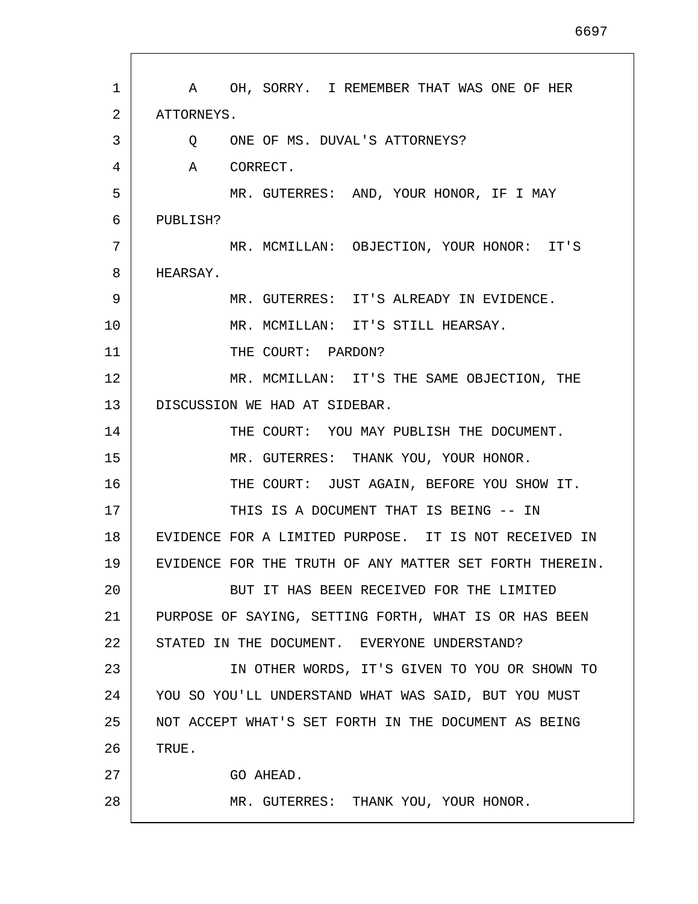1 2 3 4 5 6 7 8 9 10 11 12 13 14 15 16 17 18 19 20 21 22 23 24 25 26 27 28 A OH, SORRY. I REMEMBER THAT WAS ONE OF HER ATTORNEYS. Q ONE OF MS. DUVAL'S ATTORNEYS? A CORRECT. MR. GUTERRES: AND, YOUR HONOR, IF I MAY PUBLISH? MR. MCMILLAN: OBJECTION, YOUR HONOR: IT'S HEARSAY. MR. GUTERRES: IT'S ALREADY IN EVIDENCE. MR. MCMILLAN: IT'S STILL HEARSAY. THE COURT: PARDON? MR. MCMILLAN: IT'S THE SAME OBJECTION, THE DISCUSSION WE HAD AT SIDEBAR. THE COURT: YOU MAY PUBLISH THE DOCUMENT. MR. GUTERRES: THANK YOU, YOUR HONOR. THE COURT: JUST AGAIN, BEFORE YOU SHOW IT. THIS IS A DOCUMENT THAT IS BEING -- IN EVIDENCE FOR A LIMITED PURPOSE. IT IS NOT RECEIVED IN EVIDENCE FOR THE TRUTH OF ANY MATTER SET FORTH THEREIN. BUT IT HAS BEEN RECEIVED FOR THE LIMITED PURPOSE OF SAYING, SETTING FORTH, WHAT IS OR HAS BEEN STATED IN THE DOCUMENT. EVERYONE UNDERSTAND? IN OTHER WORDS, IT'S GIVEN TO YOU OR SHOWN TO YOU SO YOU'LL UNDERSTAND WHAT WAS SAID, BUT YOU MUST NOT ACCEPT WHAT'S SET FORTH IN THE DOCUMENT AS BEING TRUE. GO AHEAD. MR. GUTERRES: THANK YOU, YOUR HONOR.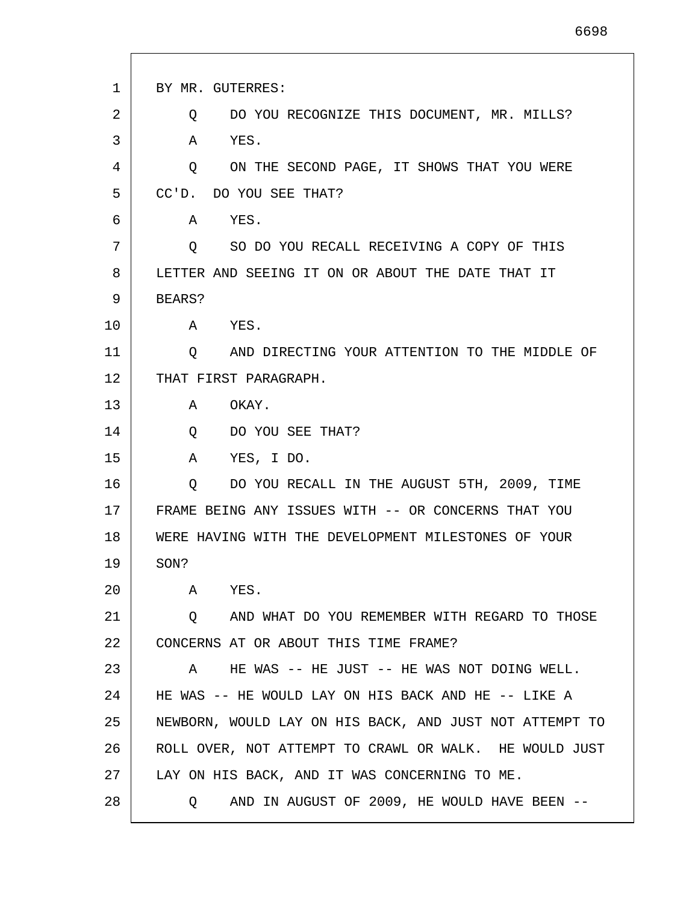| $\mathbf{1}$ | BY MR. GUTERRES:                                         |
|--------------|----------------------------------------------------------|
| 2            | DO YOU RECOGNIZE THIS DOCUMENT, MR. MILLS?<br>Q          |
| 3            | YES.<br>Α                                                |
| 4            | ON THE SECOND PAGE, IT SHOWS THAT YOU WERE<br>Q          |
| 5            | $CC'D$ .<br>DO YOU SEE THAT?                             |
| 6            | YES.<br>Α                                                |
| 7            | SO DO YOU RECALL RECEIVING A COPY OF THIS<br>O.          |
| 8            | LETTER AND SEEING IT ON OR ABOUT THE DATE THAT IT        |
| 9            | BEARS?                                                   |
| 10           | YES.<br>A                                                |
| 11           | AND DIRECTING YOUR ATTENTION TO THE MIDDLE OF<br>Q       |
| 12           | THAT FIRST PARAGRAPH.                                    |
| 13           | A<br>OKAY.                                               |
| 14           | DO YOU SEE THAT?<br>Q                                    |
| 15           | YES, I DO.<br>A                                          |
| 16           | DO YOU RECALL IN THE AUGUST 5TH, 2009, TIME<br>Q         |
| 17           | FRAME BEING ANY ISSUES WITH -- OR CONCERNS THAT YOU      |
| 18           | WERE HAVING WITH THE DEVELOPMENT MILESTONES OF YOUR      |
| 19           | SON?                                                     |
| 20           | A<br>YES.                                                |
| 21           | AND WHAT DO YOU REMEMBER WITH REGARD TO THOSE<br>$\circ$ |
| 22           | CONCERNS AT OR ABOUT THIS TIME FRAME?                    |
| 23           | HE WAS -- HE JUST -- HE WAS NOT DOING WELL.<br>A         |
| 24           | HE WAS -- HE WOULD LAY ON HIS BACK AND HE -- LIKE A      |
| 25           | NEWBORN, WOULD LAY ON HIS BACK, AND JUST NOT ATTEMPT TO  |
| 26           | ROLL OVER, NOT ATTEMPT TO CRAWL OR WALK. HE WOULD JUST   |
| 27           | LAY ON HIS BACK, AND IT WAS CONCERNING TO ME.            |
| 28           | AND IN AUGUST OF 2009, HE WOULD HAVE BEEN --<br>O.       |

L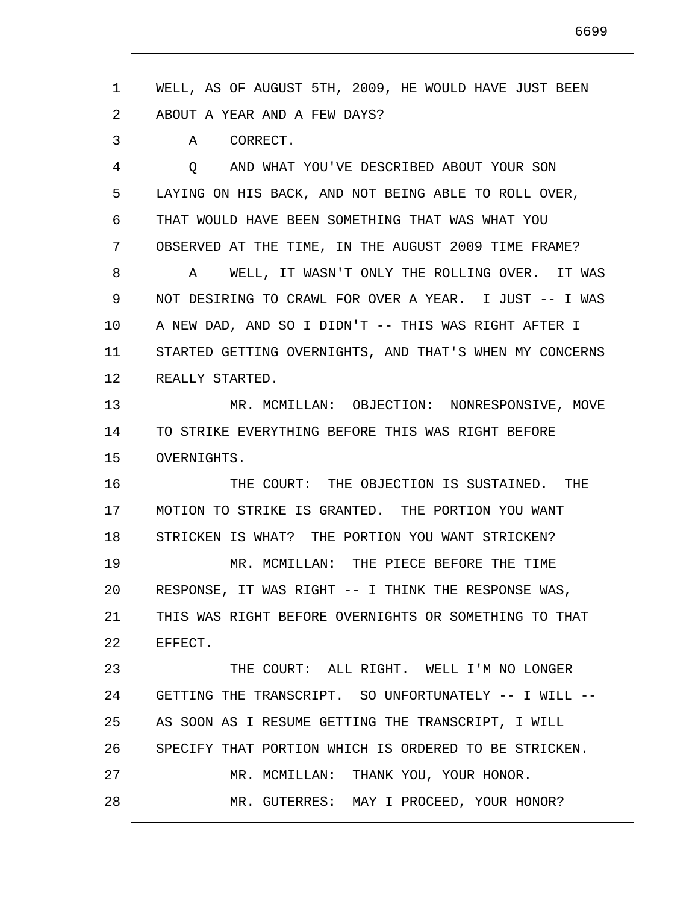| 1  | WELL, AS OF AUGUST 5TH, 2009, HE WOULD HAVE JUST BEEN   |
|----|---------------------------------------------------------|
| 2  | ABOUT A YEAR AND A FEW DAYS?                            |
| 3  | CORRECT.<br>A                                           |
| 4  | AND WHAT YOU'VE DESCRIBED ABOUT YOUR SON<br>Q           |
| 5  | LAYING ON HIS BACK, AND NOT BEING ABLE TO ROLL OVER,    |
| 6  | THAT WOULD HAVE BEEN SOMETHING THAT WAS WHAT YOU        |
| 7  | OBSERVED AT THE TIME, IN THE AUGUST 2009 TIME FRAME?    |
| 8  | WELL, IT WASN'T ONLY THE ROLLING OVER. IT WAS<br>A      |
| 9  | NOT DESIRING TO CRAWL FOR OVER A YEAR. I JUST -- I WAS  |
| 10 | A NEW DAD, AND SO I DIDN'T -- THIS WAS RIGHT AFTER I    |
| 11 | STARTED GETTING OVERNIGHTS, AND THAT'S WHEN MY CONCERNS |
| 12 | REALLY STARTED.                                         |
| 13 | MR. MCMILLAN: OBJECTION: NONRESPONSIVE, MOVE            |
| 14 | TO STRIKE EVERYTHING BEFORE THIS WAS RIGHT BEFORE       |
| 15 | OVERNIGHTS.                                             |
| 16 | THE COURT: THE OBJECTION IS SUSTAINED. THE              |
| 17 | MOTION TO STRIKE IS GRANTED. THE PORTION YOU WANT       |
| 18 | STRICKEN IS WHAT? THE PORTION YOU WANT STRICKEN?        |
| 19 | MR. MCMILLAN: THE PIECE BEFORE THE TIME                 |
| 20 | RESPONSE, IT WAS RIGHT -- I THINK THE RESPONSE WAS,     |
| 21 | THIS WAS RIGHT BEFORE OVERNIGHTS OR SOMETHING TO THAT   |
| 22 | EFFECT.                                                 |
| 23 | THE COURT: ALL RIGHT. WELL I'M NO LONGER                |
| 24 | GETTING THE TRANSCRIPT. SO UNFORTUNATELY -- I WILL --   |
| 25 | AS SOON AS I RESUME GETTING THE TRANSCRIPT, I WILL      |
| 26 | SPECIFY THAT PORTION WHICH IS ORDERED TO BE STRICKEN.   |
| 27 | MR. MCMILLAN: THANK YOU, YOUR HONOR.                    |
| 28 | MR. GUTERRES: MAY I PROCEED, YOUR HONOR?                |
|    |                                                         |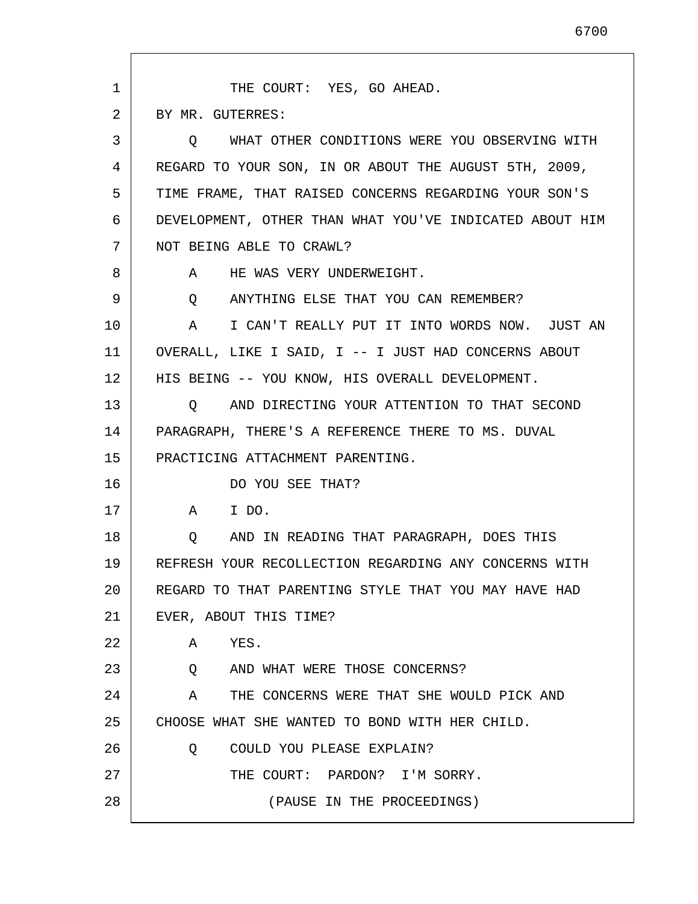1 2 3 4 5 6 7 8 9 10 11 12 13 14 15 16 17 18 19 20 21 22 23 24 25 26 27 28 THE COURT: YES, GO AHEAD. BY MR. GUTERRES: Q WHAT OTHER CONDITIONS WERE YOU OBSERVING WITH REGARD TO YOUR SON, IN OR ABOUT THE AUGUST 5TH, 2009, TIME FRAME, THAT RAISED CONCERNS REGARDING YOUR SON'S DEVELOPMENT, OTHER THAN WHAT YOU'VE INDICATED ABOUT HIM NOT BEING ABLE TO CRAWL? A HE WAS VERY UNDERWEIGHT. Q ANYTHING ELSE THAT YOU CAN REMEMBER? A I CAN'T REALLY PUT IT INTO WORDS NOW. JUST AN OVERALL, LIKE I SAID, I -- I JUST HAD CONCERNS ABOUT HIS BEING -- YOU KNOW, HIS OVERALL DEVELOPMENT. Q AND DIRECTING YOUR ATTENTION TO THAT SECOND PARAGRAPH, THERE'S A REFERENCE THERE TO MS. DUVAL PRACTICING ATTACHMENT PARENTING. DO YOU SEE THAT? A I DO. Q AND IN READING THAT PARAGRAPH, DOES THIS REFRESH YOUR RECOLLECTION REGARDING ANY CONCERNS WITH REGARD TO THAT PARENTING STYLE THAT YOU MAY HAVE HAD EVER, ABOUT THIS TIME? A YES. Q AND WHAT WERE THOSE CONCERNS? A THE CONCERNS WERE THAT SHE WOULD PICK AND CHOOSE WHAT SHE WANTED TO BOND WITH HER CHILD. Q COULD YOU PLEASE EXPLAIN? THE COURT: PARDON? I'M SORRY. (PAUSE IN THE PROCEEDINGS)

6700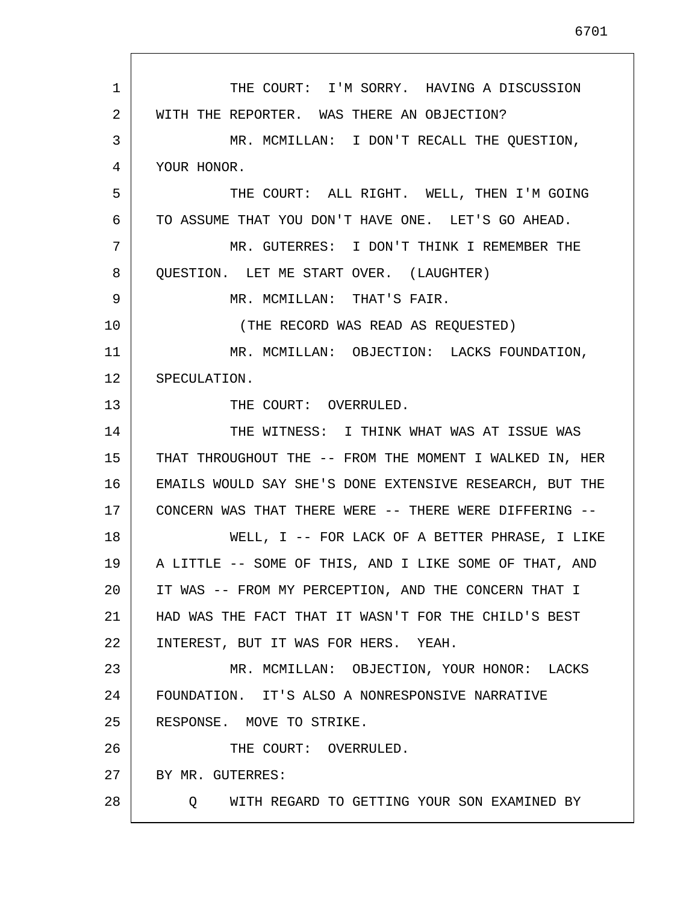1 2 3 4 5 6 7 8 9 10 11 12 13 14 15 16 17 18 19 20 21 22 23 24 25 26 27 28 THE COURT: I'M SORRY. HAVING A DISCUSSION WITH THE REPORTER. WAS THERE AN OBJECTION? MR. MCMILLAN: I DON'T RECALL THE QUESTION, YOUR HONOR. THE COURT: ALL RIGHT. WELL, THEN I'M GOING TO ASSUME THAT YOU DON'T HAVE ONE. LET'S GO AHEAD. MR. GUTERRES: I DON'T THINK I REMEMBER THE QUESTION. LET ME START OVER. (LAUGHTER) MR. MCMILLAN: THAT'S FAIR. (THE RECORD WAS READ AS REQUESTED) MR. MCMILLAN: OBJECTION: LACKS FOUNDATION, SPECULATION. THE COURT: OVERRULED. THE WITNESS: I THINK WHAT WAS AT ISSUE WAS THAT THROUGHOUT THE -- FROM THE MOMENT I WALKED IN, HER EMAILS WOULD SAY SHE'S DONE EXTENSIVE RESEARCH, BUT THE CONCERN WAS THAT THERE WERE -- THERE WERE DIFFERING -- WELL, I -- FOR LACK OF A BETTER PHRASE, I LIKE A LITTLE -- SOME OF THIS, AND I LIKE SOME OF THAT, AND IT WAS -- FROM MY PERCEPTION, AND THE CONCERN THAT I HAD WAS THE FACT THAT IT WASN'T FOR THE CHILD'S BEST INTEREST, BUT IT WAS FOR HERS. YEAH. MR. MCMILLAN: OBJECTION, YOUR HONOR: LACKS FOUNDATION. IT'S ALSO A NONRESPONSIVE NARRATIVE RESPONSE. MOVE TO STRIKE. THE COURT: OVERRULED. BY MR. GUTERRES: Q WITH REGARD TO GETTING YOUR SON EXAMINED BY

6701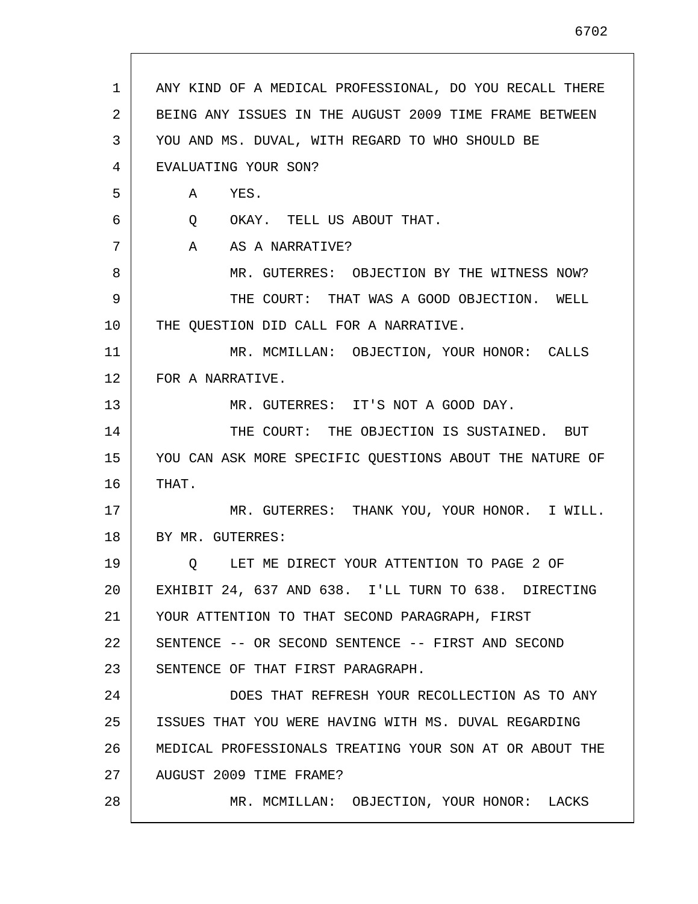| 1  | ANY KIND OF A MEDICAL PROFESSIONAL, DO YOU RECALL THERE |
|----|---------------------------------------------------------|
| 2  | BEING ANY ISSUES IN THE AUGUST 2009 TIME FRAME BETWEEN  |
| 3  | YOU AND MS. DUVAL, WITH REGARD TO WHO SHOULD BE         |
| 4  | EVALUATING YOUR SON?                                    |
| 5  | YES.<br>A                                               |
| 6  | Q OKAY. TELL US ABOUT THAT.                             |
| 7  | $\mathbf{A}$<br>AS A NARRATIVE?                         |
| 8  | MR. GUTERRES: OBJECTION BY THE WITNESS NOW?             |
| 9  | THE COURT: THAT WAS A GOOD OBJECTION. WELL              |
| 10 | THE QUESTION DID CALL FOR A NARRATIVE.                  |
| 11 | MR. MCMILLAN: OBJECTION, YOUR HONOR: CALLS              |
| 12 | FOR A NARRATIVE.                                        |
| 13 | MR. GUTERRES: IT'S NOT A GOOD DAY.                      |
| 14 | THE COURT: THE OBJECTION IS SUSTAINED. BUT              |
| 15 | YOU CAN ASK MORE SPECIFIC QUESTIONS ABOUT THE NATURE OF |
| 16 | THAT.                                                   |
| 17 | MR. GUTERRES: THANK YOU, YOUR HONOR. I WILL.            |
| 18 | BY MR. GUTERRES:                                        |
| 19 | LET ME DIRECT YOUR ATTENTION TO PAGE 2 OF<br>$\circ$    |
| 20 | EXHIBIT 24, 637 AND 638. I'LL TURN TO 638. DIRECTING    |
| 21 | YOUR ATTENTION TO THAT SECOND PARAGRAPH, FIRST          |
| 22 | SENTENCE -- OR SECOND SENTENCE -- FIRST AND SECOND      |
| 23 | SENTENCE OF THAT FIRST PARAGRAPH.                       |
| 24 | DOES THAT REFRESH YOUR RECOLLECTION AS TO ANY           |
| 25 | ISSUES THAT YOU WERE HAVING WITH MS. DUVAL REGARDING    |
| 26 | MEDICAL PROFESSIONALS TREATING YOUR SON AT OR ABOUT THE |
| 27 | AUGUST 2009 TIME FRAME?                                 |
| 28 | MR. MCMILLAN: OBJECTION, YOUR HONOR: LACKS              |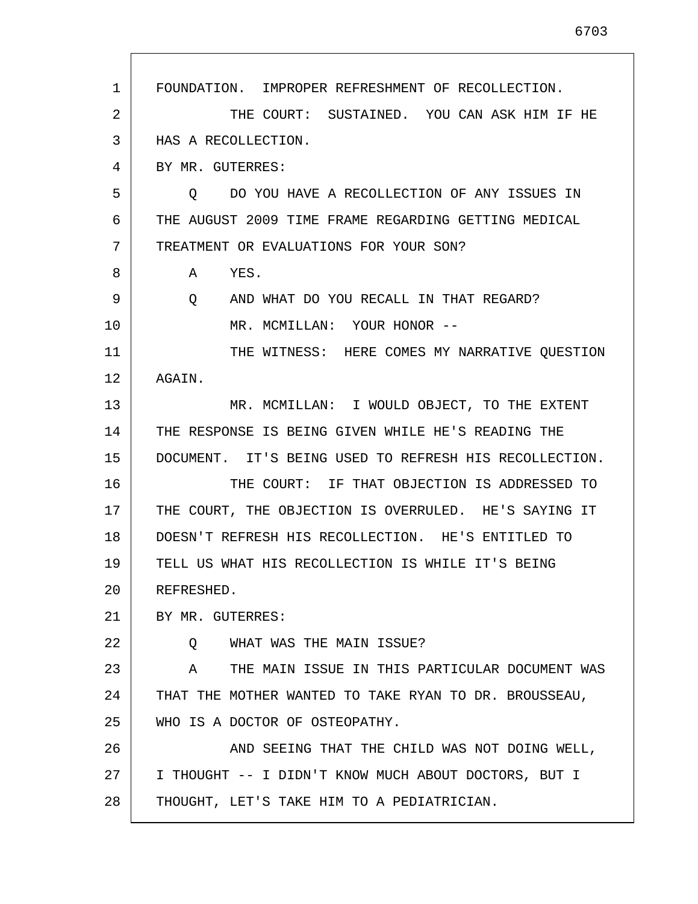1 2 3 4 5 6 7 8 9 10 11 12 13 14 15 16 17 18 19 20 21 22 23 24 25 26 27 28 FOUNDATION. IMPROPER REFRESHMENT OF RECOLLECTION. THE COURT: SUSTAINED. YOU CAN ASK HIM IF HE HAS A RECOLLECTION. BY MR. GUTERRES: Q DO YOU HAVE A RECOLLECTION OF ANY ISSUES IN THE AUGUST 2009 TIME FRAME REGARDING GETTING MEDICAL TREATMENT OR EVALUATIONS FOR YOUR SON? A YES. Q AND WHAT DO YOU RECALL IN THAT REGARD? MR. MCMILLAN: YOUR HONOR -- THE WITNESS: HERE COMES MY NARRATIVE QUESTION AGAIN. MR. MCMILLAN: I WOULD OBJECT, TO THE EXTENT THE RESPONSE IS BEING GIVEN WHILE HE'S READING THE DOCUMENT. IT'S BEING USED TO REFRESH HIS RECOLLECTION. THE COURT: IF THAT OBJECTION IS ADDRESSED TO THE COURT, THE OBJECTION IS OVERRULED. HE'S SAYING IT DOESN'T REFRESH HIS RECOLLECTION. HE'S ENTITLED TO TELL US WHAT HIS RECOLLECTION IS WHILE IT'S BEING REFRESHED. BY MR. GUTERRES: Q WHAT WAS THE MAIN ISSUE? A THE MAIN ISSUE IN THIS PARTICULAR DOCUMENT WAS THAT THE MOTHER WANTED TO TAKE RYAN TO DR. BROUSSEAU, WHO IS A DOCTOR OF OSTEOPATHY. AND SEEING THAT THE CHILD WAS NOT DOING WELL, I THOUGHT -- I DIDN'T KNOW MUCH ABOUT DOCTORS, BUT I THOUGHT, LET'S TAKE HIM TO A PEDIATRICIAN.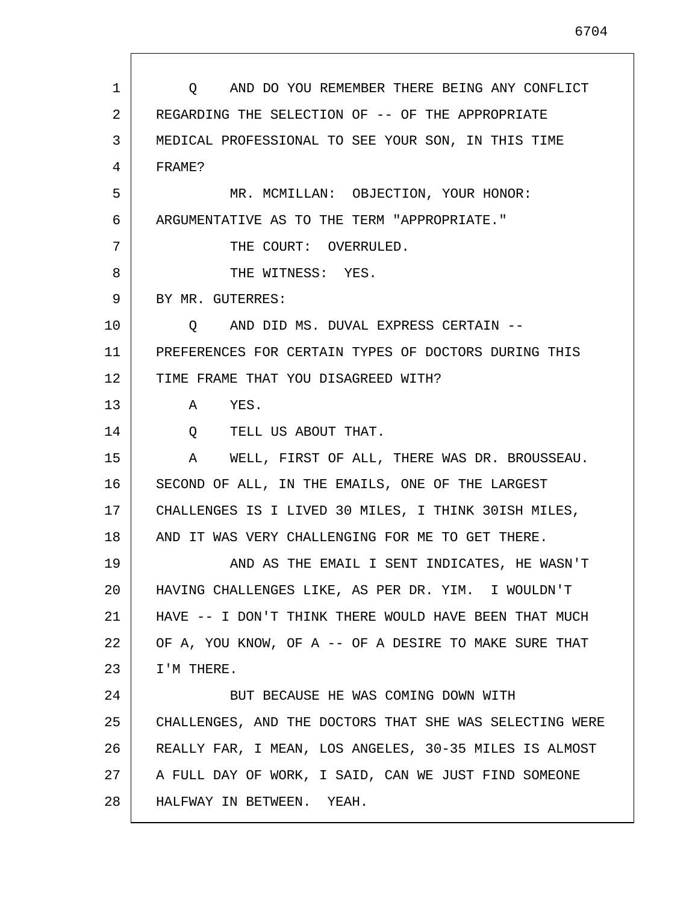| $\mathbf{1}$ | AND DO YOU REMEMBER THERE BEING ANY CONFLICT<br>$\circ$ |
|--------------|---------------------------------------------------------|
| 2            | REGARDING THE SELECTION OF -- OF THE APPROPRIATE        |
| 3            | MEDICAL PROFESSIONAL TO SEE YOUR SON, IN THIS TIME      |
| 4            | FRAME?                                                  |
| 5            | MR. MCMILLAN: OBJECTION, YOUR HONOR:                    |
| 6            | ARGUMENTATIVE AS TO THE TERM "APPROPRIATE."             |
| 7            | THE COURT: OVERRULED.                                   |
| 8            | THE WITNESS: YES.                                       |
| 9            | BY MR. GUTERRES:                                        |
| 10           | Q AND DID MS. DUVAL EXPRESS CERTAIN --                  |
| 11           | PREFERENCES FOR CERTAIN TYPES OF DOCTORS DURING THIS    |
| 12           | TIME FRAME THAT YOU DISAGREED WITH?                     |
| 13           | YES.<br>A                                               |
| 14           | Q TELL US ABOUT THAT.                                   |
| 15           | WELL, FIRST OF ALL, THERE WAS DR. BROUSSEAU.<br>A       |
| 16           | SECOND OF ALL, IN THE EMAILS, ONE OF THE LARGEST        |
| 17           | CHALLENGES IS I LIVED 30 MILES, I THINK 30ISH MILES,    |
| 18           | AND IT WAS VERY CHALLENGING FOR ME TO GET THERE.        |
| 19           | AND AS THE EMAIL I SENT INDICATES, HE WASN'T            |
| 20           | HAVING CHALLENGES LIKE, AS PER DR. YIM. I WOULDN'T      |
| 21           | HAVE -- I DON'T THINK THERE WOULD HAVE BEEN THAT MUCH   |
| 22           | OF A, YOU KNOW, OF A -- OF A DESIRE TO MAKE SURE THAT   |
| 23           | I'M THERE.                                              |
| 24           | BUT BECAUSE HE WAS COMING DOWN WITH                     |
| 25           | CHALLENGES, AND THE DOCTORS THAT SHE WAS SELECTING WERE |
| 26           | REALLY FAR, I MEAN, LOS ANGELES, 30-35 MILES IS ALMOST  |
| 27           | A FULL DAY OF WORK, I SAID, CAN WE JUST FIND SOMEONE    |
| 28           | HALFWAY IN BETWEEN.<br>YEAH.                            |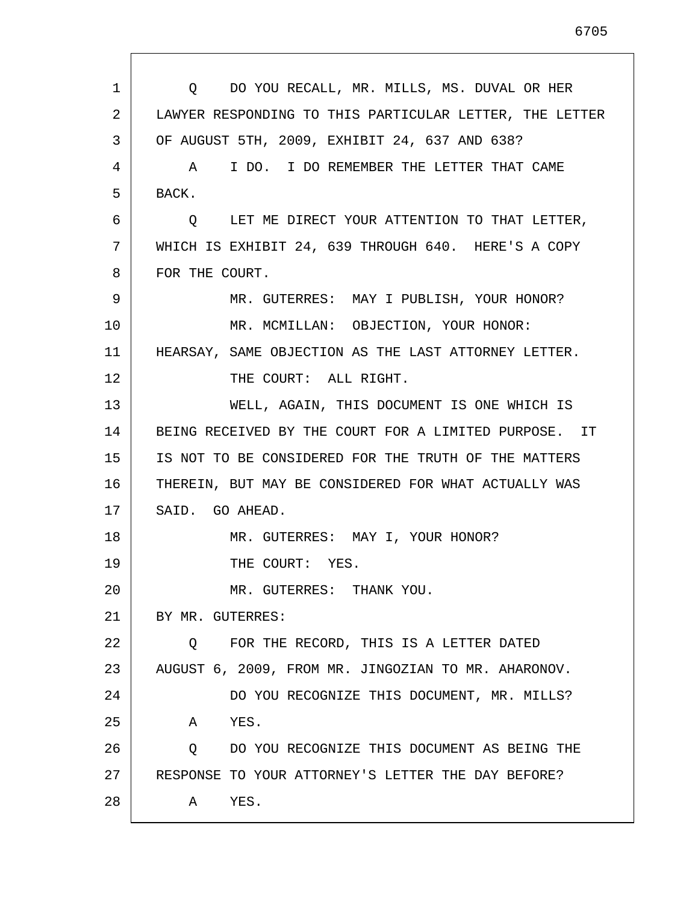| 2<br>LAWYER RESPONDING TO THIS PARTICULAR LETTER, THE LETTER<br>OF AUGUST 5TH, 2009, EXHIBIT 24, 637 AND 638?<br>3 |  |
|--------------------------------------------------------------------------------------------------------------------|--|
|                                                                                                                    |  |
|                                                                                                                    |  |
| A I DO. I DO REMEMBER THE LETTER THAT CAME<br>4                                                                    |  |
| 5<br>BACK.                                                                                                         |  |
| 6<br>O LET ME DIRECT YOUR ATTENTION TO THAT LETTER,                                                                |  |
| 7<br>WHICH IS EXHIBIT 24, 639 THROUGH 640. HERE'S A COPY                                                           |  |
| 8<br>FOR THE COURT.                                                                                                |  |
| 9<br>MR. GUTERRES: MAY I PUBLISH, YOUR HONOR?                                                                      |  |
| MR. MCMILLAN: OBJECTION, YOUR HONOR:<br>10                                                                         |  |
| 11<br>HEARSAY, SAME OBJECTION AS THE LAST ATTORNEY LETTER.                                                         |  |
| 12<br>THE COURT: ALL RIGHT.                                                                                        |  |
| 13<br>WELL, AGAIN, THIS DOCUMENT IS ONE WHICH IS                                                                   |  |
| 14<br>BEING RECEIVED BY THE COURT FOR A LIMITED PURPOSE. IT                                                        |  |
| 15<br>IS NOT TO BE CONSIDERED FOR THE TRUTH OF THE MATTERS                                                         |  |
| 16<br>THEREIN, BUT MAY BE CONSIDERED FOR WHAT ACTUALLY WAS                                                         |  |
| 17<br>SAID. GO AHEAD.                                                                                              |  |
| 18<br>MR. GUTERRES: MAY I, YOUR HONOR?                                                                             |  |
| 19<br>THE COURT: YES.                                                                                              |  |
| 20<br>MR. GUTERRES: THANK YOU.                                                                                     |  |
| 21<br>BY MR. GUTERRES:                                                                                             |  |
| 22<br>FOR THE RECORD, THIS IS A LETTER DATED<br>Q                                                                  |  |
| 23<br>AUGUST 6, 2009, FROM MR. JINGOZIAN TO MR. AHARONOV.                                                          |  |
| 24<br>DO YOU RECOGNIZE THIS DOCUMENT, MR. MILLS?                                                                   |  |
| 25<br>YES.<br>A                                                                                                    |  |
| 26<br>DO YOU RECOGNIZE THIS DOCUMENT AS BEING THE<br>Q                                                             |  |
| 27<br>RESPONSE TO YOUR ATTORNEY'S LETTER THE DAY BEFORE?                                                           |  |
| 28<br>YES.<br>A                                                                                                    |  |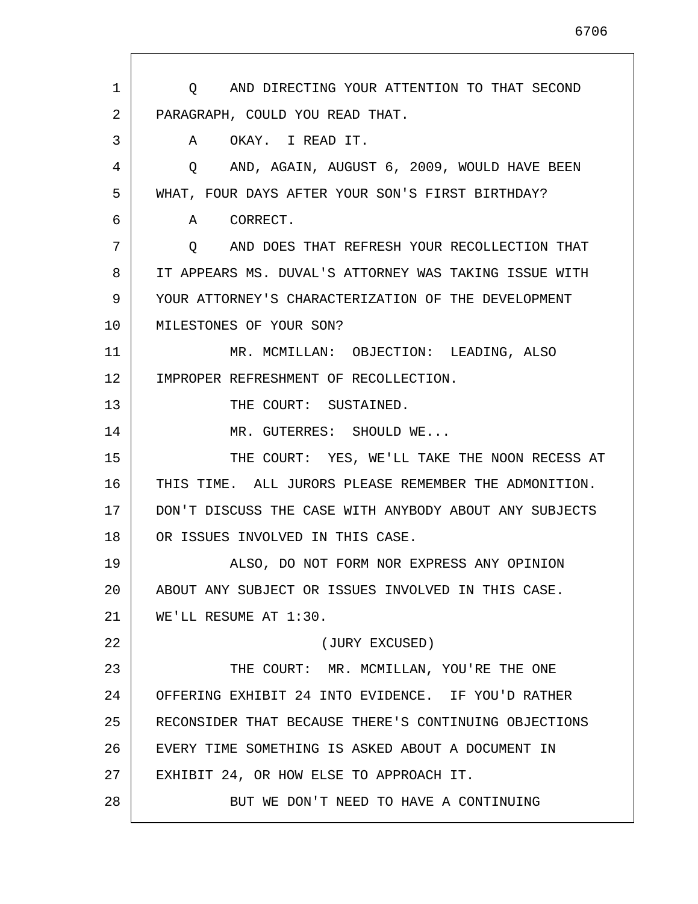1 2 3 4 5 6 7 8 9 10 11 12 13 14 15 16 17 18 19 20 21 22 23 24 25 26 27 28 Q AND DIRECTING YOUR ATTENTION TO THAT SECOND PARAGRAPH, COULD YOU READ THAT. A OKAY. I READ IT. Q AND, AGAIN, AUGUST 6, 2009, WOULD HAVE BEEN WHAT, FOUR DAYS AFTER YOUR SON'S FIRST BIRTHDAY? A CORRECT. Q AND DOES THAT REFRESH YOUR RECOLLECTION THAT IT APPEARS MS. DUVAL'S ATTORNEY WAS TAKING ISSUE WITH YOUR ATTORNEY'S CHARACTERIZATION OF THE DEVELOPMENT MILESTONES OF YOUR SON? MR. MCMILLAN: OBJECTION: LEADING, ALSO IMPROPER REFRESHMENT OF RECOLLECTION. THE COURT: SUSTAINED. MR. GUTERRES: SHOULD WE... THE COURT: YES, WE'LL TAKE THE NOON RECESS AT THIS TIME. ALL JURORS PLEASE REMEMBER THE ADMONITION. DON'T DISCUSS THE CASE WITH ANYBODY ABOUT ANY SUBJECTS OR ISSUES INVOLVED IN THIS CASE. ALSO, DO NOT FORM NOR EXPRESS ANY OPINION ABOUT ANY SUBJECT OR ISSUES INVOLVED IN THIS CASE. WE'LL RESUME AT 1:30. (JURY EXCUSED) THE COURT: MR. MCMILLAN, YOU'RE THE ONE OFFERING EXHIBIT 24 INTO EVIDENCE. IF YOU'D RATHER RECONSIDER THAT BECAUSE THERE'S CONTINUING OBJECTIONS EVERY TIME SOMETHING IS ASKED ABOUT A DOCUMENT IN EXHIBIT 24, OR HOW ELSE TO APPROACH IT. BUT WE DON'T NEED TO HAVE A CONTINUING

6706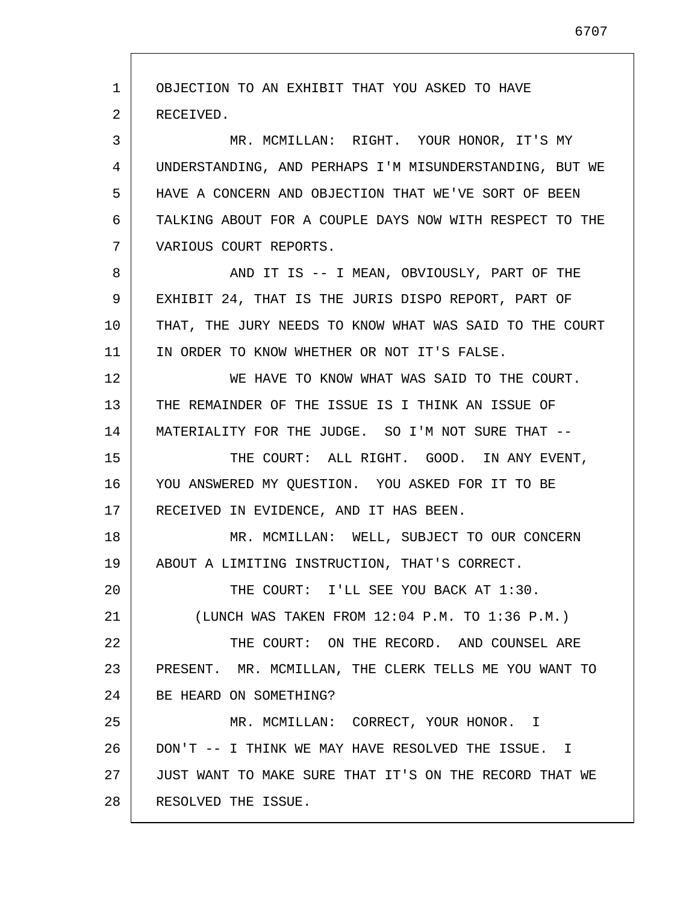1 2 3 4 5 6 7 8 9 10 11 12 13 14 15 16 17 18 19 20 21 22 23 24 25 26 27 28 OBJECTION TO AN EXHIBIT THAT YOU ASKED TO HAVE RECEIVED. MR. MCMILLAN: RIGHT. YOUR HONOR, IT'S MY UNDERSTANDING, AND PERHAPS I'M MISUNDERSTANDING, BUT WE HAVE A CONCERN AND OBJECTION THAT WE'VE SORT OF BEEN TALKING ABOUT FOR A COUPLE DAYS NOW WITH RESPECT TO THE VARIOUS COURT REPORTS. AND IT IS -- I MEAN, OBVIOUSLY, PART OF THE EXHIBIT 24, THAT IS THE JURIS DISPO REPORT, PART OF THAT, THE JURY NEEDS TO KNOW WHAT WAS SAID TO THE COURT IN ORDER TO KNOW WHETHER OR NOT IT'S FALSE. WE HAVE TO KNOW WHAT WAS SAID TO THE COURT. THE REMAINDER OF THE ISSUE IS I THINK AN ISSUE OF MATERIALITY FOR THE JUDGE. SO I'M NOT SURE THAT -- THE COURT: ALL RIGHT. GOOD. IN ANY EVENT, YOU ANSWERED MY QUESTION. YOU ASKED FOR IT TO BE RECEIVED IN EVIDENCE, AND IT HAS BEEN. MR. MCMILLAN: WELL, SUBJECT TO OUR CONCERN ABOUT A LIMITING INSTRUCTION, THAT'S CORRECT. THE COURT: I'LL SEE YOU BACK AT 1:30. (LUNCH WAS TAKEN FROM 12:04 P.M. TO 1:36 P.M.) THE COURT: ON THE RECORD. AND COUNSEL ARE PRESENT. MR. MCMILLAN, THE CLERK TELLS ME YOU WANT TO BE HEARD ON SOMETHING? MR. MCMILLAN: CORRECT, YOUR HONOR. I DON'T -- I THINK WE MAY HAVE RESOLVED THE ISSUE. I JUST WANT TO MAKE SURE THAT IT'S ON THE RECORD THAT WE RESOLVED THE ISSUE.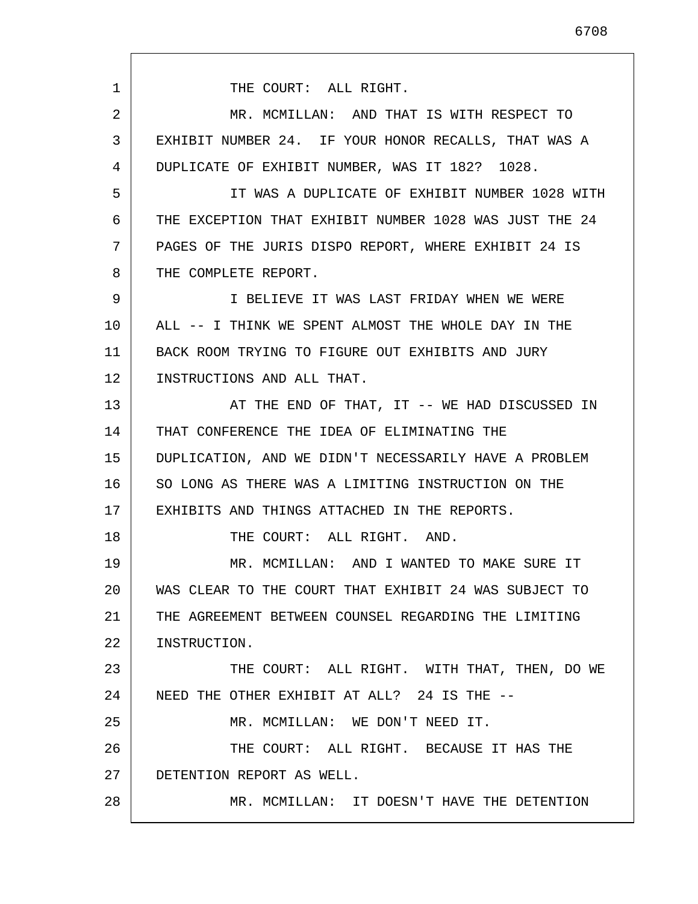1 2 3 4 5 6 7 8 9 10 11 12 13 14 15 16 17 18 19 20 21 22 23 24 25 26 27 28 THE COURT: ALL RIGHT. MR. MCMILLAN: AND THAT IS WITH RESPECT TO EXHIBIT NUMBER 24. IF YOUR HONOR RECALLS, THAT WAS A DUPLICATE OF EXHIBIT NUMBER, WAS IT 182? 1028. IT WAS A DUPLICATE OF EXHIBIT NUMBER 1028 WITH THE EXCEPTION THAT EXHIBIT NUMBER 1028 WAS JUST THE 24 PAGES OF THE JURIS DISPO REPORT, WHERE EXHIBIT 24 IS THE COMPLETE REPORT. I BELIEVE IT WAS LAST FRIDAY WHEN WE WERE ALL -- I THINK WE SPENT ALMOST THE WHOLE DAY IN THE BACK ROOM TRYING TO FIGURE OUT EXHIBITS AND JURY INSTRUCTIONS AND ALL THAT. AT THE END OF THAT, IT -- WE HAD DISCUSSED IN THAT CONFERENCE THE IDEA OF ELIMINATING THE DUPLICATION, AND WE DIDN'T NECESSARILY HAVE A PROBLEM SO LONG AS THERE WAS A LIMITING INSTRUCTION ON THE EXHIBITS AND THINGS ATTACHED IN THE REPORTS. THE COURT: ALL RIGHT. AND. MR. MCMILLAN: AND I WANTED TO MAKE SURE IT WAS CLEAR TO THE COURT THAT EXHIBIT 24 WAS SUBJECT TO THE AGREEMENT BETWEEN COUNSEL REGARDING THE LIMITING INSTRUCTION. THE COURT: ALL RIGHT. WITH THAT, THEN, DO WE NEED THE OTHER EXHIBIT AT ALL? 24 IS THE -- MR. MCMILLAN: WE DON'T NEED IT. THE COURT: ALL RIGHT. BECAUSE IT HAS THE DETENTION REPORT AS WELL. MR. MCMILLAN: IT DOESN'T HAVE THE DETENTION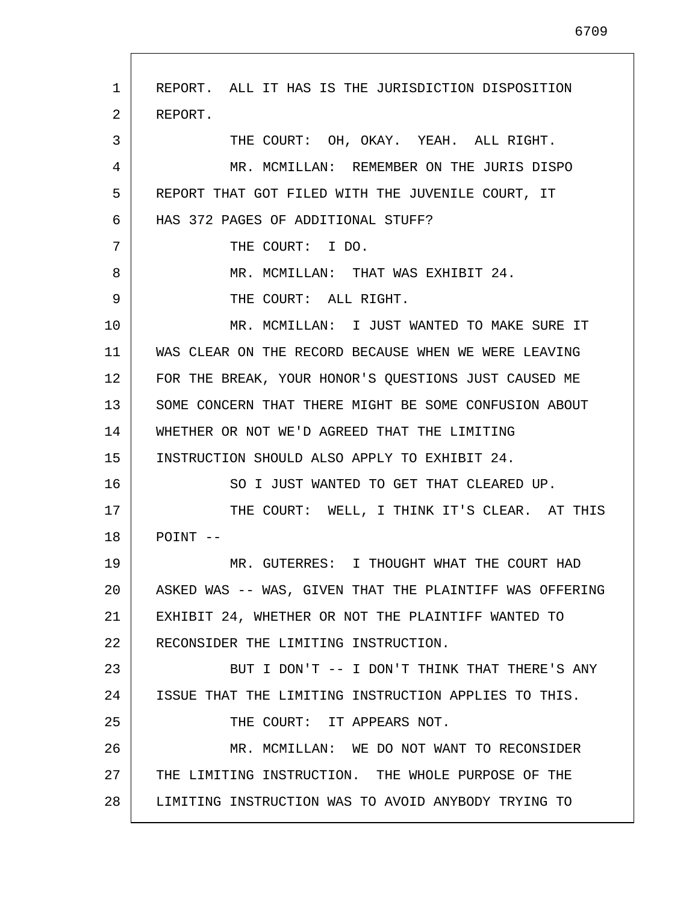1 2 3 4 5 6 7 8 9 10 11 12 13 14 15 16 17 18 19 20 21 22 23 24 25 26 27 28 REPORT. ALL IT HAS IS THE JURISDICTION DISPOSITION REPORT. THE COURT: OH, OKAY. YEAH. ALL RIGHT. MR. MCMILLAN: REMEMBER ON THE JURIS DISPO REPORT THAT GOT FILED WITH THE JUVENILE COURT, IT HAS 372 PAGES OF ADDITIONAL STUFF? THE COURT: I DO. MR. MCMILLAN: THAT WAS EXHIBIT 24. THE COURT: ALL RIGHT. MR. MCMILLAN: I JUST WANTED TO MAKE SURE IT WAS CLEAR ON THE RECORD BECAUSE WHEN WE WERE LEAVING FOR THE BREAK, YOUR HONOR'S QUESTIONS JUST CAUSED ME SOME CONCERN THAT THERE MIGHT BE SOME CONFUSION ABOUT WHETHER OR NOT WE'D AGREED THAT THE LIMITING INSTRUCTION SHOULD ALSO APPLY TO EXHIBIT 24. SO I JUST WANTED TO GET THAT CLEARED UP. THE COURT: WELL, I THINK IT'S CLEAR. AT THIS POINT -- MR. GUTERRES: I THOUGHT WHAT THE COURT HAD ASKED WAS -- WAS, GIVEN THAT THE PLAINTIFF WAS OFFERING EXHIBIT 24, WHETHER OR NOT THE PLAINTIFF WANTED TO RECONSIDER THE LIMITING INSTRUCTION. BUT I DON'T -- I DON'T THINK THAT THERE'S ANY ISSUE THAT THE LIMITING INSTRUCTION APPLIES TO THIS. THE COURT: IT APPEARS NOT. MR. MCMILLAN: WE DO NOT WANT TO RECONSIDER THE LIMITING INSTRUCTION. THE WHOLE PURPOSE OF THE LIMITING INSTRUCTION WAS TO AVOID ANYBODY TRYING TO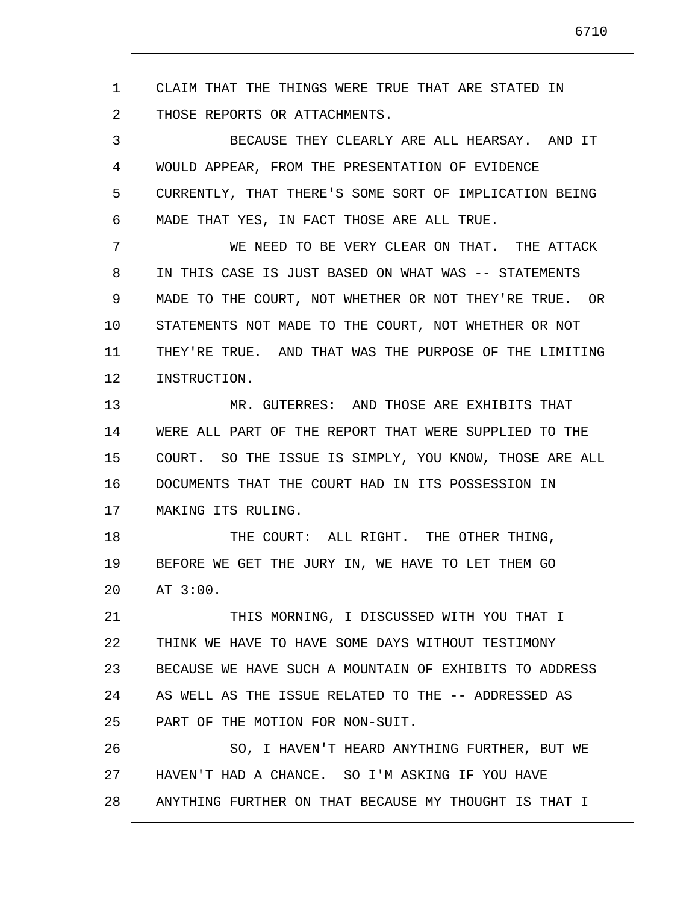1 2 3 4 5 6 7 8 9 10 11 12 13 14 15 16 17 18 19 20 21 22 23 24 25 26 27 28 CLAIM THAT THE THINGS WERE TRUE THAT ARE STATED IN THOSE REPORTS OR ATTACHMENTS. BECAUSE THEY CLEARLY ARE ALL HEARSAY. AND IT WOULD APPEAR, FROM THE PRESENTATION OF EVIDENCE CURRENTLY, THAT THERE'S SOME SORT OF IMPLICATION BEING MADE THAT YES, IN FACT THOSE ARE ALL TRUE. WE NEED TO BE VERY CLEAR ON THAT. THE ATTACK IN THIS CASE IS JUST BASED ON WHAT WAS -- STATEMENTS MADE TO THE COURT, NOT WHETHER OR NOT THEY'RE TRUE. OR STATEMENTS NOT MADE TO THE COURT, NOT WHETHER OR NOT THEY'RE TRUE. AND THAT WAS THE PURPOSE OF THE LIMITING INSTRUCTION. MR. GUTERRES: AND THOSE ARE EXHIBITS THAT WERE ALL PART OF THE REPORT THAT WERE SUPPLIED TO THE COURT. SO THE ISSUE IS SIMPLY, YOU KNOW, THOSE ARE ALL DOCUMENTS THAT THE COURT HAD IN ITS POSSESSION IN MAKING ITS RULING. THE COURT: ALL RIGHT. THE OTHER THING, BEFORE WE GET THE JURY IN, WE HAVE TO LET THEM GO AT 3:00. THIS MORNING, I DISCUSSED WITH YOU THAT I THINK WE HAVE TO HAVE SOME DAYS WITHOUT TESTIMONY BECAUSE WE HAVE SUCH A MOUNTAIN OF EXHIBITS TO ADDRESS AS WELL AS THE ISSUE RELATED TO THE -- ADDRESSED AS PART OF THE MOTION FOR NON-SUIT. SO, I HAVEN'T HEARD ANYTHING FURTHER, BUT WE HAVEN'T HAD A CHANCE. SO I'M ASKING IF YOU HAVE ANYTHING FURTHER ON THAT BECAUSE MY THOUGHT IS THAT I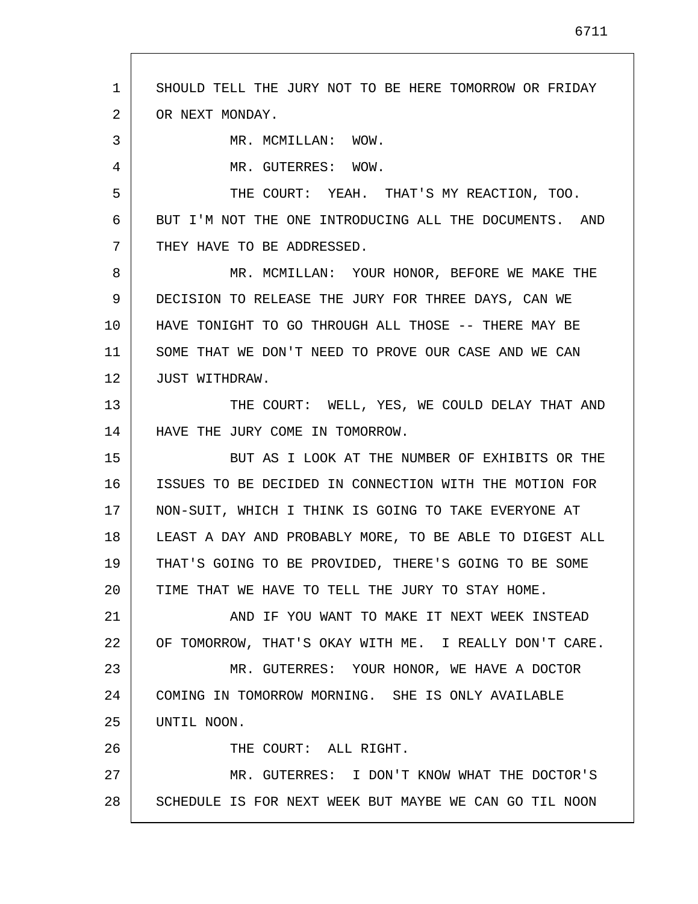1 2 3 4 5 6 7 8 9 10 11 12 13 14 15 16 17 18 19 20 21 22 23 24 25 26 27 28 SHOULD TELL THE JURY NOT TO BE HERE TOMORROW OR FRIDAY OR NEXT MONDAY. MR. MCMILLAN: WOW. MR. GUTERRES: WOW. THE COURT: YEAH. THAT'S MY REACTION, TOO. BUT I'M NOT THE ONE INTRODUCING ALL THE DOCUMENTS. AND THEY HAVE TO BE ADDRESSED. MR. MCMILLAN: YOUR HONOR, BEFORE WE MAKE THE DECISION TO RELEASE THE JURY FOR THREE DAYS, CAN WE HAVE TONIGHT TO GO THROUGH ALL THOSE -- THERE MAY BE SOME THAT WE DON'T NEED TO PROVE OUR CASE AND WE CAN JUST WITHDRAW. THE COURT: WELL, YES, WE COULD DELAY THAT AND HAVE THE JURY COME IN TOMORROW. BUT AS I LOOK AT THE NUMBER OF EXHIBITS OR THE ISSUES TO BE DECIDED IN CONNECTION WITH THE MOTION FOR NON-SUIT, WHICH I THINK IS GOING TO TAKE EVERYONE AT LEAST A DAY AND PROBABLY MORE, TO BE ABLE TO DIGEST ALL THAT'S GOING TO BE PROVIDED, THERE'S GOING TO BE SOME TIME THAT WE HAVE TO TELL THE JURY TO STAY HOME. AND IF YOU WANT TO MAKE IT NEXT WEEK INSTEAD OF TOMORROW, THAT'S OKAY WITH ME. I REALLY DON'T CARE. MR. GUTERRES: YOUR HONOR, WE HAVE A DOCTOR COMING IN TOMORROW MORNING. SHE IS ONLY AVAILABLE UNTIL NOON. THE COURT: ALL RIGHT. MR. GUTERRES: I DON'T KNOW WHAT THE DOCTOR'S SCHEDULE IS FOR NEXT WEEK BUT MAYBE WE CAN GO TIL NOON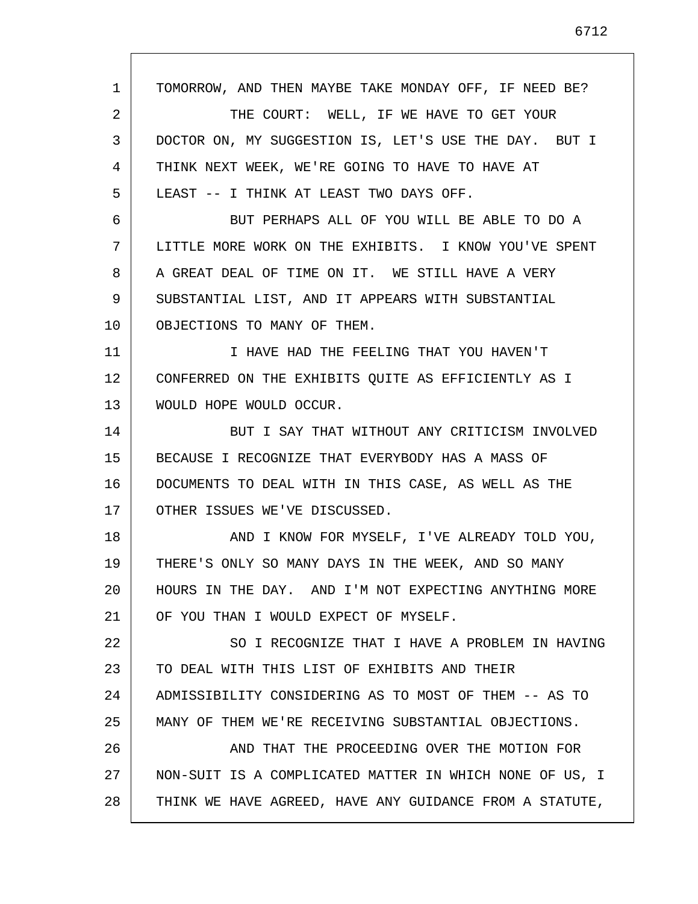1 2 3 4 5 6 7 8 9 10 11 12 13 14 15 16 17 18 19 20 21 22 23 24 25 26 27 28 TOMORROW, AND THEN MAYBE TAKE MONDAY OFF, IF NEED BE? THE COURT: WELL, IF WE HAVE TO GET YOUR DOCTOR ON, MY SUGGESTION IS, LET'S USE THE DAY. BUT I THINK NEXT WEEK, WE'RE GOING TO HAVE TO HAVE AT LEAST -- I THINK AT LEAST TWO DAYS OFF. BUT PERHAPS ALL OF YOU WILL BE ABLE TO DO A LITTLE MORE WORK ON THE EXHIBITS. I KNOW YOU'VE SPENT A GREAT DEAL OF TIME ON IT. WE STILL HAVE A VERY SUBSTANTIAL LIST, AND IT APPEARS WITH SUBSTANTIAL OBJECTIONS TO MANY OF THEM. I HAVE HAD THE FEELING THAT YOU HAVEN'T CONFERRED ON THE EXHIBITS QUITE AS EFFICIENTLY AS I WOULD HOPE WOULD OCCUR. BUT I SAY THAT WITHOUT ANY CRITICISM INVOLVED BECAUSE I RECOGNIZE THAT EVERYBODY HAS A MASS OF DOCUMENTS TO DEAL WITH IN THIS CASE, AS WELL AS THE OTHER ISSUES WE'VE DISCUSSED. AND I KNOW FOR MYSELF, I'VE ALREADY TOLD YOU, THERE'S ONLY SO MANY DAYS IN THE WEEK, AND SO MANY HOURS IN THE DAY. AND I'M NOT EXPECTING ANYTHING MORE OF YOU THAN I WOULD EXPECT OF MYSELF. SO I RECOGNIZE THAT I HAVE A PROBLEM IN HAVING TO DEAL WITH THIS LIST OF EXHIBITS AND THEIR ADMISSIBILITY CONSIDERING AS TO MOST OF THEM -- AS TO MANY OF THEM WE'RE RECEIVING SUBSTANTIAL OBJECTIONS. AND THAT THE PROCEEDING OVER THE MOTION FOR NON-SUIT IS A COMPLICATED MATTER IN WHICH NONE OF US, I THINK WE HAVE AGREED, HAVE ANY GUIDANCE FROM A STATUTE,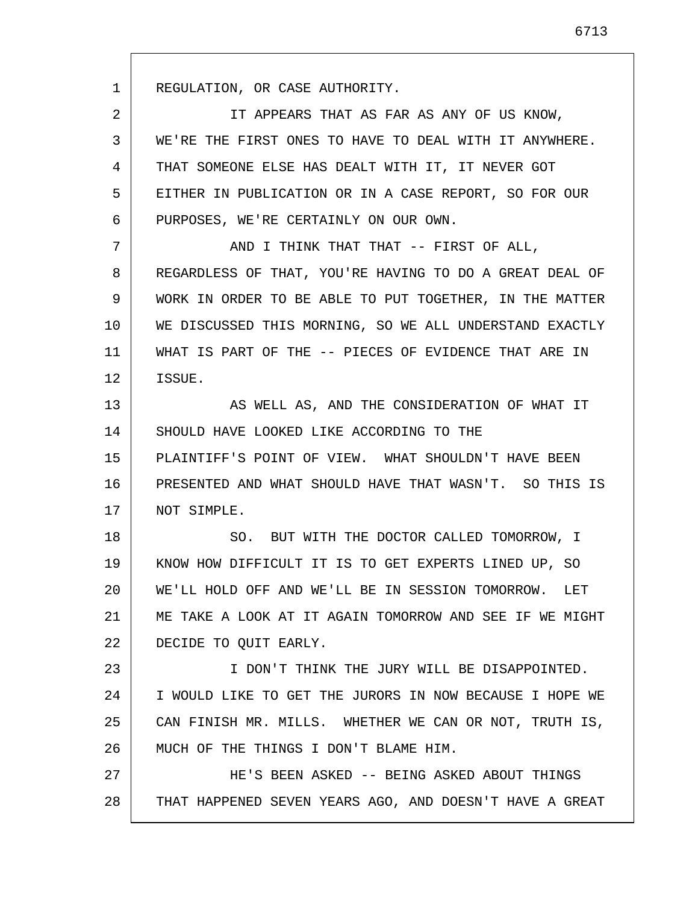1

2 3 4 5 6 IT APPEARS THAT AS FAR AS ANY OF US KNOW, WE'RE THE FIRST ONES TO HAVE TO DEAL WITH IT ANYWHERE. THAT SOMEONE ELSE HAS DEALT WITH IT, IT NEVER GOT EITHER IN PUBLICATION OR IN A CASE REPORT, SO FOR OUR PURPOSES, WE'RE CERTAINLY ON OUR OWN.

7 8 9 10 11 12 AND I THINK THAT THAT -- FIRST OF ALL, REGARDLESS OF THAT, YOU'RE HAVING TO DO A GREAT DEAL OF WORK IN ORDER TO BE ABLE TO PUT TOGETHER, IN THE MATTER WE DISCUSSED THIS MORNING, SO WE ALL UNDERSTAND EXACTLY WHAT IS PART OF THE -- PIECES OF EVIDENCE THAT ARE IN ISSUE.

13 14 15 16 17 AS WELL AS, AND THE CONSIDERATION OF WHAT IT SHOULD HAVE LOOKED LIKE ACCORDING TO THE PLAINTIFF'S POINT OF VIEW. WHAT SHOULDN'T HAVE BEEN PRESENTED AND WHAT SHOULD HAVE THAT WASN'T. SO THIS IS NOT SIMPLE.

18 19 20 21 22 SO. BUT WITH THE DOCTOR CALLED TOMORROW, I KNOW HOW DIFFICULT IT IS TO GET EXPERTS LINED UP, SO WE'LL HOLD OFF AND WE'LL BE IN SESSION TOMORROW. LET ME TAKE A LOOK AT IT AGAIN TOMORROW AND SEE IF WE MIGHT DECIDE TO QUIT EARLY.

23 24 25 26 I DON'T THINK THE JURY WILL BE DISAPPOINTED. I WOULD LIKE TO GET THE JURORS IN NOW BECAUSE I HOPE WE CAN FINISH MR. MILLS. WHETHER WE CAN OR NOT, TRUTH IS, MUCH OF THE THINGS I DON'T BLAME HIM.

27 28 HE'S BEEN ASKED -- BEING ASKED ABOUT THINGS THAT HAPPENED SEVEN YEARS AGO, AND DOESN'T HAVE A GREAT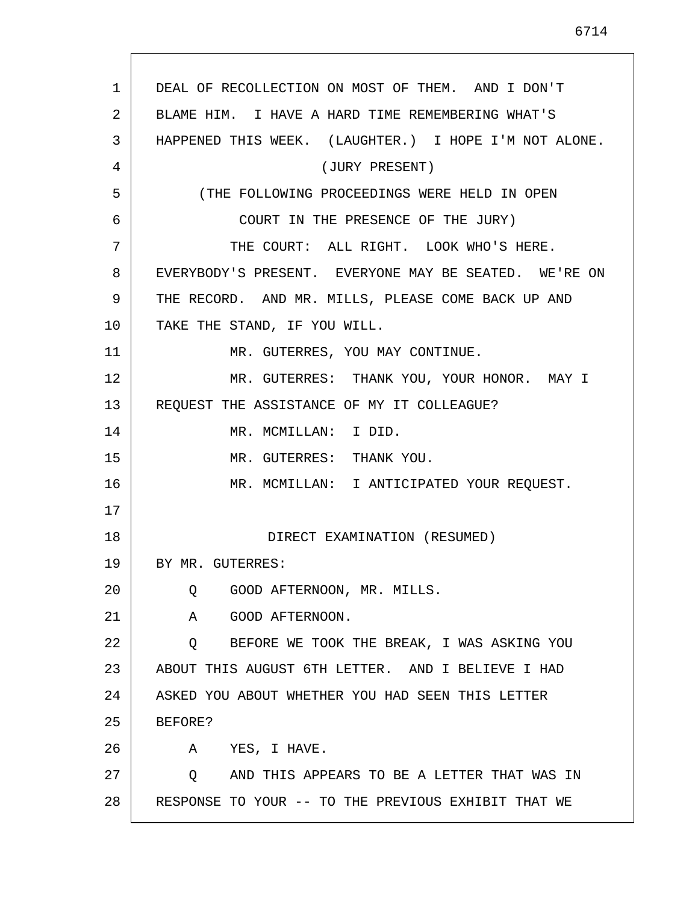1 2 3 4 5 6 7 8 9 10 11 12 13 14 15 16 17 18 19 20 21 22 23 24 25 26 27 28 DEAL OF RECOLLECTION ON MOST OF THEM. AND I DON'T BLAME HIM. I HAVE A HARD TIME REMEMBERING WHAT'S HAPPENED THIS WEEK. (LAUGHTER.) I HOPE I'M NOT ALONE. (JURY PRESENT) (THE FOLLOWING PROCEEDINGS WERE HELD IN OPEN COURT IN THE PRESENCE OF THE JURY) THE COURT: ALL RIGHT. LOOK WHO'S HERE. EVERYBODY'S PRESENT. EVERYONE MAY BE SEATED. WE'RE ON THE RECORD. AND MR. MILLS, PLEASE COME BACK UP AND TAKE THE STAND, IF YOU WILL. MR. GUTERRES, YOU MAY CONTINUE. MR. GUTERRES: THANK YOU, YOUR HONOR. MAY I REQUEST THE ASSISTANCE OF MY IT COLLEAGUE? MR. MCMILLAN: I DID. MR. GUTERRES: THANK YOU. MR. MCMILLAN: I ANTICIPATED YOUR REQUEST. DIRECT EXAMINATION (RESUMED) BY MR. GUTERRES: Q GOOD AFTERNOON, MR. MILLS. A GOOD AFTERNOON. Q BEFORE WE TOOK THE BREAK, I WAS ASKING YOU ABOUT THIS AUGUST 6TH LETTER. AND I BELIEVE I HAD ASKED YOU ABOUT WHETHER YOU HAD SEEN THIS LETTER BEFORE? A YES, I HAVE. Q AND THIS APPEARS TO BE A LETTER THAT WAS IN RESPONSE TO YOUR -- TO THE PREVIOUS EXHIBIT THAT WE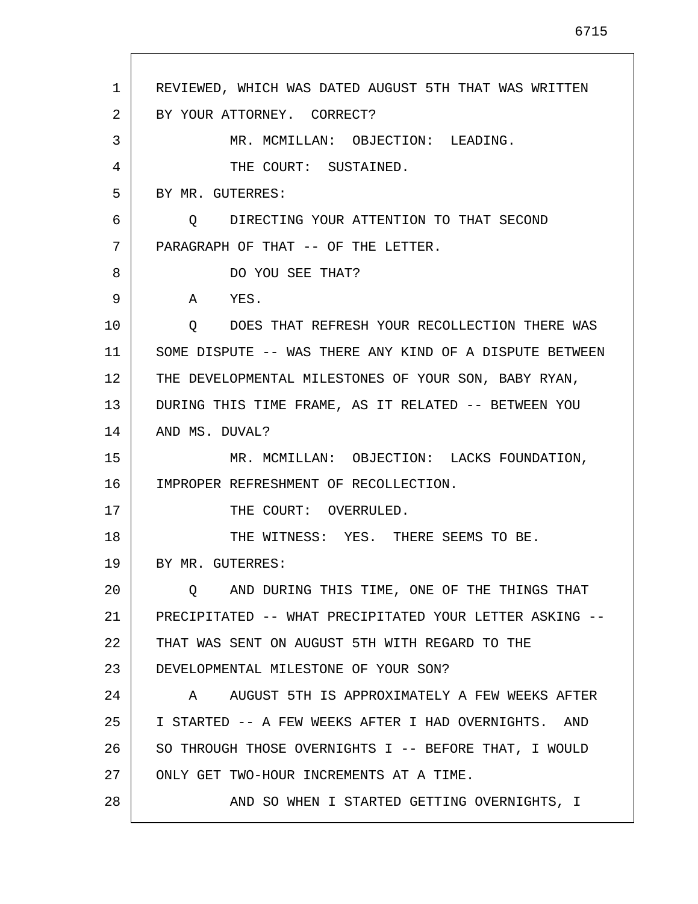| 1  | REVIEWED, WHICH WAS DATED AUGUST 5TH THAT WAS WRITTEN     |
|----|-----------------------------------------------------------|
| 2  | BY YOUR ATTORNEY. CORRECT?                                |
| 3  | MR. MCMILLAN: OBJECTION: LEADING.                         |
| 4  | THE COURT: SUSTAINED.                                     |
| 5  | BY MR. GUTERRES:                                          |
| 6  | O DIRECTING YOUR ATTENTION TO THAT SECOND                 |
| 7  | PARAGRAPH OF THAT -- OF THE LETTER.                       |
| 8  | DO YOU SEE THAT?                                          |
| 9  | A<br>YES.                                                 |
| 10 | DOES THAT REFRESH YOUR RECOLLECTION THERE WAS<br>Q        |
| 11 | SOME DISPUTE -- WAS THERE ANY KIND OF A DISPUTE BETWEEN   |
| 12 | THE DEVELOPMENTAL MILESTONES OF YOUR SON, BABY RYAN,      |
| 13 | DURING THIS TIME FRAME, AS IT RELATED -- BETWEEN YOU      |
| 14 | AND MS. DUVAL?                                            |
| 15 | MR. MCMILLAN: OBJECTION: LACKS FOUNDATION,                |
| 16 | IMPROPER REFRESHMENT OF RECOLLECTION.                     |
| 17 | THE COURT: OVERRULED.                                     |
| 18 | THE WITNESS: YES. THERE SEEMS TO BE.                      |
| 19 | BY MR. GUTERRES:                                          |
| 20 | AND DURING THIS TIME, ONE OF THE THINGS THAT<br>$\circ$ 0 |
| 21 | PRECIPITATED -- WHAT PRECIPITATED YOUR LETTER ASKING --   |
| 22 | THAT WAS SENT ON AUGUST 5TH WITH REGARD TO THE            |
| 23 | DEVELOPMENTAL MILESTONE OF YOUR SON?                      |
| 24 | AUGUST 5TH IS APPROXIMATELY A FEW WEEKS AFTER<br>A        |
| 25 | I STARTED -- A FEW WEEKS AFTER I HAD OVERNIGHTS. AND      |
| 26 | SO THROUGH THOSE OVERNIGHTS I -- BEFORE THAT, I WOULD     |
| 27 | ONLY GET TWO-HOUR INCREMENTS AT A TIME.                   |
| 28 | AND SO WHEN I STARTED GETTING OVERNIGHTS, I               |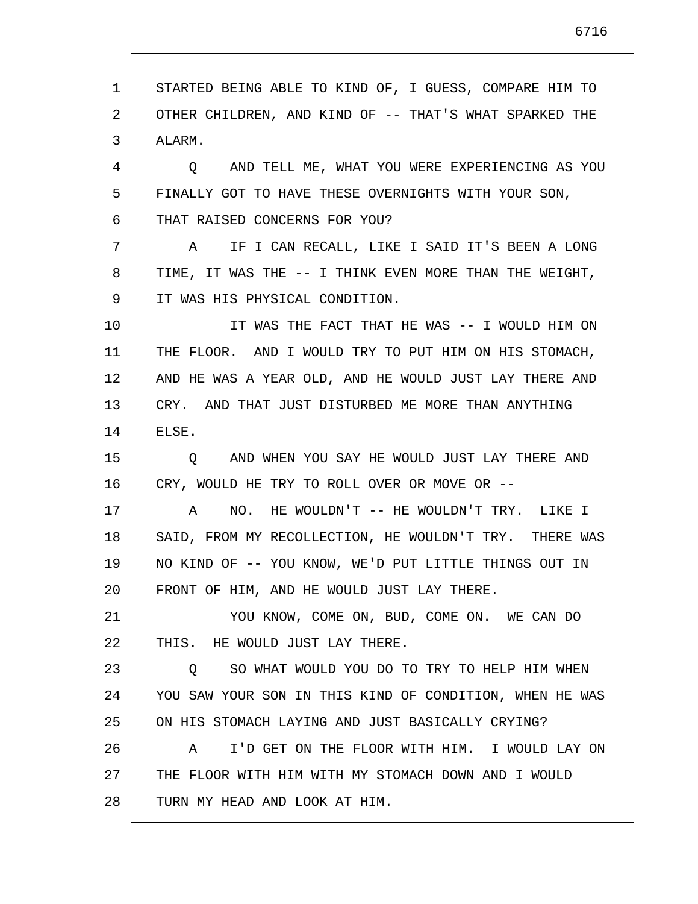1 2 3 4 5 6 7 8 9 10 11 12 13 14 15 16 17 18 19 20 21 22 23 24 25 26 27 28 STARTED BEING ABLE TO KIND OF, I GUESS, COMPARE HIM TO OTHER CHILDREN, AND KIND OF -- THAT'S WHAT SPARKED THE ALARM. Q AND TELL ME, WHAT YOU WERE EXPERIENCING AS YOU FINALLY GOT TO HAVE THESE OVERNIGHTS WITH YOUR SON, THAT RAISED CONCERNS FOR YOU? A IF I CAN RECALL, LIKE I SAID IT'S BEEN A LONG TIME, IT WAS THE -- I THINK EVEN MORE THAN THE WEIGHT, IT WAS HIS PHYSICAL CONDITION. IT WAS THE FACT THAT HE WAS -- I WOULD HIM ON THE FLOOR. AND I WOULD TRY TO PUT HIM ON HIS STOMACH, AND HE WAS A YEAR OLD, AND HE WOULD JUST LAY THERE AND CRY. AND THAT JUST DISTURBED ME MORE THAN ANYTHING ELSE. Q AND WHEN YOU SAY HE WOULD JUST LAY THERE AND CRY, WOULD HE TRY TO ROLL OVER OR MOVE OR -- A NO. HE WOULDN'T -- HE WOULDN'T TRY. LIKE I SAID, FROM MY RECOLLECTION, HE WOULDN'T TRY. THERE WAS NO KIND OF -- YOU KNOW, WE'D PUT LITTLE THINGS OUT IN FRONT OF HIM, AND HE WOULD JUST LAY THERE. YOU KNOW, COME ON, BUD, COME ON. WE CAN DO THIS. HE WOULD JUST LAY THERE. Q SO WHAT WOULD YOU DO TO TRY TO HELP HIM WHEN YOU SAW YOUR SON IN THIS KIND OF CONDITION, WHEN HE WAS ON HIS STOMACH LAYING AND JUST BASICALLY CRYING? A I'D GET ON THE FLOOR WITH HIM. I WOULD LAY ON THE FLOOR WITH HIM WITH MY STOMACH DOWN AND I WOULD TURN MY HEAD AND LOOK AT HIM.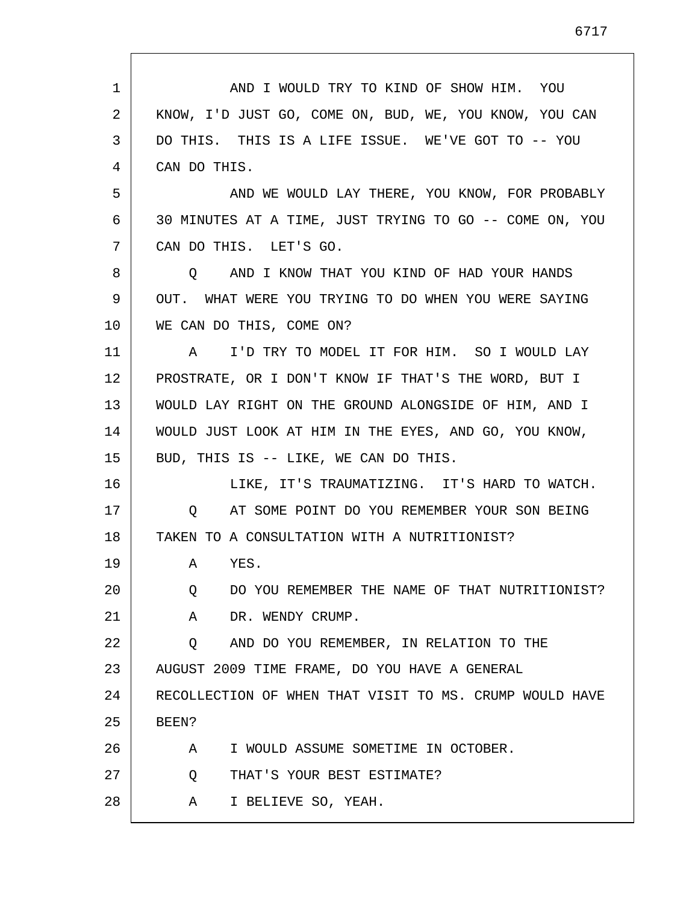| 1  | AND I WOULD TRY TO KIND OF SHOW HIM. YOU                |
|----|---------------------------------------------------------|
| 2  | KNOW, I'D JUST GO, COME ON, BUD, WE, YOU KNOW, YOU CAN  |
| 3  | DO THIS. THIS IS A LIFE ISSUE. WE'VE GOT TO -- YOU      |
| 4  | CAN DO THIS.                                            |
| 5  | AND WE WOULD LAY THERE, YOU KNOW, FOR PROBABLY          |
| 6  | 30 MINUTES AT A TIME, JUST TRYING TO GO -- COME ON, YOU |
| 7  | CAN DO THIS. LET'S GO.                                  |
| 8  | O AND I KNOW THAT YOU KIND OF HAD YOUR HANDS            |
| 9  | OUT. WHAT WERE YOU TRYING TO DO WHEN YOU WERE SAYING    |
| 10 | WE CAN DO THIS, COME ON?                                |
| 11 | I'D TRY TO MODEL IT FOR HIM. SO I WOULD LAY<br>A        |
| 12 | PROSTRATE, OR I DON'T KNOW IF THAT'S THE WORD, BUT I    |
| 13 | WOULD LAY RIGHT ON THE GROUND ALONGSIDE OF HIM, AND I   |
| 14 | WOULD JUST LOOK AT HIM IN THE EYES, AND GO, YOU KNOW,   |
| 15 | BUD, THIS IS -- LIKE, WE CAN DO THIS.                   |
| 16 | LIKE, IT'S TRAUMATIZING. IT'S HARD TO WATCH.            |
| 17 | AT SOME POINT DO YOU REMEMBER YOUR SON BEING<br>O       |
| 18 | TAKEN TO A CONSULTATION WITH A NUTRITIONIST?            |
| 19 | YES.<br>A                                               |
| 20 | DO YOU REMEMBER THE NAME OF THAT NUTRITIONIST?<br>Q     |
| 21 | A<br>DR. WENDY CRUMP.                                   |
| 22 | AND DO YOU REMEMBER, IN RELATION TO THE<br>Q            |
| 23 | AUGUST 2009 TIME FRAME, DO YOU HAVE A GENERAL           |
| 24 | RECOLLECTION OF WHEN THAT VISIT TO MS. CRUMP WOULD HAVE |
| 25 | BEEN?                                                   |
| 26 | I WOULD ASSUME SOMETIME IN OCTOBER.<br>A                |
| 27 | THAT'S YOUR BEST ESTIMATE?<br>Q                         |
| 28 | I BELIEVE SO, YEAH.<br>A                                |

 $\mathsf{I}$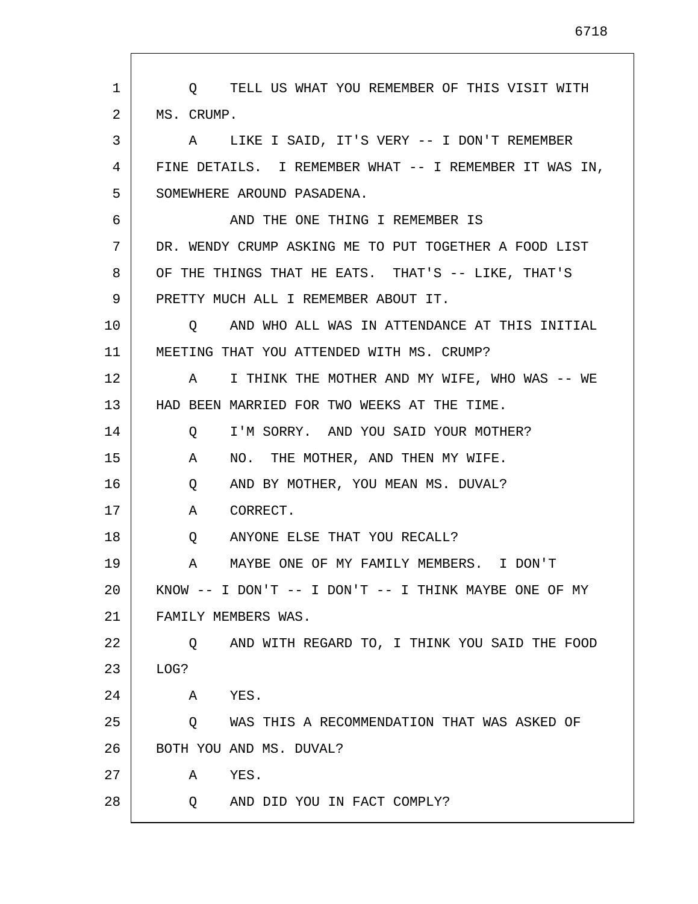| 1  | O TELL US WHAT YOU REMEMBER OF THIS VISIT WITH              |
|----|-------------------------------------------------------------|
| 2  | MS. CRUMP.                                                  |
| 3  | A LIKE I SAID, IT'S VERY -- I DON'T REMEMBER                |
| 4  | FINE DETAILS. I REMEMBER WHAT -- I REMEMBER IT WAS IN,      |
| 5  | SOMEWHERE AROUND PASADENA.                                  |
| 6  | AND THE ONE THING I REMEMBER IS                             |
| 7  | DR. WENDY CRUMP ASKING ME TO PUT TOGETHER A FOOD LIST       |
| 8  | OF THE THINGS THAT HE EATS. THAT'S -- LIKE, THAT'S          |
| 9  | PRETTY MUCH ALL I REMEMBER ABOUT IT.                        |
| 10 | 0 AND WHO ALL WAS IN ATTENDANCE AT THIS INITIAL             |
| 11 | MEETING THAT YOU ATTENDED WITH MS. CRUMP?                   |
| 12 | A I THINK THE MOTHER AND MY WIFE, WHO WAS -- WE             |
| 13 | HAD BEEN MARRIED FOR TWO WEEKS AT THE TIME.                 |
| 14 | I'M SORRY. AND YOU SAID YOUR MOTHER?<br>Q                   |
| 15 | NO. THE MOTHER, AND THEN MY WIFE.<br>A                      |
| 16 | AND BY MOTHER, YOU MEAN MS. DUVAL?<br>Q                     |
| 17 | CORRECT.<br>A                                               |
| 18 | ANYONE ELSE THAT YOU RECALL?<br>Q                           |
| 19 | MAYBE ONE OF MY FAMILY MEMBERS. I DON'T<br>A                |
| 20 | KNOW $--$ I DON'T $--$ I DON'T $--$ I THINK MAYBE ONE OF MY |
| 21 | FAMILY MEMBERS WAS.                                         |
| 22 | AND WITH REGARD TO, I THINK YOU SAID THE FOOD<br>O.         |
| 23 | LOG?                                                        |
| 24 | YES.<br>Α                                                   |
| 25 | WAS THIS A RECOMMENDATION THAT WAS ASKED OF<br>Q            |
| 26 | BOTH YOU AND MS. DUVAL?                                     |
| 27 | YES.<br>Α                                                   |
| 28 | AND DID YOU IN FACT COMPLY?<br>O.                           |

L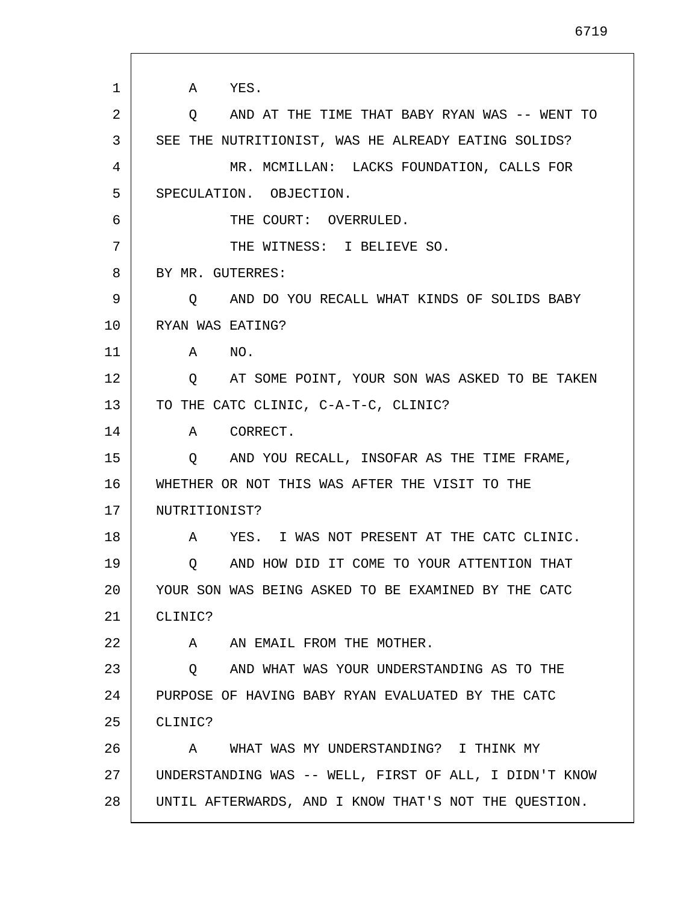1 2 3 4 5 6 7 8 9 10 11 12 13 14 15 16 17 18 19 20 21 22 23 24 25 26 27 28 A YES. Q AND AT THE TIME THAT BABY RYAN WAS -- WENT TO SEE THE NUTRITIONIST, WAS HE ALREADY EATING SOLIDS? MR. MCMILLAN: LACKS FOUNDATION, CALLS FOR SPECULATION. OBJECTION. THE COURT: OVERRULED. THE WITNESS: I BELIEVE SO. BY MR. GUTERRES: Q AND DO YOU RECALL WHAT KINDS OF SOLIDS BABY RYAN WAS EATING? A NO. Q AT SOME POINT, YOUR SON WAS ASKED TO BE TAKEN TO THE CATC CLINIC, C-A-T-C, CLINIC? A CORRECT. Q AND YOU RECALL, INSOFAR AS THE TIME FRAME, WHETHER OR NOT THIS WAS AFTER THE VISIT TO THE NUTRITIONIST? A YES. I WAS NOT PRESENT AT THE CATC CLINIC. Q AND HOW DID IT COME TO YOUR ATTENTION THAT YOUR SON WAS BEING ASKED TO BE EXAMINED BY THE CATC CLINIC? A AN EMAIL FROM THE MOTHER. Q AND WHAT WAS YOUR UNDERSTANDING AS TO THE PURPOSE OF HAVING BABY RYAN EVALUATED BY THE CATC CLINIC? A WHAT WAS MY UNDERSTANDING? I THINK MY UNDERSTANDING WAS -- WELL, FIRST OF ALL, I DIDN'T KNOW UNTIL AFTERWARDS, AND I KNOW THAT'S NOT THE QUESTION.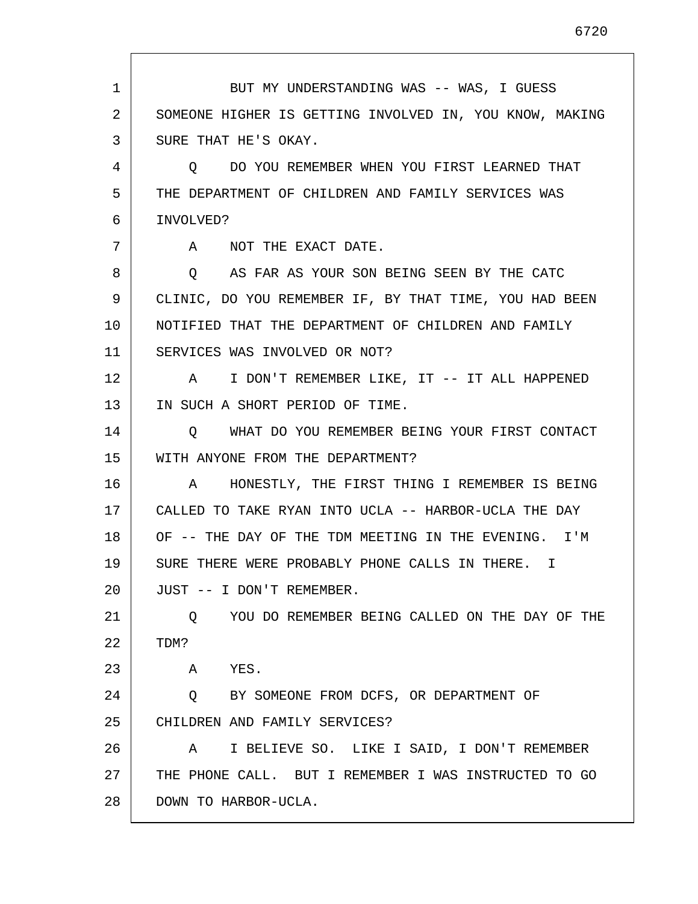1 2 3 4 5 6 7 8 9 10 11 12 13 14 15 16 17 18 19 20 21 22 23 24 25 26 27 28 BUT MY UNDERSTANDING WAS -- WAS, I GUESS SOMEONE HIGHER IS GETTING INVOLVED IN, YOU KNOW, MAKING SURE THAT HE'S OKAY. Q DO YOU REMEMBER WHEN YOU FIRST LEARNED THAT THE DEPARTMENT OF CHILDREN AND FAMILY SERVICES WAS INVOLVED? A NOT THE EXACT DATE. Q AS FAR AS YOUR SON BEING SEEN BY THE CATC CLINIC, DO YOU REMEMBER IF, BY THAT TIME, YOU HAD BEEN NOTIFIED THAT THE DEPARTMENT OF CHILDREN AND FAMILY SERVICES WAS INVOLVED OR NOT? A I DON'T REMEMBER LIKE, IT -- IT ALL HAPPENED IN SUCH A SHORT PERIOD OF TIME. Q WHAT DO YOU REMEMBER BEING YOUR FIRST CONTACT WITH ANYONE FROM THE DEPARTMENT? A HONESTLY, THE FIRST THING I REMEMBER IS BEING CALLED TO TAKE RYAN INTO UCLA -- HARBOR-UCLA THE DAY OF -- THE DAY OF THE TDM MEETING IN THE EVENING. I'M SURE THERE WERE PROBABLY PHONE CALLS IN THERE. I JUST -- I DON'T REMEMBER. Q YOU DO REMEMBER BEING CALLED ON THE DAY OF THE TDM? A YES. Q BY SOMEONE FROM DCFS, OR DEPARTMENT OF CHILDREN AND FAMILY SERVICES? A I BELIEVE SO. LIKE I SAID, I DON'T REMEMBER THE PHONE CALL. BUT I REMEMBER I WAS INSTRUCTED TO GO DOWN TO HARBOR-UCLA.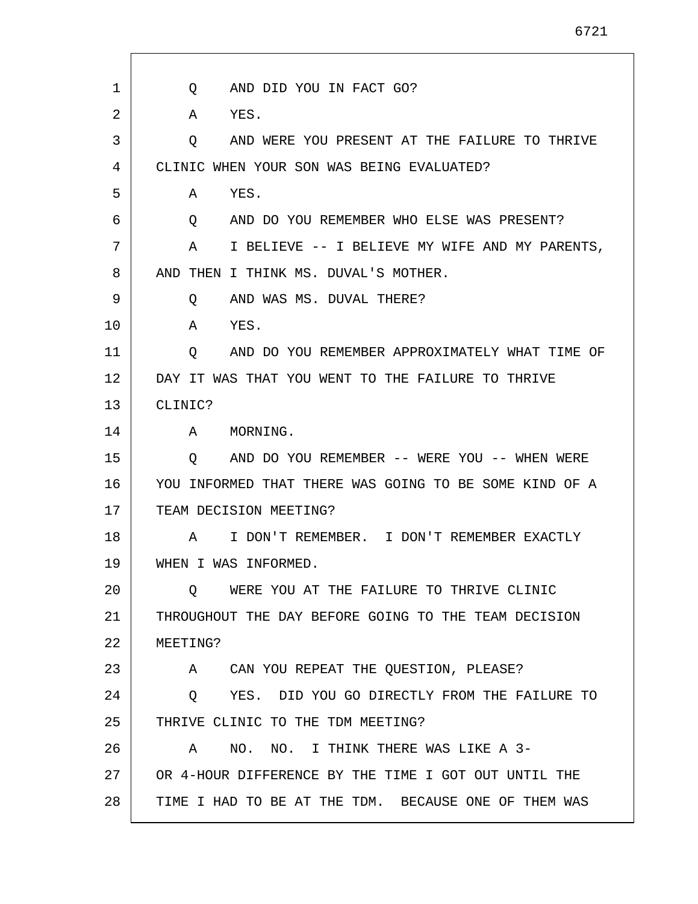1 2 3 4 5 6 7 8 9 10 11 12 13 14 15 16 17 18 19 20 21 22 23 24 25 26 27 28 Q AND DID YOU IN FACT GO? A YES. Q AND WERE YOU PRESENT AT THE FAILURE TO THRIVE CLINIC WHEN YOUR SON WAS BEING EVALUATED? A YES. Q AND DO YOU REMEMBER WHO ELSE WAS PRESENT? A I BELIEVE -- I BELIEVE MY WIFE AND MY PARENTS, AND THEN I THINK MS. DUVAL'S MOTHER. Q AND WAS MS. DUVAL THERE? A YES. Q AND DO YOU REMEMBER APPROXIMATELY WHAT TIME OF DAY IT WAS THAT YOU WENT TO THE FAILURE TO THRIVE CLINIC? A MORNING. Q AND DO YOU REMEMBER -- WERE YOU -- WHEN WERE YOU INFORMED THAT THERE WAS GOING TO BE SOME KIND OF A TEAM DECISION MEETING? A I DON'T REMEMBER. I DON'T REMEMBER EXACTLY WHEN I WAS INFORMED. Q WERE YOU AT THE FAILURE TO THRIVE CLINIC THROUGHOUT THE DAY BEFORE GOING TO THE TEAM DECISION MEETING? A CAN YOU REPEAT THE QUESTION, PLEASE? Q YES. DID YOU GO DIRECTLY FROM THE FAILURE TO THRIVE CLINIC TO THE TDM MEETING? A NO. NO. I THINK THERE WAS LIKE A 3- OR 4-HOUR DIFFERENCE BY THE TIME I GOT OUT UNTIL THE TIME I HAD TO BE AT THE TDM. BECAUSE ONE OF THEM WAS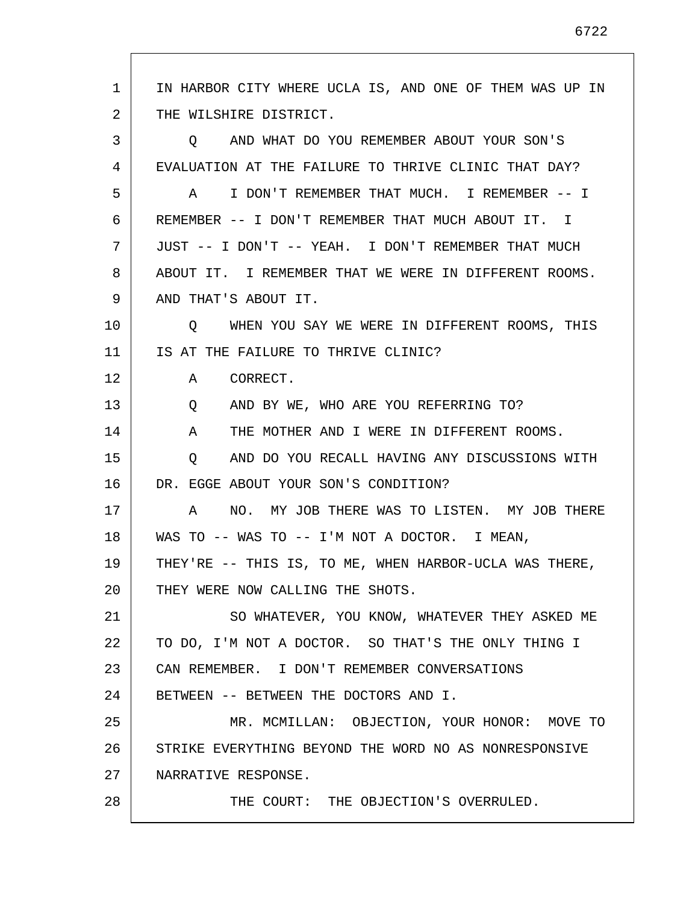1 2 3 4 5 6 7 8 9 10 11 12 13 14 15 16 17 18 19 20 21 22 23 24 25 26 27 28 IN HARBOR CITY WHERE UCLA IS, AND ONE OF THEM WAS UP IN THE WILSHIRE DISTRICT. Q AND WHAT DO YOU REMEMBER ABOUT YOUR SON'S EVALUATION AT THE FAILURE TO THRIVE CLINIC THAT DAY? A I DON'T REMEMBER THAT MUCH. I REMEMBER -- I REMEMBER -- I DON'T REMEMBER THAT MUCH ABOUT IT. I JUST -- I DON'T -- YEAH. I DON'T REMEMBER THAT MUCH ABOUT IT. I REMEMBER THAT WE WERE IN DIFFERENT ROOMS. AND THAT'S ABOUT IT. Q WHEN YOU SAY WE WERE IN DIFFERENT ROOMS, THIS IS AT THE FAILURE TO THRIVE CLINIC? A CORRECT. Q AND BY WE, WHO ARE YOU REFERRING TO? A THE MOTHER AND I WERE IN DIFFERENT ROOMS. Q AND DO YOU RECALL HAVING ANY DISCUSSIONS WITH DR. EGGE ABOUT YOUR SON'S CONDITION? A NO. MY JOB THERE WAS TO LISTEN. MY JOB THERE WAS TO -- WAS TO -- I'M NOT A DOCTOR. I MEAN, THEY'RE -- THIS IS, TO ME, WHEN HARBOR-UCLA WAS THERE, THEY WERE NOW CALLING THE SHOTS. SO WHATEVER, YOU KNOW, WHATEVER THEY ASKED ME TO DO, I'M NOT A DOCTOR. SO THAT'S THE ONLY THING I CAN REMEMBER. I DON'T REMEMBER CONVERSATIONS BETWEEN -- BETWEEN THE DOCTORS AND I. MR. MCMILLAN: OBJECTION, YOUR HONOR: MOVE TO STRIKE EVERYTHING BEYOND THE WORD NO AS NONRESPONSIVE NARRATIVE RESPONSE. THE COURT: THE OBJECTION'S OVERRULED.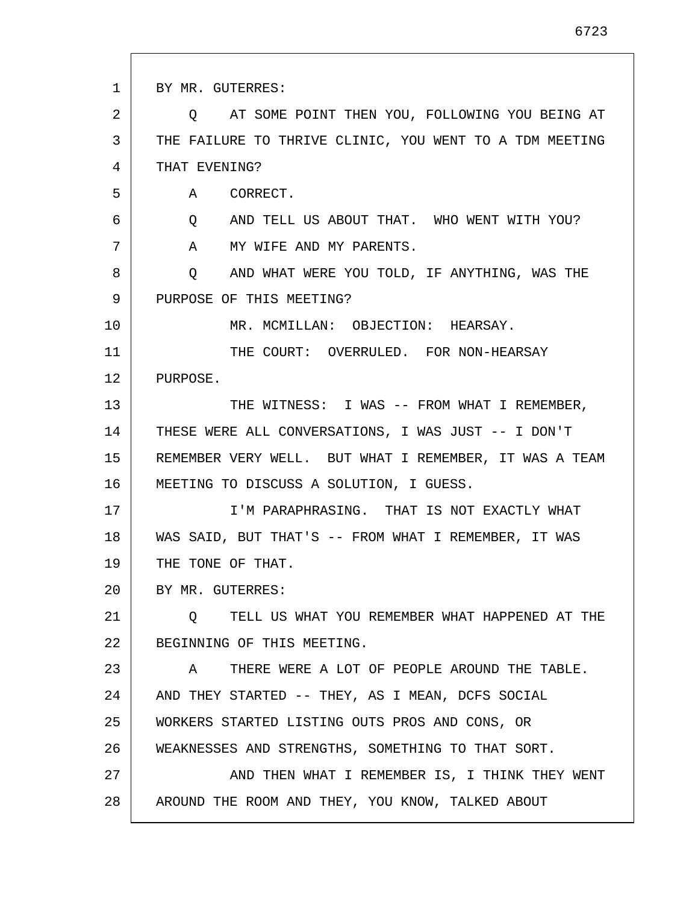1 2 3 4 5 6 7 8 9 10 11 12 13 14 15 16 17 18 19 20 21 22 23 24 25 26 27 28 BY MR. GUTERRES: Q AT SOME POINT THEN YOU, FOLLOWING YOU BEING AT THE FAILURE TO THRIVE CLINIC, YOU WENT TO A TDM MEETING THAT EVENING? A CORRECT. Q AND TELL US ABOUT THAT. WHO WENT WITH YOU? A MY WIFE AND MY PARENTS. Q AND WHAT WERE YOU TOLD, IF ANYTHING, WAS THE PURPOSE OF THIS MEETING? MR. MCMILLAN: OBJECTION: HEARSAY. THE COURT: OVERRULED. FOR NON-HEARSAY PURPOSE. THE WITNESS: I WAS -- FROM WHAT I REMEMBER, THESE WERE ALL CONVERSATIONS, I WAS JUST -- I DON'T REMEMBER VERY WELL. BUT WHAT I REMEMBER, IT WAS A TEAM MEETING TO DISCUSS A SOLUTION, I GUESS. I'M PARAPHRASING. THAT IS NOT EXACTLY WHAT WAS SAID, BUT THAT'S -- FROM WHAT I REMEMBER, IT WAS THE TONE OF THAT. BY MR. GUTERRES: Q TELL US WHAT YOU REMEMBER WHAT HAPPENED AT THE BEGINNING OF THIS MEETING. A THERE WERE A LOT OF PEOPLE AROUND THE TABLE. AND THEY STARTED -- THEY, AS I MEAN, DCFS SOCIAL WORKERS STARTED LISTING OUTS PROS AND CONS, OR WEAKNESSES AND STRENGTHS, SOMETHING TO THAT SORT. AND THEN WHAT I REMEMBER IS, I THINK THEY WENT AROUND THE ROOM AND THEY, YOU KNOW, TALKED ABOUT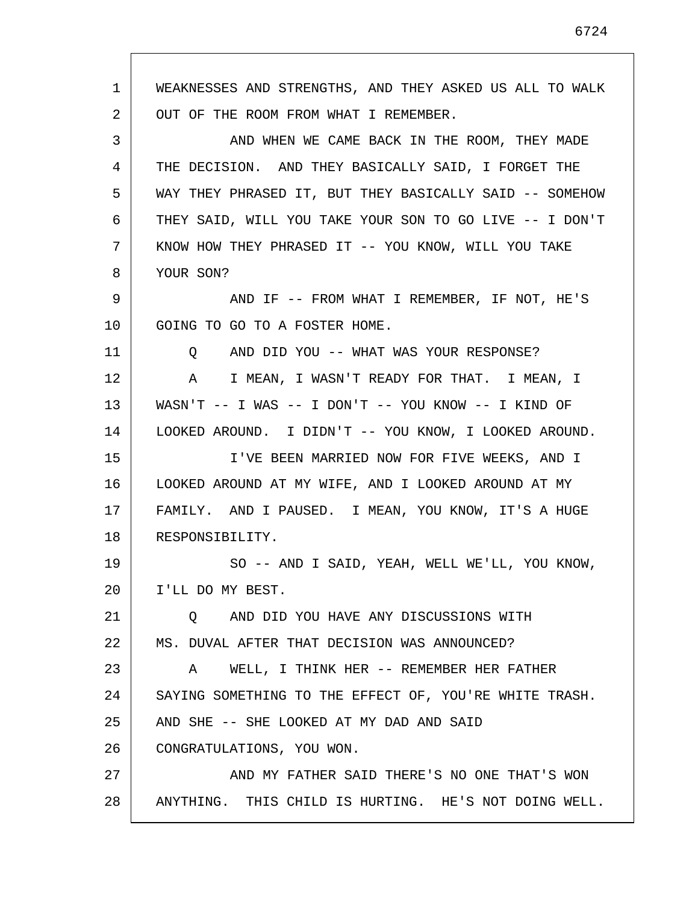1 2 3 4 5 6 7 8 9 10 11 12 13 14 15 16 17 18 19 20 21 22 23 24 25 26 27 28 WEAKNESSES AND STRENGTHS, AND THEY ASKED US ALL TO WALK OUT OF THE ROOM FROM WHAT I REMEMBER. AND WHEN WE CAME BACK IN THE ROOM, THEY MADE THE DECISION. AND THEY BASICALLY SAID, I FORGET THE WAY THEY PHRASED IT, BUT THEY BASICALLY SAID -- SOMEHOW THEY SAID, WILL YOU TAKE YOUR SON TO GO LIVE -- I DON'T KNOW HOW THEY PHRASED IT -- YOU KNOW, WILL YOU TAKE YOUR SON? AND IF -- FROM WHAT I REMEMBER, IF NOT, HE'S GOING TO GO TO A FOSTER HOME. Q AND DID YOU -- WHAT WAS YOUR RESPONSE? A I MEAN, I WASN'T READY FOR THAT. I MEAN, I WASN'T -- I WAS -- I DON'T -- YOU KNOW -- I KIND OF LOOKED AROUND. I DIDN'T -- YOU KNOW, I LOOKED AROUND. I'VE BEEN MARRIED NOW FOR FIVE WEEKS, AND I LOOKED AROUND AT MY WIFE, AND I LOOKED AROUND AT MY FAMILY. AND I PAUSED. I MEAN, YOU KNOW, IT'S A HUGE RESPONSIBILITY. SO -- AND I SAID, YEAH, WELL WE'LL, YOU KNOW, I'LL DO MY BEST. Q AND DID YOU HAVE ANY DISCUSSIONS WITH MS. DUVAL AFTER THAT DECISION WAS ANNOUNCED? A WELL, I THINK HER -- REMEMBER HER FATHER SAYING SOMETHING TO THE EFFECT OF, YOU'RE WHITE TRASH. AND SHE -- SHE LOOKED AT MY DAD AND SAID CONGRATULATIONS, YOU WON. AND MY FATHER SAID THERE'S NO ONE THAT'S WON ANYTHING. THIS CHILD IS HURTING. HE'S NOT DOING WELL.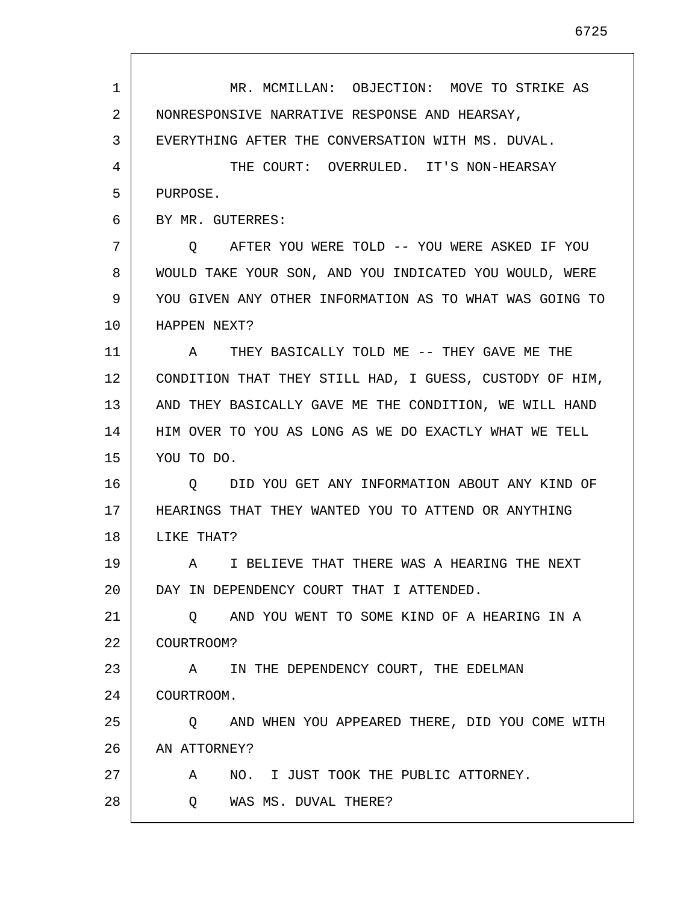| 1  | MR. MCMILLAN: OBJECTION: MOVE TO STRIKE AS              |
|----|---------------------------------------------------------|
| 2  | NONRESPONSIVE NARRATIVE RESPONSE AND HEARSAY,           |
| 3  | EVERYTHING AFTER THE CONVERSATION WITH MS. DUVAL.       |
| 4  | THE COURT: OVERRULED. IT'S NON-HEARSAY                  |
| 5  | PURPOSE.                                                |
| 6  | BY MR. GUTERRES:                                        |
| 7  | AFTER YOU WERE TOLD -- YOU WERE ASKED IF YOU<br>O.      |
| 8  | WOULD TAKE YOUR SON, AND YOU INDICATED YOU WOULD, WERE  |
| 9  | YOU GIVEN ANY OTHER INFORMATION AS TO WHAT WAS GOING TO |
| 10 | HAPPEN NEXT?                                            |
| 11 | THEY BASICALLY TOLD ME -- THEY GAVE ME THE<br>A         |
| 12 | CONDITION THAT THEY STILL HAD, I GUESS, CUSTODY OF HIM, |
| 13 | AND THEY BASICALLY GAVE ME THE CONDITION, WE WILL HAND  |
| 14 | HIM OVER TO YOU AS LONG AS WE DO EXACTLY WHAT WE TELL   |
| 15 | YOU TO DO.                                              |
| 16 | DID YOU GET ANY INFORMATION ABOUT ANY KIND OF<br>Q      |
| 17 | HEARINGS THAT THEY WANTED YOU TO ATTEND OR ANYTHING     |
| 18 | LIKE THAT?                                              |
| 19 | A TI BELIEVE THAT THERE WAS A HEARING THE NEXT          |
| 20 | DAY IN DEPENDENCY COURT THAT I ATTENDED.                |
| 21 | O AND YOU WENT TO SOME KIND OF A HEARING IN A           |
| 22 | COURTROOM?                                              |
| 23 | IN THE DEPENDENCY COURT, THE EDELMAN<br>A               |
| 24 | COURTROOM.                                              |
| 25 | Q AND WHEN YOU APPEARED THERE, DID YOU COME WITH        |
| 26 | AN ATTORNEY?                                            |
| 27 | NO. I JUST TOOK THE PUBLIC ATTORNEY.<br>A               |
| 28 | WAS MS. DUVAL THERE?<br>O.                              |
|    |                                                         |

г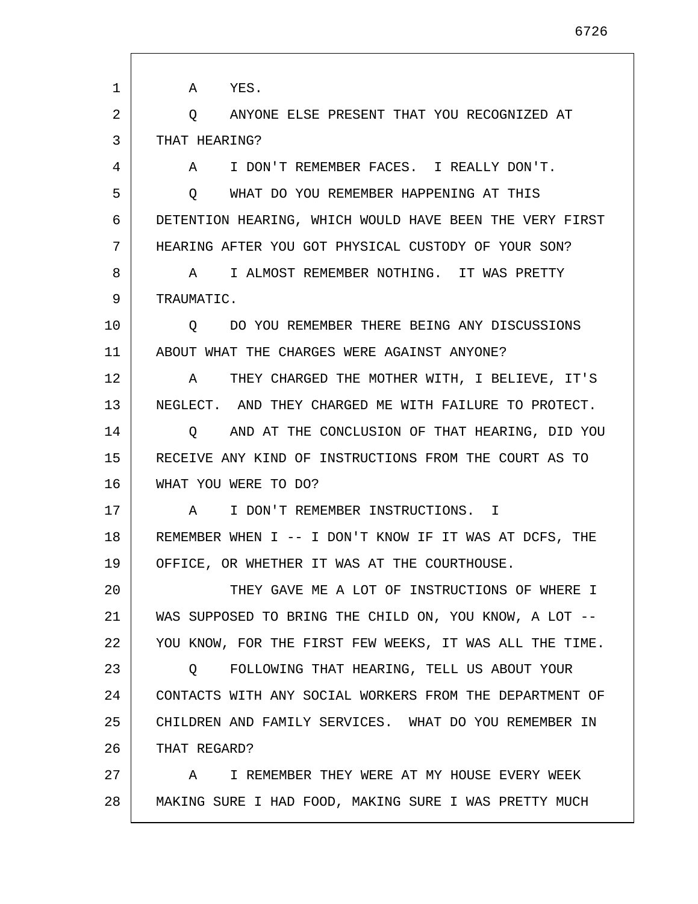1 2 3 4 5 6 7 8 9 10 11 12 13 14 15 16 17 18 19 20 21 22 23 24 25 26 27 28 A YES. Q ANYONE ELSE PRESENT THAT YOU RECOGNIZED AT THAT HEARING? A I DON'T REMEMBER FACES. I REALLY DON'T. Q WHAT DO YOU REMEMBER HAPPENING AT THIS DETENTION HEARING, WHICH WOULD HAVE BEEN THE VERY FIRST HEARING AFTER YOU GOT PHYSICAL CUSTODY OF YOUR SON? A I ALMOST REMEMBER NOTHING. IT WAS PRETTY TRAUMATIC. Q DO YOU REMEMBER THERE BEING ANY DISCUSSIONS ABOUT WHAT THE CHARGES WERE AGAINST ANYONE? A THEY CHARGED THE MOTHER WITH, I BELIEVE, IT'S NEGLECT. AND THEY CHARGED ME WITH FAILURE TO PROTECT. Q AND AT THE CONCLUSION OF THAT HEARING, DID YOU RECEIVE ANY KIND OF INSTRUCTIONS FROM THE COURT AS TO WHAT YOU WERE TO DO? A I DON'T REMEMBER INSTRUCTIONS. I REMEMBER WHEN I -- I DON'T KNOW IF IT WAS AT DCFS, THE OFFICE, OR WHETHER IT WAS AT THE COURTHOUSE. THEY GAVE ME A LOT OF INSTRUCTIONS OF WHERE I WAS SUPPOSED TO BRING THE CHILD ON, YOU KNOW, A LOT -- YOU KNOW, FOR THE FIRST FEW WEEKS, IT WAS ALL THE TIME. Q FOLLOWING THAT HEARING, TELL US ABOUT YOUR CONTACTS WITH ANY SOCIAL WORKERS FROM THE DEPARTMENT OF CHILDREN AND FAMILY SERVICES. WHAT DO YOU REMEMBER IN THAT REGARD? A I REMEMBER THEY WERE AT MY HOUSE EVERY WEEK MAKING SURE I HAD FOOD, MAKING SURE I WAS PRETTY MUCH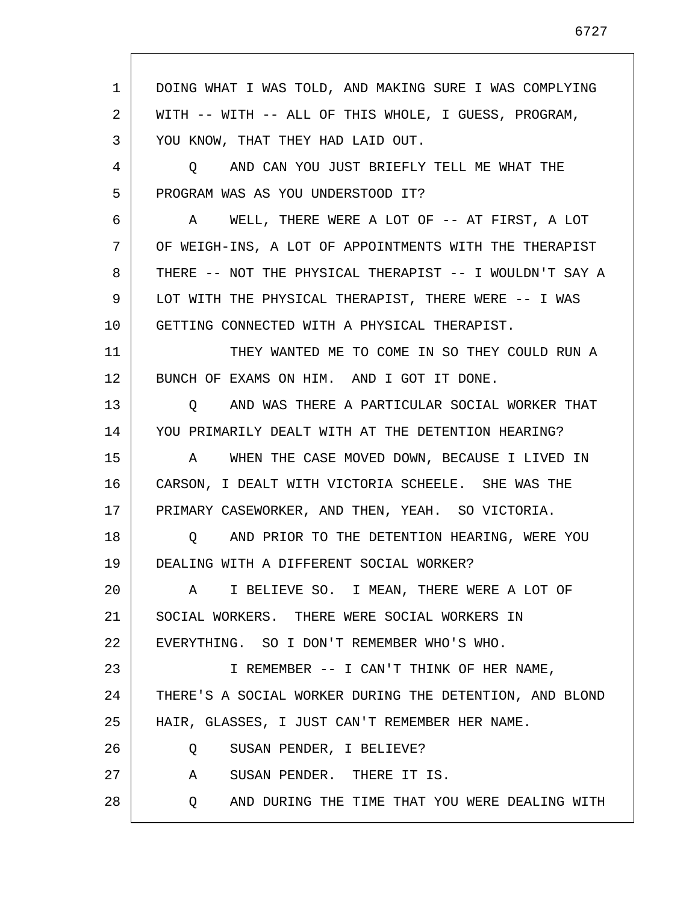| 1  | DOING WHAT I WAS TOLD, AND MAKING SURE I WAS COMPLYING  |
|----|---------------------------------------------------------|
| 2  | WITH -- WITH -- ALL OF THIS WHOLE, I GUESS, PROGRAM,    |
| 3  | YOU KNOW, THAT THEY HAD LAID OUT.                       |
| 4  | O AND CAN YOU JUST BRIEFLY TELL ME WHAT THE             |
| 5  | PROGRAM WAS AS YOU UNDERSTOOD IT?                       |
| 6  | A WELL, THERE WERE A LOT OF -- AT FIRST, A LOT          |
| 7  | OF WEIGH-INS, A LOT OF APPOINTMENTS WITH THE THERAPIST  |
| 8  | THERE -- NOT THE PHYSICAL THERAPIST -- I WOULDN'T SAY A |
| 9  | LOT WITH THE PHYSICAL THERAPIST, THERE WERE -- I WAS    |
| 10 | GETTING CONNECTED WITH A PHYSICAL THERAPIST.            |
| 11 | THEY WANTED ME TO COME IN SO THEY COULD RUN A           |
| 12 | BUNCH OF EXAMS ON HIM. AND I GOT IT DONE.               |
| 13 | AND WAS THERE A PARTICULAR SOCIAL WORKER THAT<br>O      |
| 14 | YOU PRIMARILY DEALT WITH AT THE DETENTION HEARING?      |
| 15 | A WHEN THE CASE MOVED DOWN, BECAUSE I LIVED IN          |
| 16 | CARSON, I DEALT WITH VICTORIA SCHEELE. SHE WAS THE      |
| 17 | PRIMARY CASEWORKER, AND THEN, YEAH. SO VICTORIA.        |
| 18 | O AND PRIOR TO THE DETENTION HEARING, WERE YOU          |
| 19 | DEALING WITH A DIFFERENT SOCIAL WORKER?                 |
| 20 | I BELIEVE SO. I MEAN, THERE WERE A LOT OF<br>A          |
| 21 | SOCIAL WORKERS. THERE WERE SOCIAL WORKERS IN            |
| 22 | EVERYTHING. SO I DON'T REMEMBER WHO'S WHO.              |
| 23 | I REMEMBER -- I CAN'T THINK OF HER NAME,                |
| 24 | THERE'S A SOCIAL WORKER DURING THE DETENTION, AND BLOND |
| 25 | HAIR, GLASSES, I JUST CAN'T REMEMBER HER NAME.          |
| 26 | SUSAN PENDER, I BELIEVE?<br>Q                           |
| 27 | SUSAN PENDER. THERE IT IS.<br>A                         |
| 28 | AND DURING THE TIME THAT YOU WERE DEALING WITH<br>Q     |
|    |                                                         |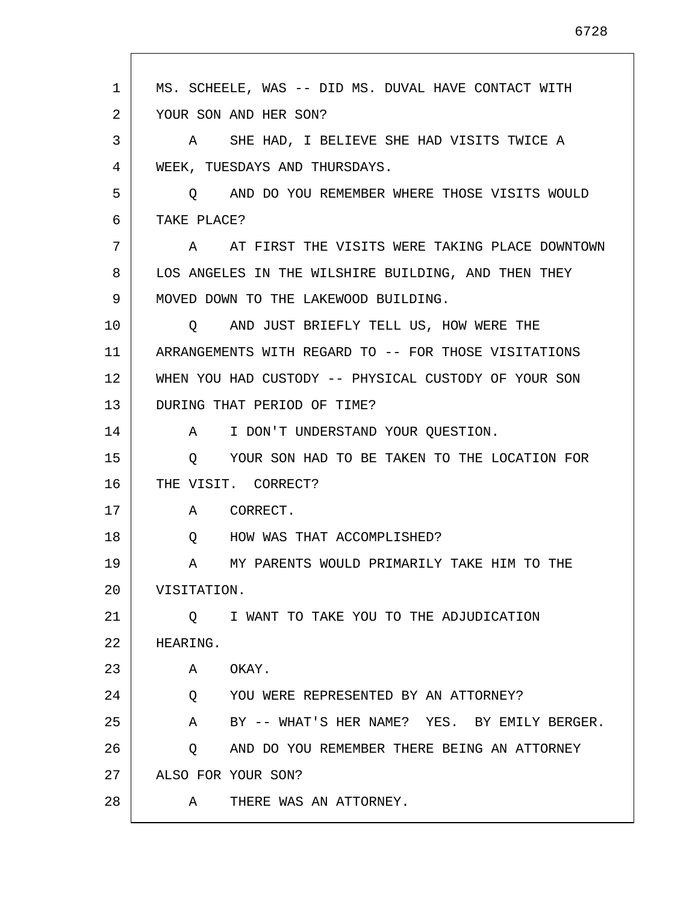1 2 3 4 5 6 7 8 9 10 11 12 13 14 15 16 17 18 19 20 21  $2.2<sub>2</sub>$ 23 24 25 26 27 28 MS. SCHEELE, WAS -- DID MS. DUVAL HAVE CONTACT WITH YOUR SON AND HER SON? A SHE HAD, I BELIEVE SHE HAD VISITS TWICE A WEEK, TUESDAYS AND THURSDAYS. Q AND DO YOU REMEMBER WHERE THOSE VISITS WOULD TAKE PLACE? A AT FIRST THE VISITS WERE TAKING PLACE DOWNTOWN LOS ANGELES IN THE WILSHIRE BUILDING, AND THEN THEY MOVED DOWN TO THE LAKEWOOD BUILDING. Q AND JUST BRIEFLY TELL US, HOW WERE THE ARRANGEMENTS WITH REGARD TO -- FOR THOSE VISITATIONS WHEN YOU HAD CUSTODY -- PHYSICAL CUSTODY OF YOUR SON DURING THAT PERIOD OF TIME? A I DON'T UNDERSTAND YOUR QUESTION. Q YOUR SON HAD TO BE TAKEN TO THE LOCATION FOR THE VISIT. CORRECT? A CORRECT. Q HOW WAS THAT ACCOMPLISHED? A MY PARENTS WOULD PRIMARILY TAKE HIM TO THE VISITATION. Q I WANT TO TAKE YOU TO THE ADJUDICATION HEARING. A OKAY. Q YOU WERE REPRESENTED BY AN ATTORNEY? A BY -- WHAT'S HER NAME? YES. BY EMILY BERGER. Q AND DO YOU REMEMBER THERE BEING AN ATTORNEY ALSO FOR YOUR SON? A THERE WAS AN ATTORNEY.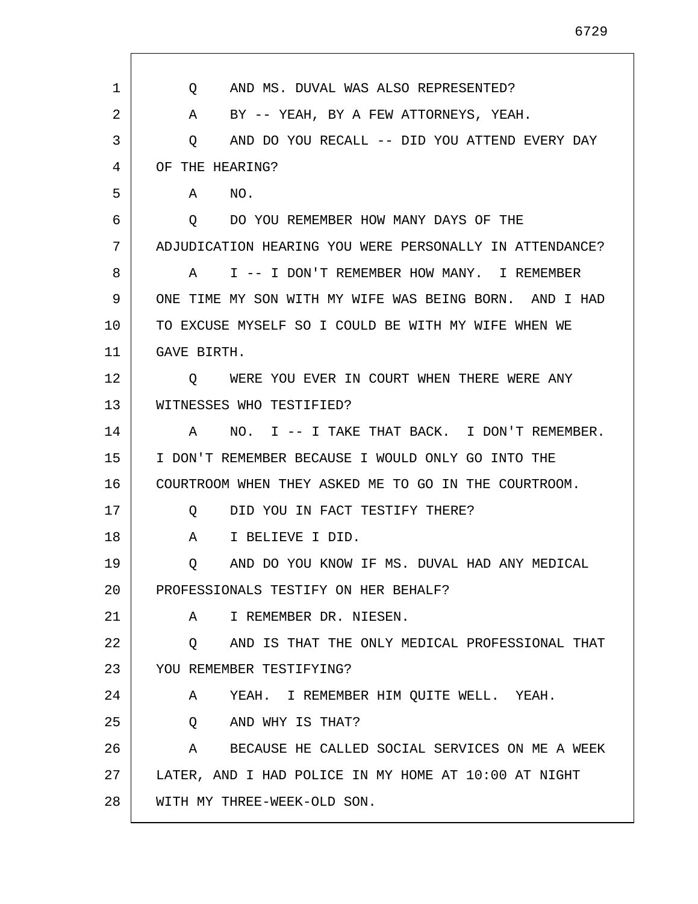1 2 3 4 5 6 7 8 9 10 11 12 13 14 15 16 17 18 19 20 21 22 23 24 25 26 27 28 Q AND MS. DUVAL WAS ALSO REPRESENTED? A BY -- YEAH, BY A FEW ATTORNEYS, YEAH. Q AND DO YOU RECALL -- DID YOU ATTEND EVERY DAY OF THE HEARING? A NO. Q DO YOU REMEMBER HOW MANY DAYS OF THE ADJUDICATION HEARING YOU WERE PERSONALLY IN ATTENDANCE? A I -- I DON'T REMEMBER HOW MANY. I REMEMBER ONE TIME MY SON WITH MY WIFE WAS BEING BORN. AND I HAD TO EXCUSE MYSELF SO I COULD BE WITH MY WIFE WHEN WE GAVE BIRTH. Q WERE YOU EVER IN COURT WHEN THERE WERE ANY WITNESSES WHO TESTIFIED? A NO. I -- I TAKE THAT BACK. I DON'T REMEMBER. I DON'T REMEMBER BECAUSE I WOULD ONLY GO INTO THE COURTROOM WHEN THEY ASKED ME TO GO IN THE COURTROOM. Q DID YOU IN FACT TESTIFY THERE? A I BELIEVE I DID. Q AND DO YOU KNOW IF MS. DUVAL HAD ANY MEDICAL PROFESSIONALS TESTIFY ON HER BEHALF? A I REMEMBER DR. NIESEN. Q AND IS THAT THE ONLY MEDICAL PROFESSIONAL THAT YOU REMEMBER TESTIFYING? A YEAH. I REMEMBER HIM QUITE WELL. YEAH. Q AND WHY IS THAT? A BECAUSE HE CALLED SOCIAL SERVICES ON ME A WEEK LATER, AND I HAD POLICE IN MY HOME AT 10:00 AT NIGHT WITH MY THREE-WEEK-OLD SON.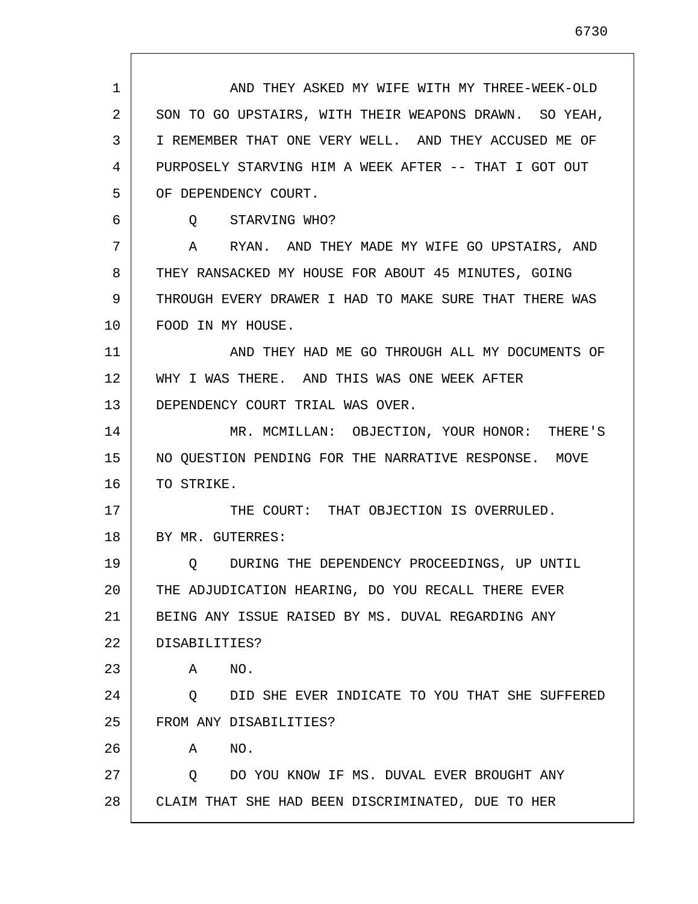| 1  | AND THEY ASKED MY WIFE WITH MY THREE-WEEK-OLD          |
|----|--------------------------------------------------------|
| 2  | SON TO GO UPSTAIRS, WITH THEIR WEAPONS DRAWN. SO YEAH, |
| 3  | I REMEMBER THAT ONE VERY WELL. AND THEY ACCUSED ME OF  |
| 4  | PURPOSELY STARVING HIM A WEEK AFTER -- THAT I GOT OUT  |
| 5  | OF DEPENDENCY COURT.                                   |
| 6  | Q STARVING WHO?                                        |
| 7  | A RYAN. AND THEY MADE MY WIFE GO UPSTAIRS, AND         |
| 8  | THEY RANSACKED MY HOUSE FOR ABOUT 45 MINUTES, GOING    |
| 9  | THROUGH EVERY DRAWER I HAD TO MAKE SURE THAT THERE WAS |
| 10 | FOOD IN MY HOUSE.                                      |
| 11 | AND THEY HAD ME GO THROUGH ALL MY DOCUMENTS OF         |
| 12 | WHY I WAS THERE. AND THIS WAS ONE WEEK AFTER           |
| 13 | DEPENDENCY COURT TRIAL WAS OVER.                       |
| 14 | MR. MCMILLAN: OBJECTION, YOUR HONOR: THERE'S           |
| 15 | NO QUESTION PENDING FOR THE NARRATIVE RESPONSE. MOVE   |
| 16 | TO STRIKE.                                             |
| 17 | THE COURT: THAT OBJECTION IS OVERRULED.                |
| 18 | BY MR. GUTERRES:                                       |
| 19 | Q DURING THE DEPENDENCY PROCEEDINGS, UP UNTIL          |
| 20 | THE ADJUDICATION HEARING, DO YOU RECALL THERE EVER     |
| 21 | BEING ANY ISSUE RAISED BY MS. DUVAL REGARDING ANY      |
| 22 | DISABILITIES?                                          |
| 23 | NO.<br>Α                                               |
| 24 | DID SHE EVER INDICATE TO YOU THAT SHE SUFFERED<br>Q    |
| 25 | FROM ANY DISABILITIES?                                 |
| 26 | NO.<br>Α                                               |
| 27 | DO YOU KNOW IF MS. DUVAL EVER BROUGHT ANY<br>$\circ$   |
| 28 | CLAIM THAT SHE HAD BEEN DISCRIMINATED, DUE TO HER      |

Г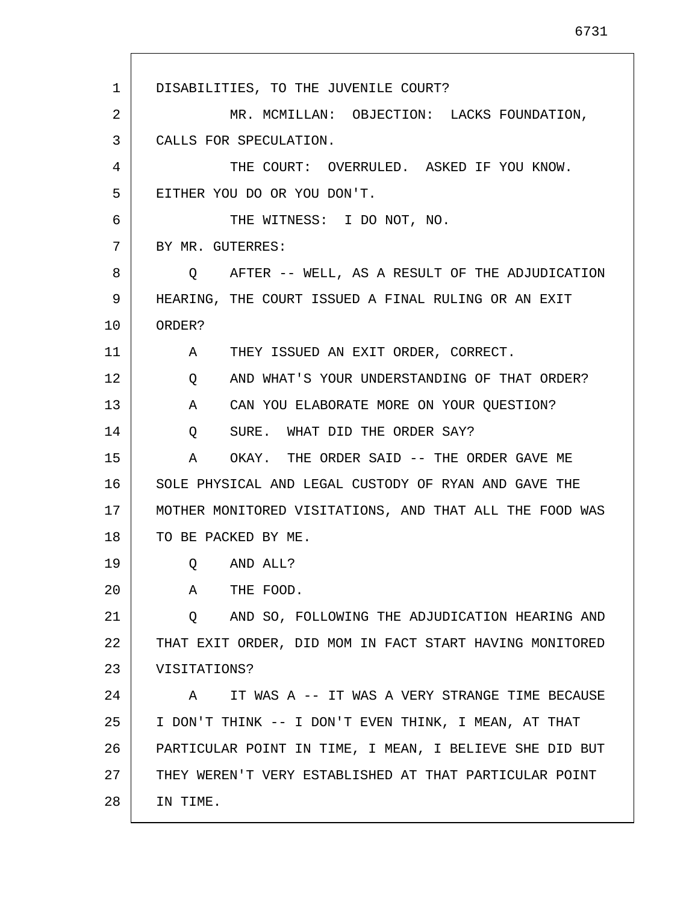1 2 3 4 5 6 7 8 9 10 11 12 13 14 15 16 17 18 19 20 21 22 23 24 25 26 27 28 DISABILITIES, TO THE JUVENILE COURT? MR. MCMILLAN: OBJECTION: LACKS FOUNDATION, CALLS FOR SPECULATION. THE COURT: OVERRULED. ASKED IF YOU KNOW. EITHER YOU DO OR YOU DON'T. THE WITNESS: I DO NOT, NO. BY MR. GUTERRES: Q AFTER -- WELL, AS A RESULT OF THE ADJUDICATION HEARING, THE COURT ISSUED A FINAL RULING OR AN EXIT ORDER? A THEY ISSUED AN EXIT ORDER, CORRECT. Q AND WHAT'S YOUR UNDERSTANDING OF THAT ORDER? A CAN YOU ELABORATE MORE ON YOUR QUESTION? Q SURE. WHAT DID THE ORDER SAY? A OKAY. THE ORDER SAID -- THE ORDER GAVE ME SOLE PHYSICAL AND LEGAL CUSTODY OF RYAN AND GAVE THE MOTHER MONITORED VISITATIONS, AND THAT ALL THE FOOD WAS TO BE PACKED BY ME. Q AND ALL? A THE FOOD. Q AND SO, FOLLOWING THE ADJUDICATION HEARING AND THAT EXIT ORDER, DID MOM IN FACT START HAVING MONITORED VISITATIONS? A IT WAS A -- IT WAS A VERY STRANGE TIME BECAUSE I DON'T THINK -- I DON'T EVEN THINK, I MEAN, AT THAT PARTICULAR POINT IN TIME, I MEAN, I BELIEVE SHE DID BUT THEY WEREN'T VERY ESTABLISHED AT THAT PARTICULAR POINT IN TIME.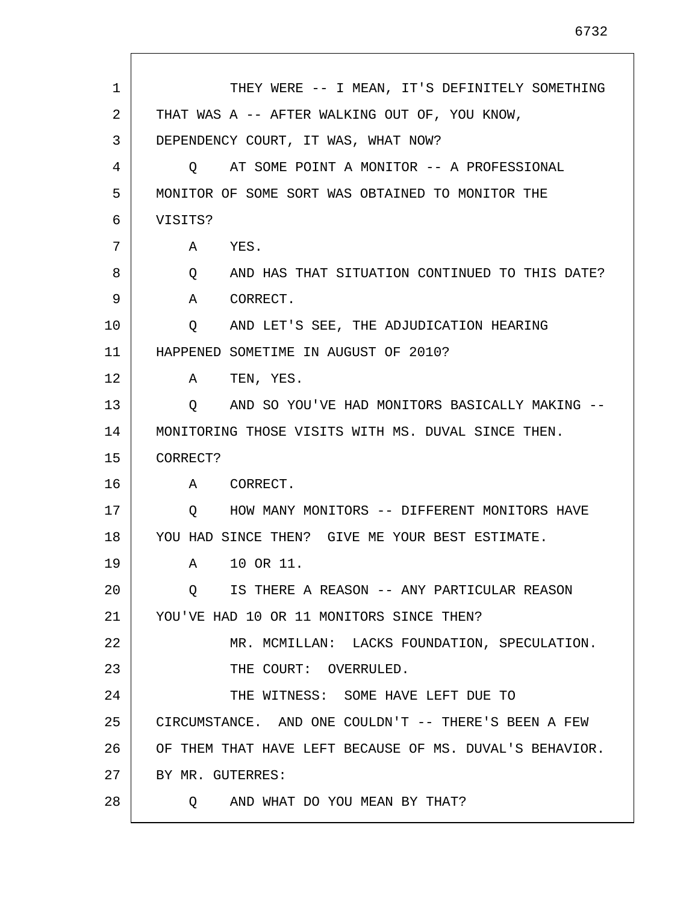| 1  | THEY WERE -- I MEAN, IT'S DEFINITELY SOMETHING          |
|----|---------------------------------------------------------|
| 2  | THAT WAS A -- AFTER WALKING OUT OF, YOU KNOW,           |
| 3  | DEPENDENCY COURT, IT WAS, WHAT NOW?                     |
| 4  | AT SOME POINT A MONITOR -- A PROFESSIONAL<br>$\circ$    |
| 5  | MONITOR OF SOME SORT WAS OBTAINED TO MONITOR THE        |
| 6  | VISITS?                                                 |
| 7  | YES.<br>A                                               |
| 8  | AND HAS THAT SITUATION CONTINUED TO THIS DATE?<br>Q     |
| 9  | CORRECT.<br>A                                           |
| 10 | AND LET'S SEE, THE ADJUDICATION HEARING<br>Q            |
| 11 | HAPPENED SOMETIME IN AUGUST OF 2010?                    |
| 12 | TEN, YES.<br>A                                          |
| 13 | AND SO YOU'VE HAD MONITORS BASICALLY MAKING --<br>Q     |
| 14 | MONITORING THOSE VISITS WITH MS. DUVAL SINCE THEN.      |
| 15 | CORRECT?                                                |
| 16 | A CORRECT.                                              |
| 17 | HOW MANY MONITORS -- DIFFERENT MONITORS HAVE<br>$\circ$ |
| 18 | YOU HAD SINCE THEN? GIVE ME YOUR BEST ESTIMATE.         |
| 19 | 10 OR 11.<br>A                                          |
| 20 | IS THERE A REASON -- ANY PARTICULAR REASON<br>Q         |
| 21 | YOU'VE HAD 10 OR 11 MONITORS SINCE THEN?                |
| 22 | MR. MCMILLAN: LACKS FOUNDATION, SPECULATION.            |
| 23 | THE COURT: OVERRULED.                                   |
| 24 | THE WITNESS: SOME HAVE LEFT DUE TO                      |
| 25 | CIRCUMSTANCE. AND ONE COULDN'T -- THERE'S BEEN A FEW    |
| 26 | OF THEM THAT HAVE LEFT BECAUSE OF MS. DUVAL'S BEHAVIOR. |
| 27 | BY MR. GUTERRES:                                        |
| 28 | AND WHAT DO YOU MEAN BY THAT?<br>O.                     |
|    |                                                         |

 $\mathsf{l}$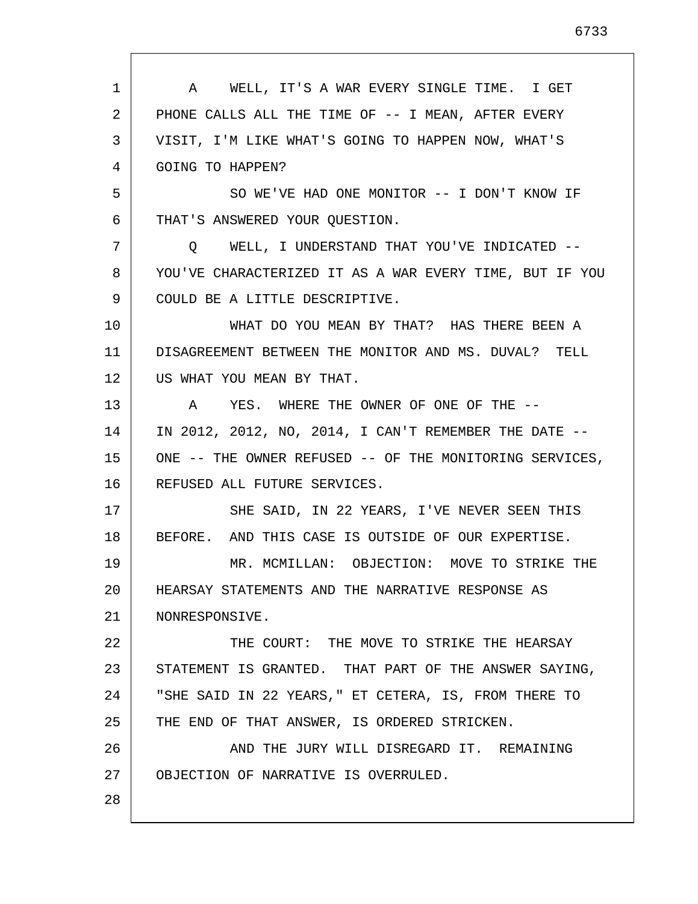| 1  | A WELL, IT'S A WAR EVERY SINGLE TIME. I GET             |
|----|---------------------------------------------------------|
| 2  | PHONE CALLS ALL THE TIME OF -- I MEAN, AFTER EVERY      |
| 3  | VISIT, I'M LIKE WHAT'S GOING TO HAPPEN NOW, WHAT'S      |
| 4  | GOING TO HAPPEN?                                        |
| 5  | SO WE'VE HAD ONE MONITOR -- I DON'T KNOW IF             |
| 6  | THAT'S ANSWERED YOUR QUESTION.                          |
| 7  | WELL, I UNDERSTAND THAT YOU'VE INDICATED --<br>$\circ$  |
| 8  | YOU'VE CHARACTERIZED IT AS A WAR EVERY TIME, BUT IF YOU |
| 9  | COULD BE A LITTLE DESCRIPTIVE.                          |
| 10 | WHAT DO YOU MEAN BY THAT? HAS THERE BEEN A              |
| 11 | DISAGREEMENT BETWEEN THE MONITOR AND MS. DUVAL? TELL    |
| 12 | US WHAT YOU MEAN BY THAT.                               |
| 13 | A YES. WHERE THE OWNER OF ONE OF THE --                 |
| 14 | IN 2012, 2012, NO, 2014, I CAN'T REMEMBER THE DATE --   |
| 15 | ONE -- THE OWNER REFUSED -- OF THE MONITORING SERVICES, |
| 16 | REFUSED ALL FUTURE SERVICES.                            |
| 17 | SHE SAID, IN 22 YEARS, I'VE NEVER SEEN THIS             |
| 18 | BEFORE. AND THIS CASE IS OUTSIDE OF OUR EXPERTISE.      |
| 19 | MR. MCMILLAN: OBJECTION: MOVE TO STRIKE THE             |
| 20 | HEARSAY STATEMENTS AND THE NARRATIVE RESPONSE AS        |
| 21 | NONRESPONSIVE.                                          |
| 22 | THE COURT: THE MOVE TO STRIKE THE HEARSAY               |
| 23 | STATEMENT IS GRANTED. THAT PART OF THE ANSWER SAYING,   |
| 24 | "SHE SAID IN 22 YEARS," ET CETERA, IS, FROM THERE TO    |
| 25 | THE END OF THAT ANSWER, IS ORDERED STRICKEN.            |
| 26 | AND THE JURY WILL DISREGARD IT. REMAINING               |
| 27 | OBJECTION OF NARRATIVE IS OVERRULED.                    |
| 28 |                                                         |
|    |                                                         |

Г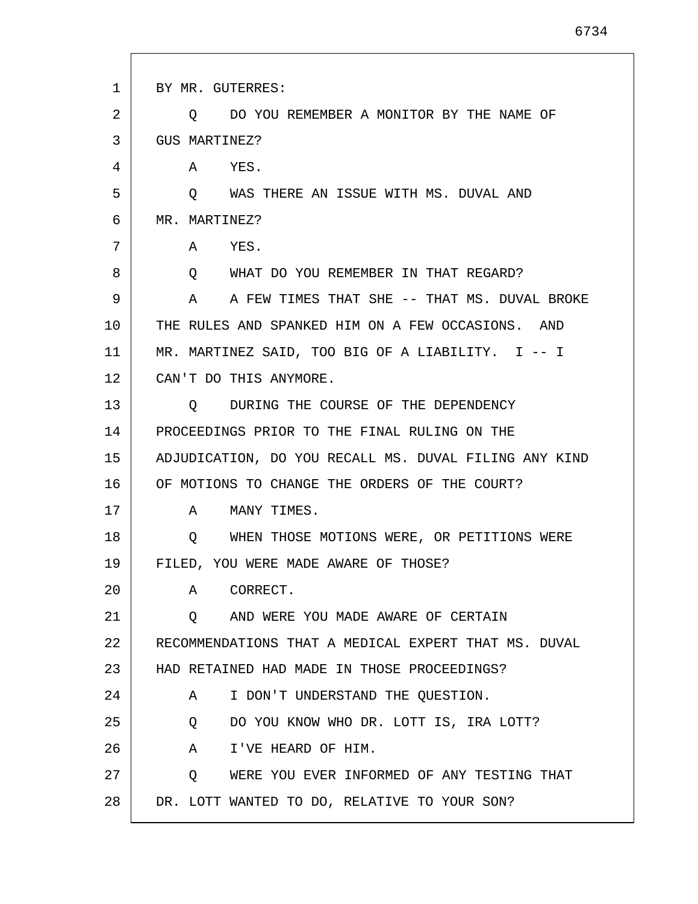| $\mathbf{1}$ | BY MR. GUTERRES:                                      |
|--------------|-------------------------------------------------------|
| 2            | DO YOU REMEMBER A MONITOR BY THE NAME OF<br>Q.        |
| 3            | GUS MARTINEZ?                                         |
| 4            | A YES.                                                |
| 5            | WAS THERE AN ISSUE WITH MS. DUVAL AND<br>$\circ$      |
| 6            | MR. MARTINEZ?                                         |
| 7            | A<br>YES.                                             |
| 8            | O WHAT DO YOU REMEMBER IN THAT REGARD?                |
| 9            | A FEW TIMES THAT SHE -- THAT MS. DUVAL BROKE<br>A     |
| 10           | THE RULES AND SPANKED HIM ON A FEW OCCASIONS. AND     |
| 11           | MR. MARTINEZ SAID, TOO BIG OF A LIABILITY. I -- I     |
| 12           | CAN'T DO THIS ANYMORE.                                |
| 13           | DURING THE COURSE OF THE DEPENDENCY<br>Q              |
| 14           | PROCEEDINGS PRIOR TO THE FINAL RULING ON THE          |
| 15           | ADJUDICATION, DO YOU RECALL MS. DUVAL FILING ANY KIND |
| 16           | OF MOTIONS TO CHANGE THE ORDERS OF THE COURT?         |
| 17           | MANY TIMES.<br>A                                      |
| 18           | WHEN THOSE MOTIONS WERE, OR PETITIONS WERE<br>$\circ$ |
| 19           | FILED, YOU WERE MADE AWARE OF THOSE?                  |
| 20           | A CORRECT.                                            |
| 21           | O AND WERE YOU MADE AWARE OF CERTAIN                  |
| 22           | RECOMMENDATIONS THAT A MEDICAL EXPERT THAT MS. DUVAL  |
| 23           | HAD RETAINED HAD MADE IN THOSE PROCEEDINGS?           |
| 24           | I DON'T UNDERSTAND THE QUESTION.<br>A                 |
| 25           | DO YOU KNOW WHO DR. LOTT IS, IRA LOTT?<br>Q           |
| 26           | A I'VE HEARD OF HIM.                                  |
| 27           | WERE YOU EVER INFORMED OF ANY TESTING THAT<br>Q       |
| 28           | DR. LOTT WANTED TO DO, RELATIVE TO YOUR SON?          |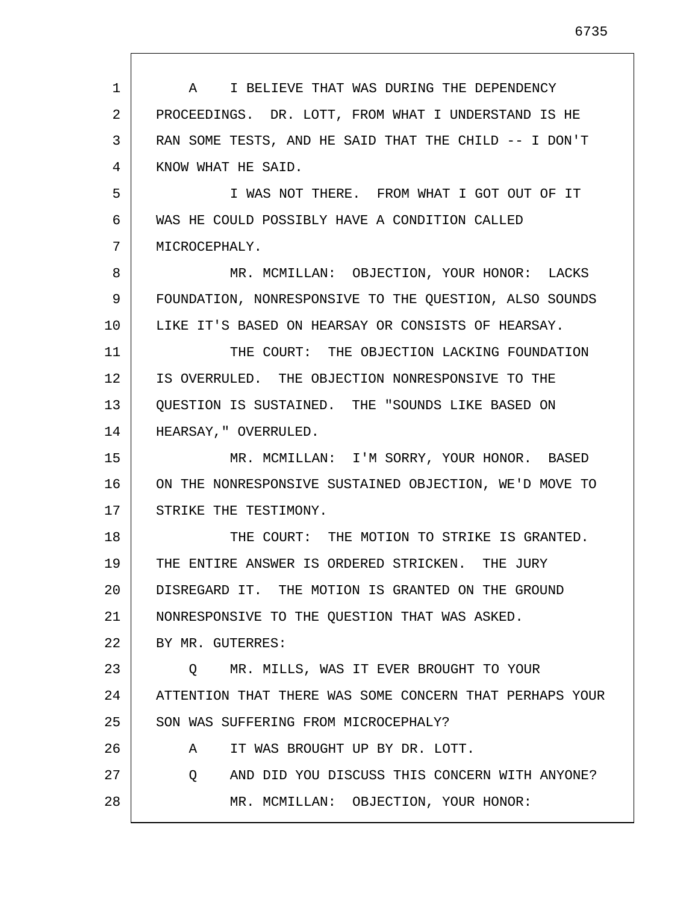| $\mathbf{1}$ | A I BELIEVE THAT WAS DURING THE DEPENDENCY              |
|--------------|---------------------------------------------------------|
| 2            | PROCEEDINGS. DR. LOTT, FROM WHAT I UNDERSTAND IS HE     |
| 3            | RAN SOME TESTS, AND HE SAID THAT THE CHILD -- I DON'T   |
| 4            | KNOW WHAT HE SAID.                                      |
| 5            | I WAS NOT THERE. FROM WHAT I GOT OUT OF IT              |
| 6            | WAS HE COULD POSSIBLY HAVE A CONDITION CALLED           |
| 7            | MICROCEPHALY.                                           |
| 8            | MR. MCMILLAN: OBJECTION, YOUR HONOR: LACKS              |
| 9            | FOUNDATION, NONRESPONSIVE TO THE OUESTION, ALSO SOUNDS  |
| 10           | LIKE IT'S BASED ON HEARSAY OR CONSISTS OF HEARSAY.      |
| 11           | THE COURT: THE OBJECTION LACKING FOUNDATION             |
| 12           | IS OVERRULED. THE OBJECTION NONRESPONSIVE TO THE        |
| 13           | QUESTION IS SUSTAINED. THE "SOUNDS LIKE BASED ON        |
| 14           | HEARSAY, " OVERRULED.                                   |
| 15           | MR. MCMILLAN: I'M SORRY, YOUR HONOR. BASED              |
| 16           | ON THE NONRESPONSIVE SUSTAINED OBJECTION, WE'D MOVE TO  |
| 17           | STRIKE THE TESTIMONY.                                   |
| 18           | THE COURT: THE MOTION TO STRIKE IS GRANTED.             |
| 19           | THE ENTIRE ANSWER IS ORDERED STRICKEN. THE JURY         |
| 20           | DISREGARD IT. THE MOTION IS GRANTED ON THE GROUND       |
| 21           | NONRESPONSIVE TO THE QUESTION THAT WAS ASKED.           |
| 22           | BY MR. GUTERRES:                                        |
| 23           | MR. MILLS, WAS IT EVER BROUGHT TO YOUR<br>$\circ$       |
| 24           | ATTENTION THAT THERE WAS SOME CONCERN THAT PERHAPS YOUR |
| 25           | SON WAS SUFFERING FROM MICROCEPHALY?                    |
| 26           | IT WAS BROUGHT UP BY DR. LOTT.<br>A                     |
| 27           | AND DID YOU DISCUSS THIS CONCERN WITH ANYONE?<br>Q      |
| 28           | MR. MCMILLAN: OBJECTION, YOUR HONOR:                    |
|              |                                                         |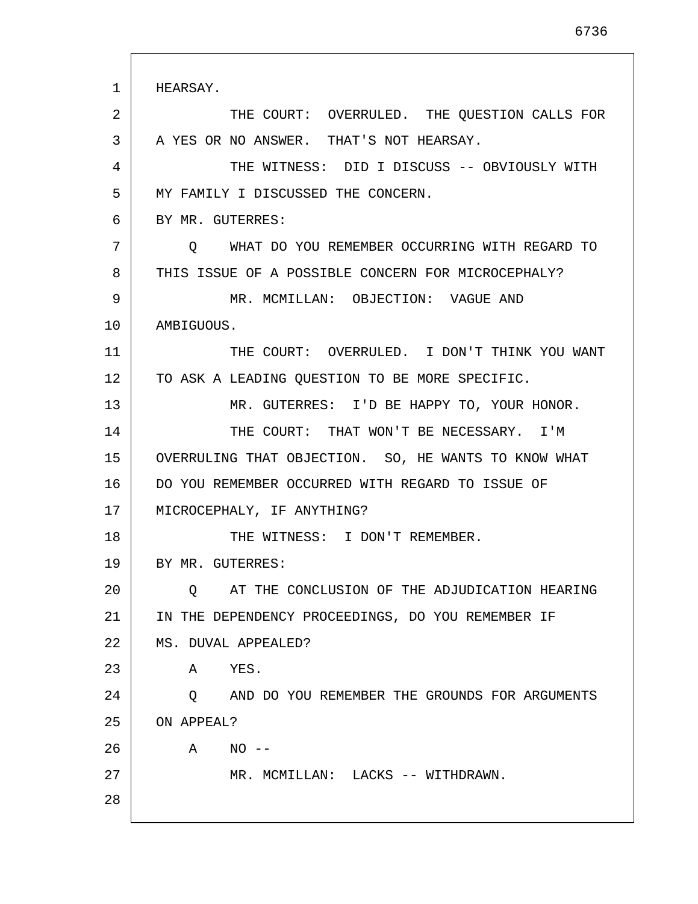1 2 3 4 5 6 7 8 9 10 11 12 13 14 15 16 17 18 19 20 21 22 23 24 25 26 27 28 HEARSAY. THE COURT: OVERRULED. THE QUESTION CALLS FOR A YES OR NO ANSWER. THAT'S NOT HEARSAY. THE WITNESS: DID I DISCUSS -- OBVIOUSLY WITH MY FAMILY I DISCUSSED THE CONCERN. BY MR. GUTERRES: Q WHAT DO YOU REMEMBER OCCURRING WITH REGARD TO THIS ISSUE OF A POSSIBLE CONCERN FOR MICROCEPHALY? MR. MCMILLAN: OBJECTION: VAGUE AND AMBIGUOUS. THE COURT: OVERRULED. I DON'T THINK YOU WANT TO ASK A LEADING QUESTION TO BE MORE SPECIFIC. MR. GUTERRES: I'D BE HAPPY TO, YOUR HONOR. THE COURT: THAT WON'T BE NECESSARY. I'M OVERRULING THAT OBJECTION. SO, HE WANTS TO KNOW WHAT DO YOU REMEMBER OCCURRED WITH REGARD TO ISSUE OF MICROCEPHALY, IF ANYTHING? THE WITNESS: I DON'T REMEMBER. BY MR. GUTERRES: Q AT THE CONCLUSION OF THE ADJUDICATION HEARING IN THE DEPENDENCY PROCEEDINGS, DO YOU REMEMBER IF MS. DUVAL APPEALED? A YES. Q AND DO YOU REMEMBER THE GROUNDS FOR ARGUMENTS ON APPEAL? A NO -- MR. MCMILLAN: LACKS -- WITHDRAWN.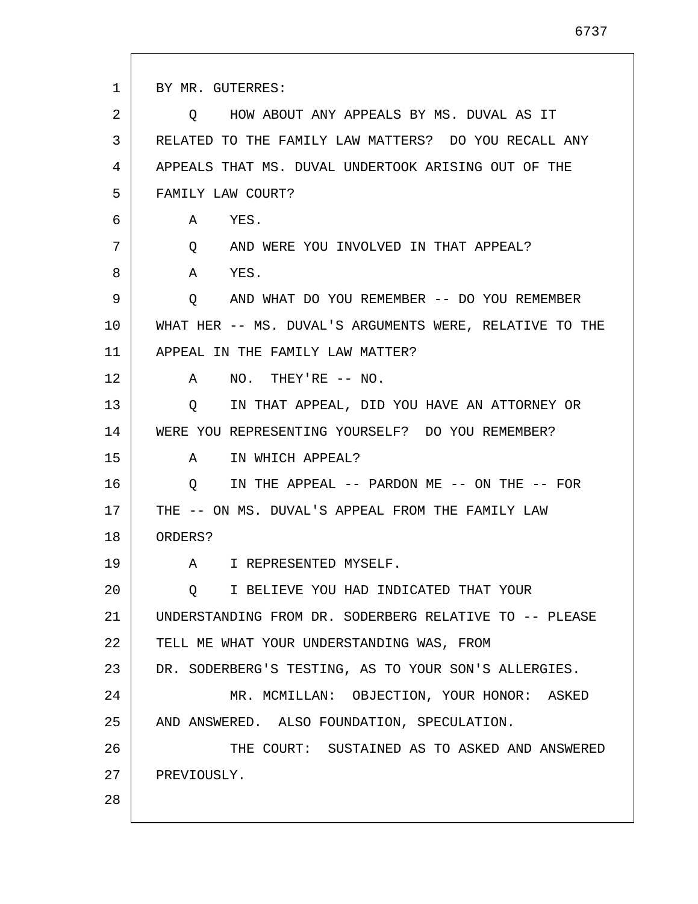1 2 3 4 5 6 7 8 9 10 11 12 13 14 15 16 17 18 19 20 21 22 23 24 25 26 27 28 BY MR. GUTERRES: Q HOW ABOUT ANY APPEALS BY MS. DUVAL AS IT RELATED TO THE FAMILY LAW MATTERS? DO YOU RECALL ANY APPEALS THAT MS. DUVAL UNDERTOOK ARISING OUT OF THE FAMILY LAW COURT? A YES. Q AND WERE YOU INVOLVED IN THAT APPEAL? A YES. Q AND WHAT DO YOU REMEMBER -- DO YOU REMEMBER WHAT HER -- MS. DUVAL'S ARGUMENTS WERE, RELATIVE TO THE APPEAL IN THE FAMILY LAW MATTER? A NO. THEY'RE -- NO. Q IN THAT APPEAL, DID YOU HAVE AN ATTORNEY OR WERE YOU REPRESENTING YOURSELF? DO YOU REMEMBER? A IN WHICH APPEAL? Q IN THE APPEAL -- PARDON ME -- ON THE -- FOR THE -- ON MS. DUVAL'S APPEAL FROM THE FAMILY LAW ORDERS? A I REPRESENTED MYSELF. Q I BELIEVE YOU HAD INDICATED THAT YOUR UNDERSTANDING FROM DR. SODERBERG RELATIVE TO -- PLEASE TELL ME WHAT YOUR UNDERSTANDING WAS, FROM DR. SODERBERG'S TESTING, AS TO YOUR SON'S ALLERGIES. MR. MCMILLAN: OBJECTION, YOUR HONOR: ASKED AND ANSWERED. ALSO FOUNDATION, SPECULATION. THE COURT: SUSTAINED AS TO ASKED AND ANSWERED PREVIOUSLY.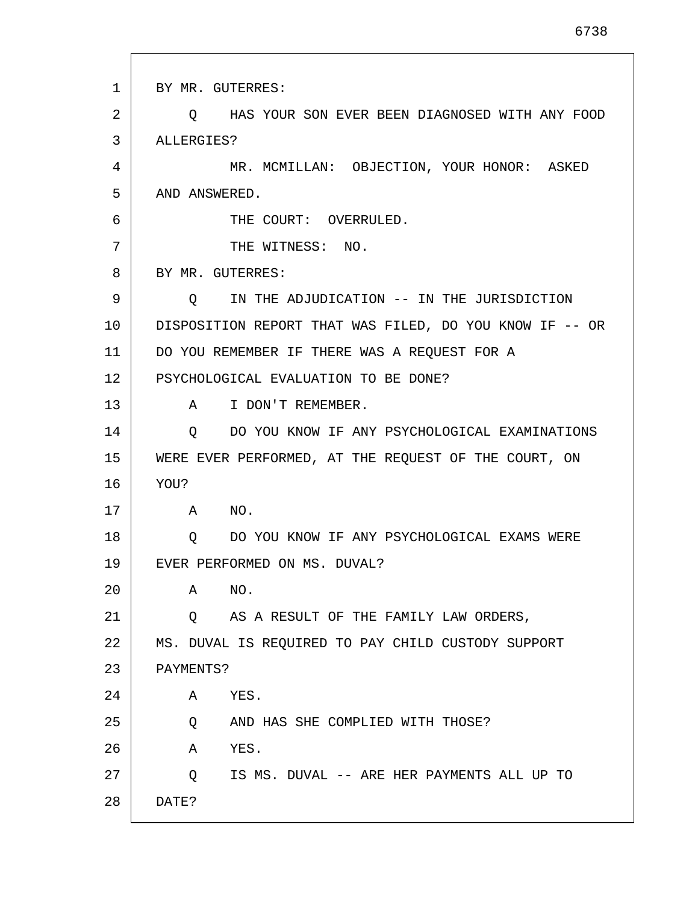1 2 3 4 5 6 7 8 9 10 11 12 13 14 15 16 17 18 19 20 21  $2.2<sub>2</sub>$ 23 24 25 26 27 28 BY MR. GUTERRES: Q HAS YOUR SON EVER BEEN DIAGNOSED WITH ANY FOOD ALLERGIES? MR. MCMILLAN: OBJECTION, YOUR HONOR: ASKED AND ANSWERED. THE COURT: OVERRULED. THE WITNESS: NO. BY MR. GUTERRES: Q IN THE ADJUDICATION -- IN THE JURISDICTION DISPOSITION REPORT THAT WAS FILED, DO YOU KNOW IF -- OR DO YOU REMEMBER IF THERE WAS A REQUEST FOR A PSYCHOLOGICAL EVALUATION TO BE DONE? A I DON'T REMEMBER. Q DO YOU KNOW IF ANY PSYCHOLOGICAL EXAMINATIONS WERE EVER PERFORMED, AT THE REQUEST OF THE COURT, ON YOU? A NO. Q DO YOU KNOW IF ANY PSYCHOLOGICAL EXAMS WERE EVER PERFORMED ON MS. DUVAL? A NO. Q AS A RESULT OF THE FAMILY LAW ORDERS, MS. DUVAL IS REQUIRED TO PAY CHILD CUSTODY SUPPORT PAYMENTS? A YES. Q AND HAS SHE COMPLIED WITH THOSE? A YES. Q IS MS. DUVAL -- ARE HER PAYMENTS ALL UP TO DATE?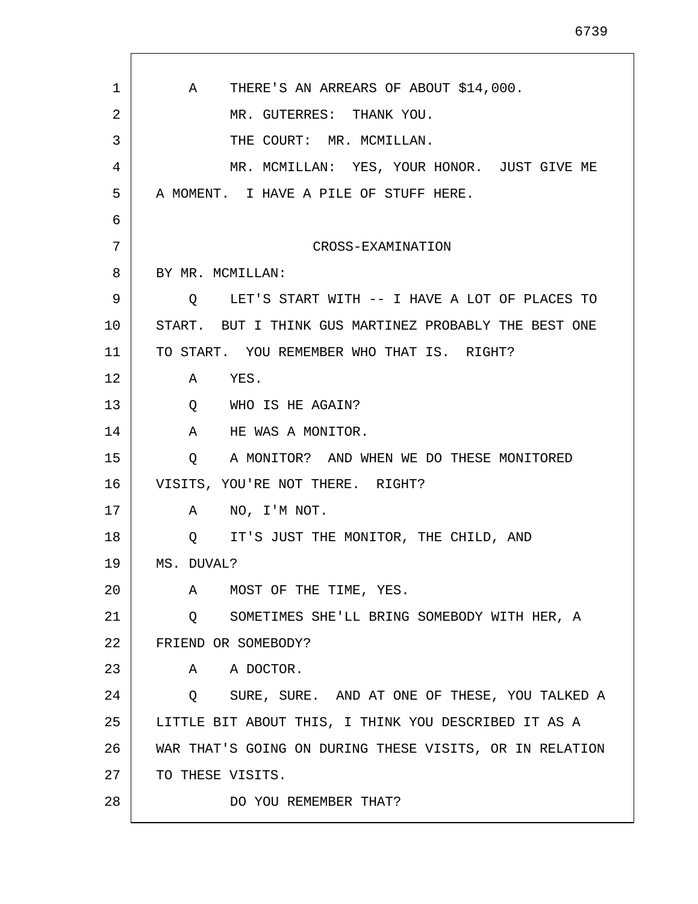| $\mathbf 1$ | THERE'S AN ARREARS OF ABOUT \$14,000.<br>A              |
|-------------|---------------------------------------------------------|
| 2           | MR. GUTERRES: THANK YOU.                                |
| 3           | THE COURT: MR. MCMILLAN.                                |
| 4           | MR. MCMILLAN: YES, YOUR HONOR. JUST GIVE ME             |
| 5           | A MOMENT. I HAVE A PILE OF STUFF HERE.                  |
| 6           |                                                         |
| 7           | CROSS-EXAMINATION                                       |
| 8           | BY MR. MCMILLAN:                                        |
| 9           | LET'S START WITH -- I HAVE A LOT OF PLACES TO<br>Q      |
| 10          | START. BUT I THINK GUS MARTINEZ PROBABLY THE BEST ONE   |
| 11          | TO START. YOU REMEMBER WHO THAT IS. RIGHT?              |
| 12          | A YES.                                                  |
| 13          | Q WHO IS HE AGAIN?                                      |
| 14          | HE WAS A MONITOR.<br>A                                  |
| 15          | A MONITOR? AND WHEN WE DO THESE MONITORED<br>Q          |
| 16          | VISITS, YOU'RE NOT THERE. RIGHT?                        |
| 17          | NO, I'M NOT.<br>A                                       |
| 18          | O IT'S JUST THE MONITOR, THE CHILD, AND                 |
| 19          | MS. DUVAL?                                              |
| 20          | MOST OF THE TIME, YES.<br>Α                             |
| 21          | SOMETIMES SHE'LL BRING SOMEBODY WITH HER, A<br>Q        |
| 22          | FRIEND OR SOMEBODY?                                     |
| 23          | A DOCTOR.<br>A                                          |
| 24          | SURE, SURE. AND AT ONE OF THESE, YOU TALKED A<br>Q      |
| 25          | LITTLE BIT ABOUT THIS, I THINK YOU DESCRIBED IT AS A    |
| 26          | WAR THAT'S GOING ON DURING THESE VISITS, OR IN RELATION |
| 27          | TO THESE VISITS.                                        |
| 28          | DO YOU REMEMBER THAT?                                   |
|             |                                                         |

 $\mathsf{l}$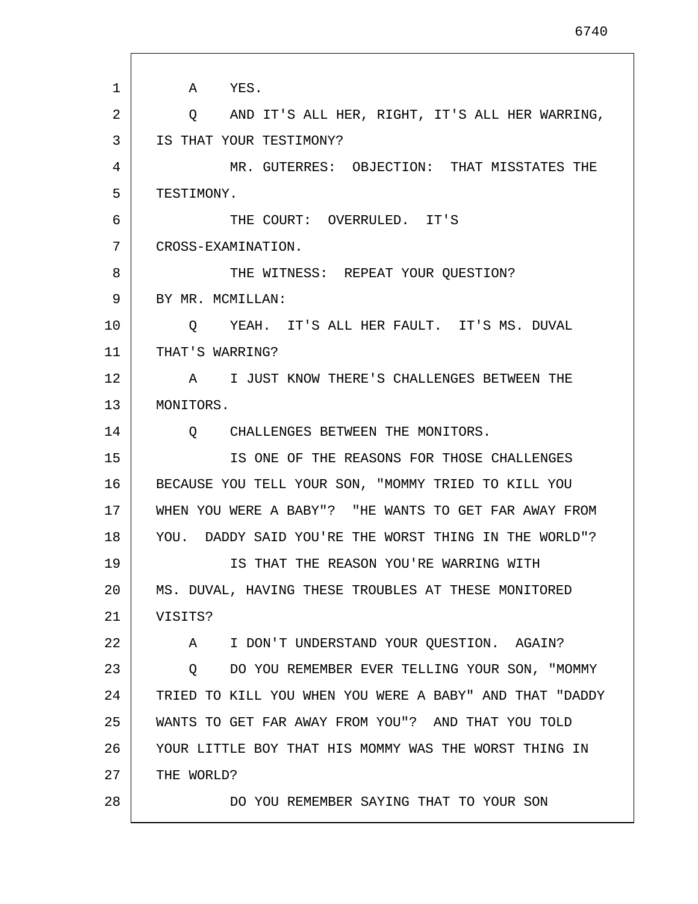1 2 3 4 5 6 7 8 9 10 11 12 13 14 15 16 17 18 19 20 21 22 23 24 25 26 27 28 A YES. Q AND IT'S ALL HER, RIGHT, IT'S ALL HER WARRING, IS THAT YOUR TESTIMONY? MR. GUTERRES: OBJECTION: THAT MISSTATES THE TESTIMONY. THE COURT: OVERRULED. IT'S CROSS-EXAMINATION. THE WITNESS: REPEAT YOUR QUESTION? BY MR. MCMILLAN: Q YEAH. IT'S ALL HER FAULT. IT'S MS. DUVAL THAT'S WARRING? A I JUST KNOW THERE'S CHALLENGES BETWEEN THE MONITORS. Q CHALLENGES BETWEEN THE MONITORS. IS ONE OF THE REASONS FOR THOSE CHALLENGES BECAUSE YOU TELL YOUR SON, "MOMMY TRIED TO KILL YOU WHEN YOU WERE A BABY"? "HE WANTS TO GET FAR AWAY FROM YOU. DADDY SAID YOU'RE THE WORST THING IN THE WORLD"? IS THAT THE REASON YOU'RE WARRING WITH MS. DUVAL, HAVING THESE TROUBLES AT THESE MONITORED VISITS? A I DON'T UNDERSTAND YOUR QUESTION. AGAIN? Q DO YOU REMEMBER EVER TELLING YOUR SON, "MOMMY TRIED TO KILL YOU WHEN YOU WERE A BABY" AND THAT "DADDY WANTS TO GET FAR AWAY FROM YOU"? AND THAT YOU TOLD YOUR LITTLE BOY THAT HIS MOMMY WAS THE WORST THING IN THE WORLD? DO YOU REMEMBER SAYING THAT TO YOUR SON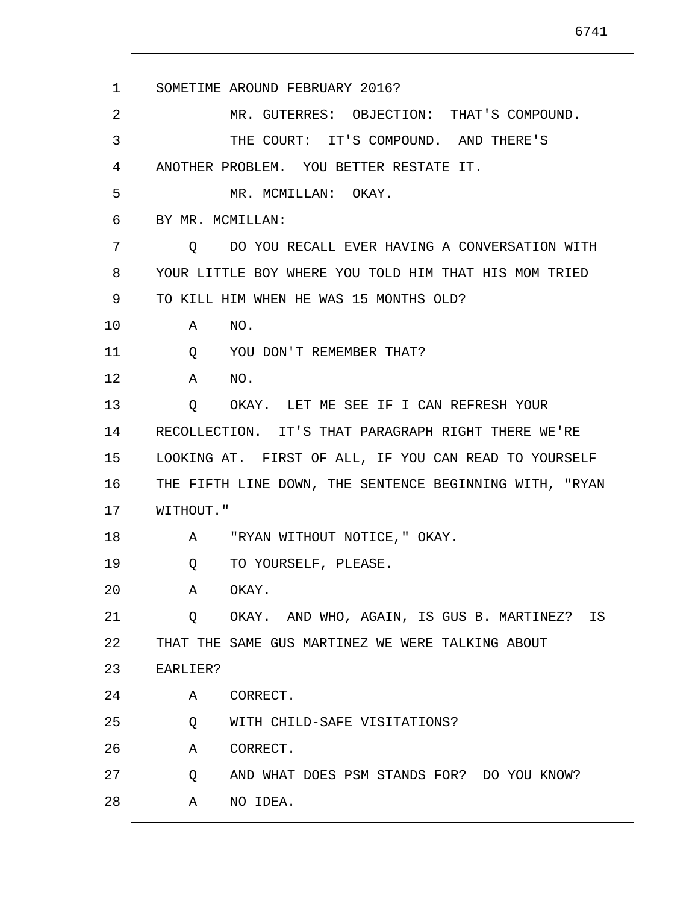1 2 3 4 5 6 7 8 9 10 11 12 13 14 15 16 17 18 19 20 21  $2.2<sub>2</sub>$ 23 24 25 26 27 28 SOMETIME AROUND FEBRUARY 2016? MR. GUTERRES: OBJECTION: THAT'S COMPOUND. THE COURT: IT'S COMPOUND. AND THERE'S ANOTHER PROBLEM. YOU BETTER RESTATE IT. MR. MCMILLAN: OKAY. BY MR. MCMILLAN: Q DO YOU RECALL EVER HAVING A CONVERSATION WITH YOUR LITTLE BOY WHERE YOU TOLD HIM THAT HIS MOM TRIED TO KILL HIM WHEN HE WAS 15 MONTHS OLD? A NO. Q YOU DON'T REMEMBER THAT? A NO. Q OKAY. LET ME SEE IF I CAN REFRESH YOUR RECOLLECTION. IT'S THAT PARAGRAPH RIGHT THERE WE'RE LOOKING AT. FIRST OF ALL, IF YOU CAN READ TO YOURSELF THE FIFTH LINE DOWN, THE SENTENCE BEGINNING WITH, "RYAN WITHOUT." A "RYAN WITHOUT NOTICE," OKAY. Q TO YOURSELF, PLEASE. A OKAY. Q OKAY. AND WHO, AGAIN, IS GUS B. MARTINEZ? IS THAT THE SAME GUS MARTINEZ WE WERE TALKING ABOUT EARLIER? A CORRECT. Q WITH CHILD-SAFE VISITATIONS? A CORRECT. Q AND WHAT DOES PSM STANDS FOR? DO YOU KNOW? A NO IDEA.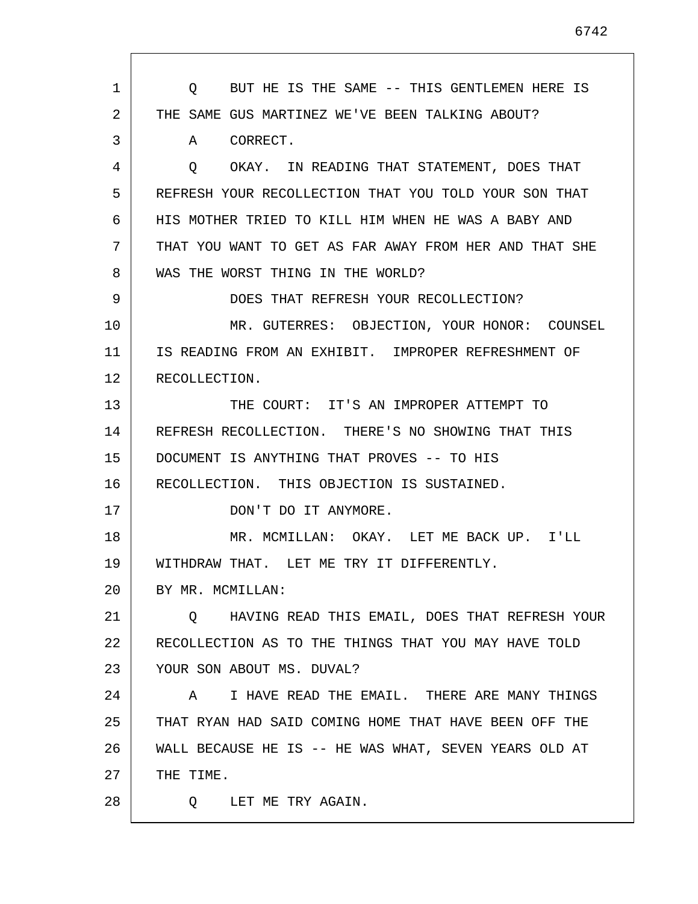1 2 3 4 5 6 7 8 9 10 11 12 13 14 15 16 17 18 19 20 21 22 23 24 25 26 27 28 Q BUT HE IS THE SAME -- THIS GENTLEMEN HERE IS THE SAME GUS MARTINEZ WE'VE BEEN TALKING ABOUT? A CORRECT. Q OKAY. IN READING THAT STATEMENT, DOES THAT REFRESH YOUR RECOLLECTION THAT YOU TOLD YOUR SON THAT HIS MOTHER TRIED TO KILL HIM WHEN HE WAS A BABY AND THAT YOU WANT TO GET AS FAR AWAY FROM HER AND THAT SHE WAS THE WORST THING IN THE WORLD? DOES THAT REFRESH YOUR RECOLLECTION? MR. GUTERRES: OBJECTION, YOUR HONOR: COUNSEL IS READING FROM AN EXHIBIT. IMPROPER REFRESHMENT OF RECOLLECTION. THE COURT: IT'S AN IMPROPER ATTEMPT TO REFRESH RECOLLECTION. THERE'S NO SHOWING THAT THIS DOCUMENT IS ANYTHING THAT PROVES -- TO HIS RECOLLECTION. THIS OBJECTION IS SUSTAINED. DON'T DO IT ANYMORE. MR. MCMILLAN: OKAY. LET ME BACK UP. I'LL WITHDRAW THAT. LET ME TRY IT DIFFERENTLY. BY MR. MCMILLAN: Q HAVING READ THIS EMAIL, DOES THAT REFRESH YOUR RECOLLECTION AS TO THE THINGS THAT YOU MAY HAVE TOLD YOUR SON ABOUT MS. DUVAL? A I HAVE READ THE EMAIL. THERE ARE MANY THINGS THAT RYAN HAD SAID COMING HOME THAT HAVE BEEN OFF THE WALL BECAUSE HE IS -- HE WAS WHAT, SEVEN YEARS OLD AT THE TIME. Q LET ME TRY AGAIN.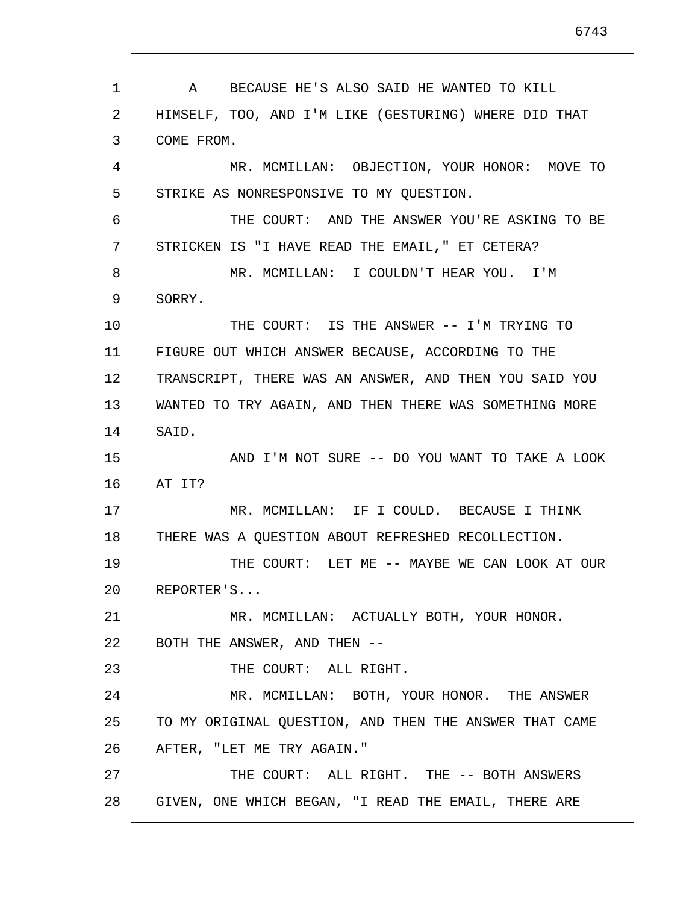1 2 3 4 5 6 7 8 9 10 11 12 13 14 15 16 17 18 19 20 21 22 23 24 25 26 27 28 A BECAUSE HE'S ALSO SAID HE WANTED TO KILL HIMSELF, TOO, AND I'M LIKE (GESTURING) WHERE DID THAT COME FROM. MR. MCMILLAN: OBJECTION, YOUR HONOR: MOVE TO STRIKE AS NONRESPONSIVE TO MY QUESTION. THE COURT: AND THE ANSWER YOU'RE ASKING TO BE STRICKEN IS "I HAVE READ THE EMAIL," ET CETERA? MR. MCMILLAN: I COULDN'T HEAR YOU. I'M SORRY. THE COURT: IS THE ANSWER -- I'M TRYING TO FIGURE OUT WHICH ANSWER BECAUSE, ACCORDING TO THE TRANSCRIPT, THERE WAS AN ANSWER, AND THEN YOU SAID YOU WANTED TO TRY AGAIN, AND THEN THERE WAS SOMETHING MORE SAID. AND I'M NOT SURE -- DO YOU WANT TO TAKE A LOOK AT IT? MR. MCMILLAN: IF I COULD. BECAUSE I THINK THERE WAS A QUESTION ABOUT REFRESHED RECOLLECTION. THE COURT: LET ME -- MAYBE WE CAN LOOK AT OUR REPORTER'S... MR. MCMILLAN: ACTUALLY BOTH, YOUR HONOR. BOTH THE ANSWER, AND THEN -- THE COURT: ALL RIGHT. MR. MCMILLAN: BOTH, YOUR HONOR. THE ANSWER TO MY ORIGINAL QUESTION, AND THEN THE ANSWER THAT CAME AFTER, "LET ME TRY AGAIN." THE COURT: ALL RIGHT. THE -- BOTH ANSWERS GIVEN, ONE WHICH BEGAN, "I READ THE EMAIL, THERE ARE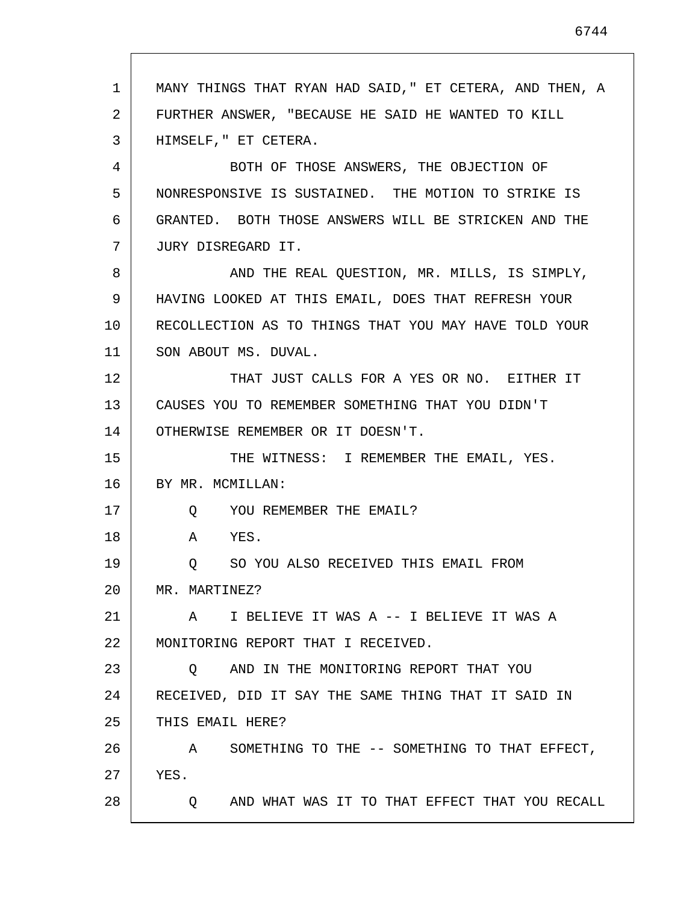1 2 3 4 5 6 7 8 9 10 11 12 13 14 15 16 17 18 19 20 21 22 23 24 25 26 27 28 MANY THINGS THAT RYAN HAD SAID," ET CETERA, AND THEN, A FURTHER ANSWER, "BECAUSE HE SAID HE WANTED TO KILL HIMSELF," ET CETERA. BOTH OF THOSE ANSWERS, THE OBJECTION OF NONRESPONSIVE IS SUSTAINED. THE MOTION TO STRIKE IS GRANTED. BOTH THOSE ANSWERS WILL BE STRICKEN AND THE JURY DISREGARD IT. AND THE REAL QUESTION, MR. MILLS, IS SIMPLY, HAVING LOOKED AT THIS EMAIL, DOES THAT REFRESH YOUR RECOLLECTION AS TO THINGS THAT YOU MAY HAVE TOLD YOUR SON ABOUT MS. DUVAL. THAT JUST CALLS FOR A YES OR NO. EITHER IT CAUSES YOU TO REMEMBER SOMETHING THAT YOU DIDN'T OTHERWISE REMEMBER OR IT DOESN'T. THE WITNESS: I REMEMBER THE EMAIL, YES. BY MR. MCMILLAN: Q YOU REMEMBER THE EMAIL? A YES. Q SO YOU ALSO RECEIVED THIS EMAIL FROM MR. MARTINEZ? A I BELIEVE IT WAS A -- I BELIEVE IT WAS A MONITORING REPORT THAT I RECEIVED. Q AND IN THE MONITORING REPORT THAT YOU RECEIVED, DID IT SAY THE SAME THING THAT IT SAID IN THIS EMAIL HERE? A SOMETHING TO THE -- SOMETHING TO THAT EFFECT, YES. Q AND WHAT WAS IT TO THAT EFFECT THAT YOU RECALL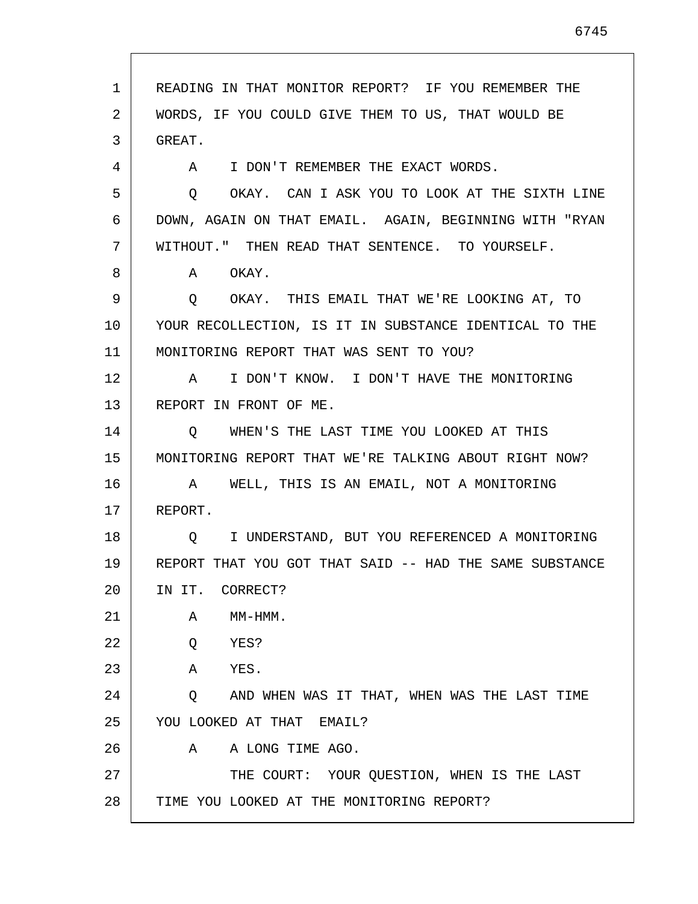1 2 3 4 5 6 7 8 9 10 11 12 13 14 15 16 17 18 19 20 21 22 23 24 25 26 27 28 READING IN THAT MONITOR REPORT? IF YOU REMEMBER THE WORDS, IF YOU COULD GIVE THEM TO US, THAT WOULD BE GREAT. A I DON'T REMEMBER THE EXACT WORDS. Q OKAY. CAN I ASK YOU TO LOOK AT THE SIXTH LINE DOWN, AGAIN ON THAT EMAIL. AGAIN, BEGINNING WITH "RYAN WITHOUT." THEN READ THAT SENTENCE. TO YOURSELF. A OKAY. Q OKAY. THIS EMAIL THAT WE'RE LOOKING AT, TO YOUR RECOLLECTION, IS IT IN SUBSTANCE IDENTICAL TO THE MONITORING REPORT THAT WAS SENT TO YOU? A I DON'T KNOW. I DON'T HAVE THE MONITORING REPORT IN FRONT OF ME. Q WHEN'S THE LAST TIME YOU LOOKED AT THIS MONITORING REPORT THAT WE'RE TALKING ABOUT RIGHT NOW? A WELL, THIS IS AN EMAIL, NOT A MONITORING REPORT. Q I UNDERSTAND, BUT YOU REFERENCED A MONITORING REPORT THAT YOU GOT THAT SAID -- HAD THE SAME SUBSTANCE IN IT. CORRECT? A MM-HMM. Q YES? A YES. Q AND WHEN WAS IT THAT, WHEN WAS THE LAST TIME YOU LOOKED AT THAT EMAIL? A A LONG TIME AGO. THE COURT: YOUR QUESTION, WHEN IS THE LAST TIME YOU LOOKED AT THE MONITORING REPORT?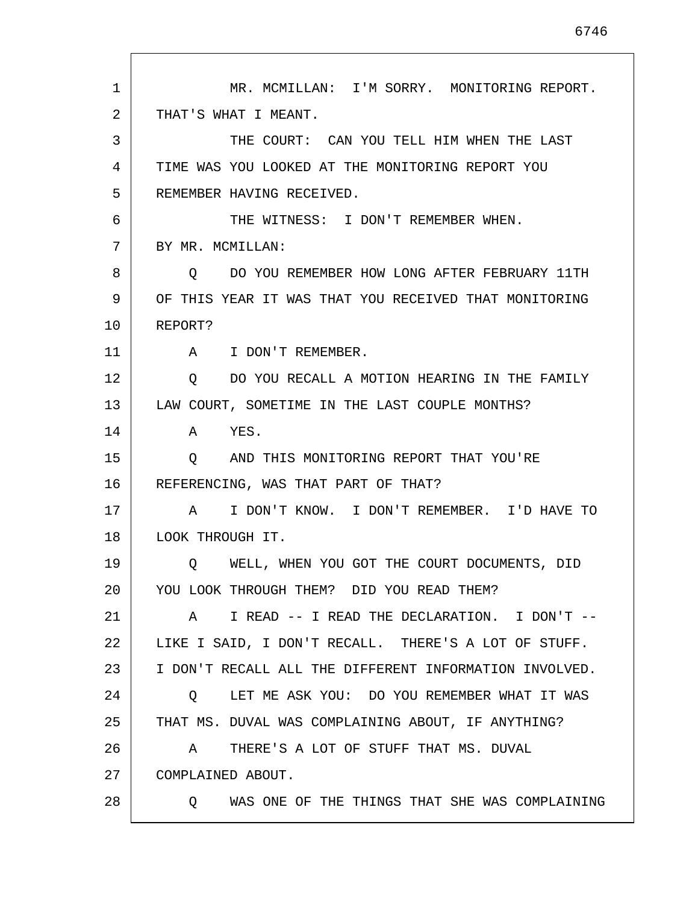1 2 3 4 5 6 7 8 9 10 11 12 13 14 15 16 17 18 19 20 21 22 23 24 25 26 27 28 MR. MCMILLAN: I'M SORRY. MONITORING REPORT. THAT'S WHAT I MEANT. THE COURT: CAN YOU TELL HIM WHEN THE LAST TIME WAS YOU LOOKED AT THE MONITORING REPORT YOU REMEMBER HAVING RECEIVED. THE WITNESS: I DON'T REMEMBER WHEN. BY MR. MCMILLAN: Q DO YOU REMEMBER HOW LONG AFTER FEBRUARY 11TH OF THIS YEAR IT WAS THAT YOU RECEIVED THAT MONITORING REPORT? A I DON'T REMEMBER. Q DO YOU RECALL A MOTION HEARING IN THE FAMILY LAW COURT, SOMETIME IN THE LAST COUPLE MONTHS? A YES. Q AND THIS MONITORING REPORT THAT YOU'RE REFERENCING, WAS THAT PART OF THAT? A I DON'T KNOW. I DON'T REMEMBER. I'D HAVE TO LOOK THROUGH IT. Q WELL, WHEN YOU GOT THE COURT DOCUMENTS, DID YOU LOOK THROUGH THEM? DID YOU READ THEM? A I READ -- I READ THE DECLARATION. I DON'T -- LIKE I SAID, I DON'T RECALL. THERE'S A LOT OF STUFF. I DON'T RECALL ALL THE DIFFERENT INFORMATION INVOLVED. Q LET ME ASK YOU: DO YOU REMEMBER WHAT IT WAS THAT MS. DUVAL WAS COMPLAINING ABOUT, IF ANYTHING? A THERE'S A LOT OF STUFF THAT MS. DUVAL COMPLAINED ABOUT. Q WAS ONE OF THE THINGS THAT SHE WAS COMPLAINING

6746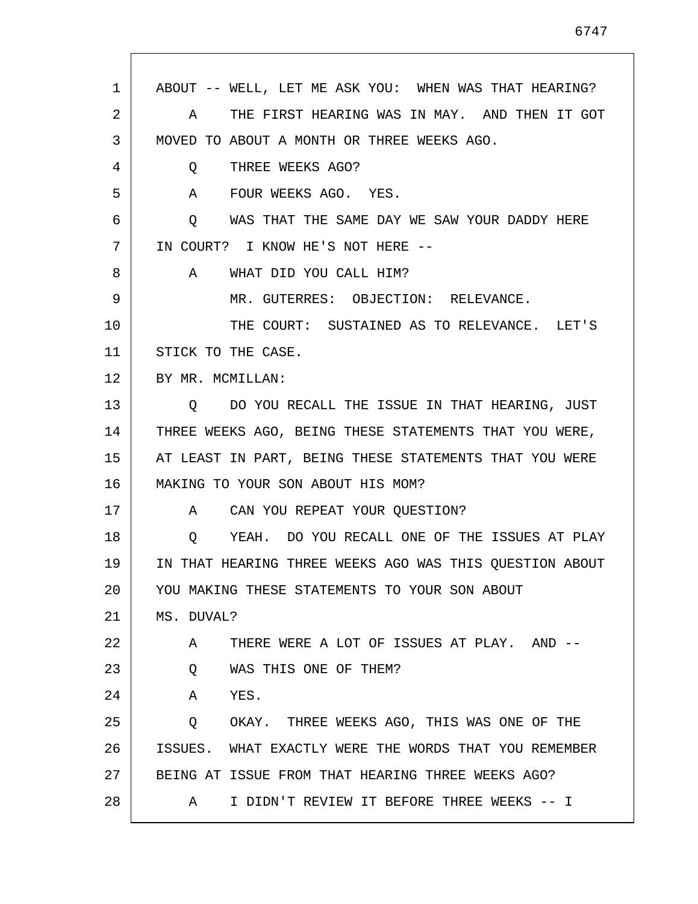| 1  | ABOUT -- WELL, LET ME ASK YOU: WHEN WAS THAT HEARING?   |
|----|---------------------------------------------------------|
| 2  | THE FIRST HEARING WAS IN MAY. AND THEN IT GOT<br>A      |
| 3  | MOVED TO ABOUT A MONTH OR THREE WEEKS AGO.              |
| 4  | THREE WEEKS AGO?<br>Q                                   |
| 5  | FOUR WEEKS AGO. YES.<br>$\mathsf A$                     |
| 6  | WAS THAT THE SAME DAY WE SAW YOUR DADDY HERE<br>Q       |
| 7  | IN COURT? I KNOW HE'S NOT HERE --                       |
| 8  | WHAT DID YOU CALL HIM?<br>A                             |
| 9  | MR. GUTERRES: OBJECTION: RELEVANCE.                     |
| 10 | THE COURT: SUSTAINED AS TO RELEVANCE. LET'S             |
| 11 | STICK TO THE CASE.                                      |
| 12 | BY MR. MCMILLAN:                                        |
| 13 | DO YOU RECALL THE ISSUE IN THAT HEARING, JUST<br>O      |
| 14 | THREE WEEKS AGO, BEING THESE STATEMENTS THAT YOU WERE,  |
| 15 | AT LEAST IN PART, BEING THESE STATEMENTS THAT YOU WERE  |
| 16 | MAKING TO YOUR SON ABOUT HIS MOM?                       |
| 17 | A CAN YOU REPEAT YOUR QUESTION?                         |
| 18 | YEAH. DO YOU RECALL ONE OF THE ISSUES AT PLAY<br>Q      |
| 19 | IN THAT HEARING THREE WEEKS AGO WAS THIS QUESTION ABOUT |
| 20 | YOU MAKING THESE STATEMENTS TO YOUR SON ABOUT           |
| 21 | MS. DUVAL?                                              |
| 22 | THERE WERE A LOT OF ISSUES AT PLAY. AND --<br>A         |
| 23 | WAS THIS ONE OF THEM?<br>Q                              |
| 24 | YES.<br>A                                               |
| 25 | OKAY. THREE WEEKS AGO, THIS WAS ONE OF THE<br>Q         |
| 26 | ISSUES. WHAT EXACTLY WERE THE WORDS THAT YOU REMEMBER   |
| 27 | BEING AT ISSUE FROM THAT HEARING THREE WEEKS AGO?       |
| 28 | I DIDN'T REVIEW IT BEFORE THREE WEEKS -- I<br>A         |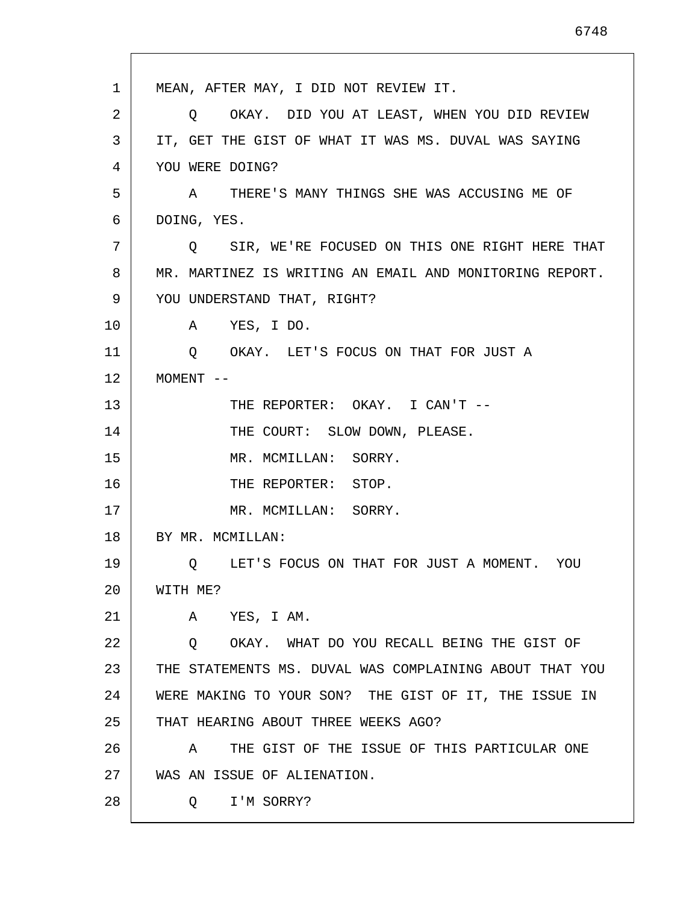1 2 3 4 5 6 7 8 9 10 11 12 13 14 15 16 17 18 19 20 21 22 23 24 25 26 27 28 MEAN, AFTER MAY, I DID NOT REVIEW IT. Q OKAY. DID YOU AT LEAST, WHEN YOU DID REVIEW IT, GET THE GIST OF WHAT IT WAS MS. DUVAL WAS SAYING YOU WERE DOING? A THERE'S MANY THINGS SHE WAS ACCUSING ME OF DOING, YES. Q SIR, WE'RE FOCUSED ON THIS ONE RIGHT HERE THAT MR. MARTINEZ IS WRITING AN EMAIL AND MONITORING REPORT. YOU UNDERSTAND THAT, RIGHT? A YES, I DO. Q OKAY. LET'S FOCUS ON THAT FOR JUST A MOMENT -- THE REPORTER: OKAY. I CAN'T -- THE COURT: SLOW DOWN, PLEASE. MR. MCMILLAN: SORRY. THE REPORTER: STOP. MR. MCMILLAN: SORRY. BY MR. MCMILLAN: Q LET'S FOCUS ON THAT FOR JUST A MOMENT. YOU WITH ME? A YES, I AM. Q OKAY. WHAT DO YOU RECALL BEING THE GIST OF THE STATEMENTS MS. DUVAL WAS COMPLAINING ABOUT THAT YOU WERE MAKING TO YOUR SON? THE GIST OF IT, THE ISSUE IN THAT HEARING ABOUT THREE WEEKS AGO? A THE GIST OF THE ISSUE OF THIS PARTICULAR ONE WAS AN ISSUE OF ALIENATION. Q I'M SORRY?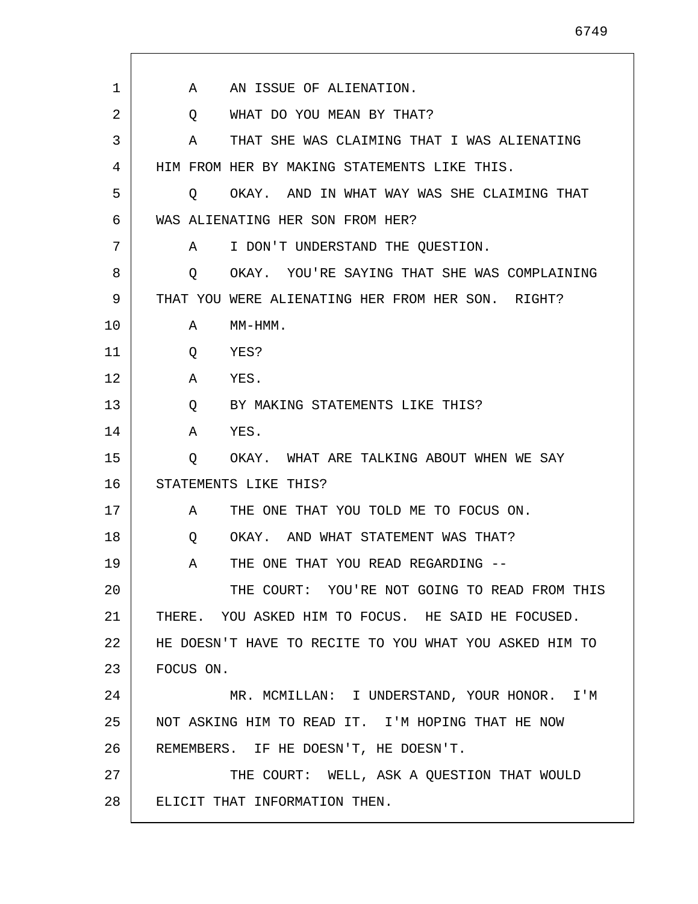| 1  | AN ISSUE OF ALIENATION.<br>A                           |
|----|--------------------------------------------------------|
| 2  | WHAT DO YOU MEAN BY THAT?<br>Q                         |
| 3  | THAT SHE WAS CLAIMING THAT I WAS ALIENATING<br>A       |
| 4  | HIM FROM HER BY MAKING STATEMENTS LIKE THIS.           |
| 5  | O OKAY. AND IN WHAT WAY WAS SHE CLAIMING THAT          |
| 6  | WAS ALIENATING HER SON FROM HER?                       |
| 7  | I DON'T UNDERSTAND THE QUESTION.<br>A                  |
| 8  | OKAY. YOU'RE SAYING THAT SHE WAS COMPLAINING<br>Q      |
| 9  | THAT YOU WERE ALIENATING HER FROM HER SON. RIGHT?      |
| 10 | A<br>$MM-HMM$ .                                        |
| 11 | YES?<br>Q                                              |
| 12 | $\mathbf{A}$<br>YES.                                   |
| 13 | Q BY MAKING STATEMENTS LIKE THIS?                      |
| 14 | YES.<br>A                                              |
| 15 | OKAY. WHAT ARE TALKING ABOUT WHEN WE SAY<br>O          |
| 16 | STATEMENTS LIKE THIS?                                  |
| 17 | THE ONE THAT YOU TOLD ME TO FOCUS ON.<br>A             |
| 18 | OKAY. AND WHAT STATEMENT WAS THAT?<br>Q                |
| 19 | THE ONE THAT YOU READ REGARDING --<br>Α                |
| 20 | THE COURT: YOU'RE NOT GOING TO READ FROM THIS          |
| 21 | THERE. YOU ASKED HIM TO FOCUS. HE SAID HE FOCUSED.     |
| 22 | HE DOESN'T HAVE TO RECITE TO YOU WHAT YOU ASKED HIM TO |
| 23 | FOCUS ON.                                              |
| 24 | MR. MCMILLAN: I UNDERSTAND, YOUR HONOR. I'M            |
| 25 | NOT ASKING HIM TO READ IT. I'M HOPING THAT HE NOW      |
| 26 | REMEMBERS. IF HE DOESN'T, HE DOESN'T.                  |
| 27 | THE COURT: WELL, ASK A QUESTION THAT WOULD             |
| 28 | ELICIT THAT INFORMATION THEN.                          |
|    |                                                        |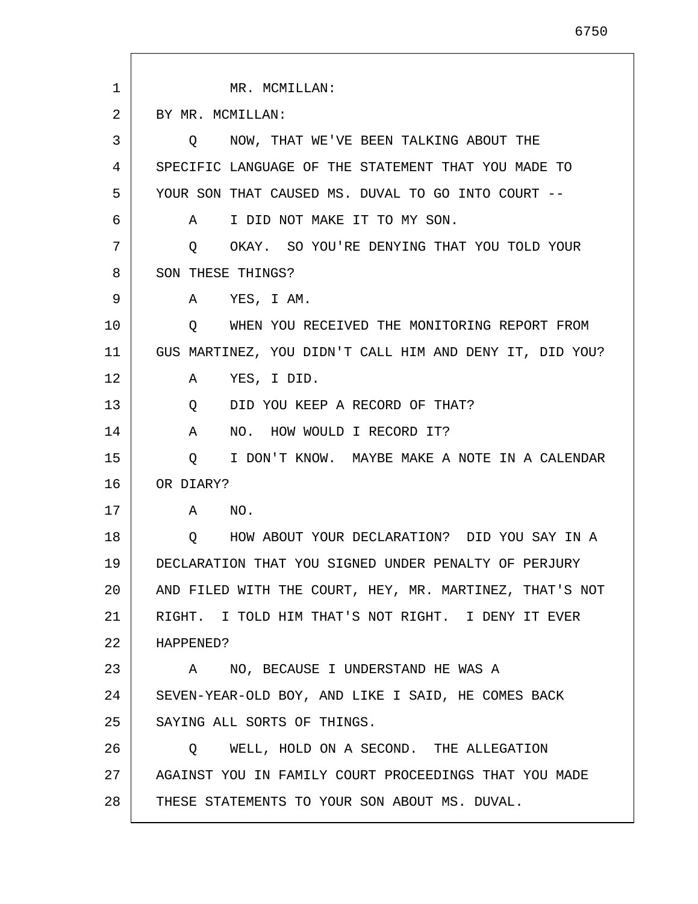| 1  | MR. MCMILLAN:                                            |
|----|----------------------------------------------------------|
| 2  | BY MR. MCMILLAN:                                         |
| 3  | NOW, THAT WE'VE BEEN TALKING ABOUT THE<br>$\circ$        |
| 4  | SPECIFIC LANGUAGE OF THE STATEMENT THAT YOU MADE TO      |
| 5  | YOUR SON THAT CAUSED MS. DUVAL TO GO INTO COURT --       |
| 6  | I DID NOT MAKE IT TO MY SON.<br>A                        |
| 7  | OKAY. SO YOU'RE DENYING THAT YOU TOLD YOUR<br>$\circ$    |
| 8  | SON THESE THINGS?                                        |
| 9  | YES, I AM.<br>A                                          |
| 10 | WHEN YOU RECEIVED THE MONITORING REPORT FROM<br>Q        |
| 11 | GUS MARTINEZ, YOU DIDN'T CALL HIM AND DENY IT, DID YOU?  |
| 12 | YES, I DID.<br>A                                         |
| 13 | DID YOU KEEP A RECORD OF THAT?<br>Q                      |
| 14 | NO. HOW WOULD I RECORD IT?<br>A                          |
| 15 | $\circ$<br>I DON'T KNOW. MAYBE MAKE A NOTE IN A CALENDAR |
| 16 | OR DIARY?                                                |
| 17 | A<br>NO.                                                 |
| 18 | HOW ABOUT YOUR DECLARATION? DID YOU SAY IN A<br>Q        |
| 19 | DECLARATION THAT YOU SIGNED UNDER PENALTY OF PERJURY     |
| 20 | AND FILED WITH THE COURT, HEY, MR. MARTINEZ, THAT'S NOT  |
| 21 | RIGHT. I TOLD HIM THAT'S NOT RIGHT. I DENY IT EVER       |
| 22 | HAPPENED?                                                |
| 23 | A NO, BECAUSE I UNDERSTAND HE WAS A                      |
| 24 | SEVEN-YEAR-OLD BOY, AND LIKE I SAID, HE COMES BACK       |
| 25 | SAYING ALL SORTS OF THINGS.                              |
| 26 | WELL, HOLD ON A SECOND. THE ALLEGATION<br>$\circ$        |
| 27 | AGAINST YOU IN FAMILY COURT PROCEEDINGS THAT YOU MADE    |
| 28 | THESE STATEMENTS TO YOUR SON ABOUT MS. DUVAL.            |

6750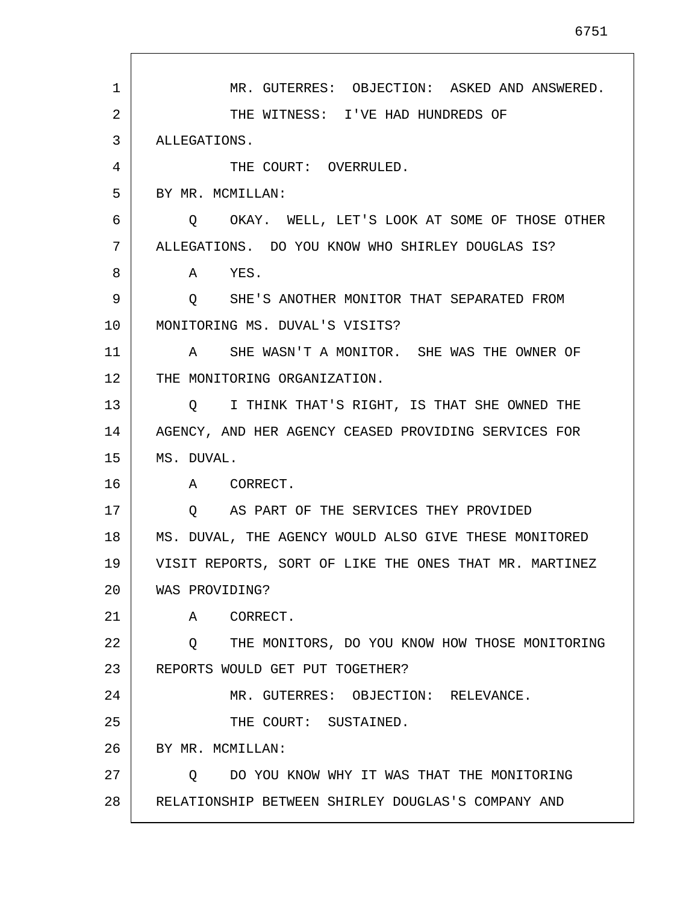1 2 3 4 5 6 7 8 9 10 11 12 13 14 15 16 17 18 19 20 21 22 23 24 25 26 27 28 MR. GUTERRES: OBJECTION: ASKED AND ANSWERED. THE WITNESS: I'VE HAD HUNDREDS OF ALLEGATIONS. THE COURT: OVERRULED. BY MR. MCMILLAN: Q OKAY. WELL, LET'S LOOK AT SOME OF THOSE OTHER ALLEGATIONS. DO YOU KNOW WHO SHIRLEY DOUGLAS IS? A YES. Q SHE'S ANOTHER MONITOR THAT SEPARATED FROM MONITORING MS. DUVAL'S VISITS? A SHE WASN'T A MONITOR. SHE WAS THE OWNER OF THE MONITORING ORGANIZATION. Q I THINK THAT'S RIGHT, IS THAT SHE OWNED THE AGENCY, AND HER AGENCY CEASED PROVIDING SERVICES FOR MS. DUVAL. A CORRECT. Q AS PART OF THE SERVICES THEY PROVIDED MS. DUVAL, THE AGENCY WOULD ALSO GIVE THESE MONITORED VISIT REPORTS, SORT OF LIKE THE ONES THAT MR. MARTINEZ WAS PROVIDING? A CORRECT. Q THE MONITORS, DO YOU KNOW HOW THOSE MONITORING REPORTS WOULD GET PUT TOGETHER? MR. GUTERRES: OBJECTION: RELEVANCE. THE COURT: SUSTAINED. BY MR. MCMILLAN: Q DO YOU KNOW WHY IT WAS THAT THE MONITORING RELATIONSHIP BETWEEN SHIRLEY DOUGLAS'S COMPANY AND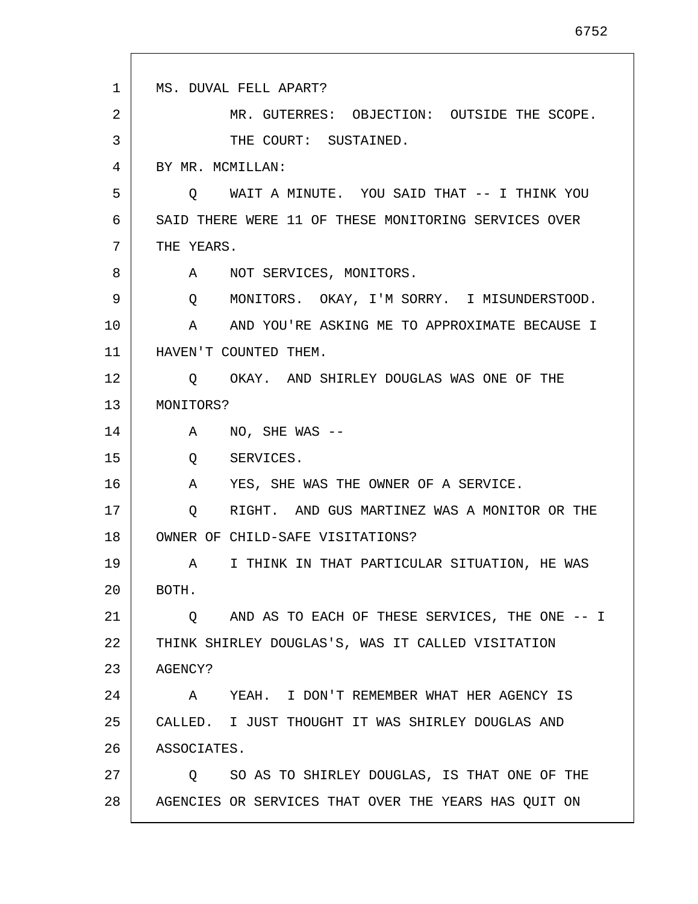| $\mathbf{1}$ | MS. DUVAL FELL APART?                                         |
|--------------|---------------------------------------------------------------|
| 2            | MR. GUTERRES: OBJECTION: OUTSIDE THE SCOPE.                   |
| 3            | THE COURT: SUSTAINED.                                         |
| 4            | BY MR. MCMILLAN:                                              |
| 5            | O WAIT A MINUTE. YOU SAID THAT -- I THINK YOU                 |
| 6            | SAID THERE WERE 11 OF THESE MONITORING SERVICES OVER          |
| 7            | THE YEARS.                                                    |
| 8            | A NOT SERVICES, MONITORS.                                     |
| 9            | MONITORS. OKAY, I'M SORRY. I MISUNDERSTOOD.<br>Q              |
| $10 \,$      | AND YOU'RE ASKING ME TO APPROXIMATE BECAUSE I<br>$\mathbf{A}$ |
| 11           | HAVEN'T COUNTED THEM.                                         |
| 12           | Q OKAY. AND SHIRLEY DOUGLAS WAS ONE OF THE                    |
| 13           | MONITORS?                                                     |
| 14           | $NO$ , SHE WAS --<br>A                                        |
| 15           | $Q \qquad \qquad$<br>SERVICES.                                |
| 16           | YES, SHE WAS THE OWNER OF A SERVICE.<br>$\mathbf{A}$          |
| 17           | RIGHT. AND GUS MARTINEZ WAS A MONITOR OR THE<br>Q             |
| 18           | OWNER OF CHILD-SAFE VISITATIONS?                              |
| 19           | I THINK IN THAT PARTICULAR SITUATION, HE WAS<br>A             |
| 20           | BOTH.                                                         |
| 21           | Q AND AS TO EACH OF THESE SERVICES, THE ONE -- I              |
| 22           | THINK SHIRLEY DOUGLAS'S, WAS IT CALLED VISITATION             |
| 23           | AGENCY?                                                       |
| 24           | YEAH. I DON'T REMEMBER WHAT HER AGENCY IS<br>A                |
| 25           | CALLED. I JUST THOUGHT IT WAS SHIRLEY DOUGLAS AND             |
| 26           | ASSOCIATES.                                                   |
| 27           | SO AS TO SHIRLEY DOUGLAS, IS THAT ONE OF THE<br>Q             |
| 28           | AGENCIES OR SERVICES THAT OVER THE YEARS HAS QUIT ON          |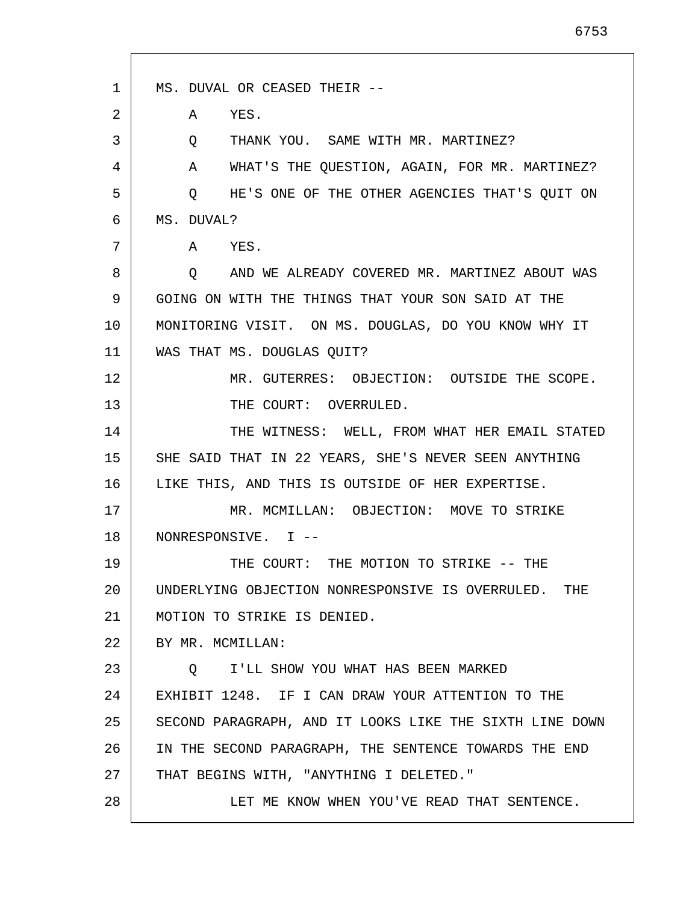1 2 3 4 5 6 7 8 9 10 11 12 13 14 15 16 17 18 19 20 21 22 23 24 25 26 27 28 MS. DUVAL OR CEASED THEIR -- A YES. Q THANK YOU. SAME WITH MR. MARTINEZ? A WHAT'S THE QUESTION, AGAIN, FOR MR. MARTINEZ? Q HE'S ONE OF THE OTHER AGENCIES THAT'S QUIT ON MS. DUVAL? A YES. Q AND WE ALREADY COVERED MR. MARTINEZ ABOUT WAS GOING ON WITH THE THINGS THAT YOUR SON SAID AT THE MONITORING VISIT. ON MS. DOUGLAS, DO YOU KNOW WHY IT WAS THAT MS. DOUGLAS QUIT? MR. GUTERRES: OBJECTION: OUTSIDE THE SCOPE. THE COURT: OVERRULED. THE WITNESS: WELL, FROM WHAT HER EMAIL STATED SHE SAID THAT IN 22 YEARS, SHE'S NEVER SEEN ANYTHING LIKE THIS, AND THIS IS OUTSIDE OF HER EXPERTISE. MR. MCMILLAN: OBJECTION: MOVE TO STRIKE NONRESPONSIVE. I -- THE COURT: THE MOTION TO STRIKE -- THE UNDERLYING OBJECTION NONRESPONSIVE IS OVERRULED. THE MOTION TO STRIKE IS DENIED. BY MR. MCMILLAN: Q I'LL SHOW YOU WHAT HAS BEEN MARKED EXHIBIT 1248. IF I CAN DRAW YOUR ATTENTION TO THE SECOND PARAGRAPH, AND IT LOOKS LIKE THE SIXTH LINE DOWN IN THE SECOND PARAGRAPH, THE SENTENCE TOWARDS THE END THAT BEGINS WITH, "ANYTHING I DELETED." LET ME KNOW WHEN YOU'VE READ THAT SENTENCE.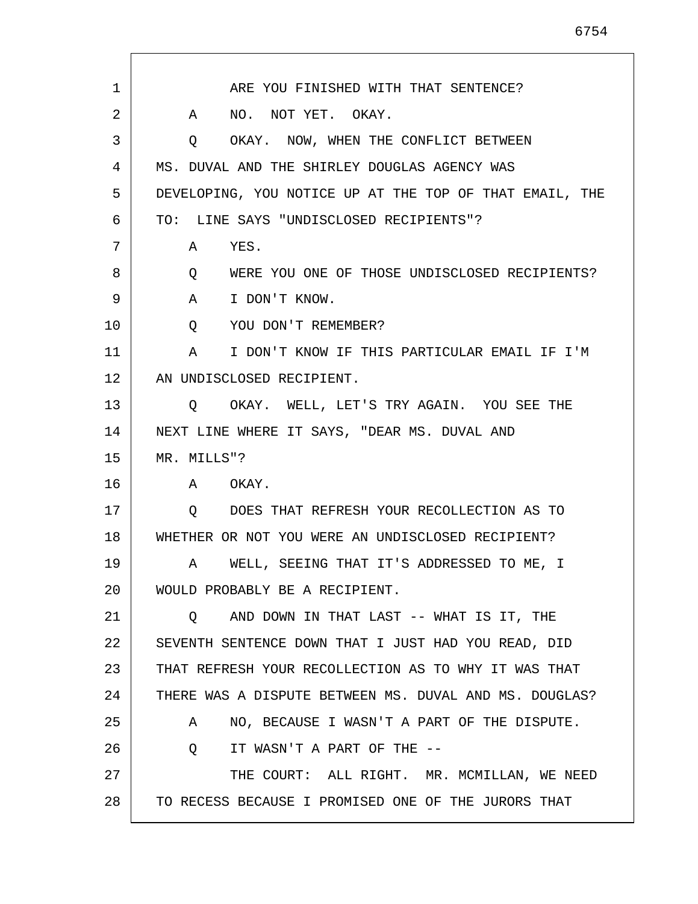1 2 3 4 5 6 7 8 9 10 11 12 13 14 15 16 17 18 19 20 21 22 23 24 25 26 27 28 ARE YOU FINISHED WITH THAT SENTENCE? A NO. NOT YET. OKAY. Q OKAY. NOW, WHEN THE CONFLICT BETWEEN MS. DUVAL AND THE SHIRLEY DOUGLAS AGENCY WAS DEVELOPING, YOU NOTICE UP AT THE TOP OF THAT EMAIL, THE TO: LINE SAYS "UNDISCLOSED RECIPIENTS"? A YES. Q WERE YOU ONE OF THOSE UNDISCLOSED RECIPIENTS? A I DON'T KNOW. Q YOU DON'T REMEMBER? A I DON'T KNOW IF THIS PARTICULAR EMAIL IF I'M AN UNDISCLOSED RECIPIENT. Q OKAY. WELL, LET'S TRY AGAIN. YOU SEE THE NEXT LINE WHERE IT SAYS, "DEAR MS. DUVAL AND MR. MILLS"? A OKAY. Q DOES THAT REFRESH YOUR RECOLLECTION AS TO WHETHER OR NOT YOU WERE AN UNDISCLOSED RECIPIENT? A WELL, SEEING THAT IT'S ADDRESSED TO ME, I WOULD PROBABLY BE A RECIPIENT. Q AND DOWN IN THAT LAST -- WHAT IS IT, THE SEVENTH SENTENCE DOWN THAT I JUST HAD YOU READ, DID THAT REFRESH YOUR RECOLLECTION AS TO WHY IT WAS THAT THERE WAS A DISPUTE BETWEEN MS. DUVAL AND MS. DOUGLAS? A NO, BECAUSE I WASN'T A PART OF THE DISPUTE. Q IT WASN'T A PART OF THE -- THE COURT: ALL RIGHT. MR. MCMILLAN, WE NEED TO RECESS BECAUSE I PROMISED ONE OF THE JURORS THAT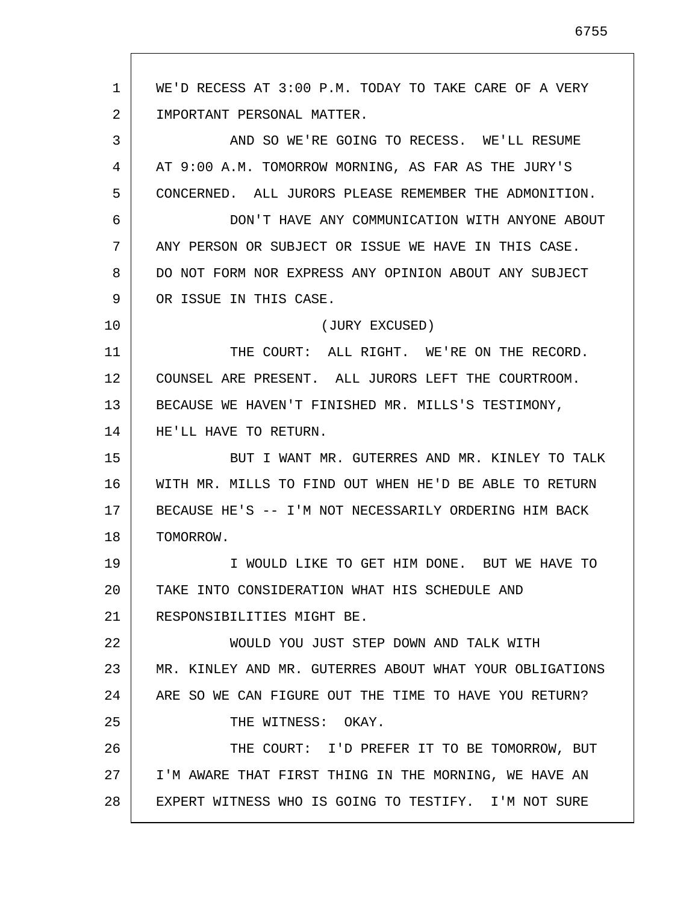1 2 3 4 5 6 7 8 9 10 11 12 13 14 15 16 17 18 19 20 21 22 23 24 25 26 27 28 WE'D RECESS AT 3:00 P.M. TODAY TO TAKE CARE OF A VERY IMPORTANT PERSONAL MATTER. AND SO WE'RE GOING TO RECESS. WE'LL RESUME AT 9:00 A.M. TOMORROW MORNING, AS FAR AS THE JURY'S CONCERNED. ALL JURORS PLEASE REMEMBER THE ADMONITION. DON'T HAVE ANY COMMUNICATION WITH ANYONE ABOUT ANY PERSON OR SUBJECT OR ISSUE WE HAVE IN THIS CASE. DO NOT FORM NOR EXPRESS ANY OPINION ABOUT ANY SUBJECT OR ISSUE IN THIS CASE. (JURY EXCUSED) THE COURT: ALL RIGHT. WE'RE ON THE RECORD. COUNSEL ARE PRESENT. ALL JURORS LEFT THE COURTROOM. BECAUSE WE HAVEN'T FINISHED MR. MILLS'S TESTIMONY, HE'LL HAVE TO RETURN. BUT I WANT MR. GUTERRES AND MR. KINLEY TO TALK WITH MR. MILLS TO FIND OUT WHEN HE'D BE ABLE TO RETURN BECAUSE HE'S -- I'M NOT NECESSARILY ORDERING HIM BACK TOMORROW. I WOULD LIKE TO GET HIM DONE. BUT WE HAVE TO TAKE INTO CONSIDERATION WHAT HIS SCHEDULE AND RESPONSIBILITIES MIGHT BE. WOULD YOU JUST STEP DOWN AND TALK WITH MR. KINLEY AND MR. GUTERRES ABOUT WHAT YOUR OBLIGATIONS ARE SO WE CAN FIGURE OUT THE TIME TO HAVE YOU RETURN? THE WITNESS: OKAY. THE COURT: I'D PREFER IT TO BE TOMORROW, BUT I'M AWARE THAT FIRST THING IN THE MORNING, WE HAVE AN EXPERT WITNESS WHO IS GOING TO TESTIFY. I'M NOT SURE

6755